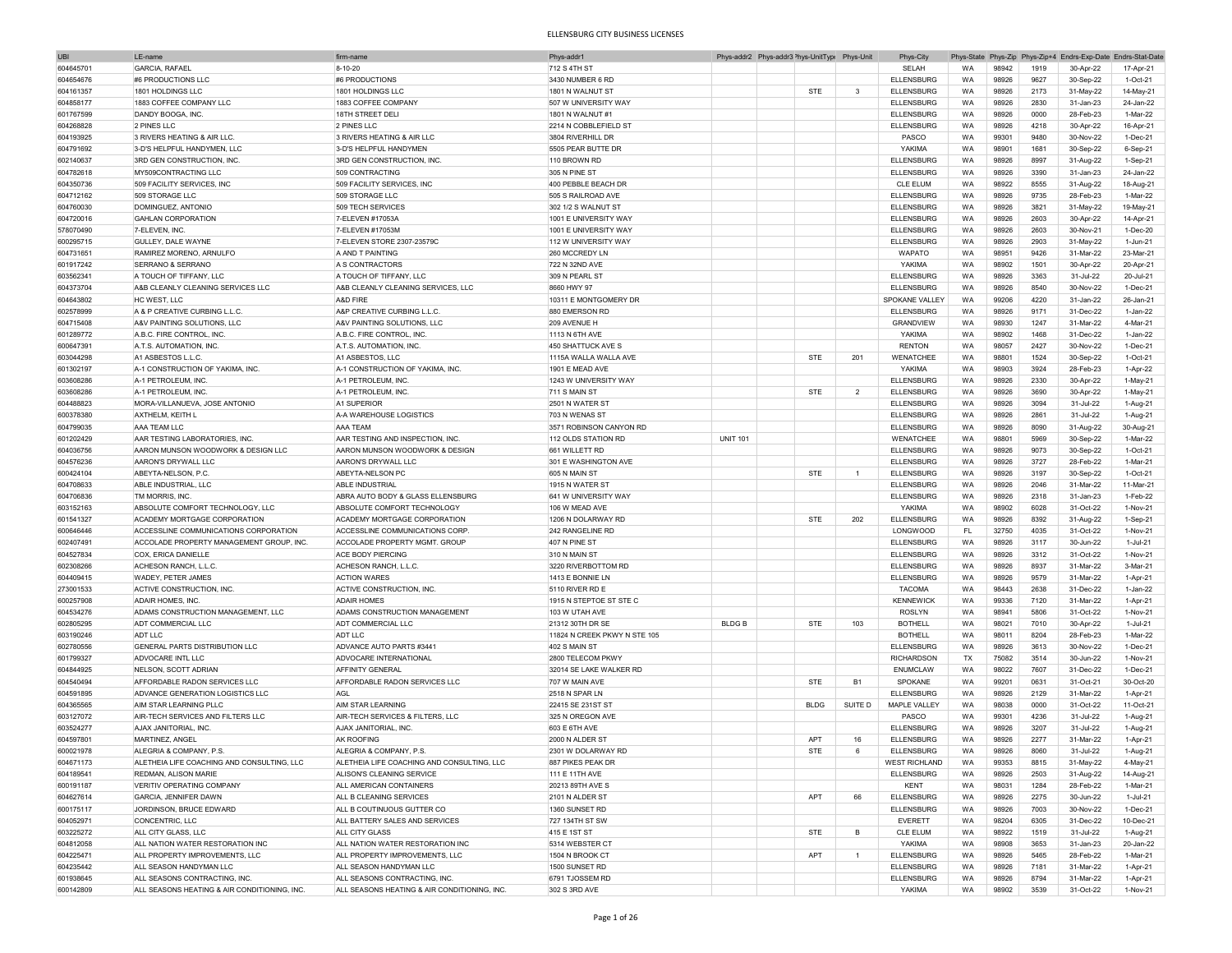| <b>UBI</b> | LE-name                                      | firm-nam                                     | Phys-addr1                   |                 | Phys-addr2 Phys-addr3 <sup>&gt;</sup> hys-UnitTypi Phys-Unit |             |                | Phys-City            |           |       |      | Phys-State Phys-Zip Phys-Zip+4 Endrs-Exp-Date Endrs-Stat-Date |            |
|------------|----------------------------------------------|----------------------------------------------|------------------------------|-----------------|--------------------------------------------------------------|-------------|----------------|----------------------|-----------|-------|------|---------------------------------------------------------------|------------|
| 604645701  | <b>GARCIA, RAFAEL</b>                        | 8-10-20                                      | 712 S 4TH ST                 |                 |                                                              |             |                | SELAH                | <b>WA</b> | 98942 | 1919 | 30-Apr-22                                                     | 17-Apr-21  |
| 604654676  | #6 PRODUCTIONS LLC                           | #6 PRODUCTIONS                               | 3430 NUMBER 6 RD             |                 |                                                              |             |                | <b>ELLENSBURG</b>    | WA        | 98926 | 9627 | 30-Sep-22                                                     | 1-Oct-21   |
| 604161357  | 1801 HOLDINGS LLC                            | 1801 HOLDINGS LLC                            | 1801 N WALNUT ST             |                 |                                                              | <b>STE</b>  | 3              | <b>ELLENSBURG</b>    | WA        | 98926 | 2173 | 31-May-22                                                     | 14-May-21  |
|            |                                              | 1883 COFFEE COMPANY                          |                              |                 |                                                              |             |                | <b>ELLENSBURG</b>    |           |       | 2830 |                                                               |            |
| 604858177  | 1883 COFFEE COMPANY LLC                      |                                              | 507 W UNIVERSITY WAY         |                 |                                                              |             |                |                      | WA        | 98926 |      | 31-Jan-23                                                     | 24-Jan-22  |
| 601767599  | DANDY BOOGA, INC.                            | 18TH STREET DELI                             | 1801 N WALNUT #1             |                 |                                                              |             |                | <b>ELLENSBURG</b>    | WA        | 98926 | 0000 | 28-Feb-23                                                     | 1-Mar-22   |
| 604268828  | 2 PINES LLC                                  | 2 PINES LLC                                  | 2214 N COBBLEFIELD ST        |                 |                                                              |             |                | <b>ELLENSBURG</b>    | WA        | 98926 | 4218 | 30-Apr-22                                                     | 16-Apr-21  |
| 604193925  | 3 RIVERS HEATING & AIR LLC                   | 3 RIVERS HEATING & AIR LLC                   | 3804 RIVERHILL DR            |                 |                                                              |             |                | PASCO                | WA        | 99301 | 9480 | 30-Nov-22                                                     | 1-Dec-21   |
| 604791692  | 3-D'S HELPFUL HANDYMEN, LLC                  | 3-D'S HELPFUL HANDYMEN                       | 5505 PEAR BUTTE DR           |                 |                                                              |             |                | YAKIMA               | <b>WA</b> | 98901 | 1681 | 30-Sep-22                                                     | 6-Sep-21   |
| 602140637  | 3RD GEN CONSTRUCTION. INC.                   | 3RD GEN CONSTRUCTION, INC.                   | 110 BROWN RD                 |                 |                                                              |             |                | <b>ELLENSBURG</b>    | WA        | 98926 | 8997 | 31-Aug-22                                                     | 1-Sep-21   |
| 604782618  | MY509CONTRACTING LLC                         | 509 CONTRACTING                              | 305 N PINE ST                |                 |                                                              |             |                | <b>ELLENSBURG</b>    | <b>WA</b> | 98926 | 3390 | 31-Jan-23                                                     | 24-Jan-22  |
| 604350736  | 509 FACILITY SERVICES, INC                   | 509 FACILITY SERVICES, INC                   | 400 PEBBLE BEACH DR          |                 |                                                              |             |                | <b>CLE ELUM</b>      | WA        | 98922 | 8555 | 31-Aug-22                                                     | 18-Aug-21  |
| 604712162  | 509 STORAGE LLC                              | 509 STORAGE LLC                              | 505 S RAILROAD AVE           |                 |                                                              |             |                | <b>ELLENSBURG</b>    | <b>WA</b> | 98926 | 9735 | 28-Feb-23                                                     | 1-Mar-22   |
|            |                                              |                                              |                              |                 |                                                              |             |                |                      |           |       |      |                                                               |            |
| 604760030  | DOMINGUEZ, ANTONIO                           | 509 TECH SERVICES                            | 302 1/2 S WALNUT ST          |                 |                                                              |             |                | <b>ELLENSBURG</b>    | WA        | 98926 | 3821 | 31-May-22                                                     | 19-May-21  |
| 604720016  | <b>GAHLAN CORPORATION</b>                    | 7-ELEVEN #17053A                             | 1001 E UNIVERSITY WAY        |                 |                                                              |             |                | <b>ELLENSBURG</b>    | WA        | 98926 | 2603 | 30-Apr-22                                                     | 14-Apr-21  |
| 578070490  | 7-ELEVEN, INC.                               | 7-ELEVEN #17053M                             | 1001 E UNIVERSITY WAY        |                 |                                                              |             |                | <b>ELLENSBURG</b>    | WA        | 98926 | 2603 | 30-Nov-21                                                     | 1-Dec-20   |
| 600295715  | GULLEY, DALE WAYNE                           | 7-ELEVEN STORE 2307-23579C                   | 112 W UNIVERSITY WAY         |                 |                                                              |             |                | <b>ELLENSBURG</b>    | WA        | 98926 | 2903 | 31-May-22                                                     | 1-Jun-21   |
| 604731651  | RAMIREZ MORENO, ARNULFO                      | A AND T PAINTING                             | 260 MCCREDY LN               |                 |                                                              |             |                | WAPATO               | WA        | 98951 | 9426 | 31-Mar-22                                                     | 23-Mar-21  |
| 601917242  | SERRANO & SERRANO                            | A S CONTRACTORS                              | 722 N 32ND AVE               |                 |                                                              |             |                | YAKIMA               | WA        | 98902 | 1501 | 30-Apr-22                                                     | 20-Apr-21  |
| 603562341  | A TOUCH OF TIFFANY, LLC                      | A TOUCH OF TIFFANY, LLC                      | 309 N PEARL ST               |                 |                                                              |             |                | <b>ELLENSBURG</b>    | WA        | 98926 | 3363 | 31-Jul-22                                                     | 20-Jul-21  |
| 604373704  | A&B CLEANLY CLEANING SERVICES LLC            | A&B CLEANLY CLEANING SERVICES, LLC           | 8660 HWY 97                  |                 |                                                              |             |                | <b>ELLENSBURG</b>    | <b>WA</b> | 98926 | 8540 | 30-Nov-22                                                     | 1-Dec-21   |
| 604643802  | HC WEST, LLC                                 | A&D FIRE                                     | 10311 E MONTGOMERY DR        |                 |                                                              |             |                | SPOKANE VALLEY       | WA        | 99206 | 4220 | 31-Jan-22                                                     | 26-Jan-21  |
|            |                                              |                                              |                              |                 |                                                              |             |                |                      | WA        |       | 9171 |                                                               | 1-Jan-22   |
| 602578999  | A & P CREATIVE CURBING L.L.C.                | A&P CREATIVE CURBING L.L.C.                  | 880 EMERSON RD               |                 |                                                              |             |                | <b>ELLENSBURG</b>    |           | 98926 |      | 31-Dec-22                                                     |            |
| 604715408  | A&V PAINTING SOLUTIONS, LLC                  | A&V PAINTING SOLUTIONS, LLC                  | 209 AVENUE H                 |                 |                                                              |             |                | GRANDVIEW            | WA        | 98930 | 1247 | 31-Mar-22                                                     | 4-Mar-21   |
| 601289772  | A.B.C. FIRE CONTROL, INC.                    | A.B.C. FIRE CONTROL, INC                     | 1113 N 6TH AVE               |                 |                                                              |             |                | YAKIMA               | WA        | 98902 | 1468 | 31-Dec-22                                                     | 1-Jan-22   |
| 600647391  | A.T.S. AUTOMATION, INC                       | A.T.S. AUTOMATION, INC                       | 450 SHATTUCK AVE S           |                 |                                                              |             |                | <b>RENTON</b>        | <b>WA</b> | 98057 | 2427 | 30-Nov-22                                                     | 1-Dec-21   |
| 603044298  | A1 ASBESTOS L.L.C.                           | A1 ASBESTOS, LLC                             | 1115A WALLA WALLA AVE        |                 |                                                              | STE         | 201            | WENATCHEE            | WA        | 98801 | 1524 | 30-Sep-22                                                     | 1-Oct-21   |
| 601302197  | A-1 CONSTRUCTION OF YAKIMA, INC.             | A-1 CONSTRUCTION OF YAKIMA, INC              | 1901 E MEAD AVE              |                 |                                                              |             |                | YAKIMA               | WA        | 98903 | 3924 | 28-Feb-23                                                     | 1-Apr-22   |
| 603608286  | A-1 PETROLEUM, INC                           | A-1 PETROLEUM, INC.                          | 1243 W UNIVERSITY WAY        |                 |                                                              |             |                | <b>ELLENSBURG</b>    | WA        | 98926 | 2330 | 30-Apr-22                                                     | 1-May-21   |
| 603608286  | A-1 PETROLEUM, INC                           | A-1 PETROLEUM, INC.                          | 711 S MAIN ST                |                 |                                                              | <b>STE</b>  | $\overline{2}$ | <b>ELLENSBURG</b>    | WA        | 98926 | 3690 | 30-Apr-22                                                     | 1-May-21   |
|            | MORA-VILLANUEVA, JOSE ANTONIO                | A1 SUPERIOR                                  |                              |                 |                                                              |             |                |                      |           |       |      |                                                               |            |
| 604488823  |                                              |                                              | 2501 N WATER ST              |                 |                                                              |             |                | <b>ELLENSBURG</b>    | WA        | 98926 | 3094 | 31-Jul-22                                                     | 1-Aug-21   |
| 600378380  | AXTHELM, KEITH L                             | A-A WAREHOUSE LOGISTICS                      | 703 N WENAS ST               |                 |                                                              |             |                | <b>ELLENSBURG</b>    | WA        | 98926 | 2861 | 31-Jul-22                                                     | 1-Aug-21   |
| 604799035  | AAA TEAM LLC                                 | AAA TEAM                                     | 3571 ROBINSON CANYON RD      |                 |                                                              |             |                | <b>ELLENSBURG</b>    | WA        | 98926 | 8090 | 31-Aug-22                                                     | 30-Aug-21  |
| 601202429  | AAR TESTING LABORATORIES, INC.               | AAR TESTING AND INSPECTION. INC.             | 112 OLDS STATION RD          | <b>UNIT 101</b> |                                                              |             |                | WENATCHEE            | <b>WA</b> | 98801 | 5969 | 30-Sep-22                                                     | 1-Mar-22   |
| 604036756  | AARON MUNSON WOODWORK & DESIGN LLC           | AARON MUNSON WOODWORK & DESIGN               | 661 WILLETT RD               |                 |                                                              |             |                | <b>ELLENSBURG</b>    | WA        | 98926 | 9073 | 30-Sep-22                                                     | 1-Oct-21   |
| 604576236  | AARON'S DRYWALL LLC                          | AARON'S DRYWALL LLC                          | 301 E WASHINGTON AVE         |                 |                                                              |             |                | <b>ELLENSBURG</b>    | WA        | 98926 | 3727 | 28-Feb-22                                                     | 1-Mar-21   |
| 600424104  | ABEYTA-NELSON, P.C.                          | ABEYTA-NELSON PC                             | 605 N MAIN ST                |                 |                                                              | <b>STE</b>  | $\overline{1}$ | <b>ELLENSBURG</b>    | WA        | 98926 | 3197 | 30-Sep-22                                                     | 1-Oct-21   |
| 604708633  | ABLE INDUSTRIAL, LLC                         | ABI F INDUSTRIAL                             | 1915 N WATER ST              |                 |                                                              |             |                | <b>ELLENSBURG</b>    | <b>WA</b> | 98926 | 2046 | 31-Mar-22                                                     | 11-Mar-21  |
| 604706836  | TM MORRIS, INC.                              | ABRA AUTO BODY & GLASS ELLENSBURG            | 641 W UNIVERSITY WAY         |                 |                                                              |             |                | <b>ELLENSBURG</b>    | <b>WA</b> | 98926 | 2318 | 31-Jan-23                                                     | $1-Feb-22$ |
|            |                                              |                                              |                              |                 |                                                              |             |                |                      |           |       |      |                                                               |            |
| 603152163  | ABSOLUTE COMFORT TECHNOLOGY, LLC             | ABSOLUTE COMFORT TECHNOLOGY                  | 106 W MEAD AVE               |                 |                                                              |             |                | YAKIMA               | WA        | 98902 | 6028 | 31-Oct-22                                                     | 1-Nov-21   |
| 601541327  | ACADEMY MORTGAGE CORPORATION                 | ACADEMY MORTGAGE CORPORATION                 | 1206 N DOLARWAY RD           |                 |                                                              | <b>STE</b>  | 202            | <b>ELLENSBURG</b>    | WA        | 98926 | 8392 | 31-Aug-22                                                     | 1-Sep-21   |
| 600646446  | ACCESSLINE COMMUNICATIONS CORPORATION        | ACCESSLINE COMMUNICATIONS CORP               | 242 RANGELINE RD             |                 |                                                              |             |                | <b>LONGWOOD</b>      | FL        | 32750 | 4035 | 31-Oct-22                                                     | 1-Nov-21   |
| 602407491  | ACCOLADE PROPERTY MANAGEMENT GROUP, INC      | ACCOLADE PROPERTY MGMT. GROUF                | 407 N PINE ST                |                 |                                                              |             |                | <b>ELLENSBURG</b>    | WA        | 98926 | 3117 | 30-Jun-22                                                     | 1-Jul-21   |
| 604527834  | COX, ERICA DANIELLE                          | ACE BODY PIERCING                            | 310 N MAIN ST                |                 |                                                              |             |                | <b>ELLENSBURG</b>    | WA        | 98926 | 3312 | 31-Oct-22                                                     | 1-Nov-21   |
| 602308266  | ACHESON RANCH, L.L.C                         | ACHESON RANCH, L.L.C.                        | 3220 RIVERBOTTOM RD          |                 |                                                              |             |                | <b>ELLENSBURG</b>    | WA        | 98926 | 8937 | 31-Mar-22                                                     | 3-Mar-21   |
| 604409415  | WADEY, PETER JAMES                           | <b>ACTION WARES</b>                          | 1413 E BONNIE LN             |                 |                                                              |             |                | <b>ELLENSBURG</b>    | WA        | 98926 | 9579 | 31-Mar-22                                                     | 1-Apr-21   |
| 273001533  | ACTIVE CONSTRUCTION, INC                     | ACTIVE CONSTRUCTION, INC                     | 5110 RIVER RD E              |                 |                                                              |             |                | <b>TACOMA</b>        | <b>WA</b> | 98443 | 2638 | 31-Dec-22                                                     | 1-Jan-22   |
|            |                                              |                                              |                              |                 |                                                              |             |                |                      |           |       |      |                                                               |            |
| 600257908  | <b>ADAIR HOMES, INC</b>                      | <b>ADAIR HOMES</b>                           | 1915 N STEPTOE ST STE C      |                 |                                                              |             |                | <b>KENNEWICK</b>     | WA        | 99336 | 7120 | 31-Mar-22                                                     | 1-Apr-21   |
| 604534276  | ADAMS CONSTRUCTION MANAGEMENT, LLC           | ADAMS CONSTRUCTION MANAGEMENT                | 103 W UTAH AVE               |                 |                                                              |             |                | <b>ROSLYN</b>        | WA        | 98941 | 5806 | 31-Oct-22                                                     | 1-Nov-21   |
| 602805295  | ADT COMMERCIAL LLC                           | ADT COMMERCIAL LLC                           | 21312 30TH DR SE             | <b>BLDGB</b>    |                                                              | <b>STE</b>  | 103            | <b>BOTHELL</b>       | WA        | 98021 | 7010 | 30-Apr-22                                                     | 1-Jul-21   |
| 603190246  | <b>ADT LLC</b>                               | ADT LLC                                      | 11824 N CREEK PKWY N STE 105 |                 |                                                              |             |                | <b>BOTHELL</b>       | <b>WA</b> | 98011 | 8204 | 28-Feb-23                                                     | 1-Mar-22   |
| 602780556  | <b>GENERAL PARTS DISTRIBUTION LLC</b>        | ADVANCE AUTO PARTS #3441                     | 402 S MAIN ST                |                 |                                                              |             |                | <b>ELLENSBURG</b>    | WA        | 98926 | 3613 | 30-Nov-22                                                     | 1-Dec-21   |
| 601799327  | ADVOCARE INTL LLC                            | ADVOCARE INTERNATIONAL                       | 2800 TELECOM PKWY            |                 |                                                              |             |                | <b>RICHARDSON</b>    | TX        | 75082 | 3514 | 30-Jun-22                                                     | 1-Nov-21   |
| 604844925  | NELSON, SCOTT ADRIAN                         | AFFINITY GENERAL                             | 32014 SE LAKE WALKER RD      |                 |                                                              |             |                | <b>ENUMCLAW</b>      | WA        | 98022 | 7607 | 31-Dec-22                                                     | 1-Dec-21   |
| 604540494  | AFFORDABLE RADON SERVICES LLC                | AFFORDABLE RADON SERVICES LLC                | 707 W MAIN AVE               |                 |                                                              | <b>STE</b>  | <b>B1</b>      | SPOKANE              | WA        | 99201 | 0631 | 31-Oct-21                                                     | 30-Oct-20  |
| 604591895  | ADVANCE GENERATION LOGISTICS LLC             | AGL                                          | 2518 N SPAR LN               |                 |                                                              |             |                | <b>ELLENSBURG</b>    | WA        | 98926 | 2129 | 31-Mar-22                                                     | 1-Apr-21   |
|            |                                              |                                              |                              |                 |                                                              |             |                |                      |           |       |      |                                                               |            |
| 604365565  | AIM STAR I FARNING PLIC                      | AIM STAR LEARNING                            | 22415 SE 231ST ST            |                 |                                                              | <b>BLDG</b> | SUITE D        | MAPLE VALLEY         | WA        | 98038 | 0000 | 31-Oct-22                                                     | 11-Oct-21  |
| 603127072  | AIR-TECH SERVICES AND FILTERS LLC            | AIR-TECH SERVICES & FILTERS, LLC             | 325 N OREGON AVE             |                 |                                                              |             |                | PASCO                | WA        | 99301 | 4236 | 31-Jul-22                                                     | 1-Aug-21   |
| 603524277  | AJAX JANITORIAL, INC.                        | AJAX JANITORIAL, INC.                        | 603 E 6TH AVE                |                 |                                                              |             |                | ELLENSBURG           | <b>WA</b> | 98926 | 3207 | 31-Jul-22                                                     | 1-Aug-21   |
| 604597801  | MARTINEZ, ANGEL                              | AK ROOFING                                   | 2000 N ALDER ST              |                 |                                                              | APT         | 16             | <b>ELLENSBURG</b>    | WA        | 98926 | 2277 | 31-Mar-22                                                     | 1-Apr-21   |
| 600021978  | ALEGRIA & COMPANY, P.S.                      | ALEGRIA & COMPANY, P.S.                      | 2301 W DOLARWAY RD           |                 |                                                              | STE         |                | <b>ELLENSBURG</b>    | <b>WA</b> | 98926 | 8060 | 31-Jul-22                                                     | 1-Aug-21   |
| 604671173  | ALETHEIA LIFE COACHING AND CONSULTING, LLC   | ALETHEIA LIFE COACHING AND CONSULTING, LLC   | 887 PIKES PEAK DR            |                 |                                                              |             |                | <b>WEST RICHLAND</b> | WA        | 99353 | 8815 | 31-May-22                                                     | 4-May-21   |
| 604189541  | <b>REDMAN, ALISON MARIE</b>                  | ALISON'S CLEANING SERVICE                    | 111 E 11TH AVE               |                 |                                                              |             |                | <b>ELLENSBURG</b>    | WA        | 98926 | 2503 | 31-Aug-22                                                     | 14-Aug-21  |
| 600191187  | VERITIV OPERATING COMPANY                    | ALL AMERICAN CONTAINERS                      | 20213 89TH AVE S             |                 |                                                              |             |                | KENT                 | WA        | 98031 | 1284 | 28-Feb-22                                                     | 1-Mar-21   |
| 604627614  | <b>GARCIA, JENNIFER DAWN</b>                 | ALL B CLEANING SERVICES                      | 2101 N ALDER ST              |                 |                                                              | APT         | 66             | <b>ELLENSBURG</b>    | WA        | 98926 | 2275 | 30-Jun-22                                                     | 1-Jul-21   |
|            |                                              | ALL B COUTINUOUS GUTTER CO.                  | 1360 SUNSET RD               |                 |                                                              |             |                | <b>ELLENSBURG</b>    |           |       |      |                                                               |            |
| 600175117  | JORDINSON, BRUCE EDWARD                      |                                              |                              |                 |                                                              |             |                |                      | WA        | 98926 | 7003 | 30-Nov-22                                                     | 1-Dec-21   |
| 604052971  | CONCENTRIC, LLC                              | ALL BATTERY SALES AND SERVICES               | 727 134TH ST SW              |                 |                                                              |             |                | EVERETT              | WA        | 98204 | 6305 | 31-Dec-22                                                     | 10-Dec-21  |
| 603225272  | ALL CITY GLASS, LLC                          | ALL CITY GLASS                               | 415 E 1ST ST                 |                 |                                                              | <b>STE</b>  | B              | <b>CLE ELUM</b>      | WA        | 98922 | 1519 | 31-Jul-22                                                     | 1-Aug-21   |
| 604812058  | ALL NATION WATER RESTORATION INC             | ALL NATION WATER RESTORATION INC             | 5314 WEBSTER CT              |                 |                                                              |             |                | YAKIMA               | WA        | 98908 | 3653 | 31-Jan-23                                                     | 20-Jan-22  |
| 604225471  | ALL PROPERTY IMPROVEMENTS, LLC               | ALL PROPERTY IMPROVEMENTS, LLC               | 1504 N BROOK CT              |                 |                                                              | APT         | $\overline{1}$ | <b>ELLENSBURG</b>    | WA        | 98926 | 5465 | 28-Feb-22                                                     | 1-Mar-21   |
| 604235442  | ALL SEASON HANDYMAN LLC                      | ALL SEASON HANDYMAN LLC                      | 1500 SUNSET RD               |                 |                                                              |             |                | <b>ELLENSBURG</b>    | WA        | 98926 | 7181 | 31-Mar-22                                                     | 1-Apr-21   |
| 601938645  | ALL SEASONS CONTRACTING, INC.                | ALL SEASONS CONTRACTING, INC.                | 6791 TJOSSEM RD              |                 |                                                              |             |                | <b>ELLENSBURG</b>    | WA        | 98926 | 8794 | 31-Mar-22                                                     | 1-Apr-21   |
| 600142809  | ALL SEASONS HEATING & AIR CONDITIONING, INC. | ALL SEASONS HEATING & AIR CONDITIONING, INC. | 302 S 3RD AVE                |                 |                                                              |             |                | YAKIMA               | WA        | 98902 | 3539 | 31-Oct-22                                                     | 1-Nov-21   |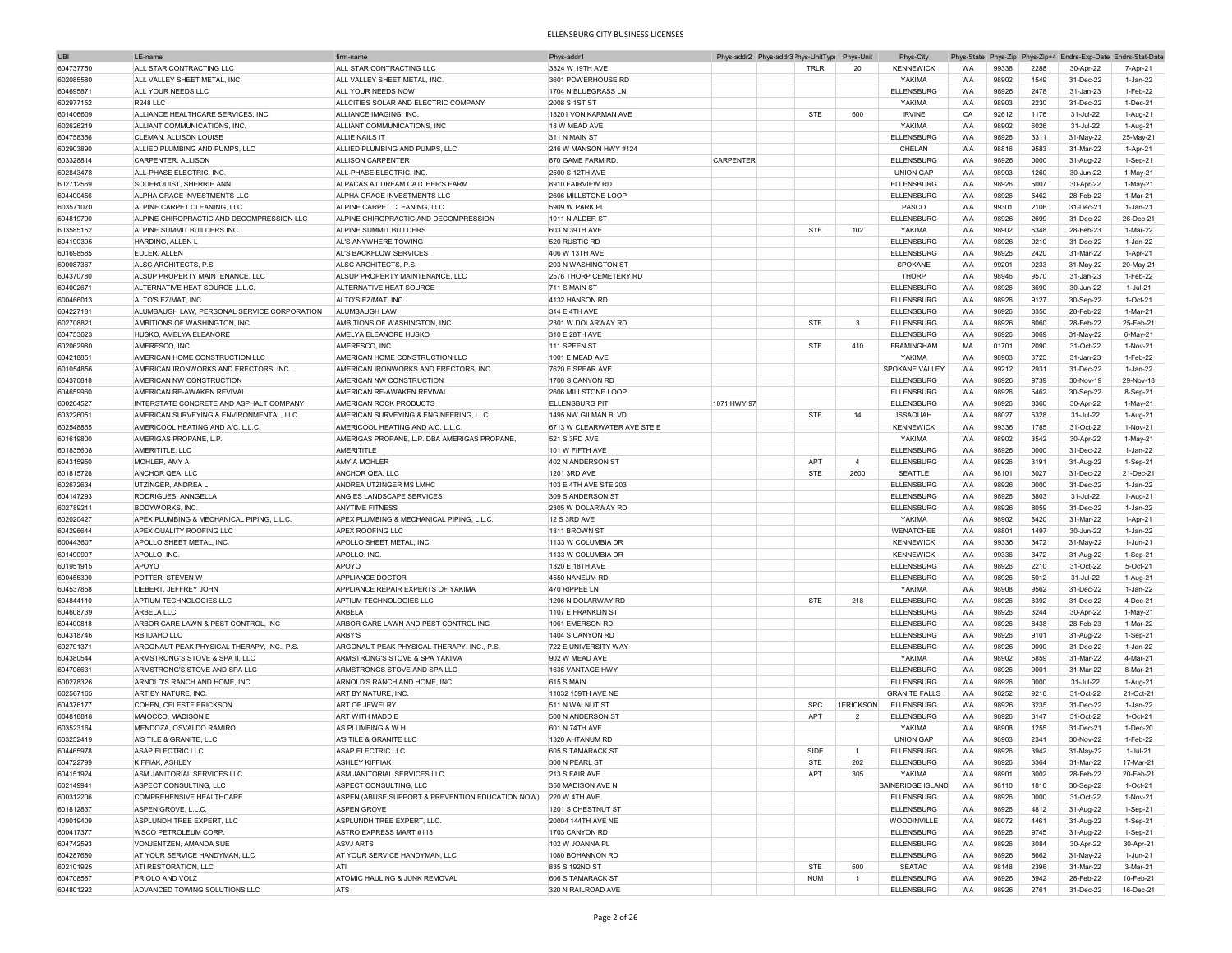| UBI       | LE-name                                     | firm-nam                                         | Phys-addr                   |             | Phys-addr2 Phys-addr3 <sup>&gt;</sup> hys-UnitType | Phys-Unit                | Phys-City            | Phys-State |       |      | Phys-Zip Phys-Zip+4 Endrs-Exp-Date Endrs-Stat-Date |              |
|-----------|---------------------------------------------|--------------------------------------------------|-----------------------------|-------------|----------------------------------------------------|--------------------------|----------------------|------------|-------|------|----------------------------------------------------|--------------|
| 604737750 | ALL STAR CONTRACTING LLC                    | ALL STAR CONTRACTING LLC                         | 3324 W 19TH AVE             |             | TRLR                                               | 20                       | <b>KENNEWICK</b>     | <b>WA</b>  | 99338 | 2288 | 30-Apr-22                                          | 7-Apr-21     |
| 602085580 | ALL VALLEY SHEET METAL. INC                 | ALL VALLEY SHEET METAL. INC                      | 3601 POWERHOUSE RD          |             |                                                    |                          | YAKIMA               | WA         | 98902 | 1549 | 31-Dec-22                                          | $1$ -Jan-22  |
|           |                                             |                                                  |                             |             |                                                    |                          |                      |            |       |      |                                                    |              |
| 604695871 | ALL YOUR NEEDS LLC                          | ALL YOUR NEEDS NOW                               | 1704 N BLUEGRASS LN         |             |                                                    |                          | ELLENSBURG           | WA         | 98926 | 2478 | 31-Jan-23                                          | 1-Feb-22     |
| 602977152 | R248 II C                                   | ALLCITIES SOLAR AND ELECTRIC COMPANY             | 2008 S 1ST ST               |             |                                                    |                          | YAKIMA               | <b>WA</b>  | 98903 | 2230 | 31-Dec-22                                          | 1-Dec-21     |
| 601406609 | ALLIANCE HEALTHCARE SERVICES, INC.          | ALLIANCE IMAGING, INC.                           | 18201 VON KARMAN AVE        |             | <b>STE</b>                                         | 600                      | <b>IRVINE</b>        | CA         | 92612 | 1176 | 31-Jul-22                                          | 1-Aug-21     |
| 602626219 | ALLIANT COMMUNICATIONS. INC.                | ALLIANT COMMUNICATIONS, INC                      | 18 W MEAD AVE               |             |                                                    |                          | YAKIMA               | <b>WA</b>  | 98902 | 6026 | $31 - 11 - 22$                                     | 1-Aug-21     |
| 604758366 | CLEMAN, ALLISON LOUISE                      | ALLIE NAILS IT                                   | 311 N MAIN ST               |             |                                                    |                          | <b>ELLENSBURG</b>    | WA         | 98926 | 3311 | 31-May-22                                          | 25-May-21    |
| 602903890 | ALLIED PLUMBING AND PUMPS. LLC              | ALLIED PLUMBING AND PUMPS, LLC                   | 246 W MANSON HWY #124       |             |                                                    |                          | CHELAN               | WA         | 98816 | 9583 | 31-Mar-22                                          | 1-Apr-21     |
| 603328814 | CARPENTER, ALLISON                          | ALLISON CARPENTER                                | 870 GAME FARM RD            | CARPENTER   |                                                    |                          | <b>ELLENSBURG</b>    | WA         | 98926 | 0000 | 31-Aug-22                                          | 1-Sep-21     |
|           |                                             |                                                  |                             |             |                                                    |                          |                      |            |       |      |                                                    |              |
| 602843478 | ALL-PHASE ELECTRIC, INC.                    | ALL-PHASE ELECTRIC, INC.                         | 2500 S 12TH AVE             |             |                                                    |                          | <b>UNION GAP</b>     | WA         | 98903 | 1260 | 30-Jun-22                                          | $1-May-21$   |
| 602712569 | SODERQUIST, SHERRIE ANN                     | ALPACAS AT DREAM CATCHER'S FARM                  | 8910 FAIRVIEW RD            |             |                                                    |                          | <b>ELLENSBURG</b>    | WA         | 98926 | 5007 | 30-Apr-22                                          | $1-May-21$   |
| 604400456 | ALPHA GRACE INVESTMENTS LLC                 | ALPHA GRACE INVESTMENTS LLC                      | 2606 MILLSTONE LOOP         |             |                                                    |                          | <b>ELLENSBURG</b>    | WA         | 98926 | 5462 | 28-Feb-22                                          | 1-Mar-21     |
| 603571070 | ALPINE CARPET CLEANING. LLC                 | ALPINE CARPET CLEANING, LLC                      | 5909 W PARK PL              |             |                                                    |                          | PASCO                | WA         | 99301 | 2106 | 31-Dec-21                                          | $1-Jan-21$   |
| 604819790 | ALPINE CHIROPRACTIC AND DECOMPRESSION LLC   | ALPINE CHIROPRACTIC AND DECOMPRESSION            | 1011 N ALDER ST             |             |                                                    |                          | <b>ELLENSBURG</b>    | WA         | 98926 | 2699 | 31-Dec-22                                          | 26-Dec-21    |
| 603585152 | ALPINE SUMMIT BUILDERS INC.                 | ALPINE SUMMIT BUILDERS                           | 603 N 39TH AVE              |             | <b>STE</b>                                         | 102                      | YAKIMA               | WA         | 98902 | 6348 | 28-Feb-23                                          | 1-Mar-22     |
|           |                                             |                                                  |                             |             |                                                    |                          |                      |            |       |      |                                                    |              |
| 604190395 | HARDING, ALLEN I                            | AL'S ANYWHERE TOWING                             | 520 RUSTIC RD               |             |                                                    |                          | <b>ELLENSBURG</b>    | WA         | 98926 | 9210 | 31-Dec-22                                          | 1-Jan-22     |
| 601698585 | <b>EDLER, ALLEN</b>                         | AL'S BACKFLOW SERVICES                           | 406 W 13TH AVE              |             |                                                    |                          | ELLENSBURG           | WA         | 98926 | 2420 | 31-Mar-22                                          | 1-Apr-21     |
| 600087367 | ALSC ARCHITECTS, P.S.                       | ALSC ARCHITECTS. P.S                             | 203 N WASHINGTON ST         |             |                                                    |                          | SPOKANE              | WA         | 99201 | 0233 | 31-May-22                                          | 20-May-21    |
| 604370780 | ALSUP PROPERTY MAINTENANCE, LLC             | ALSUP PROPERTY MAINTENANCE, LLC                  | 2576 THORP CEMETERY RD      |             |                                                    |                          | <b>THORP</b>         | WA         | 98946 | 9570 | 31-Jan-23                                          | 1-Feb-22     |
| 604002671 | ALTERNATIVE HEAT SOURCE, L.L.C.             | ALTERNATIVE HEAT SOURCE                          | 711 S MAIN ST               |             |                                                    |                          | <b>ELLENSBURG</b>    | WA         | 98926 | 3690 | 30-Jun-22                                          | 1-Jul-21     |
| 600466013 | ALTO'S EZ/MAT. INC.                         | ALTO'S EZ/MAT, INC.                              | 4132 HANSON RD              |             |                                                    |                          | <b>ELLENSBURG</b>    | WA         | 98926 | 9127 | 30-Sep-22                                          | 1-Oct-21     |
|           |                                             |                                                  |                             |             |                                                    |                          |                      |            |       |      |                                                    |              |
| 604227181 | ALUMBAUGH LAW, PERSONAL SERVICE CORPORATION | ALUMBAUGH LAW                                    | 314 E 4TH AVE               |             |                                                    |                          | <b>ELLENSBURG</b>    | WA         | 98926 | 3356 | 28-Feb-22                                          | 1-Mar-21     |
| 602708821 | AMBITIONS OF WASHINGTON, INC.               | AMBITIONS OF WASHINGTON. INC                     | 2301 W DOLARWAY RD          |             | <b>STE</b>                                         | 3                        | <b>ELLENSBURG</b>    | WA         | 98926 | 8060 | 28-Feb-22                                          | 25-Feb-21    |
| 604753623 | HUSKO, AMELYA ELEANORE                      | AMELYA ELEANORE HUSKO                            | 310 E 28TH AVE              |             |                                                    |                          | <b>ELLENSBURG</b>    | WA         | 98926 | 3069 | 31-May-22                                          | 6-May-21     |
| 602062980 | AMERESCO, INC.                              | AMERESCO, INC.                                   | 111 SPEEN ST                |             | <b>STE</b>                                         | 410                      | <b>FRAMINGHAM</b>    | MA         | 01701 | 2090 | 31-Oct-22                                          | 1-Nov-21     |
| 604218851 | AMERICAN HOME CONSTRUCTION LLC              | AMERICAN HOME CONSTRUCTION LLC                   | 1001 E MEAD AVE             |             |                                                    |                          | YAKIMA               | WA         | 98903 | 3725 | 31-Jan-23                                          | 1-Feb-22     |
| 601054856 | AMERICAN IRONWORKS AND ERECTORS, INC.       | AMERICAN IRONWORKS AND ERECTORS. INC.            | 7620 E SPEAR AVE            |             |                                                    |                          | SPOKANE VALLEY       | <b>WA</b>  | 99212 | 2931 | 31-Dec-22                                          | $1 -$ Jan-22 |
|           |                                             |                                                  |                             |             |                                                    |                          |                      |            |       |      |                                                    |              |
| 604370818 | AMERICAN NW CONSTRUCTION                    | AMERICAN NW CONSTRUCTION                         | 1700 S CANYON RD            |             |                                                    |                          | <b>ELLENSBURG</b>    | WA         | 98926 | 9739 | 30-Nov-19                                          | 29-Nov-18    |
| 604659960 | AMERICAN RE-AWAKEN REVIVAL                  | AMERICAN RE-AWAKEN REVIVAL                       | 2606 MILLSTONE LOOP         |             |                                                    |                          | <b>ELLENSBURG</b>    | <b>WA</b>  | 98926 | 5462 | 30-Sep-22                                          | 8-Sep-21     |
| 600204527 | INTERSTATE CONCRETE AND ASPHALT COMPANY     | AMERICAN ROCK PRODUCTS                           | <b>ELLENSBURG PIT</b>       | 1071 HWY 97 |                                                    |                          | <b>ELLENSBURG</b>    | WA         | 98926 | 8360 | 30-Apr-22                                          | 1-May-21     |
| 603226051 | AMERICAN SURVEYING & ENVIRONMENTAL, LLC     | AMERICAN SURVEYING & ENGINEERING, LLC            | 1495 NW GILMAN BLVD         |             | <b>STE</b>                                         | 14                       | <b>ISSAQUAH</b>      | WA         | 98027 | 5328 | 31-Jul-22                                          | 1-Aug-21     |
| 602548865 | AMERICOOL HEATING AND A/C. L.L.C.           | AMERICOOL HEATING AND A/C. L.L.C.                | 6713 W CLEARWATER AVE STE E |             |                                                    |                          | <b>KENNEWICK</b>     | WA         | 99336 | 1785 | 31-Oct-22                                          | 1-Nov-21     |
| 601619800 | AMERIGAS PROPANE, L.P.                      | AMERIGAS PROPANE, L.P. DBA AMERIGAS PROPANE,     | 521 S 3RD AVE               |             |                                                    |                          | YAKIMA               | WA         | 98902 | 3542 | 30-Apr-22                                          | $1-May-21$   |
|           |                                             |                                                  |                             |             |                                                    |                          |                      |            |       |      |                                                    |              |
| 601835608 | AMERITITLE, LLC                             | AMERITITLE                                       | 101 W FIFTH AVE             |             |                                                    |                          | <b>ELLENSBURG</b>    | WA         | 98926 | 0000 | 31-Dec-22                                          | 1-Jan-22     |
| 604315950 | MOHLER, AMY A                               | AMY A MOHLER                                     | 402 N ANDERSON ST           |             | <b>APT</b>                                         | $\overline{4}$           | <b>ELLENSBURG</b>    | WA         | 98926 | 3191 | 31-Aug-22                                          | 1-Sep-21     |
| 601815728 | ANCHOR QEA, LLC                             | ANCHOR QEA. LLC                                  | 1201 3RD AVE                |             | <b>STE</b>                                         | 2600                     | SEATTLE              | WA         | 98101 | 3027 | 31-Dec-22                                          | 21-Dec-21    |
| 602672634 | UTZINGER, ANDREA L                          | ANDREA UTZINGER MS LMHC                          | 103 E 4TH AVE STE 203       |             |                                                    |                          | <b>ELLENSBURG</b>    | WA         | 98926 | 0000 | 31-Dec-22                                          | 1-Jan-22     |
| 604147293 | RODRIGUES, ANNGELLA                         | ANGIES LANDSCAPE SERVICES                        | 309 S ANDERSON ST           |             |                                                    |                          | <b>ELLENSBURG</b>    | WA         | 98926 | 3803 | 31-Jul-22                                          | 1-Aug-21     |
|           |                                             |                                                  |                             |             |                                                    |                          |                      |            |       |      |                                                    |              |
| 602789211 | <b>BODYWORKS, INC</b>                       | <b>ANYTIME FITNESS</b>                           | 2305 W DOLARWAY RD          |             |                                                    |                          | <b>ELLENSBURG</b>    | WA         | 98926 | 8059 | 31-Dec-22                                          | 1-Jan-22     |
| 602020427 | APEX PLUMBING & MECHANICAL PIPING, L.L.C.   | APEX PLUMBING & MECHANICAL PIPING, L.L.C.        | 12 S 3RD AVE                |             |                                                    |                          | YAKIMA               | WA         | 98902 | 3420 | 31-Mar-22                                          | 1-Apr-21     |
| 604296644 | APEX QUALITY ROOFING LLC                    | APEX ROOFING LLC                                 | 1311 BROWN ST               |             |                                                    |                          | WENATCHEE            | WA         | 98801 | 1497 | 30-Jun-22                                          | 1-Jan-22     |
| 600443607 | APOLLO SHEET METAL, INC.                    | APOLLO SHEET METAL, INC.                         | 1133 W COLUMBIA DR          |             |                                                    |                          | <b>KENNEWICK</b>     | WA         | 99336 | 3472 | 31-May-22                                          | 1-Jun-21     |
| 601490907 | APOLLO, INC                                 | APOLLO, INC                                      | 1133 W COLUMBIA DR          |             |                                                    |                          | <b>KENNEWICK</b>     | WA         | 99336 | 3472 | 31-Aug-22                                          | $1-Sep-2'$   |
| 601951915 | APOYO                                       | APOYO                                            | 1320 E 18TH AVE             |             |                                                    |                          | ELLENSBURG           | WA         | 98926 | 2210 | 31-Oct-22                                          | 5-Oct-21     |
|           |                                             |                                                  |                             |             |                                                    |                          |                      |            |       |      |                                                    |              |
| 600455390 | <b>POTTER, STEVEN W</b>                     | APPLIANCE DOCTOR                                 | 4550 NANEUM RD              |             |                                                    |                          | <b>ELLENSBURG</b>    | WA         | 98926 | 5012 | 31-Jul-22                                          | 1-Aug-21     |
| 604537858 | LIEBERT, JEFFREY JOHN                       | APPLIANCE REPAIR EXPERTS OF YAKIMA               | 470 RIPPEE LN               |             |                                                    |                          | YAKIMA               | WA         | 98908 | 9562 | 31-Dec-22                                          | 1-Jan-22     |
| 604844110 | APTIUM TECHNOLOGIES LLC                     | APTIUM TECHNOLOGIES LLC                          | 1206 N DOLARWAY RD          |             | <b>STE</b>                                         | 218                      | <b>ELLENSBURG</b>    | WA         | 98926 | 8392 | 31-Dec-22                                          | 4-Dec-21     |
| 604608739 | ARBELA LLC                                  | <b>ARBELA</b>                                    | 1107 E FRANKLIN ST          |             |                                                    |                          | <b>ELLENSBURG</b>    | WA         | 98926 | 3244 | 30-Apr-22                                          | 1-May-21     |
| 604400818 | ARBOR CARE LAWN & PEST CONTROL, INC         | ARBOR CARE LAWN AND PEST CONTROL INC             | 1061 EMERSON RD             |             |                                                    |                          | <b>ELLENSBURG</b>    | WA         | 98926 | 8438 | 28-Feb-23                                          | 1-Mar-22     |
| 604318746 | <b>RB IDAHO LLC</b>                         | <b>ARBY'S</b>                                    | 1404 S CANYON RD            |             |                                                    |                          | <b>ELLENSBURG</b>    | <b>WA</b>  | 98926 | 9101 | 31-Aug-22                                          | 1-Sep-21     |
|           | ARGONAUT PEAK PHYSICAL THERAPY, INC., P.S.  | ARGONAUT PEAK PHYSICAL THERAPY, INC., P.S.       |                             |             |                                                    |                          |                      | WA         | 98926 | 0000 | 31-Dec-22                                          | 1-Jan-22     |
| 602791371 |                                             |                                                  | 722 E UNIVERSITY WAY        |             |                                                    |                          | <b>ELLENSBURG</b>    |            |       |      |                                                    |              |
| 604380544 | ARMSTRONG'S STOVE & SPA II, LLC             | ARMSTRONG'S STOVE & SPA YAKIMA                   | 902 W MEAD AVE              |             |                                                    |                          | YAKIMA               | WA         | 98902 | 5859 | 31-Mar-22                                          | 4-Mar-21     |
| 604706631 | ARMSTRONG'S STOVE AND SPA LLC               | ARMSTRONGS STOVE AND SPA LLC                     | 1635 VANTAGE HWY            |             |                                                    |                          | ELLENSBURG           | WA         | 98926 | 9001 | 31-Mar-22                                          | 8-Mar-21     |
| 600278326 | ARNOLD'S RANCH AND HOME, INC.               | ARNOLD'S RANCH AND HOME, INC                     | 615 S MAIN                  |             |                                                    |                          | <b>ELLENSBURG</b>    | WA         | 98926 | 0000 | 31-Jul-22                                          | 1-Aug-21     |
| 602567165 | ART BY NATURE, INC.                         | ART BY NATURE, INC.                              | 11032 159TH AVE NE          |             |                                                    |                          | <b>GRANITE FALLS</b> | WA         | 98252 | 9216 | 31-Oct-22                                          | 21-Oct-21    |
| 604376177 | COHEN, CELESTE ERICKSON                     | ART OF JEWELRY                                   | 511 N WALNUT ST             |             | <b>SPC</b>                                         | 1ERICKSON                | <b>ELLENSBURG</b>    | WA         | 98926 | 3235 | 31-Dec-22                                          | $1 -$ Jan-22 |
|           | MAIOCCO, MADISON E                          | ART WITH MADDIE                                  | 500 N ANDERSON ST           |             | APT                                                | $\overline{\phantom{a}}$ | <b>ELLENSBURG</b>    | WA         | 98926 | 3147 | 31-Oct-22                                          | 1-Oct-21     |
| 604818818 |                                             |                                                  |                             |             |                                                    |                          |                      |            |       |      |                                                    |              |
| 603523164 | MENDOZA, OSVALDO RAMIRO                     | AS PLUMBING & W H                                | 601 N 74TH AVE              |             |                                                    |                          | YAKIMA               | WA         | 98908 | 1255 | 31-Dec-21                                          | $1-Dec-20$   |
| 603252419 | A'S TILE & GRANITE, LLC                     | A'S TILE & GRANITE LLC                           | 1320 AHTANUM RD             |             |                                                    |                          | <b>UNION GAF</b>     | WA         | 98903 | 2341 | 30-Nov-22                                          | 1-Feb-22     |
| 604465978 | ASAP ELECTRIC LLC                           | ASAP ELECTRIC LLC                                | 605 S TAMARACK ST           |             | SIDE                                               |                          | <b>ELLENSBURG</b>    | <b>WA</b>  | 98926 | 3942 | 31-May-22                                          | 1-Jul-21     |
| 604722799 | KIFFIAK, ASHLEY                             | <b>ASHLEY KIFFIAK</b>                            | 300 N PEARL ST              |             | <b>STE</b>                                         | 202                      | <b>ELLENSBURG</b>    | WA         | 98926 | 3364 | 31-Mar-22                                          | 17-Mar-21    |
| 604151924 | ASM JANITORIAL SERVICES LLC.                | ASM JANITORIAL SERVICES LLC.                     | 213 S FAIR AVE              |             | APT                                                | 305                      | YAKIMA               | WA         | 98901 | 3002 | 28-Feb-22                                          | 20-Feb-21    |
|           |                                             |                                                  |                             |             |                                                    |                          |                      |            |       |      |                                                    |              |
| 602149941 | ASPECT CONSULTING, LLC                      | ASPECT CONSULTING, LLC                           | 350 MADISON AVE N           |             |                                                    |                          | BAINBRIDGE ISLAND    | WA         | 98110 | 1810 | 30-Sep-22                                          | 1-Oct-21     |
| 600312206 | COMPREHENSIVE HEALTHCARE                    | ASPEN (ABUSE SUPPORT & PREVENTION EDUCATION NOW) | 220 W 4TH AVE               |             |                                                    |                          | <b>ELLENSBURG</b>    | WA         | 98926 | 0000 | 31-Oct-22                                          | 1-Nov-21     |
| 601812837 | ASPEN GROVE, L.L.C.                         | <b>ASPEN GROVE</b>                               | 1201 S CHESTNUT ST          |             |                                                    |                          | <b>ELLENSBURG</b>    | WA         | 98926 | 4812 | 31-Aug-22                                          | 1-Sep-21     |
| 409019409 | ASPLUNDH TREE EXPERT, LLC                   | ASPLUNDH TREE EXPERT, LLC.                       | 20004 144TH AVE NE          |             |                                                    |                          | WOODINVILLE          | WA         | 98072 | 4461 | 31-Aug-22                                          | 1-Sep-21     |
| 600417377 | WSCO PETROLEUM CORP.                        | ASTRO EXPRESS MART #113                          | 1703 CANYON RD              |             |                                                    |                          | <b>ELLENSBURG</b>    | WA         | 98926 | 9745 | 31-Aug-22                                          | 1-Sep-21     |
| 604742593 | VONJENTZEN, AMANDA SUE                      | <b>ASVJ ARTS</b>                                 | 102 W JOANNA PL             |             |                                                    |                          | ELLENSBURG           | WA         | 98926 | 3084 | 30-Apr-22                                          | 30-Apr-21    |
|           |                                             |                                                  |                             |             |                                                    |                          |                      |            |       |      |                                                    |              |
| 604287680 | AT YOUR SERVICE HANDYMAN, LLC               | AT YOUR SERVICE HANDYMAN, LLC                    | 1080 BOHANNON RD            |             |                                                    |                          | <b>ELLENSBURG</b>    | WA         | 98926 | 8662 | 31-May-22                                          | 1-Jun-21     |
| 602101925 | ATI RESTORATION, LLC                        | ATI                                              | 835 S 192ND ST              |             | STE                                                | 500                      | SEATAC               | WA         | 98148 | 2396 | 31-Mar-22                                          | 3-Mar-21     |
| 604708587 | PRIOLO AND VOLZ                             | ATOMIC HAULING & JUNK REMOVAL                    | 606 S TAMARACK ST           |             | <b>NUM</b>                                         | $\overline{1}$           | <b>ELLENSBURG</b>    | WA         | 98926 | 3942 | 28-Feb-22                                          | 10-Feb-21    |
| 604801292 | ADVANCED TOWING SOLUTIONS LLC               | ATS                                              | 320 N RAILROAD AVE          |             |                                                    |                          | <b>ELLENSBURG</b>    | WA         | 98926 | 2761 | 31-Dec-22                                          | 16-Dec-21    |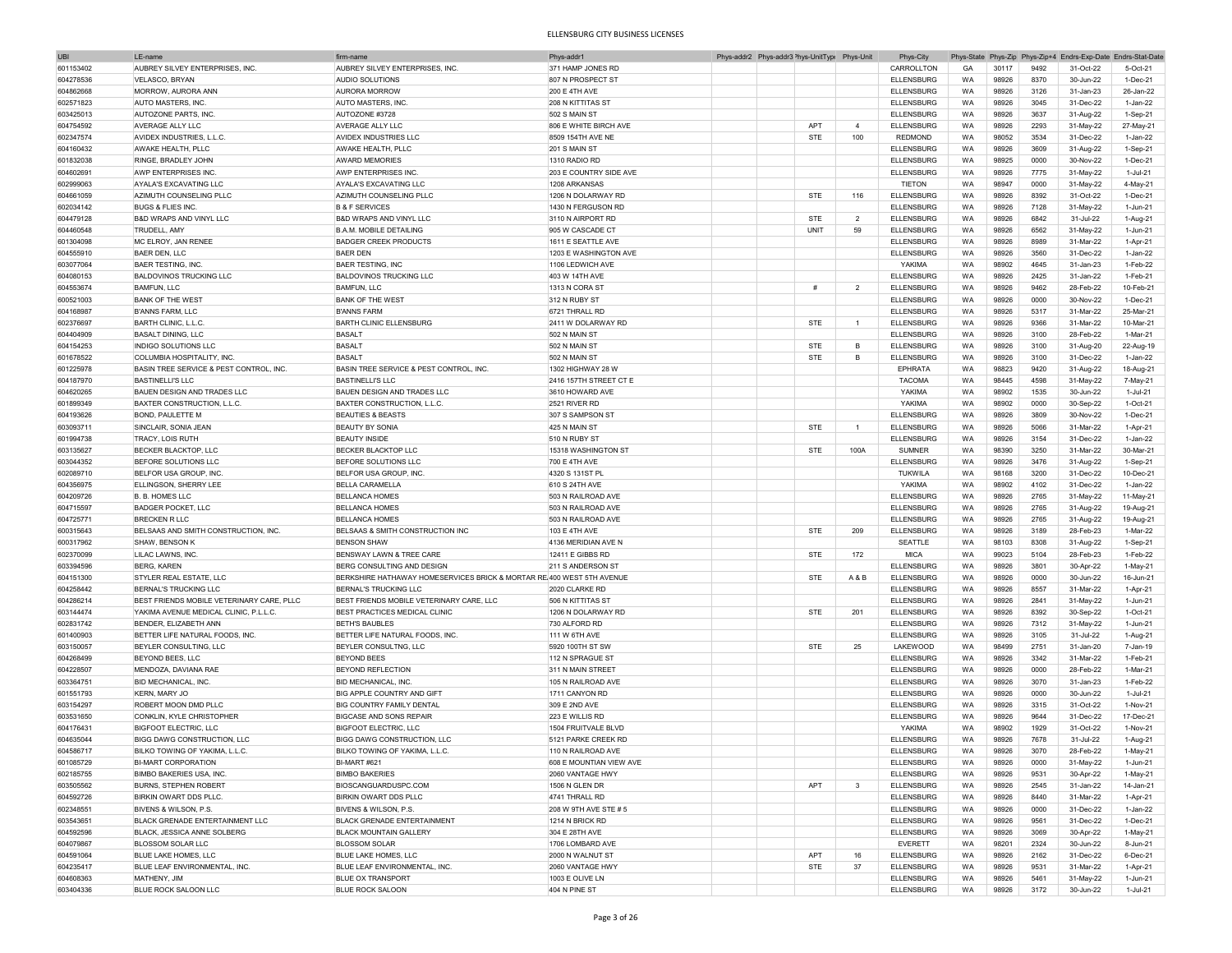| <b>UBI</b> | LE-name                                   | firm-nam                                                              | Phys-addr1              | Phys-addr2 Phys-addr3 <sup>&gt;</sup> hys-UnitTyp( Phys-Unit |            |                | Phys-City         |           |       |      |           | Phys-State Phys-Zip Phys-Zip+4 Endrs-Exp-Date Endrs-Stat-Date |
|------------|-------------------------------------------|-----------------------------------------------------------------------|-------------------------|--------------------------------------------------------------|------------|----------------|-------------------|-----------|-------|------|-----------|---------------------------------------------------------------|
| 601153402  | AUBREY SILVEY ENTERPRISES, INC            | AUBREY SILVEY ENTERPRISES, INC                                        | 371 HAMP JONES RD       |                                                              |            |                | CARROLLTON        | GA        | 30117 | 9492 | 31-Oct-22 | 5-Oct-21                                                      |
| 604278536  | VELASCO, BRYAN                            | AUDIO SOLUTIONS                                                       | 807 N PROSPECT ST       |                                                              |            |                | <b>ELLENSBURG</b> | WA        | 98926 | 8370 | 30-Jun-22 | 1-Dec-21                                                      |
|            |                                           |                                                                       |                         |                                                              |            |                |                   |           |       |      |           |                                                               |
| 604862668  | MORROW, AURORA ANN                        | <b>AURORA MORROW</b>                                                  | <b>200 E 4TH AVE</b>    |                                                              |            |                | <b>ELLENSBURG</b> | WA        | 98926 | 3126 | 31-Jan-23 | 26-Jan-22                                                     |
| 602571823  | AUTO MASTERS, INC.                        | AUTO MASTERS, INC.                                                    | 208 N KITTITAS ST       |                                                              |            |                | <b>ELLENSBURG</b> | WA        | 98926 | 3045 | 31-Dec-22 | 1-Jan-22                                                      |
| 603425013  | AUTOZONE PARTS, INC                       | AUTOZONE #3728                                                        | 502 S MAIN ST           |                                                              |            |                | <b>ELLENSBURG</b> | WA        | 98926 | 3637 | 31-Aug-22 | 1-Sep-21                                                      |
| 604754592  | AVERAGE ALLY LLC                          | <b>AVERAGE ALLY LLC</b>                                               | 806 E WHITE BIRCH AVE   |                                                              | APT        | $\overline{4}$ | <b>ELLENSBURG</b> | WA        | 98926 | 2293 | 31-May-22 | 27-May-21                                                     |
| 602347574  | AVIDEX INDUSTRIES, L.L.C.                 | AVIDEX INDUSTRIES LLC                                                 | 8509 154TH AVE NE       |                                                              | <b>STE</b> | 100            | <b>REDMOND</b>    | WA        | 98052 | 3534 | 31-Dec-22 | 1-Jan-22                                                      |
| 604160432  | AWAKE HEALTH, PLLC                        | AWAKE HEALTH, PLLC                                                    | 201 S MAIN ST           |                                                              |            |                | <b>ELLENSBURG</b> | WA        |       | 3609 |           |                                                               |
|            |                                           |                                                                       |                         |                                                              |            |                |                   |           | 98926 |      | 31-Aug-22 | 1-Sep-21                                                      |
| 601832038  | RINGE, BRADLEY JOHN                       | <b>AWARD MEMORIES</b>                                                 | 1310 RADIO RD           |                                                              |            |                | <b>ELLENSBURG</b> | WA        | 98925 | 0000 | 30-Nov-22 | 1-Dec-21                                                      |
| 604602691  | AWP ENTERPRISES INC.                      | AWP ENTERPRISES INC                                                   | 203 E COUNTRY SIDE AVE  |                                                              |            |                | <b>ELLENSBURG</b> | WA        | 98926 | 7775 | 31-May-22 | 1-Jul-21                                                      |
| 602999063  | AYALA'S EXCAVATING LLC                    | AYALA'S EXCAVATING LLC                                                | 1208 ARKANSAS           |                                                              |            |                | <b>TIETON</b>     | WA        | 98947 | 0000 | 31-May-22 | 4-May-21                                                      |
| 604661059  | AZIMUTH COUNSELING PLLC                   | AZIMUTH COUNSELING PLLC                                               | 1206 N DOLARWAY RD      |                                                              | <b>STE</b> | 116            | <b>ELLENSBURG</b> | WA        | 98926 | 8392 | 31-Oct-22 | 1-Dec-21                                                      |
|            |                                           |                                                                       |                         |                                                              |            |                |                   |           |       |      |           |                                                               |
| 602034142  | <b>BUGS &amp; FLIES INC</b>               | <b>B &amp; F SERVICES</b>                                             | 1430 N FERGUSON RD      |                                                              |            |                | <b>ELLENSBURG</b> | WA        | 98926 | 7128 | 31-May-22 | 1-Jun-21                                                      |
| 604479128  | <b>B&amp;D WRAPS AND VINYL LLC</b>        | B&D WRAPS AND VINYL LLC                                               | 3110 N AIRPORT RD       |                                                              | <b>STE</b> | $\overline{2}$ | <b>ELLENSBURG</b> | WA        | 98926 | 6842 | 31-Jul-22 | 1-Aug-21                                                      |
| 604460548  | TRUDELL, AMY                              | <b>B.A.M. MOBILE DETAILING</b>                                        | 905 W CASCADE CT        |                                                              | UNIT       | 59             | <b>ELLENSBURG</b> | WA        | 98926 | 6562 | 31-May-22 | 1-Jun-21                                                      |
| 601304098  | MC ELROY, JAN RENEE                       | <b>BADGER CREEK PRODUCTS</b>                                          | 1611 E SEATTLE AVE      |                                                              |            |                | <b>ELLENSBURG</b> | WA        | 98926 | 8989 | 31-Mar-22 | 1-Apr-21                                                      |
| 604555910  | BAER DEN. LLC                             | <b>BAER DEN</b>                                                       | 1203 E WASHINGTON AVE   |                                                              |            |                | <b>ELLENSBURG</b> | WA        | 98926 | 3560 | 31-Dec-22 | 1-Jan-22                                                      |
|            |                                           |                                                                       | 1106 LEDWICH AVE        |                                                              |            |                |                   |           |       |      |           |                                                               |
| 603077064  | <b>BAER TESTING, INC.</b>                 | <b>BAER TESTING, INC</b>                                              |                         |                                                              |            |                | YAKIMA            | WA        | 98902 | 4645 | 31-Jan-23 | 1-Feb-22                                                      |
| 604080153  | <b>BALDOVINOS TRUCKING LLC</b>            | <b>BALDOVINOS TRUCKING LLC</b>                                        | 403 W 14TH AVE          |                                                              |            |                | <b>ELLENSBURG</b> | WA        | 98926 | 2425 | 31-Jan-22 | 1-Feb-21                                                      |
| 604553674  | <b>BAMFUN, LLC</b>                        | <b>BAMFUN, LLC</b>                                                    | 1313 N CORA ST          |                                                              | #          | $\overline{2}$ | <b>ELLENSBURG</b> | WA        | 98926 | 9462 | 28-Feb-22 | 10-Feb-21                                                     |
| 600521003  | <b>BANK OF THE WEST</b>                   | <b>BANK OF THE WEST</b>                                               | 312 N RUBY ST           |                                                              |            |                | <b>ELLENSBURG</b> | <b>WA</b> | 98926 | 0000 | 30-Nov-22 | 1-Dec-21                                                      |
| 604168987  | <b>B'ANNS FARM, LLC</b>                   | <b>B'ANNS FARM</b>                                                    | 6721 THRALL RD          |                                                              |            |                | <b>ELLENSBURG</b> | WA        | 98926 | 5317 | 31-Mar-22 | 25-Mar-21                                                     |
|            |                                           |                                                                       |                         |                                                              |            |                |                   |           |       |      |           |                                                               |
| 602376697  | <b>BARTH CLINIC, L.L.C</b>                | <b>BARTH CLINIC ELLENSBURG</b>                                        | 2411 W DOLARWAY RD      |                                                              | <b>STE</b> | $\mathbf{1}$   | <b>ELLENSBURG</b> | <b>WA</b> | 98926 | 9366 | 31-Mar-22 | 10-Mar-21                                                     |
| 604404909  | <b>BASALT DINING, LLC</b>                 | <b>BASALT</b>                                                         | 502 N MAIN ST           |                                                              |            |                | <b>ELLENSBURG</b> | WA        | 98926 | 3100 | 28-Feb-22 | 1-Mar-21                                                      |
| 604154253  | INDIGO SOLUTIONS LLC                      | <b>BASALT</b>                                                         | 502 N MAIN ST           |                                                              | <b>STE</b> | B              | <b>ELLENSBURG</b> | <b>WA</b> | 98926 | 3100 | 31-Aug-20 | 22-Aug-19                                                     |
| 601678522  | COLUMBIA HOSPITALITY, INC                 | <b>BASALT</b>                                                         | 502 N MAIN ST           |                                                              | <b>STE</b> | B              | <b>ELLENSBURG</b> | WA        | 98926 | 3100 | 31-Dec-22 | 1-Jan-22                                                      |
| 601225978  | BASIN TREE SERVICE & PEST CONTROL, INC.   | BASIN TREE SERVICE & PEST CONTROL, INC                                | 1302 HIGHWAY 28 W       |                                                              |            |                | EPHRATA           | WA        | 98823 | 9420 | 31-Aug-22 | 18-Aug-21                                                     |
|            |                                           |                                                                       |                         |                                                              |            |                |                   |           |       |      |           |                                                               |
| 604187970  | <b>BASTINELLI'S LLC</b>                   | <b>BASTINELLI'S LLC</b>                                               | 2416 157TH STREET CT E  |                                                              |            |                | <b>TACOMA</b>     | WA        | 98445 | 4598 | 31-May-22 | 7-May-21                                                      |
| 604620265  | <b>BAUEN DESIGN AND TRADES LLC</b>        | BAUEN DESIGN AND TRADES LLC                                           | 3610 HOWARD AVE         |                                                              |            |                | YAKIMA            | WA        | 98902 | 1535 | 30-Jun-22 | 1-Jul-21                                                      |
| 601899349  | BAXTER CONSTRUCTION, L.L.C.               | BAXTER CONSTRUCTION, L.L.C                                            | 2521 RIVER RD           |                                                              |            |                | YAKIMA            | WA        | 98902 | 0000 | 30-Sep-22 | 1-Oct-21                                                      |
| 604193626  | <b>BOND, PAULETTE M</b>                   | <b>BEAUTIES &amp; BEASTS</b>                                          | 307 S SAMPSON ST        |                                                              |            |                | <b>ELLENSBURG</b> | WA        | 98926 | 3809 | 30-Nov-22 | 1-Dec-21                                                      |
|            | SINCLAIR, SONIA JEAN                      | <b>BEAUTY BY SONIA</b>                                                | 425 N MAIN ST           |                                                              | <b>STE</b> | $\mathbf{1}$   | <b>ELLENSBURG</b> | WA        | 98926 | 5066 | 31-Mar-22 | 1-Apr-21                                                      |
| 603093711  |                                           |                                                                       |                         |                                                              |            |                |                   |           |       |      |           |                                                               |
| 601994738  | TRACY, LOIS RUTH                          | <b>BEAUTY INSIDE</b>                                                  | 510 N RUBY ST           |                                                              |            |                | <b>ELLENSBURG</b> | WA        | 98926 | 3154 | 31-Dec-22 | $1$ -Jan- $22$                                                |
| 603135627  | <b>BECKER BLACKTOP, LLC</b>               | BECKER BLACKTOP LLC                                                   | 15318 WASHINGTON ST     |                                                              | <b>STE</b> | 100A           | <b>SUMNER</b>     | WA        | 98390 | 3250 | 31-Mar-22 | 30-Mar-21                                                     |
| 603044352  | BEFORE SOLUTIONS LLC                      | BEFORE SOLUTIONS LLC                                                  | 700 E 4TH AVE           |                                                              |            |                | <b>ELLENSBURG</b> | WA        | 98926 | 3476 | 31-Aug-22 | 1-Sep-21                                                      |
| 602089710  | BELFOR USA GROUP, INC.                    | BELFOR USA GROUP, INC                                                 | 4320 S 131ST PL         |                                                              |            |                | TUKWILA           | WA        | 98168 | 3200 | 31-Dec-22 | 10-Dec-21                                                     |
|            | ELLINGSON, SHERRY LEE                     | <b>BELLA CARAMELLA</b>                                                | 610 S 24TH AVE          |                                                              |            |                | YAKIMA            | WA        | 98902 | 4102 |           | 1-Jan-22                                                      |
| 604356975  |                                           |                                                                       |                         |                                                              |            |                |                   |           |       |      | 31-Dec-22 |                                                               |
| 604209726  | <b>B. B. HOMES LLC</b>                    | <b>BELLANCA HOMES</b>                                                 | 503 N RAILROAD AVE      |                                                              |            |                | ELLENSBURG        | WA        | 98926 | 2765 | 31-May-22 | 11-May-21                                                     |
| 604715597  | <b>BADGER POCKET, LLC</b>                 | <b>BELLANCA HOMES</b>                                                 | 503 N RAILROAD AVE      |                                                              |            |                | <b>ELLENSBURG</b> | WA        | 98926 | 2765 | 31-Aug-22 | 19-Aug-21                                                     |
| 604725771  | <b>BRECKEN R LLC</b>                      | <b>BELLANCA HOMES</b>                                                 | 503 N RAILROAD AVE      |                                                              |            |                | <b>ELLENSBURG</b> | WA        | 98926 | 2765 | 31-Aug-22 | 19-Aug-21                                                     |
| 600315643  | BELSAAS AND SMITH CONSTRUCTION, INC       | BELSAAS & SMITH CONSTRUCTION INC                                      | 103 E 4TH AVE           |                                                              | <b>STE</b> | 209            | <b>ELLENSBURG</b> | WA        | 98926 | 3189 | 28-Feb-23 | 1-Mar-22                                                      |
|            |                                           |                                                                       |                         |                                                              |            |                |                   |           |       |      |           |                                                               |
| 600317962  | SHAW, BENSON K                            | <b>BENSON SHAW</b>                                                    | 4136 MERIDIAN AVE N     |                                                              |            |                | SEATTLE           | WA        | 98103 | 8308 | 31-Aug-22 | 1-Sep-21                                                      |
| 602370099  | LILAC LAWNS, INC                          | BENSWAY LAWN & TREE CARE                                              | 12411 E GIBBS RD        |                                                              | <b>STE</b> | 172            | <b>MICA</b>       | WA        | 99023 | 5104 | 28-Feb-23 | 1-Feb-22                                                      |
| 603394596  | <b>BERG, KAREN</b>                        | BERG CONSULTING AND DESIGN                                            | 211 S ANDERSON ST       |                                                              |            |                | <b>ELLENSBURG</b> | WA        | 98926 | 3801 | 30-Apr-22 | $1-May-21$                                                    |
| 604151300  | STYLER REAL ESTATE, LLC                   | BERKSHIRE HATHAWAY HOMESERVICES BRICK & MORTAR RE 400 WEST 5TH AVENUE |                         |                                                              | STE        | A&B            | <b>ELLENSBURG</b> | WA        | 98926 | 0000 | 30-Jun-22 | 16-Jun-21                                                     |
| 604258442  | <b>BERNAL'S TRUCKING LLC</b>              | BERNAL'S TRUCKING LLC                                                 | 2020 CLARKE RD          |                                                              |            |                | <b>ELLENSBURG</b> | <b>WA</b> | 98926 | 8557 | 31-Mar-22 | 1-Apr-21                                                      |
|            |                                           |                                                                       |                         |                                                              |            |                |                   |           |       |      |           |                                                               |
| 604286214  | BEST FRIENDS MOBILE VETERINARY CARE, PLLC | BEST FRIENDS MOBILE VETERINARY CARE, LLC                              | 506 N KITTITAS ST       |                                                              |            |                | <b>ELLENSBURG</b> | <b>WA</b> | 98926 | 2841 | 31-May-22 | 1-Jun-21                                                      |
| 603144474  | YAKIMA AVENUE MEDICAL CLINIC, P.L.L.C.    | BEST PRACTICES MEDICAL CLINIC                                         | 1206 N DOLARWAY RD      |                                                              | <b>STE</b> | 201            | <b>ELLENSBURG</b> | <b>WA</b> | 98926 | 8392 | 30-Sep-22 | 1-Oct-21                                                      |
| 602831742  | BENDER, ELIZABETH ANN                     | <b>BETH'S BAUBLES</b>                                                 | 730 ALFORD RD           |                                                              |            |                | <b>ELLENSBURG</b> | WA        | 98926 | 7312 | 31-May-22 | 1-Jun-21                                                      |
| 601400903  | BETTER LIFE NATURAL FOODS, INC.           | BETTER LIFE NATURAL FOODS, INC                                        | 111 W 6TH AVE           |                                                              |            |                | <b>ELLENSBURG</b> | <b>WA</b> | 98926 | 3105 | 31-Jul-22 | 1-Aug-21                                                      |
| 603150057  | BEYLER CONSULTING, LLC                    | BEYLER CONSULTNG, LLC                                                 | 5920 100TH ST SW        |                                                              | <b>STE</b> | 25             | <b>LAKEWOOD</b>   | WA        | 98499 | 2751 | 31-Jan-20 | 7-Jan-19                                                      |
|            | BEYOND BEES, LLC                          | <b>BEYOND BEES</b>                                                    | 112 N SPRAGUE ST        |                                                              |            |                | <b>ELLENSBURG</b> |           |       | 3342 |           | 1-Feb-21                                                      |
| 604268499  |                                           |                                                                       |                         |                                                              |            |                |                   | WA        | 98926 |      | 31-Mar-22 |                                                               |
| 604228507  | MENDOZA, DAVIANA RAE                      | <b>BEYOND REFLECTION</b>                                              | 311 N MAIN STREET       |                                                              |            |                | <b>ELLENSBURG</b> | WA        | 98926 | 0000 | 28-Feb-22 | 1-Mar-21                                                      |
| 603364751  | <b>BID MECHANICAL, INC.</b>               | <b>BID MECHANICAL, INC</b>                                            | 105 N RAILROAD AVE      |                                                              |            |                | <b>ELLENSBURG</b> | WA        | 98926 | 3070 | 31-Jan-23 | 1-Feb-22                                                      |
| 601551793  | <b>KERN, MARY JO</b>                      | BIG APPLE COUNTRY AND GIFT                                            | 1711 CANYON RD          |                                                              |            |                | <b>ELLENSBURG</b> | WA        | 98926 | 0000 | 30-Jun-22 | 1-Jul-21                                                      |
| 603154297  | ROBERT MOON DMD PLLC                      | <b>BIG COUNTRY FAMILY DENTAL</b>                                      | 309 E 2ND AVE           |                                                              |            |                | <b>ELLENSBURG</b> | WA        | 98926 | 3315 | 31-Oct-22 | 1-Nov-21                                                      |
| 603531650  | CONKLIN, KYLE CHRISTOPHER                 | <b>BIGCASE AND SONS REPAIR</b>                                        | 223 E WILLIS RD         |                                                              |            |                | <b>ELLENSBURG</b> | WA        | 98926 | 9644 | 31-Dec-22 | 17-Dec-21                                                     |
|            |                                           |                                                                       |                         |                                                              |            |                |                   |           |       |      |           |                                                               |
| 604176431  | <b>BIGFOOT ELECTRIC, LLC</b>              | BIGFOOT ELECTRIC, LLC                                                 | 1504 FRUITVALE BLVD     |                                                              |            |                | YAKIMA            | <b>WA</b> | 98902 | 1929 | 31-Oct-22 | 1-Nov-21                                                      |
| 604635044  | BIGG DAWG CONSTRUCTION, LLC               | BIGG DAWG CONSTRUCTION, LLC                                           | 5121 PARKE CREEK RD     |                                                              |            |                | <b>ELLENSBURG</b> | WA        | 98926 | 7678 | 31-Jul-22 | 1-Aug-21                                                      |
| 604586717  | BILKO TOWING OF YAKIMA, L.L.C             | BILKO TOWING OF YAKIMA. L.L.C                                         | 110 N RAILROAD AVE      |                                                              |            |                | <b>ELLENSBURG</b> | WA        | 98926 | 3070 | 28-Feb-22 | 1-May-21                                                      |
| 601085729  | <b>BI-MART CORPORATION</b>                | BI-MART #621                                                          | 608 E MOUNTIAN VIEW AVE |                                                              |            |                | ELLENSBURG        | WA        | 98926 | 0000 | 31-May-22 | 1-Jun-21                                                      |
| 602185755  | <b>BIMBO BAKERIES USA, INC.</b>           | <b>BIMBO BAKERIES</b>                                                 | 2060 VANTAGE HWY        |                                                              |            |                | <b>ELLENSBURG</b> | WA        | 98926 | 9531 | 30-Apr-22 | 1-May-21                                                      |
|            |                                           |                                                                       |                         |                                                              |            |                |                   |           |       |      |           |                                                               |
| 603505562  | <b>BURNS, STEPHEN ROBERT</b>              | <b>BIOSCANGUARDUSPC.COM</b>                                           | 1506 N GLEN DR          |                                                              | APT        | $\mathbf{3}$   | ELLENSBURG        | WA        | 98926 | 2545 | 31-Jan-22 | 14-Jan-21                                                     |
| 604592726  | BIRKIN OWART DDS PLLC.                    | BIRKIN OWART DDS PLLC                                                 | 4741 THRALL RD          |                                                              |            |                | <b>ELLENSBURG</b> | WA        | 98926 | 8440 | 31-Mar-22 | 1-Apr-21                                                      |
| 602348551  | BIVENS & WILSON, P.S.                     | BIVENS & WILSON, P.S.                                                 | 208 W 9TH AVE STE # 5   |                                                              |            |                | <b>ELLENSBURG</b> | WA        | 98926 | 0000 | 31-Dec-22 | $1$ -Jan- $22$                                                |
| 603543651  | BLACK GRENADE ENTERTAINMENT LLC           | <b>BLACK GRENADE ENTERTAINMENT</b>                                    | 1214 N BRICK RD         |                                                              |            |                | <b>ELLENSBURG</b> | WA        | 98926 | 9561 | 31-Dec-22 | 1-Dec-21                                                      |
| 604592596  | BLACK, JESSICA ANNE SOLBERG               | <b>BLACK MOUNTAIN GALLERY</b>                                         | 304 E 28TH AVE          |                                                              |            |                | <b>ELLENSBURG</b> | WA        | 98926 | 3069 | 30-Apr-22 | 1-May-21                                                      |
|            |                                           |                                                                       |                         |                                                              |            |                |                   |           |       |      |           |                                                               |
| 604079867  | <b>BLOSSOM SOLAR LLC</b>                  | <b>BLOSSOM SOLAR</b>                                                  | 1706 LOMBARD AVE        |                                                              |            |                | EVERETT           | WA        | 98201 | 2324 | 30-Jun-22 | 8-Jun-21                                                      |
| 604591064  | BLUE LAKE HOMES, LLC                      | BLUE LAKE HOMES, LLC                                                  | 2000 N WALNUT ST        |                                                              | APT        | 16             | <b>ELLENSBURG</b> | WA        | 98926 | 2162 | 31-Dec-22 | 6-Dec-21                                                      |
| 604235417  | BLUE LEAF ENVIRONMENTAL, INC.             | BLUE LEAF ENVIRONMENTAL, INC.                                         | 2060 VANTAGE HWY        |                                                              | STE        | 37             | <b>ELLENSBURG</b> | WA        | 98926 | 9531 | 31-Mar-22 | 1-Apr-21                                                      |
| 604608363  | MATHENY, JIM                              | <b>BLUE OX TRANSPORT</b>                                              | 1003 E OLIVE LN         |                                                              |            |                | <b>ELLENSBURG</b> | WA        | 98926 | 5461 | 31-May-22 | 1-Jun-21                                                      |
| 603404336  | <b>BLUE ROCK SALOON LLC</b>               | <b>BLUE ROCK SALOON</b>                                               | 404 N PINE ST           |                                                              |            |                | <b>ELLENSBURG</b> | WA        | 98926 | 3172 | 30-Jun-22 | 1-Jul-21                                                      |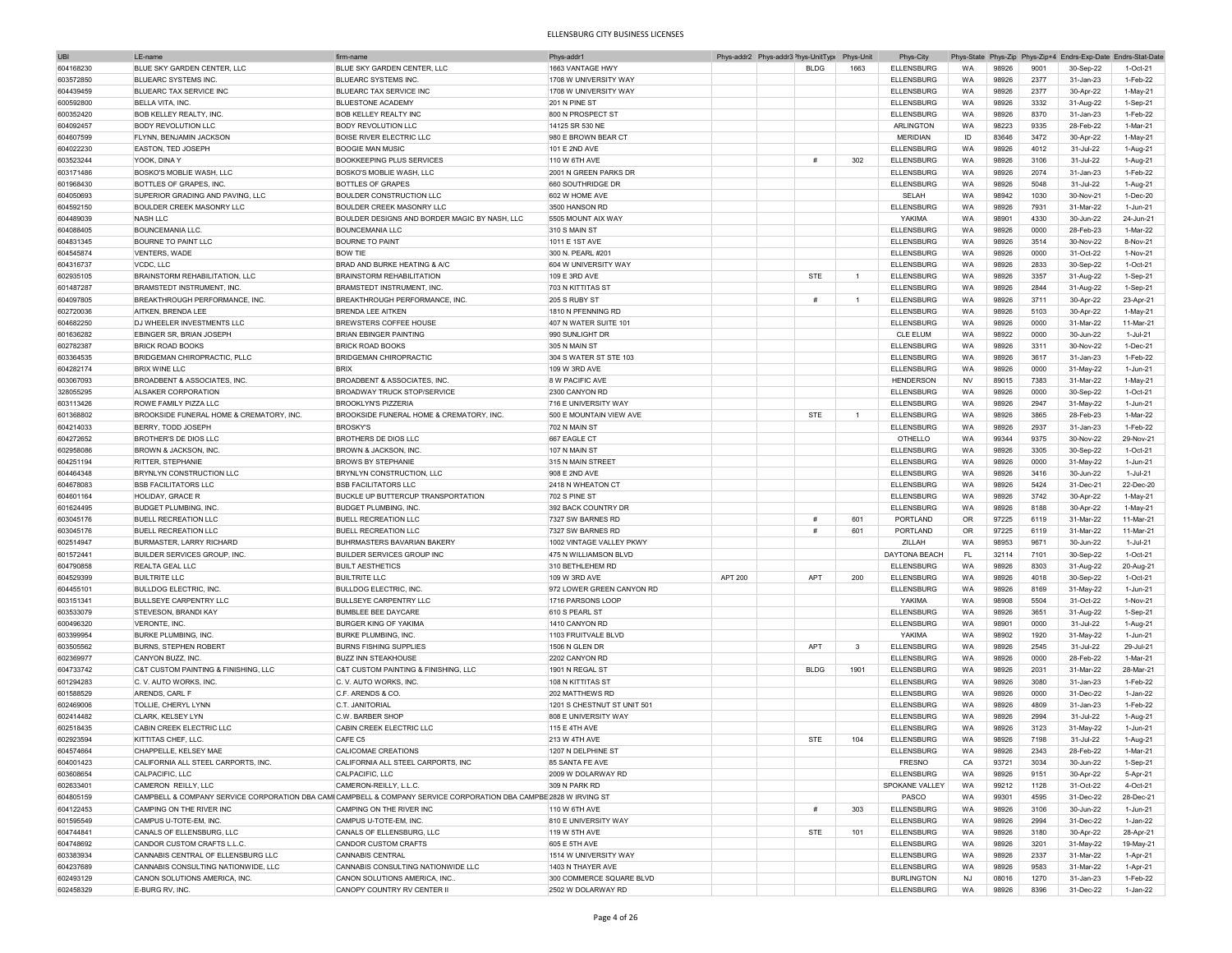| UBI       | I F-name                                | firm-name                                                                                                         | Phys-addr1                  |                | Phys-addr2 Phys-addr3 <sup>&gt;</sup> hys-UnitType Phys-Unit |                | Phys-City         |           |       |      | Phys-State Phys-Zip Phys-Zip+4 Endrs-Exp-Date Endrs-Stat-Date |            |
|-----------|-----------------------------------------|-------------------------------------------------------------------------------------------------------------------|-----------------------------|----------------|--------------------------------------------------------------|----------------|-------------------|-----------|-------|------|---------------------------------------------------------------|------------|
| 604168230 | BLUE SKY GARDEN CENTER, LLC             | BLUE SKY GARDEN CENTER, LLC                                                                                       | 1663 VANTAGE HWY            |                | <b>BLDG</b>                                                  | 1663           | <b>ELLENSBURG</b> | WA        | 98926 | 9001 | 30-Sep-22                                                     | 1-Oct-21   |
| 603572850 | <b>BLUEARC SYSTEMS INC.</b>             | <b>BLUEARC SYSTEMS INC.</b>                                                                                       | 1708 W UNIVERSITY WAY       |                |                                                              |                | <b>ELLENSBURG</b> | WA        | 98926 | 2377 | 31-Jan-23                                                     | 1-Feb-22   |
| 604439459 | BLUEARC TAX SERVICE INC                 | BLUEARC TAX SERVICE INC                                                                                           | 1708 W UNIVERSITY WAY       |                |                                                              |                | <b>ELLENSBURG</b> | WA        | 98926 | 2377 | 30-Apr-22                                                     | $1-May-21$ |
|           |                                         |                                                                                                                   |                             |                |                                                              |                |                   |           |       |      |                                                               |            |
| 600592800 | BELLA VITA. INC.                        | <b>BLUESTONE ACADEMY</b>                                                                                          | 201 N PINE ST               |                |                                                              |                | <b>ELLENSBURG</b> | WA        | 98926 | 3332 | 31-Aug-22                                                     | 1-Sep-21   |
| 600352420 | <b>BOB KELLEY REALTY, INC.</b>          | <b>BOB KELLEY REALTY INC</b>                                                                                      | 800 N PROSPECT ST           |                |                                                              |                | <b>ELLENSBURG</b> | WA        | 98926 | 8370 | 31-Jan-23                                                     | 1-Feb-22   |
| 604092457 | <b>BODY REVOLUTION LLC</b>              | <b>BODY REVOLUTION LLC</b>                                                                                        | 14125 SR 530 NE             |                |                                                              |                | <b>ARLINGTON</b>  | WA        | 98223 | 9335 | 28-Feb-22                                                     | 1-Mar-21   |
| 604607599 | FLYNN, BENJAMIN JACKSON                 | <b>BOISE RIVER ELECTRIC LLC</b>                                                                                   | 980 E BROWN BEAR CT         |                |                                                              |                | <b>MERIDIAN</b>   | ID        | 83646 | 3472 | 30-Apr-22                                                     | $1-May-21$ |
| 604022230 | <b>EASTON, TED JOSEPH</b>               | <b>BOOGIE MAN MUSIC</b>                                                                                           | 101 E 2ND AVE               |                |                                                              |                | <b>ELLENSBURG</b> | WA        | 98926 | 4012 | 31-Jul-22                                                     | 1-Aug-21   |
| 603523244 | YOOK, DINA Y                            | <b>BOOKKEEPING PLUS SERVICES</b>                                                                                  | 110 W 6TH AVE               |                | #                                                            | 302            | <b>ELLENSBURG</b> | WA        | 98926 | 3106 | 31-Jul-22                                                     | 1-Aug-21   |
| 603171486 | BOSKO'S MOBLIE WASH, LLC                | BOSKO'S MOBLIE WASH, LLC                                                                                          | 2001 N GREEN PARKS DR       |                |                                                              |                | <b>ELLENSBURG</b> | WA        | 98926 | 2074 | 31-Jan-23                                                     | 1-Feb-22   |
| 601968430 | BOTTLES OF GRAPES, INC.                 | <b>BOTTLES OF GRAPES</b>                                                                                          | 660 SOUTHRIDGE DR           |                |                                                              |                | <b>ELLENSBURG</b> | WA        | 98926 | 5048 | 31-Jul-22                                                     | 1-Aug-21   |
|           | SUPERIOR GRADING AND PAVING, LLC        | BOULDER CONSTRUCTION LLC                                                                                          | 602 W HOME AVE              |                |                                                              |                | SELAH             | WA        | 98942 | 1030 | 30-Nov-21                                                     | $1-Dec-20$ |
| 604050693 |                                         |                                                                                                                   |                             |                |                                                              |                |                   |           |       |      |                                                               |            |
| 604592150 | <b>BOULDER CREEK MASONRY LLC</b>        | BOULDER CREEK MASONRY LLC                                                                                         | 3500 HANSON RD              |                |                                                              |                | <b>ELLENSBURG</b> | WA        | 98926 | 7931 | 31-Mar-22                                                     | 1-Jun-21   |
| 604489039 | NASH LLC                                | BOULDER DESIGNS AND BORDER MAGIC BY NASH, LLC                                                                     | 5505 MOUNT AIX WAY          |                |                                                              |                | <b>YAKIMA</b>     | WA        | 98901 | 4330 | 30-Jun-22                                                     | 24-Jun-21  |
| 604088405 | <b>BOUNCEMANIA LLC</b>                  | <b>BOUNCEMANIA LLC</b>                                                                                            | 310 S MAIN ST               |                |                                                              |                | <b>ELLENSBURG</b> | WA        | 98926 | 0000 | 28-Feb-23                                                     | 1-Mar-22   |
| 604831345 | <b>BOURNE TO PAINT LLC</b>              | <b>BOURNE TO PAINT</b>                                                                                            | 1011 E 1ST AVE              |                |                                                              |                | <b>ELLENSBURG</b> | <b>WA</b> | 98926 | 3514 | 30-Nov-22                                                     | 8-Nov-21   |
| 604545874 | VENTERS, WADE                           | <b>BOW TIE</b>                                                                                                    | 300 N. PEARL #201           |                |                                                              |                | <b>ELLENSBURG</b> | WA        | 98926 | 0000 | 31-Oct-22                                                     | 1-Nov-21   |
| 604316737 | VCDC, LLC                               | BRAD AND BURKE HEATING & A/C                                                                                      | 604 W UNIVERSITY WAY        |                |                                                              |                | <b>ELLENSBURG</b> | WA        | 98926 | 2833 | 30-Sep-22                                                     | 1-Oct-21   |
| 602935105 | <b>BRAINSTORM REHABILITATION, LLC</b>   | BRAINSTORM REHABILITATION                                                                                         | 109 E 3RD AVE               |                | <b>STF</b>                                                   | $\overline{1}$ | <b>ELLENSBURG</b> | WA        | 98926 | 3357 | 31-Aug-22                                                     | 1-Sep-21   |
| 601487287 | BRAMSTEDT INSTRUMENT, INC.              | BRAMSTEDT INSTRUMENT, INC.                                                                                        | 703 N KITTITAS ST           |                |                                                              |                | <b>ELLENSBURG</b> | WA        | 98926 | 2844 | 31-Aug-22                                                     | 1-Sep-21   |
|           |                                         |                                                                                                                   |                             |                |                                                              |                |                   |           |       |      |                                                               |            |
| 604097805 | BREAKTHROUGH PERFORMANCE, INC.          | BREAKTHROUGH PERFORMANCE, INC                                                                                     | <b>205 S RUBY ST</b>        |                | #                                                            | $\overline{1}$ | <b>ELLENSBURG</b> | WA        | 98926 | 3711 | 30-Apr-22                                                     | 23-Apr-21  |
| 602720036 | AITKEN BRENDA I FF                      | <b>BRENDA LEE AITKEN</b>                                                                                          | 1810 N PFFNNING RD          |                |                                                              |                | <b>ELLENSBURG</b> | <b>WA</b> | 98926 | 5103 | 30-Apr-22                                                     | $1-May-21$ |
| 604682250 | DJ WHEELER INVESTMENTS LLC              | BREWSTERS COFFEE HOUSE                                                                                            | 407 N WATER SUITE 101       |                |                                                              |                | ELLENSBURG        | WA        | 98926 | 0000 | 31-Mar-22                                                     | 11-Mar-21  |
| 601636282 | EBINGER SR, BRIAN JOSEPH                | <b>BRIAN FRINGER PAINTING</b>                                                                                     | 990 SUNLIGHT DF             |                |                                                              |                | <b>CLE ELUM</b>   | <b>WA</b> | 98922 | 0000 | 30-Jun-22                                                     | 1-Jul-21   |
| 602782387 | <b>BRICK ROAD BOOKS</b>                 | <b>BRICK ROAD BOOKS</b>                                                                                           | 305 N MAIN ST               |                |                                                              |                | <b>ELLENSBURG</b> | WA        | 98926 | 3311 | 30-Nov-22                                                     | $1-Dec-21$ |
| 603364535 | BRIDGEMAN CHIROPRACTIC, PLLC            | BRIDGEMAN CHIROPRACTIC                                                                                            | 304 S WATER ST STE 103      |                |                                                              |                | <b>ELLENSBURG</b> | WA        | 98926 | 3617 | 31-Jan-23                                                     | 1-Feb-22   |
| 604282174 | <b>BRIX WINE LLC</b>                    | <b>BRIX</b>                                                                                                       | 109 W 3RD AVE               |                |                                                              |                | <b>ELLENSBURG</b> | WA        | 98926 | 0000 | 31-May-22                                                     | 1-Jun-21   |
| 603067093 | BROADBENT & ASSOCIATES, INC.            | BROADBENT & ASSOCIATES, INC.                                                                                      | 8 W PACIFIC AVE             |                |                                                              |                | <b>HENDERSON</b>  | <b>NV</b> | 89015 | 7383 | 31-Mar-22                                                     | $1-May-21$ |
| 328055295 | ALSAKER CORPORATION                     | <b>BROADWAY TRUCK STOP/SERVICE</b>                                                                                | 2300 CANYON RD              |                |                                                              |                | <b>ELLENSBURG</b> | WA        | 98926 | 0000 | 30-Sep-22                                                     | 1-Oct-21   |
|           |                                         |                                                                                                                   |                             |                |                                                              |                |                   |           |       |      |                                                               |            |
| 603113426 | ROWE FAMILY PIZZA LLC                   | <b>BROOKLYN'S PIZZERIA</b>                                                                                        | 716 E UNIVERSITY WAY        |                |                                                              |                | <b>ELLENSBURG</b> | WA        | 98926 | 2947 | 31-May-22                                                     | 1-Jun-21   |
| 601368802 | BROOKSIDE FUNERAL HOME & CREMATORY, INC | BROOKSIDE FUNERAL HOME & CREMATORY. INC                                                                           | 500 E MOUNTAIN VIEW AVE     |                | <b>STE</b>                                                   | $\overline{1}$ | <b>ELLENSBURG</b> | WA        | 98926 | 3865 | 28-Feb-23                                                     | 1-Mar-22   |
| 604214033 | BERRY, TODD JOSEPH                      | <b>BROSKY'S</b>                                                                                                   | 702 N MAIN ST               |                |                                                              |                | <b>ELLENSBURG</b> | WA        | 98926 | 2937 | 31-Jan-23                                                     | 1-Feb-22   |
| 604272652 | <b>BROTHER'S DE DIOS LLC</b>            | <b>BROTHERS DE DIOS LLC</b>                                                                                       | 667 EAGLE CT                |                |                                                              |                | OTHELLO           | WA        | 99344 | 9375 | 30-Nov-22                                                     | 29-Nov-21  |
| 602958086 | <b>BROWN &amp; JACKSON, INC</b>         | BROWN & JACKSON, INC                                                                                              | 107 N MAIN ST               |                |                                                              |                | <b>ELLENSBURG</b> | WA        | 98926 | 3305 | 30-Sep-22                                                     | 1-Oct-21   |
| 604251194 | <b>RITTER, STEPHANIE</b>                | <b>BROWS BY STEPHANIE</b>                                                                                         | 315 N MAIN STREET           |                |                                                              |                | <b>ELLENSBURG</b> | WA        | 98926 | 0000 | 31-May-22                                                     | 1-Jun-21   |
| 604464348 | BRYNLYN CONSTRUCTION LLC                | BRYNLYN CONSTRUCTION, LLC                                                                                         | 908 E 2ND AVE               |                |                                                              |                | <b>ELLENSBURG</b> | WA        | 98926 | 3416 | 30-Jun-22                                                     | 1-Jul-21   |
| 604678083 | <b>BSB FACILITATORS LLC</b>             | <b>BSB FACILITATORS LLC</b>                                                                                       | 2418 N WHEATON CT           |                |                                                              |                | <b>ELLENSBURG</b> | WA        | 98926 | 5424 | 31-Dec-21                                                     | 22-Dec-20  |
|           |                                         |                                                                                                                   |                             |                |                                                              |                |                   |           |       |      |                                                               |            |
| 604601164 | HOLIDAY, GRACE R                        | BUCKLE UP BUTTERCUP TRANSPORTATION                                                                                | 702 S PINE ST               |                |                                                              |                | <b>ELLENSBURG</b> | WA        | 98926 | 3742 | 30-Apr-22                                                     | 1-May-21   |
| 601624495 | <b>BUDGET PLUMBING. INC</b>             | <b>BUDGET PLUMBING, INC</b>                                                                                       | 392 BACK COUNTRY DR         |                |                                                              |                | <b>ELLENSBURG</b> | WA        | 98926 | 8188 | 30-Apr-22                                                     | 1-May-21   |
| 603045176 | <b>BUELL RECREATION LLC</b>             | <b>BUELL RECREATION LLC</b>                                                                                       | 7327 SW BARNES RD           |                | #                                                            | 601            | PORTLAND          | <b>OR</b> | 97225 | 6119 | 31-Mar-22                                                     | 11-Mar-21  |
| 603045176 | <b>BUELL RECREATION LLC</b>             | <b>BUELL RECREATION LLC</b>                                                                                       | 7327 SW BARNES RD           |                | #                                                            | 601            | PORTLAND          | OR        | 97225 | 6119 | 31-Mar-22                                                     | 11-Mar-21  |
| 602514947 | <b>BURMASTER, LARRY RICHARD</b>         | <b>BUHRMASTERS BAVARIAN BAKERY</b>                                                                                | 1002 VINTAGE VALLEY PKWY    |                |                                                              |                | ZILLAH            | <b>WA</b> | 98953 | 9671 | 30-Jun-22                                                     | 1-Jul-21   |
| 601572441 | <b>BUILDER SERVICES GROUP. INC</b>      | <b>BUILDER SERVICES GROUP INC</b>                                                                                 | 475 N WILLIAMSON BLVD       |                |                                                              |                | DAYTONA BEACH     | FL        | 32114 | 7101 | 30-Sep-22                                                     | 1-Oct-21   |
| 604790858 | REALTA GEAL LLC                         | <b>BUILT AESTHETICS</b>                                                                                           | 310 BETHLEHEM RD            |                |                                                              |                | <b>ELLENSBURG</b> | WA        | 98926 | 8303 | 31-Aug-22                                                     | 20-Aug-21  |
| 604529399 | <b>BUILTRITE LLC</b>                    | <b>BUILTRITE LLC</b>                                                                                              | 109 W 3RD AVE               | <b>APT 200</b> | <b>APT</b>                                                   | 200            | <b>ELLENSBURG</b> | <b>WA</b> | 98926 | 4018 | 30-Sep-22                                                     | 1-Oct-21   |
| 604455101 | <b>BULLDOG ELECTRIC, INC.</b>           | <b>BULLDOG ELECTRIC, INC.</b>                                                                                     | 972 LOWER GREEN CANYON RD   |                |                                                              |                | <b>ELLENSBURG</b> | WA        | 98926 | 8169 |                                                               | 1-Jun-21   |
|           |                                         |                                                                                                                   |                             |                |                                                              |                |                   |           |       |      | 31-May-22                                                     |            |
| 603151341 | <b>BULLSEYE CARPENTRY LLC</b>           | <b>BULLSEYE CARPENTRY LLC</b>                                                                                     | 1716 PARSONS LOOP           |                |                                                              |                | YAKIMA            | <b>WA</b> | 98908 | 5504 | 31-Oct-22                                                     | 1-Nov-21   |
| 603533079 | STEVESON, BRANDI KAY                    | <b>BUMBLEE BEE DAYCARE</b>                                                                                        | 610 S PEARL ST              |                |                                                              |                | <b>ELLENSBURG</b> | WA        | 98926 | 3651 | 31-Aug-22                                                     | 1-Sep-21   |
| 600496320 | VERONTE, INC.                           | <b>BURGER KING OF YAKIMA</b>                                                                                      | 1410 CANYON RD              |                |                                                              |                | <b>ELLENSBURG</b> | WA        | 98901 | 0000 | 31-Jul-22                                                     | 1-Aug-21   |
| 603399954 | <b>BURKE PLUMBING, INC.</b>             | <b>BURKE PLUMBING, INC</b>                                                                                        | 1103 FRUITVALE BLVD         |                |                                                              |                | YAKIMA            | WA        | 98902 | 1920 | 31-May-22                                                     | $1-Jun-21$ |
| 603505562 | <b>BURNS, STEPHEN ROBERT</b>            | <b>BURNS FISHING SUPPLIES</b>                                                                                     | 1506 N GLEN DR              |                | APT                                                          | $\mathbf{3}$   | <b>ELLENSBURG</b> | WA        | 98926 | 2545 | 31-Jul-22                                                     | 29-Jul-21  |
| 602369977 | CANYON BUZZ, INC                        | <b>BUZZ INN STEAKHOUSE</b>                                                                                        | 2202 CANYON RD              |                |                                                              |                | <b>ELLENSBURG</b> | WA        | 98926 | 0000 | 28-Feb-22                                                     | 1-Mar-21   |
| 604733742 | C&T CUSTOM PAINTING & FINISHING, LLC    | C&T CUSTOM PAINTING & FINISHING, LLC                                                                              | 1901 N REGAL ST             |                | <b>BLDG</b>                                                  | 1901           | <b>ELLENSBURG</b> | WA        | 98926 | 2031 | 31-Mar-22                                                     | 28-Mar-21  |
| 601294283 | C.V. AUTO WORKS, INC.                   | C. V. AUTO WORKS, INC.                                                                                            | 108 N KITTITAS ST           |                |                                                              |                | <b>ELLENSBURG</b> | WA        | 98926 | 3080 | 31-Jan-23                                                     | 1-Feb-22   |
| 601588529 | ARENDS, CARL F                          | C.F. ARENDS & CO.                                                                                                 | 202 MATTHEWS RD             |                |                                                              |                | <b>ELLENSBURG</b> | WA        | 98926 | 0000 | 31-Dec-22                                                     | 1-Jan-22   |
|           |                                         |                                                                                                                   |                             |                |                                                              |                |                   |           |       |      |                                                               |            |
| 602469006 | TOLLIE, CHERYL LYNN                     | C.T. JANITORIAL                                                                                                   | 1201 S CHESTNUT ST UNIT 501 |                |                                                              |                | <b>ELLENSBURG</b> | WA        | 98926 | 4809 | 31-Jan-23                                                     | 1-Feb-22   |
| 602414482 | <b>CLARK, KELSEY LYN</b>                | C.W. BARBER SHOP                                                                                                  | 808 E UNIVERSITY WAY        |                |                                                              |                | <b>ELLENSBURG</b> | WA        | 98926 | 2994 | 31-Jul-22                                                     | 1-Aug-21   |
| 602518435 | CABIN CREEK ELECTRIC LLC                | CABIN CREEK ELECTRIC LLC                                                                                          | 115 E 4TH AVE               |                |                                                              |                | <b>ELLENSBURG</b> | WA        | 98926 | 3123 | 31-May-22                                                     | 1-Jun-21   |
| 602923594 | KITTITAS CHEF, LLC.                     | CAFE C5                                                                                                           | 213 W 4TH AVE               |                | <b>STE</b>                                                   | 104            | <b>ELLENSBURG</b> | WA        | 98926 | 7198 | 31-Jul-22                                                     | 1-Aug-21   |
| 604574664 | CHAPPFLLE, KELSEY MAF                   | CALICOMAE CREATIONS                                                                                               | 1207 N DELPHINE ST          |                |                                                              |                | <b>ELLENSBURG</b> | WA        | 98926 | 2343 | 28-Feb-22                                                     | 1-Mar-21   |
| 604001423 | CALIFORNIA ALL STEEL CARPORTS, INC.     | CALIFORNIA ALL STEEL CARPORTS, INC                                                                                | 85 SANTA FE AVE             |                |                                                              |                | <b>FRESNO</b>     | CA        | 93721 | 3034 | 30-Jun-22                                                     | 1-Sep-21   |
| 603608654 | CALPACIFIC, LLC                         | CALPACIFIC, LLC                                                                                                   | 2009 W DOLARWAY RD          |                |                                                              |                | <b>ELLENSBURG</b> | WA        | 98926 | 9151 | 30-Apr-22                                                     | 5-Apr-21   |
| 602633401 | CAMERON REILLY, LLC                     | CAMERON-REILLY, L.L.C.                                                                                            | 309 N PARK RD               |                |                                                              |                | SPOKANE VALLEY    | WA        | 99212 | 1128 | 31-Oct-22                                                     | 4-Oct-21   |
| 604805159 |                                         | CAMPBELL & COMPANY SERVICE CORPORATION DBA CAMICAMPBELL & COMPANY SERVICE CORPORATION DBA CAMPBE 2828 W IRVING ST |                             |                |                                                              |                | PASCO             | WA        | 99301 | 4595 | 31-Dec-22                                                     | 28-Dec-21  |
|           |                                         |                                                                                                                   |                             |                | #                                                            |                |                   |           |       |      |                                                               |            |
| 604122453 | CAMPING ON THE RIVER INC                | CAMPING ON THE RIVER INC                                                                                          | 110 W 6TH AVE               |                |                                                              | 303            | <b>ELLENSBURG</b> | WA        | 98926 | 3106 | 30-Jun-22                                                     | 1-Jun-21   |
| 601595549 | CAMPUS U-TOTE-EM, INC.                  | CAMPUS U-TOTE-EM, INC.                                                                                            | 810 E UNIVERSITY WAY        |                |                                                              |                | <b>ELLENSBURG</b> | WA        | 98926 | 2994 | 31-Dec-22                                                     | 1-Jan-22   |
| 604744841 | CANALS OF ELLENSBURG, LLC               | CANALS OF ELLENSBURG, LLC                                                                                         | 119 W 5TH AVE               |                | STE                                                          | 101            | <b>ELLENSBURG</b> | WA        | 98926 | 3180 | 30-Apr-22                                                     | 28-Apr-21  |
| 604748692 | CANDOR CUSTOM CRAFTS L.L.C.             | CANDOR CUSTOM CRAFTS                                                                                              | 605 E 5TH AVE               |                |                                                              |                | <b>ELLENSBURG</b> | WA        | 98926 | 3201 | 31-May-22                                                     | 19-May-21  |
| 603383934 | CANNABIS CENTRAL OF ELLENSBURG LLC      | <b>CANNABIS CENTRAL</b>                                                                                           | 1514 W UNIVERSITY WAY       |                |                                                              |                | <b>ELLENSBURG</b> | WA        | 98926 | 2337 | 31-Mar-22                                                     | 1-Apr-21   |
| 604237689 | CANNABIS CONSULTING NATIONWIDE, LLC     | CANNABIS CONSULTING NATIONWIDE LLC                                                                                | 1403 N THAYER AVE           |                |                                                              |                | ELLENSBURG        | WA        | 98926 | 9583 | 31-Mar-22                                                     | 1-Apr-21   |
| 602493129 | CANON SOLUTIONS AMERICA, INC.           | CANON SOLUTIONS AMERICA, INC.                                                                                     | 300 COMMERCE SQUARE BLVD    |                |                                                              |                | <b>BURLINGTON</b> | <b>NJ</b> | 08016 | 1270 | 31-Jan-23                                                     | 1-Feb-22   |
| 602458329 | E-BURG RV, INC.                         | CANOPY COUNTRY RV CENTER II                                                                                       | 2502 W DOLARWAY RD          |                |                                                              |                | <b>ELLENSBURG</b> | WA        | 98926 | 8396 | 31-Dec-22                                                     | 1-Jan-22   |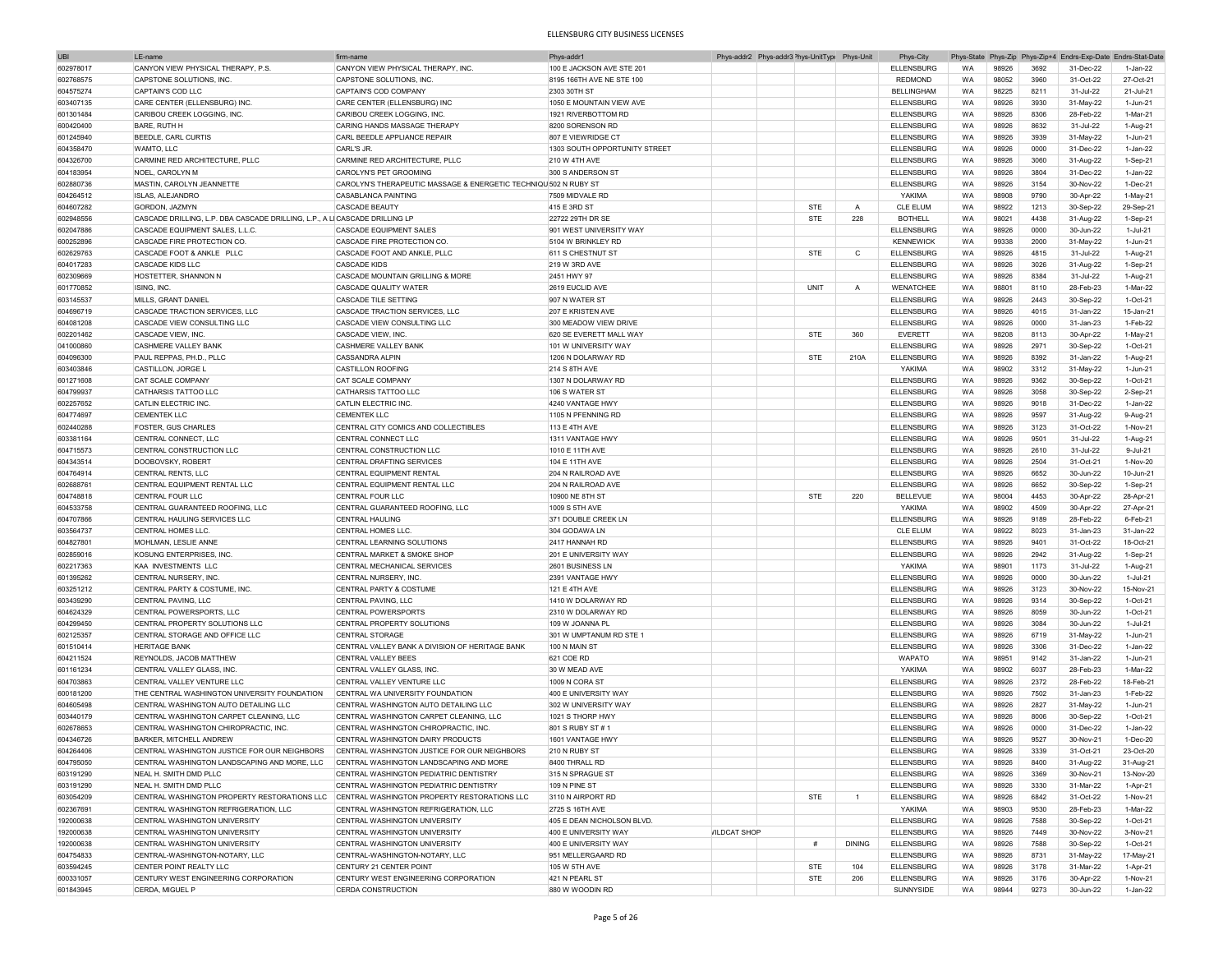| UBI       | LE-nam                                                                     | firm-nam                                                         | Phys-addr                     |                     | Phys-addr2 Phys-addr3 <sup>2</sup> hys-UnitType | Phys-Unit      | Phys-City         | Phys-State |       |      | Phys-Zip Phys-Zip+4 Endrs-Exp-Date Endrs-Stat-Date |            |
|-----------|----------------------------------------------------------------------------|------------------------------------------------------------------|-------------------------------|---------------------|-------------------------------------------------|----------------|-------------------|------------|-------|------|----------------------------------------------------|------------|
| 602978017 | CANYON VIEW PHYSICAL THERAPY, P.S.                                         | CANYON VIEW PHYSICAL THERAPY, INC                                | 100 E JACKSON AVE STE 201     |                     |                                                 |                | <b>ELLENSBURG</b> | <b>WA</b>  | 98926 | 3692 | 31-Dec-22                                          | 1-Jan-22   |
| 602768575 | CAPSTONE SOLUTIONS. INC.                                                   | CAPSTONE SOLUTIONS, INC.                                         | 8195 166TH AVE NE STE 100     |                     |                                                 |                | <b>REDMOND</b>    | <b>WA</b>  | 98052 | 3960 | 31-Oct-22                                          | 27-Oct-21  |
| 604575274 | CAPTAIN'S COD LLC                                                          | CAPTAIN'S COD COMPANY                                            | 2303 30TH ST                  |                     |                                                 |                | <b>BELLINGHAM</b> | <b>WA</b>  | 98225 | 8211 | 31-Jul-22                                          | 21-Jul-21  |
| 603407135 | CARE CENTER (ELLENSBURG) INC.                                              | CARE CENTER (ELLENSBURG) INC                                     | 1050 E MOUNTAIN VIEW AVE      |                     |                                                 |                | <b>ELLENSBURG</b> | <b>WA</b>  | 98926 | 3930 | 31-May-22                                          | 1-Jun-21   |
|           |                                                                            |                                                                  |                               |                     |                                                 |                |                   |            |       |      |                                                    |            |
| 601301484 | CARIBOU CREEK LOGGING, INC.                                                | CARIBOU CREEK LOGGING, INC                                       | 1921 RIVERBOTTOM RD           |                     |                                                 |                | <b>ELLENSBURG</b> | WA         | 98926 | 8306 | 28-Feb-22                                          | 1-Mar-21   |
| 600420400 | <b>BARE, RUTH H</b>                                                        | CARING HANDS MASSAGE THERAPY                                     | 8200 SORENSON RD              |                     |                                                 |                | <b>ELLENSBURG</b> | WA         | 98926 | 8632 | 31-Jul-22                                          | 1-Aug-21   |
| 601245940 | BEEDLE, CARL CURTIS                                                        | CARL BEEDLE APPLIANCE REPAIR                                     | 807 E VIEWRIDGE CT            |                     |                                                 |                | <b>ELLENSBURG</b> | WA         | 98926 | 3939 | 31-May-22                                          | 1-Jun-21   |
| 604358470 | WAMTO, LLC                                                                 | CARL'S JR.                                                       | 1303 SOUTH OPPORTUNITY STREET |                     |                                                 |                | <b>ELLENSBURG</b> | WA         | 98926 | 0000 | 31-Dec-22                                          | 1-Jan-22   |
| 604326700 | CARMINE RED ARCHITECTURE, PLLC                                             | CARMINE RED ARCHITECTURE. PLLC                                   | <b>210 W 4TH AVE</b>          |                     |                                                 |                | <b>ELLENSBURG</b> | WA         | 98926 | 3060 | 31-Aug-22                                          | 1-Sep-21   |
| 604183954 | NOEL, CAROLYN M                                                            | CAROLYN'S PET GROOMING                                           | 300 S ANDERSON ST             |                     |                                                 |                | <b>ELLENSBURG</b> | WA         | 98926 | 3804 | 31-Dec-22                                          | 1-Jan-22   |
| 602880736 | MASTIN, CAROLYN JEANNETTE                                                  | CAROLYN'S THERAPEUTIC MASSAGE & ENERGETIC TECHNIQU 502 N RUBY ST |                               |                     |                                                 |                | ELLENSBURG        | WA         | 98926 | 3154 | 30-Nov-22                                          | 1-Dec-21   |
| 604264512 | ISLAS, ALEJANDRO                                                           | CASABLANCA PAINTING                                              | 7509 MIDVALE RD               |                     |                                                 |                | YAKIMA            | WA         | 98908 | 9790 | 30-Apr-22                                          | $1-May-21$ |
| 604607282 | GORDON, JAZMYN                                                             | <b>CASCADE BEAUTY</b>                                            | 415 E 3RD ST                  |                     | <b>STE</b>                                      | $\overline{A}$ | <b>CLE ELUM</b>   | WA         | 98922 | 1213 | 30-Sep-22                                          | 29-Sep-21  |
|           |                                                                            |                                                                  |                               |                     |                                                 |                |                   |            |       |      |                                                    |            |
| 602948556 | CASCADE DRILLING, L.P. DBA CASCADE DRILLING, L.P., A LICASCADE DRILLING LF |                                                                  | 22722 29TH DR SE              |                     | STE                                             | 228            | <b>BOTHELL</b>    | WA         | 98021 | 4438 | 31-Aug-22                                          | 1-Sep-21   |
| 602047886 | CASCADE EQUIPMENT SALES, L.L.C.                                            | CASCADE EQUIPMENT SALES                                          | 901 WEST UNIVERSITY WAY       |                     |                                                 |                | ELLENSBURG        | WA         | 98926 | 0000 | 30-Jun-22                                          | 1-Jul-21   |
| 600252896 | CASCADE FIRE PROTECTION CO                                                 | CASCADE FIRE PROTECTION CO.                                      | 5104 W BRINKLEY RD            |                     |                                                 |                | <b>KENNEWICK</b>  | <b>WA</b>  | 99338 | 2000 | 31-May-22                                          | 1-Jun-21   |
| 602629763 | CASCADE FOOT & ANKLE PLLC                                                  | CASCADE FOOT AND ANKLE, PLLC                                     | 611 S CHESTNUT ST             |                     | <b>STE</b>                                      | C              | <b>ELLENSBURG</b> | <b>WA</b>  | 98926 | 4815 | 31-Jul-22                                          | 1-Aug-21   |
| 604017283 | CASCADE KIDS LLC                                                           | <b>CASCADE KIDS</b>                                              | 219 W 3RD AVE                 |                     |                                                 |                | <b>ELLENSBURG</b> | <b>WA</b>  | 98926 | 3026 | 31-Aug-22                                          | 1-Sep-21   |
| 602309669 | HOSTETTER, SHANNON N                                                       | CASCADE MOUNTAIN GRILLING & MORE                                 | 2451 HWY 97                   |                     |                                                 |                | <b>ELLENSBURG</b> | WA         | 98926 | 8384 | 31-Jul-22                                          | 1-Aug-21   |
| 601770852 | ISING, INC.                                                                | CASCADE QUALITY WATER                                            | 2619 EUCLID AVE               |                     | <b>UNIT</b>                                     | $\overline{A}$ | WENATCHEE         | WA         | 98801 | 8110 | 28-Feb-23                                          | 1-Mar-22   |
| 603145537 | MILLS, GRANT DANIEL                                                        | CASCADE TILE SETTING                                             | 907 N WATER ST                |                     |                                                 |                | <b>ELLENSBURG</b> | WA         | 98926 | 2443 | 30-Sep-22                                          | 1-Oct-21   |
|           | CASCADE TRACTION SERVICES, LLC                                             | CASCADE TRACTION SERVICES, LLC                                   |                               |                     |                                                 |                |                   |            |       | 4015 |                                                    | 15-Jan-21  |
| 604696719 |                                                                            |                                                                  | 207 E KRISTEN AVE             |                     |                                                 |                | <b>ELLENSBURG</b> | WA         | 98926 |      | 31-Jan-22                                          |            |
| 604081208 | CASCADE VIEW CONSULTING LLC                                                | CASCADE VIEW CONSULTING LLC                                      | 300 MEADOW VIEW DRIVE         |                     |                                                 |                | <b>ELLENSBURG</b> | WA         | 98926 | 0000 | 31-Jan-23                                          | 1-Feb-22   |
| 602201462 | CASCADE VIEW, INC.                                                         | CASCADE VIEW, INC                                                | 620 SE EVERETT MALL WAY       |                     | <b>STE</b>                                      | 360            | <b>EVERETT</b>    | WA         | 98208 | 8113 | 30-Apr-22                                          | 1-May-21   |
| 041000860 | CASHMERE VALLEY BANK                                                       | <b>CASHMERE VALLEY BANK</b>                                      | 101 W UNIVERSITY WAY          |                     |                                                 |                | <b>ELLENSBURG</b> | WA         | 98926 | 2971 | 30-Sep-22                                          | 1-Oct-21   |
| 604096300 | PAUL REPPAS, PH.D., PLLC                                                   | CASSANDRA ALPIN                                                  | 1206 N DOLARWAY RD            |                     | STE                                             | 210A           | ELLENSBURG        | WA         | 98926 | 8392 | 31-Jan-22                                          | 1-Aug-21   |
| 603403846 | CASTILLON, JORGE L                                                         | <b>CASTILLON ROOFING</b>                                         | <b>214 S 8TH AVE</b>          |                     |                                                 |                | YAKIMA            | <b>WA</b>  | 98902 | 3312 | 31-May-22                                          | 1-Jun-21   |
| 601271608 | CAT SCALE COMPANY                                                          | CAT SCALE COMPANY                                                | 1307 N DOLARWAY RD            |                     |                                                 |                | <b>ELLENSBURG</b> | WA         | 98926 | 9362 | 30-Sep-22                                          | 1-Oct-21   |
| 604799937 | CATHARSIS TATTOO LLC                                                       | CATHARSIS TATTOO LLC                                             | 106 S WATER ST                |                     |                                                 |                | <b>ELLENSBURG</b> | <b>WA</b>  | 98926 | 3058 | 30-Sep-22                                          | 2-Sep-21   |
| 602257652 | CATLIN ELECTRIC INC.                                                       | CATLIN ELECTRIC INC.                                             | 4240 VANTAGE HWY              |                     |                                                 |                | <b>ELLENSBURG</b> | WA         | 98926 | 9018 | 31-Dec-22                                          | 1-Jan-22   |
|           |                                                                            |                                                                  | 1105 N PFENNING RD            |                     |                                                 |                |                   |            |       |      |                                                    |            |
| 604774697 | <b>CEMENTEK LLC</b>                                                        | <b>CEMENTEK LLC</b>                                              |                               |                     |                                                 |                | <b>ELLENSBURG</b> | WA         | 98926 | 9597 | 31-Aug-22                                          | 9-Aug-21   |
| 602440288 | <b>FOSTER, GUS CHARLES</b>                                                 | CENTRAL CITY COMICS AND COLLECTIBLES                             | 113 E 4TH AVE                 |                     |                                                 |                | <b>ELLENSBURG</b> | WA         | 98926 | 3123 | 31-Oct-22                                          | 1-Nov-21   |
| 603381164 | CENTRAL CONNECT, LLC                                                       | CENTRAL CONNECT LLC                                              | 1311 VANTAGE HWY              |                     |                                                 |                | <b>ELLENSBURG</b> | WA         | 98926 | 9501 | 31-Jul-22                                          | 1-Aug-21   |
| 604715573 | CENTRAL CONSTRUCTION LLC                                                   | CENTRAL CONSTRUCTION LLC                                         | 1010 E 11TH AVE               |                     |                                                 |                | <b>ELLENSBURG</b> | WA         | 98926 | 2610 | 31-Jul-22                                          | 9-Jul-21   |
| 604343514 | DOOBOVSKY, ROBERT                                                          | CENTRAL DRAFTING SERVICES                                        | 104 E 11TH AVE                |                     |                                                 |                | <b>ELLENSBURG</b> | WA         | 98926 | 2504 | 31-Oct-21                                          | 1-Nov-20   |
| 604764914 | CENTRAL RENTS, LLC                                                         | CENTRAL EQUIPMENT RENTAL                                         | 204 N RAILROAD AVE            |                     |                                                 |                | <b>ELLENSBURG</b> | WA         | 98926 | 6652 | 30-Jun-22                                          | 10-Jun-21  |
| 602688761 | CENTRAL EQUIPMENT RENTAL LLC                                               | CENTRAL EQUIPMENT RENTAL LLC                                     | 204 N RAILROAD AVE            |                     |                                                 |                | <b>ELLENSBURG</b> | WA         | 98926 | 6652 | 30-Sep-22                                          | 1-Sep-21   |
| 604748818 | CENTRAL FOUR LLC                                                           | CENTRAL FOUR LLC                                                 | 10900 NE 8TH ST               |                     | <b>STE</b>                                      | 220            | <b>BELLEVUE</b>   | WA         | 98004 | 4453 | 30-Apr-22                                          | 28-Apr-21  |
| 604533758 | CENTRAL GUARANTEED ROOFING, LLC                                            | CENTRAL GUARANTEED ROOFING, LLC                                  | 1009 S 5TH AVE                |                     |                                                 |                | YAKIMA            | WA         | 98902 | 4509 | 30-Apr-22                                          | 27-Apr-21  |
|           |                                                                            |                                                                  |                               |                     |                                                 |                |                   |            |       |      |                                                    |            |
| 604707866 | CENTRAL HAULING SERVICES LLC                                               | <b>CENTRAL HAULING</b>                                           | 371 DOUBLE CREEK LN           |                     |                                                 |                | ELLENSBURG        | <b>WA</b>  | 98926 | 9189 | 28-Feb-22                                          | 6-Feb-21   |
| 603564737 | CENTRAL HOMES LLC.                                                         | CENTRAL HOMES LLC.                                               | 304 GODAWA LN                 |                     |                                                 |                | <b>CLE ELUM</b>   | <b>WA</b>  | 98922 | 8023 | 31-Jan-23                                          | 31-Jan-22  |
| 604827801 | MOHLMAN, LESLIE ANNE                                                       | CENTRAL LEARNING SOLUTIONS                                       | 2417 HANNAH RD                |                     |                                                 |                | ELLENSBURG        | <b>WA</b>  | 98926 | 9401 | 31-Oct-22                                          | 18-Oct-21  |
| 602859016 | KOSUNG ENTERPRISES, INC.                                                   | CENTRAL MARKET & SMOKE SHOP                                      | 201 E UNIVERSITY WAY          |                     |                                                 |                | <b>ELLENSBURG</b> | <b>WA</b>  | 98926 | 2942 | 31-Aug-22                                          | 1-Sep-21   |
| 602217363 | KAA INVESTMENTS LLC                                                        | CENTRAL MECHANICAL SERVICES                                      | 2601 BUSINESS LN              |                     |                                                 |                | YAKIMA            | <b>WA</b>  | 98901 | 1173 | 31-Jul-22                                          | 1-Aug-21   |
| 601395262 | CENTRAL NURSERY, INC                                                       | CENTRAL NURSERY, INC                                             | 2391 VANTAGE HWY              |                     |                                                 |                | <b>ELLENSBURG</b> | WA         | 98926 | 0000 | 30-Jun-22                                          | 1-Jul-21   |
| 603251212 | CENTRAL PARTY & COSTUME, INC                                               | CENTRAL PARTY & COSTUME                                          | 121 E 4TH AVE                 |                     |                                                 |                | <b>ELLENSBURG</b> | WA         | 98926 | 3123 | 30-Nov-22                                          | 15-Nov-21  |
| 603439290 | CENTRAL PAVING, LLC                                                        | CENTRAL PAVING, LLC                                              | 1410 W DOLARWAY RD            |                     |                                                 |                | <b>ELLENSBURG</b> | WA         | 98926 | 9314 | 30-Sep-22                                          | 1-Oct-21   |
| 604624329 | <b>CENTRAL POWERSPORTS, LLC</b>                                            | <b>CENTRAL POWERSPORTS</b>                                       | 2310 W DOLARWAY RD            |                     |                                                 |                | <b>ELLENSBURG</b> | WA         | 98926 | 8059 | 30-Jun-22                                          | 1-Oct-21   |
|           |                                                                            |                                                                  |                               |                     |                                                 |                |                   |            |       |      |                                                    |            |
| 604299450 | CENTRAL PROPERTY SOLUTIONS LLC                                             | CENTRAL PROPERTY SOLUTIONS                                       | 109 W JOANNA PL               |                     |                                                 |                | <b>ELLENSBURG</b> | WA         | 98926 | 3084 | 30-Jun-22                                          | 1-Jul-21   |
| 602125357 | CENTRAL STORAGE AND OFFICE LLC                                             | <b>CENTRAL STORAGE</b>                                           | 301 W UMPTANUM RD STE 1       |                     |                                                 |                | <b>ELLENSBURG</b> | WA         | 98926 | 6719 | 31-May-22                                          | 1-Jun-21   |
| 601510414 | <b>HERITAGE BANK</b>                                                       | CENTRAL VALLEY BANK A DIVISION OF HERITAGE BANK                  | 100 N MAIN ST                 |                     |                                                 |                | <b>ELLENSBURG</b> | <b>WA</b>  | 98926 | 3306 | 31-Dec-22                                          | 1-Jan-22   |
| 604211524 | REYNOLDS, JACOB MATTHEW                                                    | <b>CENTRAL VALLEY BEES</b>                                       | 621 COE RD                    |                     |                                                 |                | <b>WAPATO</b>     | <b>WA</b>  | 98951 | 9142 | 31-Jan-22                                          | 1-Jun-21   |
| 601161234 | CENTRAL VALLEY GLASS, INC.                                                 | CENTRAL VALLEY GLASS, INC.                                       | 30 W MEAD AVE                 |                     |                                                 |                | YAKIMA            | WA         | 98902 | 6037 | 28-Feb-23                                          | 1-Mar-22   |
| 604703863 | CENTRAL VALLEY VENTURE LLC                                                 | CENTRAL VALLEY VENTURE LLC                                       | 1009 N CORA ST                |                     |                                                 |                | <b>ELLENSBURG</b> | <b>WA</b>  | 98926 | 2372 | 28-Feb-22                                          | 18-Feb-21  |
| 600181200 | THE CENTRAL WASHINGTON UNIVERSITY FOUNDATION                               | CENTRAL WA UNIVERSITY FOUNDATION                                 | 400 E UNIVERSITY WAY          |                     |                                                 |                | ELLENSBURG        | <b>WA</b>  | 98926 | 7502 | 31-Jan-23                                          | 1-Feb-22   |
| 604605498 | CENTRAL WASHINGTON AUTO DETAILING LLC                                      | CENTRAL WASHINGTON AUTO DETAILING LLC                            | 302 W UNIVERSITY WAY          |                     |                                                 |                | <b>ELLENSBURG</b> | <b>WA</b>  | 98926 | 2827 | 31-May-22                                          | 1-Jun-21   |
| 603440179 | CENTRAL WASHINGTON CARPET CLEANING, LLC                                    | CENTRAL WASHINGTON CARPET CLEANING, LLC                          | 1021 S THORP HWY              |                     |                                                 |                | ELLENSBURG        | WA         | 98926 | 8006 | 30-Sep-22                                          | 1-Oct-21   |
| 602678653 | CENTRAL WASHINGTON CHIROPRACTIC. INC.                                      | CENTRAL WASHINGTON CHIROPRACTIC, INC.                            | 801 S RUBY ST # 1             |                     |                                                 |                | <b>ELLENSBURG</b> | WA         | 98926 | 0000 | 31-Dec-22                                          | 1-Jan-22   |
|           |                                                                            |                                                                  |                               |                     |                                                 |                |                   |            |       |      |                                                    |            |
| 604346726 | <b>BARKER, MITCHELL ANDREW</b>                                             | CENTRAL WASHINGTON DAIRY PRODUCTS                                | 1601 VANTAGE HWY              |                     |                                                 |                | <b>ELLENSBURG</b> | WA         | 98926 | 9527 | 30-Nov-21                                          | 1-Dec-20   |
| 604264406 | CENTRAL WASHINGTON JUSTICE FOR OUR NEIGHBORS                               | CENTRAL WASHINGTON JUSTICE FOR OUR NEIGHBORS                     | <b>210 N RUBY ST</b>          |                     |                                                 |                | <b>ELLENSBURG</b> | <b>WA</b>  | 98926 | 3339 | 31-Oct-21                                          | 23-Oct-20  |
| 604795050 | CENTRAL WASHINGTON LANDSCAPING AND MORE, LLC                               | CENTRAL WASHINGTON LANDSCAPING AND MORE                          | 8400 THRALL RD                |                     |                                                 |                | <b>ELLENSBURG</b> | WA         | 98926 | 8400 | 31-Aug-22                                          | 31-Aug-21  |
| 603191290 | NEAL H. SMITH DMD PLLC                                                     | CENTRAL WASHINGTON PEDIATRIC DENTISTRY                           | 315 N SPRAGUE ST              |                     |                                                 |                | <b>ELLENSBURG</b> | WA         | 98926 | 3369 | 30-Nov-21                                          | 13-Nov-20  |
| 603191290 | NEAL H. SMITH DMD PLLC                                                     | CENTRAL WASHINGTON PEDIATRIC DENTISTRY                           | 109 N PINE ST                 |                     |                                                 |                | <b>ELLENSBURG</b> | WA         | 98926 | 3330 | 31-Mar-22                                          | 1-Apr-21   |
| 603054209 | CENTRAL WASHINGTON PROPERTY RESTORATIONS LLC                               | CENTRAL WASHINGTON PROPERTY RESTORATIONS LLC                     | 3110 N AIRPORT RD             |                     | STE                                             | $\overline{1}$ | <b>ELLENSBURG</b> | WA         | 98926 | 6842 | 31-Oct-22                                          | 1-Nov-21   |
| 602367691 | CENTRAL WASHINGTON REFRIGERATION, LLC                                      | CENTRAL WASHINGTON REFRIGERATION, LLC                            | 2725 S 16TH AVE               |                     |                                                 |                | YAKIMA            | WA         | 98903 | 9530 | 28-Feb-23                                          | 1-Mar-22   |
| 192000638 | CENTRAL WASHINGTON UNIVERSITY                                              | CENTRAL WASHINGTON UNIVERSITY                                    | 405 E DEAN NICHOLSON BLVD.    |                     |                                                 |                | <b>ELLENSBURG</b> | WA         | 98926 | 7588 | 30-Sep-22                                          | 1-Oct-21   |
| 192000638 | CENTRAL WASHINGTON UNIVERSITY                                              | CENTRAL WASHINGTON UNIVERSITY                                    | 400 E UNIVERSITY WAY          | <b>/ILDCAT SHOP</b> |                                                 |                | <b>ELLENSBURG</b> | WA         | 98926 | 7449 | 30-Nov-22                                          | 3-Nov-21   |
|           |                                                                            |                                                                  |                               |                     |                                                 |                |                   |            |       |      |                                                    |            |
| 192000638 | CENTRAL WASHINGTON UNIVERSITY                                              | CENTRAL WASHINGTON UNIVERSITY                                    | 400 E UNIVERSITY WAY          |                     | #                                               | <b>DINING</b>  | <b>ELLENSBURG</b> | WA         | 98926 | 7588 | 30-Sep-22                                          | 1-Oct-21   |
| 604754833 | CENTRAL-WASHINGTON-NOTARY, LLC                                             | CENTRAL-WASHINGTON-NOTARY, LLC                                   | 951 MELLERGAARD RD            |                     |                                                 |                | <b>ELLENSBURG</b> | WA         | 98926 | 8731 | 31-May-22                                          | 17-May-21  |
| 603594245 | CENTER POINT REALTY LLC                                                    | CENTURY 21 CENTER POINT                                          | 105 W 5TH AVE                 |                     | STE                                             | 104            | ELLENSBURG        | WA         | 98926 | 3178 | 31-Mar-22                                          | 1-Apr-21   |
| 600331057 | CENTURY WEST ENGINEERING CORPORATION                                       | CENTURY WEST ENGINEERING CORPORATION                             | 421 N PEARL ST                |                     | STE                                             | 206            | <b>ELLENSBURG</b> | WA         | 98926 | 3176 | 30-Apr-22                                          | 1-Nov-21   |
| 601843945 | CERDA, MIGUEL P                                                            | CERDA CONSTRUCTION                                               | 880 W WOODIN RD               |                     |                                                 |                | SUNNYSIDE         | WA         | 98944 | 9273 | 30-Jun-22                                          | 1-Jan-22   |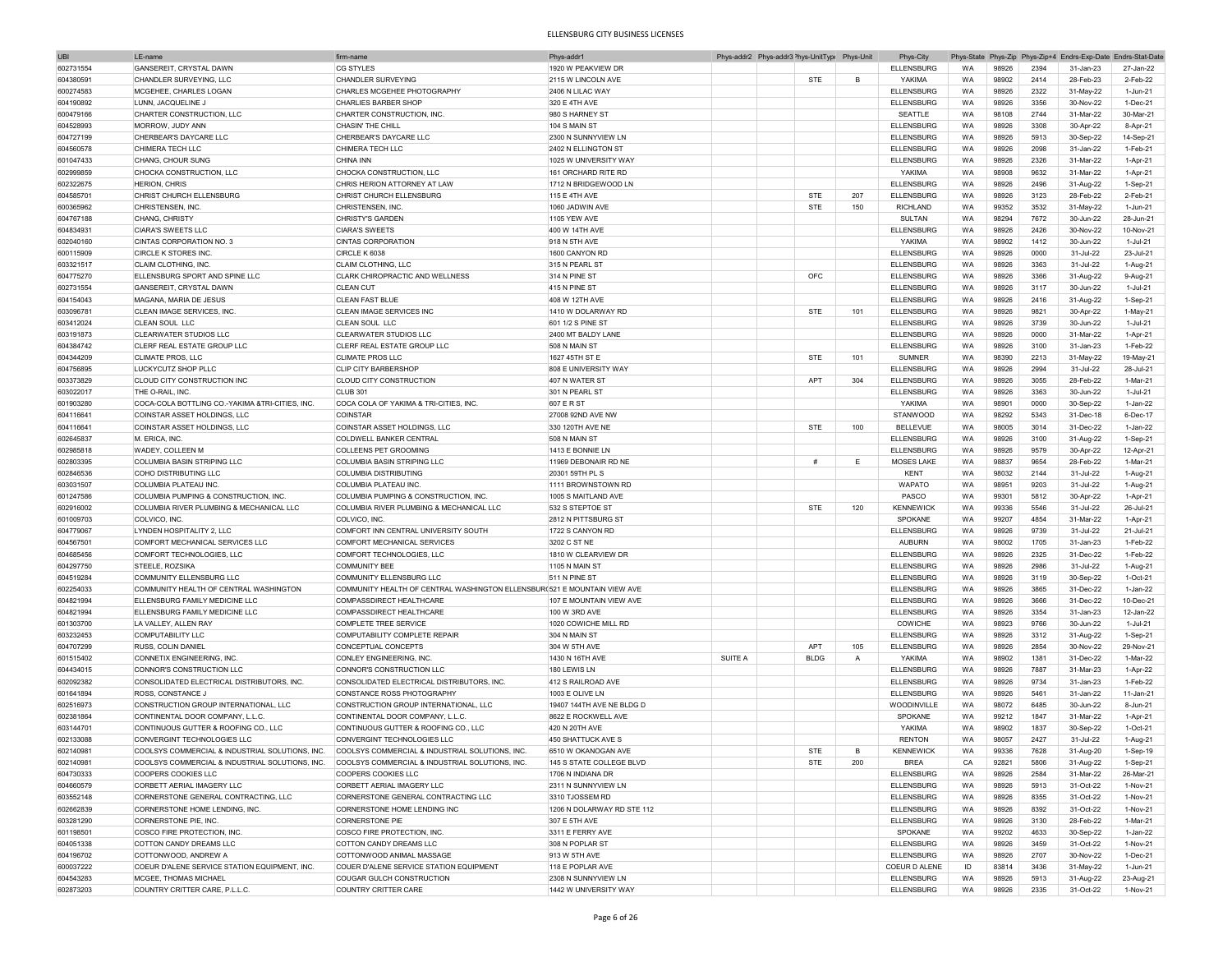| <b>UBI</b> | I F-name                                        | firm-name                                                                | Phys-addr1                      |         | Phys-addr2 Phys-addr3 Phys-UnitType Phys-Unit |                | Phys-City         |           |       |      | Phys-State Phys-Zip Phys-Zip+4 Endrs-Exp-Date Endrs-Stat-Date |                        |
|------------|-------------------------------------------------|--------------------------------------------------------------------------|---------------------------------|---------|-----------------------------------------------|----------------|-------------------|-----------|-------|------|---------------------------------------------------------------|------------------------|
| 602731554  | GANSEREIT, CRYSTAL DAWN                         | <b>CG STYLES</b>                                                         | 1920 W PEAKVIEW DR              |         |                                               |                | <b>ELLENSBURG</b> | <b>WA</b> | 98926 | 2394 | 31-Jan-23                                                     | 27-Jan-22              |
| 604380591  | CHANDLER SURVEYING, LLC                         | CHANDLER SURVEYING                                                       | 2115 W LINCOLN AVE              |         | <b>STE</b>                                    | B              | YAKIMA            | <b>WA</b> | 98902 | 2414 | 28-Feb-23                                                     | 2-Feb-22               |
| 600274583  | MCGEHEE, CHARLES LOGAN                          | CHARLES MCGEHEE PHOTOGRAPHY                                              | 2406 N LILAC WAY                |         |                                               |                | <b>ELLENSBURG</b> | WA        | 98926 | 2322 | 31-May-22                                                     | 1-Jun-21               |
|            |                                                 |                                                                          |                                 |         |                                               |                |                   | <b>WA</b> |       | 3356 |                                                               | 1-Dec-21               |
| 604190892  | LUNN, JACQUELINE J                              | CHARLIES BARBER SHOP                                                     | 320 E 4TH AVE                   |         |                                               |                | ELLENSBURG        |           | 98926 |      | 30-Nov-22                                                     |                        |
| 600479166  | CHARTER CONSTRUCTION, LLC                       | CHARTER CONSTRUCTION, INC                                                | 980 S HARNEY ST                 |         |                                               |                | SEATTLE           | WA        | 98108 | 2744 | 31-Mar-22                                                     | 30-Mar-21              |
| 604528993  | MORROW, JUDY ANN                                | CHASIN' THE CHILL                                                        | 104 S MAIN ST                   |         |                                               |                | ELLENSBURG        | <b>WA</b> | 98926 | 3308 | 30-Apr-22                                                     | 8-Apr-21               |
| 604727199  | CHERBEAR'S DAYCARE LLC                          | CHERBEAR'S DAYCARE LLC                                                   | 2300 N SUNNYVIEW LN             |         |                                               |                | <b>ELLENSBURG</b> | WA        | 98926 | 5913 | 30-Sep-22                                                     | 14-Sep-21              |
| 604560578  | CHIMERA TECH LLC                                | CHIMERA TECH LLC                                                         | 2402 N ELLINGTON ST             |         |                                               |                | <b>ELLENSBURG</b> | WA        | 98926 | 2098 | 31-Jan-22                                                     | 1-Feb-21               |
| 601047433  | CHANG, CHOUR SUNG                               | CHINA INN                                                                | 1025 W UNIVERSITY WAY           |         |                                               |                | <b>ELLENSBURG</b> | WA        | 98926 | 2326 | 31-Mar-22                                                     | 1-Apr-21               |
| 602999859  | CHOCKA CONSTRUCTION, LLC                        | CHOCKA CONSTRUCTION, LLC                                                 | 161 ORCHARD RITE RD             |         |                                               |                | YAKIMA            | WA        | 98908 | 9632 | 31-Mar-22                                                     | 1-Apr-21               |
| 602322675  | HERION, CHRIS                                   | CHRIS HERION ATTORNEY AT LAW                                             | 1712 N BRIDGEWOOD LN            |         |                                               |                | <b>ELLENSBURG</b> | WA        | 98926 | 2496 | 31-Aug-22                                                     | 1-Sep-21               |
| 604585701  | CHRIST CHURCH ELLENSBURG                        | <b>CHRIST CHURCH ELLENSBURG</b>                                          | 115 E 4TH AVE                   |         | <b>STE</b>                                    | 207            | <b>ELLENSBURG</b> | WA        | 98926 | 3123 | 28-Feb-22                                                     | 2-Feb-21               |
| 600365962  | CHRISTENSEN, INC                                | CHRISTENSEN, INC                                                         | 1060 JADWIN AVE                 |         | <b>STE</b>                                    | 150            | <b>RICHLAND</b>   | WA        | 99352 | 3532 |                                                               | 1-Jun-21               |
|            |                                                 |                                                                          |                                 |         |                                               |                |                   | <b>WA</b> |       | 7672 | 31-May-22                                                     | 28-Jun-21              |
| 604767188  | CHANG, CHRISTY                                  | <b>CHRISTY'S GARDEN</b>                                                  | <b>1105 YEW AVE</b>             |         |                                               |                | SULTAN            |           | 98294 |      | 30-Jun-22                                                     |                        |
| 604834931  | <b>CIARA'S SWEETS LLC</b>                       | <b>CIARA'S SWEETS</b>                                                    | 400 W 14TH AVE                  |         |                                               |                | ELLENSBURG        | WA        | 98926 | 2426 | 30-Nov-22                                                     | 10-Nov-21              |
| 602040160  | CINTAS CORPORATION NO. 3                        | <b>CINTAS CORPORATION</b>                                                | 918 N 5TH AVE                   |         |                                               |                | YAKIMA            | <b>WA</b> | 98902 | 1412 | 30-Jun-22                                                     | 1-Jul-21               |
| 600115909  | <b>CIRCLE K STORES INC</b>                      | CIRCLE K 6038                                                            | 1600 CANYON RD                  |         |                                               |                | <b>ELLENSBURG</b> | <b>WA</b> | 98926 | 0000 | 31-Jul-22                                                     | 23-Jul-21              |
| 603321517  | CLAIM CLOTHING, INC.                            | CLAIM CLOTHING, LLC                                                      | 315 N PEARL ST                  |         |                                               |                | <b>ELLENSBURG</b> | WA        | 98926 | 3363 | 31-Jul-22                                                     | 1-Aug-21               |
| 604775270  | ELLENSBURG SPORT AND SPINE LLC                  | CLARK CHIROPRACTIC AND WELLNESS                                          | 314 N PINE ST                   |         | OFC                                           |                | ELLENSBURG        | WA        | 98926 | 3366 | 31-Aug-22                                                     | 9-Aug-21               |
| 602731554  | GANSEREIT, CRYSTAL DAWN                         | <b>CLEAN CUT</b>                                                         | 415 N PINE ST                   |         |                                               |                | <b>ELLENSBURG</b> | WA        | 98926 | 3117 | 30-Jun-22                                                     | 1-Jul-21               |
| 604154043  | MAGANA, MARIA DE JESUS                          | <b>CLEAN FAST BLUE</b>                                                   | 408 W 12TH AVE                  |         |                                               |                | <b>ELLENSBURG</b> | WA        | 98926 | 2416 | 31-Aug-22                                                     | 1-Sep-21               |
| 603096781  | CLEAN IMAGE SERVICES, INC.                      | CLEAN IMAGE SERVICES INC                                                 | 1410 W DOLARWAY RD              |         | <b>STE</b>                                    | 101            | <b>ELLENSBURG</b> | WA        | 98926 | 9821 | 30-Apr-22                                                     | 1-May-21               |
| 603412024  | CLEAN SOUL LLC                                  | CLEAN SOUL LLC                                                           | 601 1/2 S PINE ST               |         |                                               |                | <b>ELLENSBURG</b> | WA        | 98926 | 3739 | 30-Jun-22                                                     | 1-Jul-21               |
|            |                                                 |                                                                          |                                 |         |                                               |                |                   |           |       |      |                                                               |                        |
| 603191873  | CLEARWATER STUDIOS LLC                          | CLEARWATER STUDIOS LLC                                                   | 2400 MT BALDY LANE              |         |                                               |                | <b>ELLENSBURG</b> | WA        | 98926 | 0000 | 31-Mar-22                                                     | 1-Apr-21               |
| 604384742  | CLERF REAL ESTATE GROUP LLC                     | CLERF REAL ESTATE GROUP LLC                                              | 508 N MAIN ST                   |         |                                               |                | <b>ELLENSBURG</b> | WA        | 98926 | 3100 | 31-Jan-23                                                     | 1-Feb-22               |
| 604344209  | CLIMATE PROS, LLC                               | CLIMATE PROS LLC                                                         | 1627 45TH ST E                  |         | <b>STE</b>                                    | 101            | <b>SUMNER</b>     | WA        | 98390 | 2213 | 31-May-22                                                     | 19-May-21              |
| 604756895  | LUCKYCUTZ SHOP PLLC                             | CLIP CITY BARBERSHOP                                                     | 808 E UNIVERSITY WAY            |         |                                               |                | <b>ELLENSBURG</b> | <b>WA</b> | 98926 | 2994 | 31-Jul-22                                                     | 28-Jul-21              |
| 603373829  | CLOUD CITY CONSTRUCTION INC                     | CLOUD CITY CONSTRUCTION                                                  | 407 N WATER ST                  |         | APT                                           | 304            | <b>ELLENSBURG</b> | <b>WA</b> | 98926 | 3055 | 28-Feb-22                                                     | 1-Mar-21               |
| 603022017  | THE O-RAIL, INC                                 | <b>CLUB 301</b>                                                          | 301 N PEARL ST                  |         |                                               |                | ELLENSBURG        | <b>WA</b> | 98926 | 3363 | 30-Jun-22                                                     | 1-Jul-21               |
| 601903280  | COCA-COLA BOTTLING CO.-YAKIMA &TRI-CITIES, INC. | COCA COLA OF YAKIMA & TRI-CITIES, INC.                                   | 607 E R ST                      |         |                                               |                | YAKIMA            | WA        | 98901 | 0000 | 30-Sep-22                                                     | 1-Jan-22               |
| 604116641  | COINSTAR ASSET HOLDINGS, LLC                    | <b>COINSTAR</b>                                                          | 27008 92ND AVE NW               |         |                                               |                | STANWOOD          | WA        | 98292 | 5343 | 31-Dec-18                                                     | 6-Dec-17               |
| 604116641  | COINSTAR ASSET HOLDINGS, LLC                    | COINSTAR ASSET HOLDINGS, LLC                                             | 330 120TH AVE NE                |         | STE                                           | 100            | <b>BELLEVUE</b>   | WA        | 98005 | 3014 | 31-Dec-22                                                     | 1-Jan-22               |
| 602645837  | M. ERICA, INC.                                  | COLDWELL BANKER CENTRAL                                                  | 508 N MAIN ST                   |         |                                               |                | <b>ELLENSBURG</b> | WA        | 98926 | 3100 |                                                               | 1-Sep-21               |
|            |                                                 |                                                                          |                                 |         |                                               |                |                   |           |       |      | 31-Aug-22                                                     |                        |
| 602985818  | WADEY, COLLEEN M                                | COLLEENS PET GROOMING                                                    | 1413 E BONNIE LN                |         |                                               |                | <b>ELLENSBURG</b> | WA        | 98926 | 9579 | 30-Apr-22                                                     | 12-Apr-21              |
| 602803395  | COLUMBIA BASIN STRIPING LLC                     | COLUMBIA BASIN STRIPING LLC                                              | 11969 DEBONAIR RD NE            |         | #                                             | Е              | MOSES LAKE        | WA        | 98837 | 9654 | 28-Feb-22                                                     | 1-Mar-21               |
| 602846536  | COHO DISTRIBUTING LLC                           | COLUMBIA DISTRIBUTING                                                    | 20301 59TH PL S                 |         |                                               |                | KENT              | WA        | 98032 | 2144 | 31-Jul-22                                                     | 1-Aug-21               |
| 603031507  | COLUMBIA PLATEAU INC.                           | COLUMBIA PLATEAU INC.                                                    | 1111 BROWNSTOWN RD              |         |                                               |                | <b>WAPATO</b>     | WA        | 98951 | 9203 | 31-Jul-22                                                     | 1-Aug-21               |
| 601247586  | COLUMBIA PUMPING & CONSTRUCTION, INC.           | COLUMBIA PUMPING & CONSTRUCTION, INC                                     | 1005 S MAITLAND AVE             |         |                                               |                | PASCO             | WA        | 99301 | 5812 | 30-Apr-22                                                     | 1-Apr-21               |
| 602916002  | COLUMBIA RIVER PLUMBING & MECHANICAL LLC        | COLUMBIA RIVER PLUMBING & MECHANICAL LLC                                 | 532 S STEPTOE ST                |         | <b>STE</b>                                    | 120            | <b>KENNEWICK</b>  | WA        | 99336 | 5546 | 31-Jul-22                                                     | 26-Jul-21              |
| 601009703  | COLVICO, INC.                                   | COLVICO, INC.                                                            | 2812 N PITTSBURG ST             |         |                                               |                | SPOKANE           | <b>WA</b> | 99207 | 4854 | 31-Mar-22                                                     | 1-Apr-21               |
| 604779067  | LYNDEN HOSPITALITY 2, LLC                       | COMFORT INN CENTRAL UNIVERSITY SOUTH                                     | 1722 S CANYON RD                |         |                                               |                | <b>ELLENSBURG</b> | <b>WA</b> | 98926 | 9739 | 31-Jul-22                                                     | 21-Jul-21              |
| 604567501  | COMFORT MECHANICAL SERVICES LLC                 | COMFORT MECHANICAL SERVICES                                              | 3202 C ST NE                    |         |                                               |                | <b>AUBURN</b>     | WA        | 98002 | 1705 | 31-Jan-23                                                     | 1-Feb-22               |
| 604685456  | COMFORT TECHNOLOGIES, LLC                       | COMFORT TECHNOLOGIES, LLC                                                | 1810 W CLEARVIEW DR             |         |                                               |                | <b>ELLENSBURG</b> | WA        | 98926 | 2325 | 31-Dec-22                                                     | 1-Feb-22               |
|            | STEELE, ROZSIKA                                 | <b>COMMUNITY BEE</b>                                                     |                                 |         |                                               |                |                   | WA        | 98926 | 2986 | 31-Jul-22                                                     |                        |
| 604297750  |                                                 | <b>COMMUNITY ELLENSBURG LLC</b>                                          | 1105 N MAIN ST<br>511 N PINE ST |         |                                               |                | <b>ELLENSBURG</b> | WA        |       | 3119 |                                                               | 1-Aug-21<br>$1-Oct-21$ |
| 604519284  | COMMUNITY ELLENSBURG LLC                        |                                                                          |                                 |         |                                               |                | <b>ELLENSBURG</b> |           | 98926 |      | 30-Sep-22                                                     |                        |
| 602254033  | COMMUNITY HEALTH OF CENTRAL WASHINGTON          | COMMUNITY HEALTH OF CENTRAL WASHINGTON ELLENSBUR(521 E MOUNTAIN VIEW AVE |                                 |         |                                               |                | <b>ELLENSBURG</b> | WA        | 98926 | 3865 | 31-Dec-22                                                     | 1-Jan-22               |
| 604821994  | ELLENSBURG FAMILY MEDICINE LLC                  | COMPASSDIRECT HEALTHCARE                                                 | 107 E MOUNTAIN VIEW AVE         |         |                                               |                | <b>ELLENSBURG</b> | WA        | 98926 | 3666 | 31-Dec-22                                                     | 10-Dec-21              |
| 604821994  | ELLENSBURG FAMILY MEDICINE LLC                  | COMPASSDIRECT HEALTHCARE                                                 | 100 W 3RD AVE                   |         |                                               |                | ELLENSBURG        | WA        | 98926 | 3354 | 31-Jan-23                                                     | 12-Jan-22              |
| 601303700  | LA VALLEY, ALLEN RAY                            | <b>COMPLETE TREE SERVICE</b>                                             | 1020 COWICHE MILL RD            |         |                                               |                | COWICHE           | WA        | 98923 | 9766 | 30-Jun-22                                                     | 1-Jul-21               |
| 603232453  | <b>COMPUTABILITY LLC</b>                        | COMPUTABILITY COMPLETE REPAIR                                            | 304 N MAIN ST                   |         |                                               |                | <b>ELLENSBURG</b> | WA        | 98926 | 3312 | 31-Aug-22                                                     | 1-Sep-21               |
| 604707299  | RUSS, COLIN DANIEL                              | CONCEPTUAL CONCEPTS                                                      | 304 W 5TH AVE                   |         | APT                                           | 105            | <b>ELLENSBURG</b> | WA        | 98926 | 2854 | 30-Nov-22                                                     | 29-Nov-21              |
| 601515402  | CONNETIX ENGINEERING, INC                       | CONLEY ENGINEERING, INC                                                  | 1430 N 16TH AVE                 | SUITE A | <b>BLDG</b>                                   | $\overline{A}$ | YAKIMA            | WA        | 98902 | 1381 | 31-Dec-22                                                     | 1-Mar-22               |
| 604434015  | CONNOR'S CONSTRUCTION LLC                       | CONNOR'S CONSTRUCTION LLC                                                | 180 LEWIS LN                    |         |                                               |                | <b>ELLENSBURG</b> | <b>WA</b> | 98926 | 7887 | 31-Mar-23                                                     | 1-Apr-22               |
| 602092382  | CONSOLIDATED ELECTRICAL DISTRIBUTORS, INC       | CONSOLIDATED ELECTRICAL DISTRIBUTORS, INC.                               | 412 S RAILROAD AVE              |         |                                               |                | <b>ELLENSBURG</b> | <b>WA</b> | 98926 | 9734 | 31-Jan-23                                                     | 1-Feb-22               |
| 601641894  | ROSS, CONSTANCE J                               | CONSTANCE ROSS PHOTOGRAPHY                                               | 1003 E OLIVE LN                 |         |                                               |                | <b>ELLENSBURG</b> | <b>WA</b> | 98926 | 5461 | 31-Jan-22                                                     | 11-Jan-21              |
|            | CONSTRUCTION GROUP INTERNATIONAL. LLC           | CONSTRUCTION GROUP INTERNATIONAL, LLC                                    | 19407 144TH AVE NE BLDG D       |         |                                               |                |                   | <b>WA</b> | 98072 | 6485 |                                                               | 8-Jun-21               |
| 602516973  |                                                 |                                                                          |                                 |         |                                               |                | WOODINVILLE       |           |       |      | 30-Jun-22                                                     |                        |
| 602381864  | CONTINENTAL DOOR COMPANY, L.L.C.                | CONTINENTAL DOOR COMPANY, L.L.C                                          | 8622 E ROCKWELL AVE             |         |                                               |                | SPOKANE           | WA        | 99212 | 1847 | 31-Mar-22                                                     | 1-Apr-21               |
| 603144701  | CONTINUOUS GUTTER & ROOFING CO., LLC            | CONTINUOUS GUTTER & ROOFING CO., LLC                                     | 420 N 20TH AVE                  |         |                                               |                | YAKIMA            | WA        | 98902 | 1837 | 30-Sep-22                                                     | 1-Oct-21               |
| 602133088  | CONVERGINT TECHNOLOGIES LLC                     | CONVERGINT TECHNOLOGIES LLC                                              | 450 SHATTUCK AVE S              |         |                                               |                | <b>RENTON</b>     | WA        | 98057 | 2427 | 31-Jul-22                                                     | 1-Aug-21               |
| 602140981  | COOLSYS COMMERCIAL & INDUSTRIAL SOLUTIONS, INC. | COOLSYS COMMERCIAL & INDUSTRIAL SOLUTIONS, INC.                          | 6510 W OKANOGAN AVE             |         | STE                                           |                | <b>KENNEWICK</b>  | WA        | 99336 | 7628 | 31-Aug-20                                                     | 1-Sep-19               |
| 602140981  | COOLSYS COMMERCIAL & INDUSTRIAL SOLUTIONS, INC. | COOLSYS COMMERCIAL & INDUSTRIAL SOLUTIONS, INC.                          | 145 S STATE COLLEGE BLVD        |         | STE                                           | 200            | <b>BREA</b>       | CA        | 92821 | 5806 | 31-Aug-22                                                     | 1-Sep-21               |
| 604730333  | <b>COOPERS COOKIES LLC</b>                      | COOPERS COOKIES LLC                                                      | 1706 N INDIANA DR               |         |                                               |                | <b>ELLENSBURG</b> | WA        | 98926 | 2584 | 31-Mar-22                                                     | 26-Mar-21              |
| 604660579  | CORBETT AERIAL IMAGERY LLC                      | CORBETT AERIAL IMAGERY LLC                                               | 2311 N SUNNYVIEW LN             |         |                                               |                | <b>ELLENSBURG</b> | WA        | 98926 | 5913 | 31-Oct-22                                                     | 1-Nov-21               |
| 603552148  | CORNERSTONE GENERAL CONTRACTING, LLC            | CORNERSTONE GENERAL CONTRACTING LLC                                      | 3310 TJOSSEM RD                 |         |                                               |                | <b>ELLENSBURG</b> | WA        | 98926 | 8355 | 31-Oct-22                                                     | 1-Nov-21               |
| 602662839  | CORNERSTONE HOME LENDING, INC.                  | CORNERSTONE HOME LENDING INC                                             | 1206 N DOLARWAY RD STE 112      |         |                                               |                | ELLENSBURG        | WA        | 98926 | 8392 | 31-Oct-22                                                     | 1-Nov-21               |
| 603281290  | CORNERSTONE PIE, INC.                           | <b>CORNERSTONE PIE</b>                                                   | 307 E 5TH AVE                   |         |                                               |                | <b>ELLENSBURG</b> | WA        | 98926 | 3130 | 28-Feb-22                                                     | 1-Mar-21               |
|            | COSCO FIRE PROTECTION, INC.                     | COSCO FIRE PROTECTION, INC.                                              | 3311 E FERRY AVE                |         |                                               |                |                   | WA        | 99202 | 4633 |                                                               |                        |
| 601198501  |                                                 |                                                                          |                                 |         |                                               |                | SPOKANE           |           |       |      | 30-Sep-22                                                     | 1-Jan-22               |
| 604051338  | COTTON CANDY DREAMS LLC                         | COTTON CANDY DREAMS LLC                                                  | 308 N POPLAR ST                 |         |                                               |                | <b>ELLENSBURG</b> | WA        | 98926 | 3459 | 31-Oct-22                                                     | 1-Nov-21               |
| 604196702  | COTTONWOOD, ANDREW A                            | COTTONWOOD ANIMAL MASSAGE                                                | 913 W 5TH AVE                   |         |                                               |                | ELLENSBURG        | WA        | 98926 | 2707 | 30-Nov-22                                                     | 1-Dec-21               |
| 600037222  | COEUR D'ALENE SERVICE STATION EQUIPMENT, INC.   | COUER D'ALENE SERVICE STATION EQUIPMENT                                  | 118 E POPLAR AVE                |         |                                               |                | COEUR D ALENE     | ID        | 83814 | 3436 | 31-May-22                                                     | $1$ -Jun- $21$         |
| 604543283  | MCGEE, THOMAS MICHAEL                           | COUGAR GULCH CONSTRUCTION                                                | 2308 N SUNNYVIEW LN             |         |                                               |                | <b>ELLENSBURG</b> | WA        | 98926 | 5913 | 31-Aug-22                                                     | 23-Aug-21              |
| 602873203  | COUNTRY CRITTER CARE, P.L.L.C.                  | COUNTRY CRITTER CARE                                                     | 1442 W UNIVERSITY WAY           |         |                                               |                | <b>ELLENSBURG</b> | WA        | 98926 | 2335 | 31-Oct-22                                                     | 1-Nov-21               |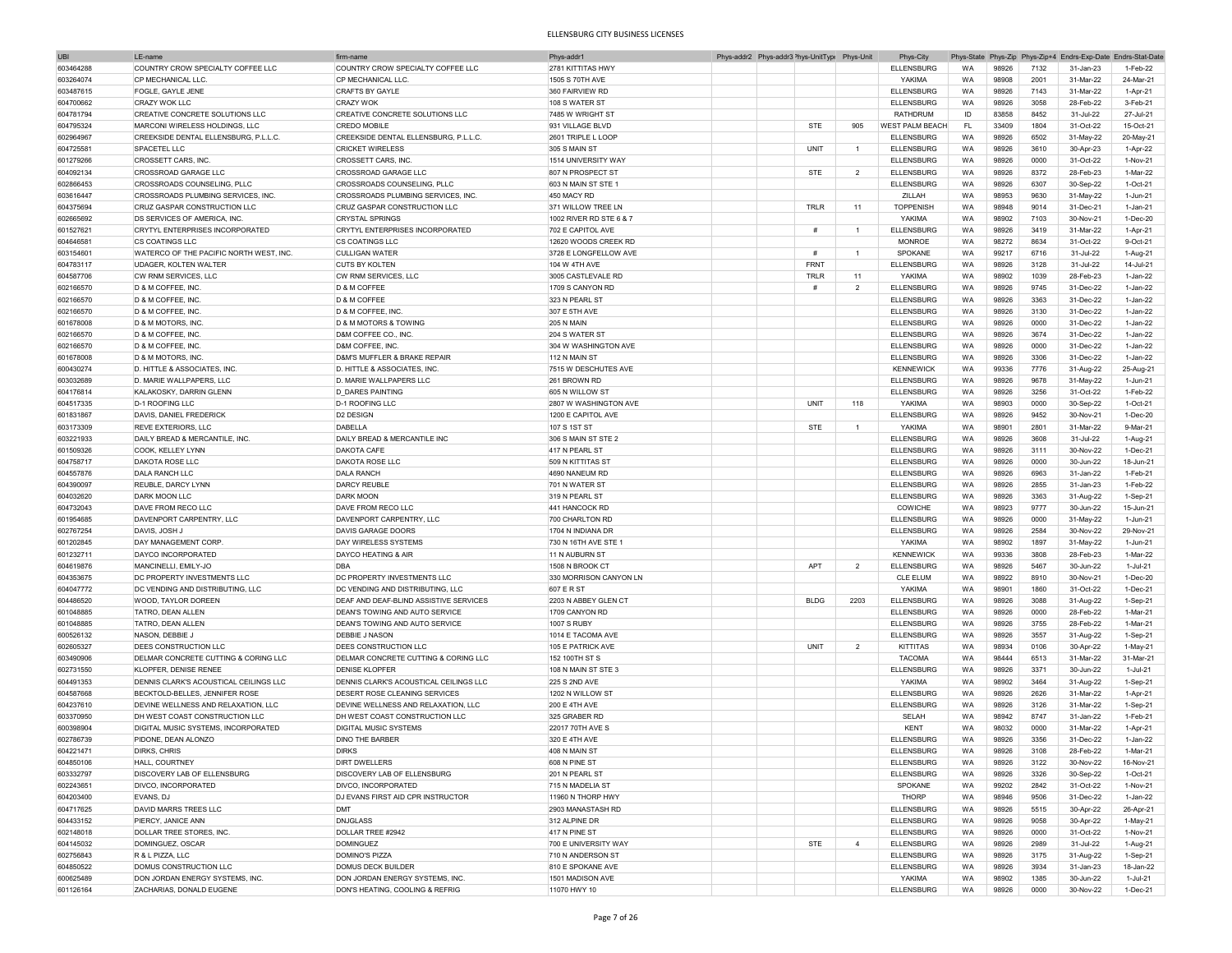| <b>UBI</b> | LE-name                                 | firm-name                              | Phys-addr'              |  | Phys-addr2 Phys-addr3 <sup>&gt;</sup> hys-UnitTyp( Phys-Unit |                | Phys-City              |           |       |      | Phys-State Phys-Zip Phys-Zip+4 Endrs-Exp-Date Endrs-Stat-Date |              |
|------------|-----------------------------------------|----------------------------------------|-------------------------|--|--------------------------------------------------------------|----------------|------------------------|-----------|-------|------|---------------------------------------------------------------|--------------|
| 603464288  | COUNTRY CROW SPECIALTY COFFEE LLC       | COUNTRY CROW SPECIALTY COFFEE LLC      | 2781 KITTITAS HWY       |  |                                                              |                | ELLENSBURG             | <b>WA</b> | 98926 | 7132 | 31-Jan-23                                                     | 1-Feb-22     |
| 603264074  | CP MECHANICAL LLC.                      | CP MECHANICAL LLC                      | 1505 S 70TH AVE         |  |                                                              |                | YAKIMA                 | WA        | 98908 | 2001 | 31-Mar-22                                                     | 24-Mar-21    |
| 603487615  | <b>FOGLE, GAYLE JENE</b>                | <b>CRAFTS BY GAYLE</b>                 | 360 FAIRVIEW RD         |  |                                                              |                | <b>ELLENSBURG</b>      | WA        | 98926 | 7143 | 31-Mar-22                                                     | 1-Apr-21     |
|            |                                         |                                        |                         |  |                                                              |                |                        |           |       |      |                                                               |              |
| 604700662  | <b>CRAZY WOK LLC</b>                    | <b>CRAZY WOK</b>                       | 108 S WATER ST          |  |                                                              |                | <b>ELLENSBURG</b>      | WA        | 98926 | 3058 | 28-Feb-22                                                     | 3-Feb-21     |
| 604781794  | CREATIVE CONCRETE SOLUTIONS LLC         | CREATIVE CONCRETE SOLUTIONS LLC        | 7485 W WRIGHT ST        |  |                                                              |                | <b>RATHDRUM</b>        | ID        | 83858 | 8452 | 31-Jul-22                                                     | 27-Jul-21    |
| 604795324  | MARCONI WIRELESS HOLDINGS, LLC          | <b>CREDO MOBILE</b>                    | 931 VILLAGE BLVD        |  | <b>STE</b>                                                   | 905            | <b>WEST PALM BEACH</b> | FL        | 33409 | 1804 | 31-Oct-22                                                     | 15-Oct-21    |
| 602964967  | CREEKSIDE DENTAL ELLENSBURG, P.L.L.C.   | CREEKSIDE DENTAL ELLENSBURG, P.L.L.C.  | 2601 TRIPLE LLOOP       |  |                                                              |                | <b>ELLENSBURG</b>      | WA        | 98926 | 6502 | 31-May-22                                                     | 20-May-21    |
| 604725581  | SPACETEL LLC                            | <b>CRICKET WIRELESS</b>                | 305 S MAIN ST           |  | UNIT                                                         | $\overline{1}$ | <b>ELLENSBURG</b>      | WA        | 98926 | 3610 | 30-Apr-23                                                     | 1-Apr-22     |
| 601279266  | CROSSETT CARS, INC.                     | <b>CROSSETT CARS, INC.</b>             | 1514 UNIVERSITY WAY     |  |                                                              |                | <b>ELLENSBURG</b>      | <b>WA</b> | 98926 | 0000 | 31-Oct-22                                                     | 1-Nov-21     |
|            |                                         |                                        |                         |  |                                                              |                |                        |           |       |      |                                                               |              |
| 604092134  | <b>CROSSROAD GARAGE LLC</b>             | <b>CROSSROAD GARAGE LLC</b>            | 807 N PROSPECT ST       |  | STE                                                          | $\overline{2}$ | <b>ELLENSBURG</b>      | WA        | 98926 | 8372 | 28-Feb-23                                                     | 1-Mar-22     |
| 602866453  | CROSSROADS COUNSELING, PLLC             | <b>CROSSROADS COUNSELING, PLLC</b>     | 603 N MAIN ST STE 1     |  |                                                              |                | <b>ELLENSBURG</b>      | WA        | 98926 | 6307 | 30-Sep-22                                                     | 1-Oct-21     |
| 603616447  | CROSSROADS PLUMBING SERVICES, INC.      | CROSSROADS PLUMBING SERVICES, INC.     | 450 MACY RD             |  |                                                              |                | ZILLAH                 | WA        | 98953 | 9630 | 31-May-22                                                     | 1-Jun-21     |
| 604375694  | <b>CRUZ GASPAR CONSTRUCTION LLC</b>     | CRUZ GASPAR CONSTRUCTION LLC           | 371 WILLOW TREE LN      |  | TRLR                                                         | 11             | <b>TOPPENISH</b>       | WA        | 98948 | 9014 | 31-Dec-21                                                     | 1-Jan-21     |
| 602665692  | <b>DS SERVICES OF AMERICA. INC</b>      | <b>CRYSTAL SPRINGS</b>                 | 1002 RIVER RD STE 6 & 7 |  |                                                              |                | YAKIMA                 | WA        | 98902 | 7103 | 30-Nov-21                                                     | $1-Dec-20$   |
| 601527621  | CRYTYL ENTERPRISES INCORPORATED         | CRYTYL ENTERPRISES INCORPORATED        | 702 E CAPITOL AVE       |  | #                                                            | $\overline{1}$ | <b>ELLENSBURG</b>      | WA        | 98926 | 3419 | 31-Mar-22                                                     | 1-Apr-21     |
|            |                                         |                                        |                         |  |                                                              |                |                        |           |       |      |                                                               |              |
| 604646581  | <b>CS COATINGS LLC</b>                  | CS COATINGS LLC                        | 12620 WOODS CREEK RD    |  |                                                              |                | <b>MONROE</b>          | WA        | 98272 | 8634 | 31-Oct-22                                                     | 9-Oct-21     |
| 603154601  | WATERCO OF THE PACIFIC NORTH WEST, INC. | <b>CULLIGAN WATER</b>                  | 3728 E LONGFELLOW AVE   |  | #                                                            | -1.            | <b>SPOKANE</b>         | WA        | 99217 | 6716 | 31-Jul-22                                                     | 1-Aug-21     |
| 604783117  | <b>UDAGER, KOLTEN WALTER</b>            | <b>CUTS BY KOLTEN</b>                  | 104 W 4TH AVE           |  | <b>FRNT</b>                                                  |                | ELLENSBURG             | <b>WA</b> | 98926 | 3128 | 31-Jul-22                                                     | 14-Jul-21    |
| 604587706  | CW RNM SERVICES, LLC                    | CW RNM SERVICES, LLC                   | 3005 CASTLEVALE RD      |  | TRLR                                                         | 11             | YAKIMA                 | WA        | 98902 | 1039 | 28-Feb-23                                                     | $1 -$ Jan-22 |
| 602166570  | D & M COFFEE, INC.                      | D & M COFFEE                           | 1709 S CANYON RD        |  | #                                                            | $\overline{2}$ | <b>ELLENSBURG</b>      | WA        | 98926 | 9745 | 31-Dec-22                                                     | 1-Jan-22     |
| 602166570  | D & M COFFEE, INC.                      | D & M COFFEE                           | 323 N PEARL ST          |  |                                                              |                | <b>ELLENSBURG</b>      | WA        | 98926 | 3363 | 31-Dec-22                                                     | 1-Jan-22     |
|            |                                         |                                        |                         |  |                                                              |                |                        |           |       |      |                                                               |              |
| 602166570  | D & M COFFEE, INC.                      | D & M COFFEE, INC.                     | 307 E 5TH AVE           |  |                                                              |                | <b>ELLENSBURG</b>      | WA        | 98926 | 3130 | 31-Dec-22                                                     | 1-Jan-22     |
| 601678008  | D & M MOTORS, INC.                      | <b>D &amp; M MOTORS &amp; TOWING</b>   | 205 N MAIN              |  |                                                              |                | <b>ELLENSBURG</b>      | WA        | 98926 | 0000 | 31-Dec-22                                                     | 1-Jan-22     |
| 602166570  | D & M COFFEE, INC                       | D&M COFFEE CO., INC.                   | 204 S WATER ST          |  |                                                              |                | <b>ELLENSBURG</b>      | WA        | 98926 | 3674 | 31-Dec-22                                                     | 1-Jan-22     |
| 602166570  | D & M COFFEE, INC.                      | D&M COFFEE, INC.                       | 304 W WASHINGTON AVE    |  |                                                              |                | <b>ELLENSBURG</b>      | WA        | 98926 | 0000 | 31-Dec-22                                                     | 1-Jan-22     |
| 601678008  | D & M MOTORS, INC.                      | D&M'S MUFFLER & BRAKE REPAIR           | 112 N MAIN ST           |  |                                                              |                | <b>ELLENSBURG</b>      | WA        | 98926 | 3306 | 31-Dec-22                                                     | 1-Jan-22     |
| 600430274  | D. HITTLE & ASSOCIATES, INC.            | D. HITTLE & ASSOCIATES, INC.           | 7515 W DESCHUTES AVE    |  |                                                              |                |                        | WA        | 99336 | 7776 |                                                               |              |
|            |                                         |                                        |                         |  |                                                              |                | <b>KENNEWICK</b>       |           |       |      | 31-Aug-22                                                     | 25-Aug-21    |
| 603032689  | D. MARIE WALLPAPERS, LLC                | D. MARIE WALLPAPERS LLC                | 261 BROWN RD            |  |                                                              |                | ELLENSBURG             | WA        | 98926 | 9678 | 31-May-22                                                     | 1-Jun-21     |
| 604176814  | KALAKOSKY, DARRIN GLENN                 | <b>D_DARES PAINTING</b>                | 605 N WILLOW ST         |  |                                                              |                | <b>ELLENSBURG</b>      | WA        | 98926 | 3256 | 31-Oct-22                                                     | 1-Feb-22     |
| 604517335  | <b>D-1 ROOFING LLC</b>                  | <b>D-1 ROOFING LLC</b>                 | 2807 W WASHINGTON AVE   |  | <b>UNIT</b>                                                  | 118            | YAKIMA                 | WA        | 98903 | 0000 | 30-Sep-22                                                     | $1-Oct-21$   |
| 601831867  | DAVIS, DANIEL FREDERICK                 | D2 DESIGN                              | 1200 E CAPITOL AVE      |  |                                                              |                | <b>ELLENSBURG</b>      | WA        | 98926 | 9452 | 30-Nov-21                                                     | 1-Dec-20     |
| 603173309  | <b>REVE EXTERIORS, LLC</b>              | DABELLA                                | 107 S 1ST ST            |  | <b>STE</b>                                                   | $\mathbf{1}$   | YAKIMA                 | <b>WA</b> | 98901 | 2801 | 31-Mar-22                                                     | 9-Mar-21     |
|            |                                         |                                        |                         |  |                                                              |                |                        |           |       | 3608 |                                                               |              |
| 603221933  | DAILY BREAD & MERCANTILE, INC           | DAILY BREAD & MERCANTILE INC           | 306 S MAIN ST STE 2     |  |                                                              |                | <b>ELLENSBURG</b>      | WA        | 98926 |      | 31-Jul-22                                                     | 1-Aug-21     |
| 601509326  | COOK, KELLEY LYNN                       | <b>DAKOTA CAFE</b>                     | 417 N PEARL ST          |  |                                                              |                | <b>ELLENSBURG</b>      | <b>WA</b> | 98926 | 3111 | 30-Nov-22                                                     | 1-Dec-21     |
| 604758717  | DAKOTA ROSE LLC                         | DAKOTA ROSE LLC                        | 509 N KITTITAS ST       |  |                                                              |                | <b>ELLENSBURG</b>      | WA        | 98926 | 0000 | 30-Jun-22                                                     | 18-Jun-21    |
| 604557876  | <b>DALA RANCH LLC</b>                   | <b>DALA RANCH</b>                      | 4690 NANEUM RD          |  |                                                              |                | <b>ELLENSBURG</b>      | WA        | 98926 | 6963 | 31-Jan-22                                                     | 1-Feb-21     |
| 604390097  | REUBLE, DARCY LYNN                      | <b>DARCY REUBLE</b>                    | 701 N WATER ST          |  |                                                              |                | <b>ELLENSBURG</b>      | WA        | 98926 | 2855 | 31-Jan-23                                                     | 1-Feb-22     |
| 604032620  | <b>DARK MOON LLC</b>                    | <b>DARK MOON</b>                       | 319 N PEARL ST          |  |                                                              |                | <b>ELLENSBURG</b>      | WA        | 98926 | 3363 |                                                               | 1-Sep-21     |
|            |                                         |                                        |                         |  |                                                              |                |                        |           |       |      | 31-Aug-22                                                     |              |
| 604732043  | DAVE FROM RECO LLC                      | DAVE FROM RECO LLC                     | 441 HANCOCK RD          |  |                                                              |                | <b>COWICHE</b>         | WA        | 98923 | 9777 | 30-Jun-22                                                     | 15-Jun-21    |
| 601954685  | DAVENPORT CARPENTRY, LLC                | DAVENPORT CARPENTRY, LLC               | 700 CHARLTON RD         |  |                                                              |                | <b>ELLENSBURG</b>      | WA        | 98926 | 0000 | 31-May-22                                                     | 1-Jun-21     |
| 602767254  | DAVIS, JOSH,                            | DAVIS GARAGE DOORS                     | 1704 N INDIANA DR       |  |                                                              |                | ELLENSBURG             | WA        | 98926 | 2584 | 30-Nov-22                                                     | 29-Nov-21    |
| 601202845  | DAY MANAGEMENT CORP.                    | <b>DAY WIRELESS SYSTEMS</b>            | 730 N 16TH AVE STE 1    |  |                                                              |                | YAKIMA                 | WA        | 98902 | 1897 | 31-May-22                                                     | 1-Jun-21     |
| 601232711  | DAYCO INCORPORATED                      | DAYCO HEATING & AIR                    | 11 N AUBURN ST          |  |                                                              |                | <b>KENNEWICK</b>       | WA        | 99336 | 3808 | 28-Feb-23                                                     | 1-Mar-22     |
| 604619876  | MANCINELLL EMILY-JO                     | DBA                                    | 1508 N BROOK CT         |  | <b>APT</b>                                                   | $\overline{2}$ | <b>ELLENSBURG</b>      | <b>WA</b> | 98926 | 5467 | 30-Jun-22                                                     | 1-Jul-21     |
|            |                                         |                                        |                         |  |                                                              |                |                        |           |       |      |                                                               |              |
| 604353675  | DC PROPERTY INVESTMENTS LLC             | DC PROPERTY INVESTMENTS LLC            | 330 MORRISON CANYON LN  |  |                                                              |                | <b>CLE ELUM</b>        | WA        | 98922 | 8910 | 30-Nov-21                                                     | 1-Dec-20     |
| 604047772  | DC VENDING AND DISTRIBUTING, LLC        | DC VENDING AND DISTRIBUTING, LLC       | 607 E R ST              |  |                                                              |                | YAKIMA                 | WA        | 98901 | 1860 | 31-Oct-22                                                     | 1-Dec-21     |
| 604486520  | WOOD, TAYLOR DOREEN                     | DEAF AND DEAF-BLIND ASSISTIVE SERVICES | 2203 N ABBEY GLEN CT    |  | <b>BLDG</b>                                                  | 2203           | <b>ELLENSBURG</b>      | WA        | 98926 | 3088 | 31-Aug-22                                                     | 1-Sep-21     |
| 601048885  | TATRO, DEAN ALLEN                       | DEAN'S TOWING AND AUTO SERVICE         | 1709 CANYON RD          |  |                                                              |                | <b>ELLENSBURG</b>      | WA        | 98926 | 0000 | 28-Feb-22                                                     | 1-Mar-21     |
| 601048885  | TATRO, DEAN ALLEN                       | <b>DEAN'S TOWING AND AUTO SERVICE</b>  | <b>1007 S RUBY</b>      |  |                                                              |                | <b>ELLENSBURG</b>      | WA        | 98926 | 3755 | 28-Feb-22                                                     | 1-Mar-21     |
| 600526132  | NASON, DEBBIE J                         | <b>DEBBIE J NASON</b>                  | 1014 E TACOMA AVE       |  |                                                              |                | <b>ELLENSBURG</b>      | WA        | 98926 | 3557 |                                                               | 1-Sep-21     |
|            | <b>DEES CONSTRUCTION LLC</b>            | DEES CONSTRUCTION LLC                  |                         |  | UNIT                                                         | $\overline{2}$ | KITTITAS               | WA        | 98934 | 0106 | 31-Aug-22                                                     |              |
| 602605327  |                                         |                                        | 105 E PATRICK AVE       |  |                                                              |                |                        |           |       |      | 30-Apr-22                                                     | 1-May-21     |
| 603490906  | DELMAR CONCRETE CUTTING & CORING LLC    | DELMAR CONCRETE CUTTING & CORING LLC   | 152 100TH ST S          |  |                                                              |                | <b>TACOMA</b>          | WA        | 98444 | 6513 | 31-Mar-22                                                     | 31-Mar-21    |
| 602731550  | <b>KLOPFER, DENISE RENEE</b>            | <b>DENISE KLOPFER</b>                  | 108 N MAIN ST STE 3     |  |                                                              |                | ELLENSBURG             | WA        | 98926 | 3371 | 30-Jun-22                                                     | 1-Jul-21     |
| 604491353  | DENNIS CLARK'S ACOUSTICAL CEILINGS LLC  | DENNIS CLARK'S ACOUSTICAL CEILINGS LLC | <b>225 S 2ND AVE</b>    |  |                                                              |                | YAKIMA                 | WA        | 98902 | 3464 | 31-Aug-22                                                     | 1-Sep-21     |
| 604587668  | BECKTOLD-BELLES, JENNIFER ROSE          | <b>DESERT ROSE CLEANING SERVICES</b>   | 1202 N WILLOW ST        |  |                                                              |                | ELLENSBURG             | WA        | 98926 | 2626 | 31-Mar-22                                                     | 1-Apr-21     |
| 604237610  | DEVINE WELLNESS AND RELAXATION, LLC     | DEVINE WELLNESS AND RELAXATION, LLC    | 200 E 4TH AVE           |  |                                                              |                | ELLENSBURG             | WA        | 98926 | 3126 | 31-Mar-22                                                     | 1-Sep-21     |
|            |                                         |                                        |                         |  |                                                              |                |                        |           |       | 8747 |                                                               |              |
| 603370950  | DH WEST COAST CONSTRUCTION LLC          | DH WEST COAST CONSTRUCTION LLC         | 325 GRABER RD           |  |                                                              |                | SELAH                  | WA        | 98942 |      | 31-Jan-22                                                     | 1-Feb-21     |
| 600398904  | DIGITAL MUSIC SYSTEMS, INCORPORATED     | <b>DIGITAL MUSIC SYSTEMS</b>           | 22017 70TH AVE S        |  |                                                              |                | KENT                   | WA        | 98032 | 0000 | 31-Mar-22                                                     | 1-Apr-21     |
| 602786739  | PIDONE, DEAN ALONZO                     | <b>DINO THE BARBER</b>                 | 320 E 4TH AVE           |  |                                                              |                | <b>ELLENSBURG</b>      | WA        | 98926 | 3356 | 31-Dec-22                                                     | 1-Jan-22     |
| 604221471  | DIRKS, CHRIS                            | <b>DIRKS</b>                           | 408 N MAIN ST           |  |                                                              |                | <b>ELLENSBURG</b>      | WA        | 98926 | 3108 | 28-Feb-22                                                     | $1$ -Mar-21  |
| 604850106  | HALL, COURTNEY                          | <b>DIRT DWELLERS</b>                   | 608 N PINE ST           |  |                                                              |                | <b>ELLENSBURG</b>      | WA        | 98926 | 3122 | 30-Nov-22                                                     | 16-Nov-21    |
|            | <b>DISCOVERY LAB OF ELLENSBURG</b>      | <b>DISCOVERY LAB OF ELLENSBURG</b>     |                         |  |                                                              |                |                        |           |       |      |                                                               |              |
| 603332797  |                                         |                                        | 201 N PEARL ST          |  |                                                              |                | <b>ELLENSBURG</b>      | WA        | 98926 | 3326 | 30-Sep-22                                                     | 1-Oct-21     |
| 602243651  | DIVCO, INCORPORATED                     | DIVCO, INCORPORATED                    | 715 N MADELIA ST        |  |                                                              |                | SPOKANE                | WA        | 99202 | 2842 | 31-Oct-22                                                     | 1-Nov-21     |
| 604203400  | EVANS, DJ                               | DJ EVANS FIRST AID CPR INSTRUCTOR      | 11960 N THORP HWY       |  |                                                              |                | THORP                  | WA        | 98946 | 9506 | 31-Dec-22                                                     | 1-Jan-22     |
| 604717625  | DAVID MARRS TREES LLC                   | DMT                                    | 2903 MANASTASH RD       |  |                                                              |                | <b>ELLENSBURG</b>      | WA        | 98926 | 5515 | 30-Apr-22                                                     | 26-Apr-21    |
| 604433152  | PIERCY, JANICE ANN                      | <b>DNJGLASS</b>                        | 312 ALPINE DR           |  |                                                              |                | ELLENSBURG             | WA        | 98926 | 9058 | 30-Apr-22                                                     | 1-May-21     |
| 602148018  | DOLLAR TREE STORES, INC.                | DOLLAR TREE #2942                      | 417 N PINE ST           |  |                                                              |                | <b>ELLENSBURG</b>      | WA        | 98926 | 0000 | 31-Oct-22                                                     | 1-Nov-21     |
|            |                                         |                                        | 700 E UNIVERSITY WAY    |  | <b>STE</b>                                                   | $\overline{4}$ |                        | WA        |       |      |                                                               |              |
| 604145032  | DOMINGUEZ, OSCAR                        | <b>DOMINGUEZ</b>                       |                         |  |                                                              |                | ELLENSBURG             |           | 98926 | 2989 | 31-Jul-22                                                     | 1-Aug-21     |
| 602756843  | R & L PIZZA, LLC                        | <b>DOMINO'S PIZZA</b>                  | 710 N ANDERSON ST       |  |                                                              |                | <b>ELLENSBURG</b>      | WA        | 98926 | 3175 | 31-Aug-22                                                     | 1-Sep-21     |
| 604850522  | DOMUS CONSTRUCTION LLC                  | <b>DOMUS DECK BUILDER</b>              | 810 E SPOKANE AVE       |  |                                                              |                | <b>ELLENSBURG</b>      | WA        | 98926 | 3934 | 31-Jan-23                                                     | 18-Jan-22    |
| 600625489  | DON JORDAN ENERGY SYSTEMS, INC.         | DON JORDAN ENERGY SYSTEMS, INC.        | 1501 MADISON AVE        |  |                                                              |                | YAKIMA                 | WA        | 98902 | 1385 | 30-Jun-22                                                     | 1-Jul-21     |
| 601126164  | ZACHARIAS, DONALD EUGENE                | DON'S HEATING, COOLING & REFRIG        | 11070 HWY 10            |  |                                                              |                | <b>ELLENSBURG</b>      | WA        | 98926 | 0000 | 30-Nov-22                                                     | 1-Dec-21     |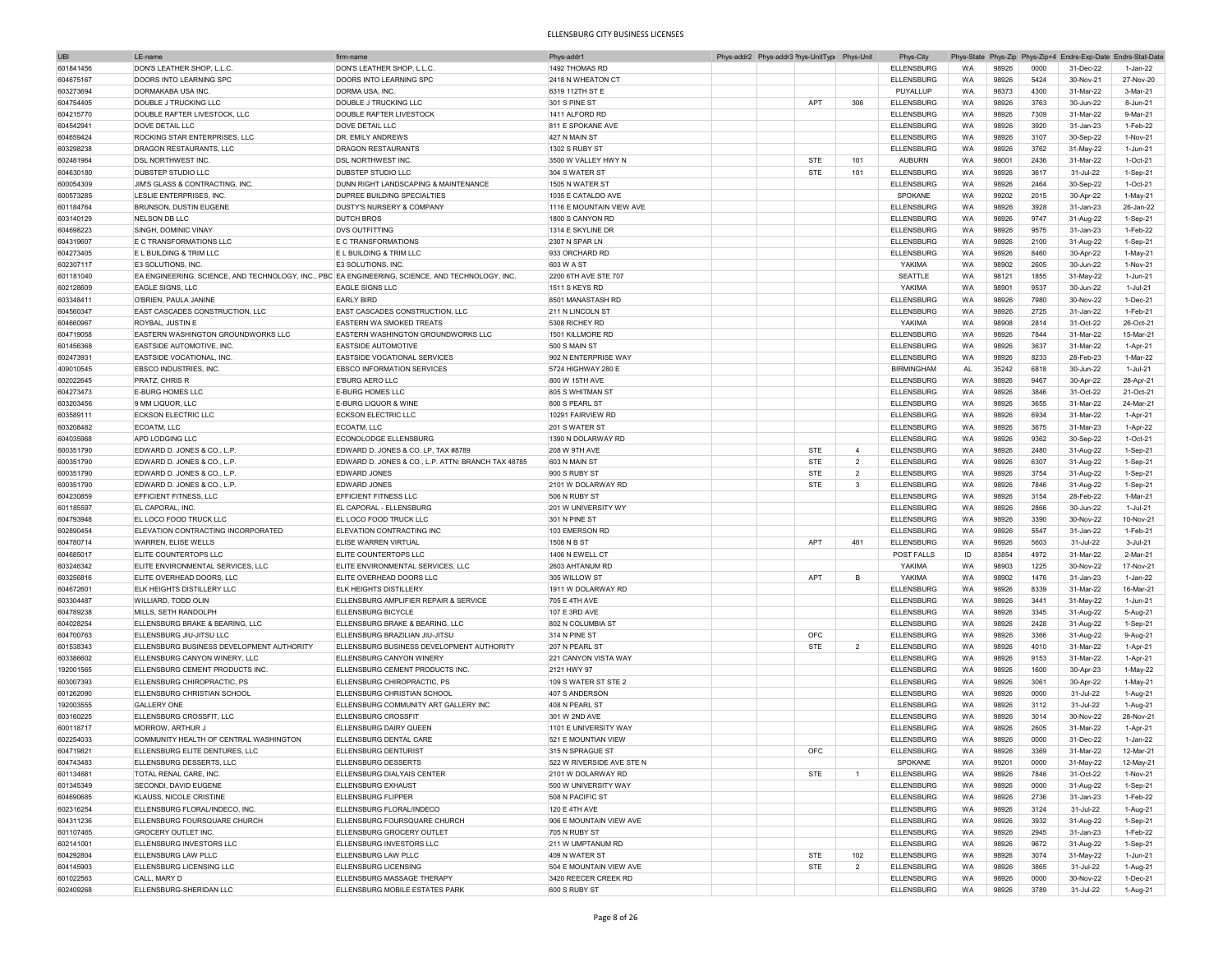| UBI       | LE-name                                                                                         | firm-name                                          | Phys-addr                 | Phys-addr2 Phys-addr3 <sup>&gt;</sup> hys-UnitType |            | Phys-Unit      | Phys-City         |           |       |      |           | Phys-State Phys-Zip Phys-Zip+4 Endrs-Exp-Date Endrs-Stat-Date |
|-----------|-------------------------------------------------------------------------------------------------|----------------------------------------------------|---------------------------|----------------------------------------------------|------------|----------------|-------------------|-----------|-------|------|-----------|---------------------------------------------------------------|
| 601841456 | DON'S LEATHER SHOP, L.L.C.                                                                      | DON'S LEATHER SHOP, L.L.C.                         | 1492 THOMAS RD            |                                                    |            |                | <b>ELLENSBURG</b> | WA        | 98926 | 0000 | 31-Dec-22 | 1-Jan-22                                                      |
| 604675167 | DOORS INTO LEARNING SPC                                                                         | DOORS INTO LEARNING SPC                            | 2418 N WHEATON CT         |                                                    |            |                | <b>ELLENSBURG</b> | WA        | 98926 | 5424 | 30-Nov-21 | 27-Nov-20                                                     |
| 603273694 | <b>DORMAKABA USA INC</b>                                                                        | DORMA USA, INC                                     | 6319 112TH ST E           |                                                    |            |                | PUYALLUP          | WA        | 98373 | 4300 | 31-Mar-22 | 3-Mar-21                                                      |
|           |                                                                                                 |                                                    |                           |                                                    |            |                |                   |           |       |      |           |                                                               |
| 604754405 | DOUBLE J TRUCKING LLC                                                                           | DOUBLE J TRUCKING LLC                              | 301 S PINE ST             |                                                    | APT        | 306            | <b>ELLENSBURG</b> | WA        | 98926 | 3763 | 30-Jun-22 | 8-Jun-21                                                      |
| 604215770 | DOUBLE RAFTER LIVESTOCK, LLC                                                                    | <b>DOUBLE RAFTER LIVESTOCK</b>                     | 1411 ALFORD RD            |                                                    |            |                | <b>ELLENSBURG</b> | WA        | 98926 | 7309 | 31-Mar-22 | 9-Mar-21                                                      |
| 604542941 | DOVE DETAIL LLC                                                                                 | DOVE DETAIL LLC                                    | 811 E SPOKANE AVE         |                                                    |            |                | <b>ELLENSBURG</b> | WA        | 98926 | 3920 | 31-Jan-23 | 1-Feb-22                                                      |
| 604659424 | ROCKING STAR ENTERPRISES, LLC                                                                   | DR. EMILY ANDREWS                                  | 427 N MAIN ST             |                                                    |            |                | <b>ELLENSBURG</b> | WA        | 98926 | 3107 | 30-Sep-22 | 1-Nov-21                                                      |
| 603298238 | DRAGON RESTAURANTS, LLC                                                                         | <b>DRAGON RESTAURANTS</b>                          | 1302 S RUBY ST            |                                                    |            |                | <b>ELLENSBURG</b> | WA        | 98926 | 3762 | 31-May-22 | 1-Jun-21                                                      |
| 602481964 | <b>DSL NORTHWEST INC</b>                                                                        | <b>DSL NORTHWEST INC.</b>                          | 3500 W VALLEY HWY N       |                                                    | <b>STE</b> | 101            | <b>AUBURN</b>     | WA        | 98001 | 2436 | 31-Mar-22 | 1-Oct-21                                                      |
|           |                                                                                                 |                                                    |                           |                                                    |            |                |                   |           |       |      |           |                                                               |
| 604630180 | DUBSTEP STUDIO LLC                                                                              | DUBSTEP STUDIO LLC                                 | 304 S WATER ST            |                                                    | <b>STE</b> | 101            | <b>ELLENSBURG</b> | WA        | 98926 | 3617 | 31-Jul-22 | 1-Sep-21                                                      |
| 600054309 | JIM'S GLASS & CONTRACTING, INC                                                                  | DUNN RIGHT LANDSCAPING & MAINTENANCE               | 1505 N WATER ST           |                                                    |            |                | <b>ELLENSBURG</b> | WA        | 98926 | 2464 | 30-Sep-22 | 1-Oct-21                                                      |
| 600573285 | LESLIE ENTERPRISES, INC.                                                                        | DUPREE BUILDING SPECIALTIES                        | 1035 E CATALDO AVE        |                                                    |            |                | SPOKANE           | WA        | 99202 | 2015 | 30-Apr-22 | 1-May-21                                                      |
| 601184764 | <b>BRUNSON, DUSTIN EUGENE</b>                                                                   | DUSTY'S NURSERY & COMPANY                          | 1116 E MOUNTAIN VIEW AVE  |                                                    |            |                | <b>ELLENSBURG</b> | WA        | 98926 | 3928 | 31-Jan-23 | 26-Jan-22                                                     |
| 603140129 | NELSON DB LLC                                                                                   | <b>DUTCH BROS</b>                                  | 1800 S CANYON RD          |                                                    |            |                | <b>ELLENSBURG</b> | WA        | 98926 | 9747 | 31-Aug-22 | 1-Sep-21                                                      |
| 604698223 | SINGH, DOMINIC VINAY                                                                            | <b>DVS OUTFITTING</b>                              | 1314 E SKYLINE DR         |                                                    |            |                | <b>ELLENSBURG</b> | WA        | 98926 | 9575 | 31-Jan-23 | 1-Feb-22                                                      |
|           |                                                                                                 |                                                    |                           |                                                    |            |                |                   |           |       |      |           |                                                               |
| 604319607 | E C TRANSFORMATIONS LLC                                                                         | E C TRANSFORMATIONS                                | 2307 N SPAR LN            |                                                    |            |                | <b>ELLENSBURG</b> | WA        | 98926 | 2100 | 31-Aug-22 | 1-Sep-21                                                      |
| 604273405 | E L BUILDING & TRIM LLC                                                                         | E L BUILDING & TRIM LLC                            | 933 ORCHARD RD            |                                                    |            |                | <b>ELLENSBURG</b> | WA        | 98926 | 8460 | 30-Apr-22 | 1-May-21                                                      |
| 602307117 | <b>E3 SOLUTIONS, INC</b>                                                                        | E3 SOLUTIONS, INC.                                 | 603 W A ST                |                                                    |            |                | YAKIMA            | WA        | 98902 | 2605 | 30-Jun-22 | 1-Nov-21                                                      |
| 601181040 | EA ENGINEERING, SCIENCE, AND TECHNOLOGY, INC., PBC EA ENGINEERING, SCIENCE, AND TECHNOLOGY, INC |                                                    | 2200 6TH AVE STE 707      |                                                    |            |                | SEATTLE           | WA        | 98121 | 1855 | 31-May-22 | 1-Jun-21                                                      |
| 602128609 | <b>EAGLE SIGNS, LLC</b>                                                                         | <b>EAGLE SIGNS LLC</b>                             | 1511 S KEYS RD            |                                                    |            |                | YAKIMA            | WA        | 98901 | 9537 | 30-Jun-22 | 1-Jul-21                                                      |
|           |                                                                                                 | <b>EARLY BIRD</b>                                  |                           |                                                    |            |                |                   | WA        | 98926 | 7980 |           | 1-Dec-21                                                      |
| 603348411 | O'BRIEN, PAULA JANINE                                                                           |                                                    | 8501 MANASTASH RD         |                                                    |            |                | <b>ELLENSBURG</b> |           |       |      | 30-Nov-22 |                                                               |
| 604560347 | EAST CASCADES CONSTRUCTION, LLC                                                                 | EAST CASCADES CONSTRUCTION, LLC                    | 211 N LINCOLN ST          |                                                    |            |                | <b>ELLENSBURG</b> | WA        | 98926 | 2725 | 31-Jan-22 | 1-Feb-21                                                      |
| 604660967 | <b>ROYBAL, JUSTIN E</b>                                                                         | <b>EASTERN WA SMOKED TREATS</b>                    | 5308 RICHEY RD            |                                                    |            |                | YAKIMA            | WA        | 98908 | 2814 | 31-Oct-22 | 26-Oct-21                                                     |
| 604719058 | EASTERN WASHINGTON GROUNDWORKS LLC                                                              | EASTERN WASHINGTON GROUNDWORKS LLC                 | 1501 KILLMORE RD          |                                                    |            |                | <b>ELLENSBURG</b> | WA        | 98926 | 7844 | 31-Mar-22 | 15-Mar-21                                                     |
| 601456368 | EASTSIDE AUTOMOTIVE, INC.                                                                       | <b>EASTSIDE AUTOMOTIVE</b>                         | 500 S MAIN ST             |                                                    |            |                | <b>ELLENSBURG</b> | WA        | 98926 | 3637 | 31-Mar-22 | 1-Apr-21                                                      |
| 602473931 | EASTSIDE VOCATIONAL, INC.                                                                       | EASTSIDE VOCATIONAL SERVICES                       | 902 N ENTERPRISE WAY      |                                                    |            |                | <b>ELLENSBURG</b> | WA        | 98926 | 8233 | 28-Feb-23 | 1-Mar-22                                                      |
|           |                                                                                                 | <b>EBSCO INFORMATION SERVICES</b>                  |                           |                                                    |            |                |                   |           |       |      |           | $1 -$ Jul-21                                                  |
| 409010545 | <b>EBSCO INDUSTRIES, INC</b>                                                                    |                                                    | 5724 HIGHWAY 280 E        |                                                    |            |                | <b>BIRMINGHAM</b> | <b>AL</b> | 35242 | 6818 | 30-Jun-22 |                                                               |
| 602022645 | PRATZ, CHRIS R                                                                                  | E'BURG AERO LLC                                    | 800 W 15TH AVE            |                                                    |            |                | <b>ELLENSBURG</b> | WA        | 98926 | 9467 | 30-Apr-22 | 28-Apr-21                                                     |
| 604273473 | <b>E-BURG HOMES LLC</b>                                                                         | <b>E-BURG HOMES LLC</b>                            | 805 S WHITMAN ST          |                                                    |            |                | <b>ELLENSBURG</b> | WA        | 98926 | 3846 | 31-Oct-22 | 21-Oct-21                                                     |
| 603203456 | 9 MM LIQUOR, LLC                                                                                | E-BURG LIQUOR & WINE                               | 800 S PEARL ST            |                                                    |            |                | <b>ELLENSBURG</b> | WA        | 98926 | 3655 | 31-Mar-22 | 24-Mar-21                                                     |
| 603589111 | <b>ECKSON ELECTRIC LLC</b>                                                                      | <b>ECKSON ELECTRIC LLC</b>                         | 10291 FAIRVIEW RD         |                                                    |            |                | <b>ELLENSBURG</b> | WA        | 98926 | 6934 | 31-Mar-22 | 1-Apr-21                                                      |
| 603208482 | ECOATM, LLC                                                                                     | ECOATM. LLC                                        | 201 S WATER ST            |                                                    |            |                | <b>ELLENSBURG</b> | WA        | 98926 | 3675 | 31-Mar-23 | 1-Apr-22                                                      |
|           |                                                                                                 |                                                    |                           |                                                    |            |                |                   |           |       |      |           |                                                               |
| 604035968 | APD LODGING LLC                                                                                 | <b>ECONOLODGE ELLENSBURG</b>                       | 1390 N DOLARWAY RD        |                                                    |            |                | <b>ELLENSBURG</b> | WA        | 98926 | 9362 | 30-Sep-22 | 1-Oct-21                                                      |
| 600351790 | EDWARD D. JONES & CO., L.P                                                                      | EDWARD D. JONES & CO. LP, TAX #8789                | 208 W 9TH AVE             |                                                    | <b>STE</b> | $\overline{4}$ | <b>ELLENSBURG</b> | WA        | 98926 | 2480 | 31-Aug-22 | 1-Sep-21                                                      |
| 600351790 | EDWARD D. JONES & CO., L.P                                                                      | EDWARD D. JONES & CO., L.P. ATTN: BRANCH TAX 48785 | 603 N MAIN ST             |                                                    | <b>STE</b> | $\overline{2}$ | <b>ELLENSBURG</b> | WA        | 98926 | 6307 | 31-Aug-22 | 1-Sep-21                                                      |
| 600351790 | EDWARD D. JONES & CO., L.P                                                                      | <b>EDWARD JONES</b>                                | 900 S RUBY ST             |                                                    | STE        | $\overline{2}$ | <b>ELLENSBURG</b> | WA        | 98926 | 3754 | 31-Aug-22 | 1-Sep-21                                                      |
| 600351790 | EDWARD D. JONES & CO., L.P                                                                      | <b>EDWARD JONES</b>                                | 2101 W DOLARWAY RD        |                                                    | <b>STE</b> | 3              | <b>ELLENSBURG</b> | WA        | 98926 | 7846 | 31-Aug-22 | 1-Sep-21                                                      |
| 604230859 | EFFICIENT FITNESS, LLC                                                                          | EFFICIENT FITNESS LLC                              | 506 N RUBY ST             |                                                    |            |                | <b>ELLENSBURG</b> | WA        | 98926 | 3154 | 28-Feb-22 | 1-Mar-21                                                      |
|           |                                                                                                 |                                                    |                           |                                                    |            |                |                   |           |       |      |           |                                                               |
| 601185597 | EL CAPORAL, INC                                                                                 | <b>EL CAPORAL - ELLENSBURG</b>                     | 201 W UNIVERSITY WY       |                                                    |            |                | <b>ELLENSBURG</b> | WA        | 98926 | 2866 | 30-Jun-22 | 1-Jul-21                                                      |
| 604793948 | <b>EL LOCO FOOD TRUCK LLC</b>                                                                   | EL LOCO FOOD TRUCK LLC                             | 301 N PINE ST             |                                                    |            |                | <b>ELLENSBURG</b> | WA        | 98926 | 3390 | 30-Nov-22 | 10-Nov-21                                                     |
| 602890454 | ELEVATION CONTRACTING INCORPORATED                                                              | <b>ELEVATION CONTRACTING INC</b>                   | 103 EMERSON RD            |                                                    |            |                | <b>ELLENSBURG</b> | WA        | 98926 | 5547 | 31-Jan-22 | 1-Feb-21                                                      |
| 604780714 | WARREN, ELISE WELLS                                                                             | <b>ELISE WARREN VIRTUAL</b>                        | 1508 N B ST               |                                                    | APT        | 401            | <b>ELLENSBURG</b> | WA        | 98926 | 5603 | 31-Jul-22 | 3-Jul-21                                                      |
| 604685017 | <b>ELITE COUNTERTOPS LLC</b>                                                                    | ELITE COUNTERTOPS LLC                              | 1406 N EWELL CT           |                                                    |            |                | POST FALLS        | ID        | 83854 | 4972 | 31-Mar-22 | 2-Mar-21                                                      |
|           |                                                                                                 |                                                    |                           |                                                    |            |                |                   |           |       | 1225 |           | 17-Nov-21                                                     |
| 603246342 | ELITE ENVIRONMENTAL SERVICES, LLC                                                               | ELITE ENVIRONMENTAL SERVICES, LLC                  | 2603 AHTANUM RD           |                                                    |            |                | YAKIMA            | WA        | 98903 |      | 30-Nov-22 |                                                               |
| 603256816 | ELITE OVERHEAD DOORS, LLC                                                                       | ELITE OVERHEAD DOORS LLC                           | 305 WILLOW ST             |                                                    | <b>APT</b> | B              | YAKIMA            | WA        | 98902 | 1476 | 31-Jan-23 | 1-Jan-22                                                      |
| 604672601 | ELK HEIGHTS DISTILLERY LLC                                                                      | <b>ELK HEIGHTS DISTILLERY</b>                      | 1911 W DOLARWAY RD        |                                                    |            |                | <b>ELLENSBURG</b> | WA        | 98926 | 8339 | 31-Mar-22 | 16-Mar-21                                                     |
| 603304487 | WILLIARD, TODD OLIN                                                                             | ELLENSBURG AMPLIFIER REPAIR & SERVICE              | 705 E 4TH AVE             |                                                    |            |                | <b>ELLENSBURG</b> | WA        | 98926 | 3441 | 31-May-22 | 1-Jun-21                                                      |
| 604789238 | MILLS, SETH RANDOLPH                                                                            | <b>ELLENSBURG BICYCLE</b>                          | 107 E 3RD AVE             |                                                    |            |                | <b>ELLENSBURG</b> | WA        | 98926 | 3345 | 31-Aug-22 | 5-Aug-21                                                      |
| 604028254 | ELLENSBURG BRAKE & BEARING, LLC                                                                 | ELLENSBURG BRAKE & BEARING, LLC                    | 802 N COLUMBIA ST         |                                                    |            |                | <b>ELLENSBURG</b> | WA        | 98926 | 2428 | 31-Aug-22 | 1-Sep-21                                                      |
|           |                                                                                                 |                                                    |                           |                                                    | OFC        |                |                   |           |       | 3366 |           |                                                               |
| 604700763 | ELLENSBURG JIU-JITSU LLC                                                                        | ELLENSBURG BRAZILIAN JIU-JITSU                     | 314 N PINE ST             |                                                    |            |                | <b>ELLENSBURG</b> | WA        | 98926 |      | 31-Aug-22 | 9-Aug-21                                                      |
| 601538343 | ELLENSBURG BUSINESS DEVELOPMENT AUTHORITY                                                       | ELLENSBURG BUSINESS DEVELOPMENT AUTHORITY          | 207 N PEARL ST            |                                                    | <b>STE</b> | $\overline{2}$ | <b>ELLENSBURG</b> | WA        | 98926 | 4010 | 31-Mar-22 | 1-Apr-21                                                      |
| 603386602 | ELLENSBURG CANYON WINERY, LLC                                                                   | ELLENSBURG CANYON WINERY                           | 221 CANYON VISTA WAY      |                                                    |            |                | <b>ELLENSBURG</b> | WA        | 98926 | 9153 | 31-Mar-22 | 1-Apr-21                                                      |
| 192001565 | ELLENSBURG CEMENT PRODUCTS INC.                                                                 | ELLENSBURG CEMENT PRODUCTS INC.                    | 2121 HWY 97               |                                                    |            |                | <b>ELLENSBURG</b> | WA        | 98926 | 1600 | 30-Apr-23 | 1-May-22                                                      |
| 603007393 | ELLENSBURG CHIROPRACTIC, PS                                                                     | ELLENSBURG CHIROPRACTIC. PS                        | 109 S WATER ST STE 2      |                                                    |            |                | <b>ELLENSBURG</b> | WA        | 98926 | 3061 | 30-Apr-22 | 1-May-21                                                      |
| 601262090 | ELLENSBURG CHRISTIAN SCHOOL                                                                     | ELLENSBURG CHRISTIAN SCHOOL                        | 407 S ANDERSON            |                                                    |            |                | <b>ELLENSBURG</b> | WA        | 98926 | 0000 | 31-Jul-22 | 1-Aug-21                                                      |
| 192003555 | <b>GALLERY ONE</b>                                                                              | ELLENSBURG COMMUNITY ART GALLERY INC               | 408 N PEARL ST            |                                                    |            |                | <b>ELLENSBURG</b> | WA        | 98926 | 3112 | 31-Jul-22 |                                                               |
|           |                                                                                                 | <b>ELLENSBURG CROSSFIT</b>                         |                           |                                                    |            |                |                   |           |       |      |           | 1-Aug-21                                                      |
| 603160225 | ELLENSBURG CROSSFIT, LLC                                                                        |                                                    | 301 W 2ND AVE             |                                                    |            |                | <b>ELLENSBURG</b> | <b>WA</b> | 98926 | 3014 | 30-Nov-22 | 28-Nov-21                                                     |
| 600118717 | <b>MORROW, ARTHUR J</b>                                                                         | ELLENSBURG DAIRY QUEEN                             | 1101 E UNIVERSITY WAY     |                                                    |            |                | <b>ELLENSBURG</b> | <b>WA</b> | 98926 | 2605 | 31-Mar-22 | 1-Apr-21                                                      |
| 602254033 | COMMUNITY HEALTH OF CENTRAL WASHINGTON                                                          | ELLENSBURG DENTAL CARE                             | 521 E MOUNTIAN VIEW       |                                                    |            |                | <b>ELLENSBURG</b> | WA        | 98926 | 0000 | 31-Dec-22 | $1$ -Jan- $22$                                                |
| 604719821 | ELLENSBURG ELITE DENTURES, LLC                                                                  | ELLENSBURG DENTURIST                               | 315 N SPRAGUE ST          |                                                    | OFC        |                | ELLENSBURG        | WA        | 98926 | 3369 | 31-Mar-22 | 12-Mar-21                                                     |
| 604743483 | ELLENSBURG DESSERTS, LLC                                                                        | <b>ELLENSBURG DESSERTS</b>                         | 522 W RIVERSIDE AVE STE N |                                                    |            |                | SPOKANE           | WA        | 99201 | 0000 | 31-May-22 | 12-May-21                                                     |
|           |                                                                                                 |                                                    |                           |                                                    |            | $\overline{1}$ |                   |           |       | 7846 |           |                                                               |
| 601134681 | TOTAL RENAL CARE, INC.                                                                          | ELLENSBURG DIALYAIS CENTER                         | 2101 W DOLARWAY RD        |                                                    | STE        |                | <b>ELLENSBURG</b> | WA        | 98926 |      | 31-Oct-22 | 1-Nov-21                                                      |
| 601345349 | SECONDI, DAVID EUGENE                                                                           | <b>ELLENSBURG EXHAUST</b>                          | 500 W UNIVERSITY WAY      |                                                    |            |                | <b>ELLENSBURG</b> | WA        | 98926 | 0000 | 31-Aug-22 | 1-Sep-21                                                      |
| 604690685 | <b>KLAUSS, NICOLE CRISTINE</b>                                                                  | <b>ELLENSBURG FLIPPER</b>                          | 508 N PACIFIC ST          |                                                    |            |                | <b>ELLENSBURG</b> | WA        | 98926 | 2736 | 31-Jan-23 | 1-Feb-22                                                      |
| 602316254 | ELLENSBURG FLORAL/INDECO, INC.                                                                  | ELLENSBURG FLORAL/INDECO                           | 120 E 4TH AVE             |                                                    |            |                | <b>ELLENSBURG</b> | WA        | 98926 | 3124 | 31-Jul-22 | 1-Aug-21                                                      |
| 604311236 | <b>ELLENSBURG FOURSQUARE CHURCH</b>                                                             | ELLENSBURG FOURSQUARE CHURCH                       | 906 E MOUNTAIN VIEW AVE   |                                                    |            |                | <b>ELLENSBURG</b> | WA        | 98926 | 3932 | 31-Aug-22 | 1-Sep-21                                                      |
| 601107465 | <b>GROCERY OUTLET INC.</b>                                                                      | ELLENSBURG GROCERY OUTLET                          | 705 N RUBY ST             |                                                    |            |                | <b>ELLENSBURG</b> | WA        | 98926 | 2945 | 31-Jan-23 | 1-Feb-22                                                      |
|           |                                                                                                 |                                                    |                           |                                                    |            |                |                   |           |       |      |           |                                                               |
| 602141001 | ELLENSBURG INVESTORS LLC                                                                        | <b>ELLENSBURG INVESTORS LLC</b>                    | 211 W UMPTANUM RD         |                                                    |            |                | <b>ELLENSBURG</b> | WA        | 98926 | 9672 | 31-Aug-22 | 1-Sep-21                                                      |
| 604292804 | <b>ELLENSBURG LAW PLLC</b>                                                                      | <b>ELLENSBURG LAW PLLC</b>                         | 409 N WATER ST            |                                                    | STE        | 102            | <b>ELLENSBURG</b> | WA        | 98926 | 3074 | 31-May-22 | 1-Jun-21                                                      |
| 604145903 | ELLENSBURG LICENSING LLC                                                                        | <b>ELLENSBURG LICENSING</b>                        | 504 E MOUNTAIN VIEW AVE   |                                                    | <b>STE</b> | $\overline{2}$ | ELLENSBURG        | WA        | 98926 | 3865 | 31-Jul-22 | 1-Aug-21                                                      |
| 601022563 | CALL, MARY D                                                                                    | ELLENSBURG MASSAGE THERAPY                         | 3420 REECER CREEK RD      |                                                    |            |                | <b>ELLENSBURG</b> | WA        | 98926 | 0000 | 30-Nov-22 | 1-Dec-21                                                      |
| 602409268 | ELLENSBURG-SHERIDAN LLC                                                                         | ELLENSBURG MOBILE ESTATES PARK                     | 600 S RUBY ST             |                                                    |            |                | <b>ELLENSBURG</b> | WA        | 98926 | 3789 | 31-Jul-22 | 1-Aug-21                                                      |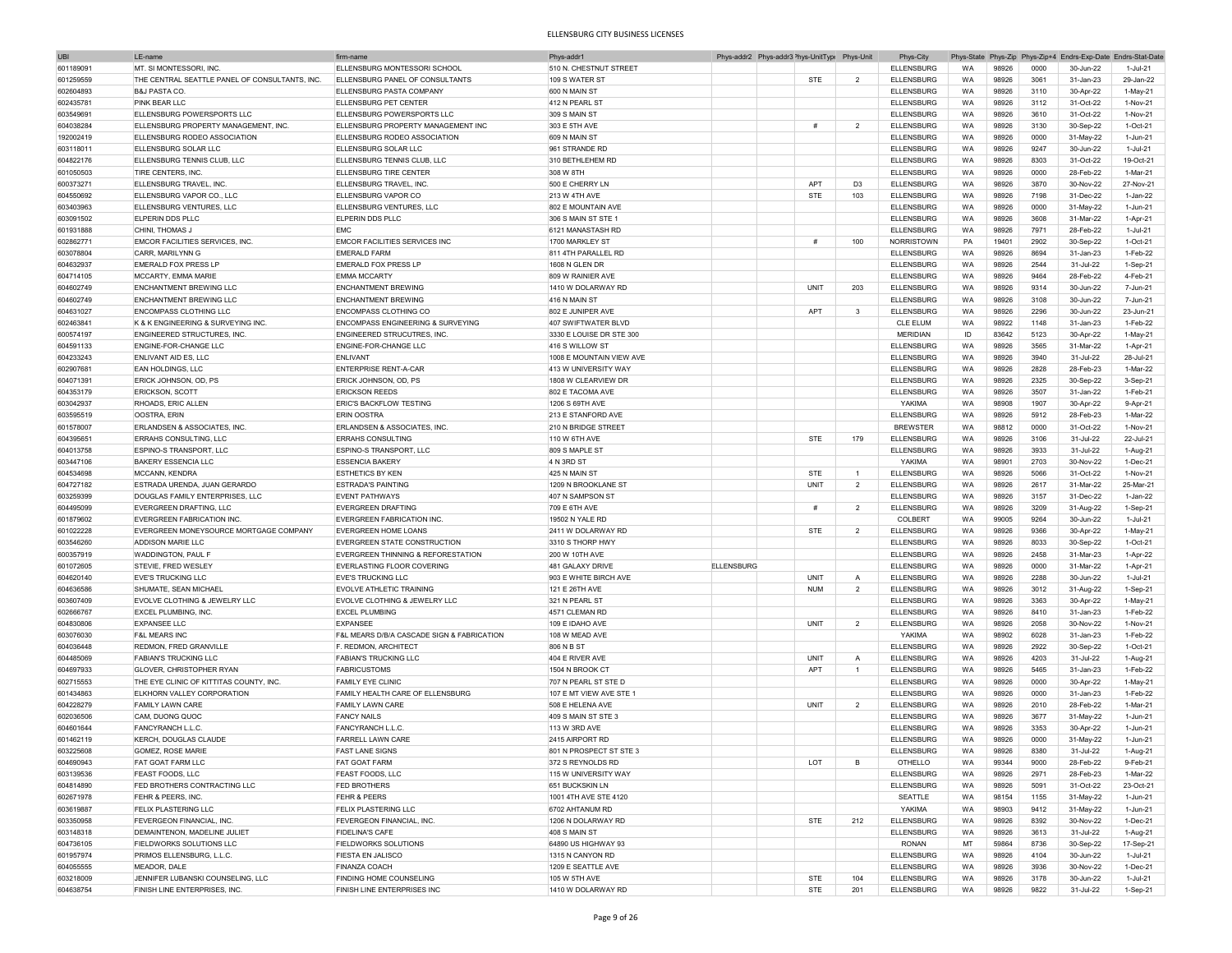| <b>UBI</b> | LE-name                                        | firm-name                                  | Phys-addr1               |                   | Phys-addr2 Phys-addr3 <sup>&gt;</sup> hys-UnitTypi Phys-Unit |                | Phys-City         |           |       |              | Phys-State Phys-Zip Phys-Zip+4 Endrs-Exp-Date Endrs-Stat-Date |              |
|------------|------------------------------------------------|--------------------------------------------|--------------------------|-------------------|--------------------------------------------------------------|----------------|-------------------|-----------|-------|--------------|---------------------------------------------------------------|--------------|
| 601189091  | <b>MT. SI MONTESSORI. INC</b>                  | ELLENSBURG MONTESSORI SCHOOL               | 510 N. CHESTNUT STREET   |                   |                                                              |                | <b>ELLENSBURG</b> | <b>WA</b> | 98926 | 0000         | 30-Jun-22                                                     | 1-Jul-21     |
| 601259559  | THE CENTRAL SEATTLE PANEL OF CONSULTANTS, INC. | ELLENSBURG PANEL OF CONSULTANTS            | 109 S WATER ST           |                   | STE                                                          | $\overline{2}$ | <b>ELLENSBURG</b> | WA        | 98926 | 3061         | 31-Jan-23                                                     | 29-Jan-22    |
| 602604893  | <b>B&amp;J PASTA CO</b>                        | ELLENSBURG PASTA COMPANY                   | 600 N MAIN ST            |                   |                                                              |                | <b>ELLENSBURG</b> | WA        | 98926 | 3110         | 30-Apr-22                                                     | 1-May-21     |
|            | <b>PINK BEAR LLC</b>                           | ELLENSBURG PET CENTER                      |                          |                   |                                                              |                | <b>ELLENSBURG</b> |           |       | 3112         |                                                               |              |
| 602435781  |                                                |                                            | 412 N PEARL ST           |                   |                                                              |                |                   | WA        | 98926 |              | 31-Oct-22                                                     | 1-Nov-21     |
| 603549691  | ELLENSBURG POWERSPORTS LLC                     | ELLENSBURG POWERSPORTS LLC                 | 309 S MAIN ST            |                   |                                                              |                | <b>ELLENSBURG</b> | WA        | 98926 | 3610         | 31-Oct-22                                                     | 1-Nov-21     |
| 604038284  | ELLENSBURG PROPERTY MANAGEMENT, INC.           | ELLENSBURG PROPERTY MANAGEMENT INC         | 303 E 5TH AVE            |                   | #                                                            | $\overline{2}$ | <b>ELLENSBURG</b> | WA        | 98926 | 3130         | 30-Sep-22                                                     | 1-Oct-21     |
| 192002419  | ELLENSBURG RODEO ASSOCIATION                   | ELLENSBURG RODEO ASSOCIATION               | 609 N MAIN ST            |                   |                                                              |                | <b>ELLENSBURG</b> | WA        | 98926 | 0000         | 31-May-22                                                     | 1-Jun-21     |
| 603118011  | ELLENSBURG SOLAR LLC                           | ELLENSBURG SOLAR LLC                       | 961 STRANDE RD           |                   |                                                              |                | <b>ELLENSBURG</b> | WA        | 98926 | 9247         | 30-Jun-22                                                     | 1-Jul-21     |
| 604822176  | ELLENSBURG TENNIS CLUB, LLC                    | ELLENSBURG TENNIS CLUB, LLC                | 310 BETHLEHEM RD         |                   |                                                              |                | <b>ELLENSBURG</b> | WA        | 98926 | 8303         | 31-Oct-22                                                     | 19-Oct-21    |
| 601050503  | TIRE CENTERS, INC.                             | ELLENSBURG TIRE CENTER                     | 308 W 8TH                |                   |                                                              |                | <b>ELLENSBURG</b> | WA        | 98926 | 0000         | 28-Feb-22                                                     | 1-Mar-21     |
| 600373271  | ELLENSBURG TRAVEL, INC                         | ELLENSBURG TRAVEL, INC                     | 500 E CHERRY LN          |                   | APT                                                          | D <sub>3</sub> | <b>ELLENSBURG</b> | WA        | 98926 | 3870         | 30-Nov-22                                                     | 27-Nov-21    |
| 604550692  | ELLENSBURG VAPOR CO., LLC                      | ELLENSBURG VAPOR CO                        | 213 W 4TH AVE            |                   | <b>STE</b>                                                   | 103            | <b>ELLENSBURG</b> | WA        | 98926 | 7198         | 31-Dec-22                                                     | 1-Jan-22     |
| 603403963  | ELLENSBURG VENTURES, LLC                       | ELLENSBURG VENTURES, LLC                   | 802 E MOUNTAIN AVE       |                   |                                                              |                | <b>ELLENSBURG</b> | WA        | 98926 | 0000         | 31-May-22                                                     | $1 -$ Jun-21 |
| 603091502  | ELPERIN DDS PLLC                               | ELPERIN DDS PLLC                           | 306 S MAIN ST STE        |                   |                                                              |                | <b>ELLENSBURG</b> | WA        | 98926 | 3608         | 31-Mar-22                                                     | 1-Apr-21     |
|            |                                                | FMC                                        |                          |                   |                                                              |                |                   |           |       |              |                                                               |              |
| 601931888  | CHINI, THOMAS J                                |                                            | 6121 MANASTASH RD        |                   |                                                              |                | <b>ELLENSBURG</b> | WA        | 98926 | 7971         | 28-Feb-22                                                     | 1-Jul-21     |
| 602862771  | <b>EMCOR FACILITIES SERVICES, INC</b>          | <b>EMCOR FACILITIES SERVICES INC</b>       | 1700 MARKLEY ST          |                   | $^{\rm \#}$                                                  | 100            | <b>NORRISTOWN</b> | PA        | 19401 | 2902         | 30-Sep-22                                                     | $1-Oct-21$   |
| 603078804  | CARR. MARILYNN G                               | <b>EMERALD FARM</b>                        | 811 4TH PARALLEL RD      |                   |                                                              |                | <b>ELLENSBURG</b> | WA        | 98926 | 8694         | 31-Jan-23                                                     | 1-Feb-22     |
| 604632937  | <b>EMERALD FOX PRESS LP</b>                    | EMERALD FOX PRESS LP                       | 1608 N GLEN DR           |                   |                                                              |                | <b>ELLENSBURG</b> | WA        | 98926 | 2544         | 31-Jul-22                                                     | 1-Sep-21     |
| 604714105  | MCCARTY, EMMA MARIE                            | <b>EMMA MCCARTY</b>                        | 809 W RAINIER AVE        |                   |                                                              |                | <b>ELLENSBURG</b> | WA        | 98926 | 9464         | 28-Feb-22                                                     | 4-Feb-21     |
| 604602749  | <b>ENCHANTMENT BREWING LLC</b>                 | ENCHANTMENT BREWING                        | 1410 W DOLARWAY RD       |                   | UNIT                                                         | 203            | <b>ELLENSBURG</b> | WA        | 98926 | 9314         | 30-Jun-22                                                     | 7-Jun-21     |
| 604602749  | <b>ENCHANTMENT BREWING LLC</b>                 | <b>ENCHANTMENT BREWING</b>                 | 416 N MAIN ST            |                   |                                                              |                | <b>ELLENSBURG</b> | <b>WA</b> | 98926 | 3108         | 30-Jun-22                                                     | 7-Jun-21     |
| 604631027  | <b>ENCOMPASS CLOTHING LLC</b>                  | ENCOMPASS CLOTHING CO                      | 802 E JUNIPER AVE        |                   | APT                                                          | 3              | <b>ELLENSBURG</b> | <b>WA</b> | 98926 | 2296         | 30-Jun-22                                                     | 23-Jun-21    |
| 602463841  | K & K ENGINEERING & SURVEYING INC              | ENCOMPASS ENGINEERING & SURVEYING          | 407 SWIFTWATER BLVD      |                   |                                                              |                | <b>CLE ELUM</b>   | WA        | 98922 | 1148         | 31-Jan-23                                                     | 1-Feb-22     |
| 600574197  | ENGINEERED STRUCTURES, INC                     | ENGINEERED STRUCUTRES, INC.                | 3330 E LOUISE DR STE 300 |                   |                                                              |                | <b>MERIDIAN</b>   | ID        | 83642 | 5123         | 30-Apr-22                                                     | 1-May-21     |
|            |                                                |                                            |                          |                   |                                                              |                |                   |           |       |              |                                                               |              |
| 604591133  | <b>ENGINE-FOR-CHANGE LLC</b>                   | ENGINE-FOR-CHANGE LLC                      | 416 S WILLOW ST          |                   |                                                              |                | <b>ELLENSBURG</b> | <b>WA</b> | 98926 | 3565         | 31-Mar-22                                                     | 1-Apr-21     |
| 604233243  | ENLIVANT AID ES, LLC                           | ENLIVANT                                   | 1008 E MOUNTAIN VIEW AVE |                   |                                                              |                | <b>ELLENSBURG</b> | WA        | 98926 | 3940         | 31-Jul-22                                                     | 28-Jul-21    |
| 602907681  | <b>EAN HOLDINGS, LLC</b>                       | <b>ENTERPRISE RENT-A-CAR</b>               | 413 W UNIVERSITY WAY     |                   |                                                              |                | <b>ELLENSBURG</b> | WA        | 98926 | 2828         | 28-Feb-23                                                     | 1-Mar-22     |
| 604071391  | ERICK JOHNSON, OD, PS                          | ERICK JOHNSON, OD, PS                      | 1808 W CLEARVIEW DR      |                   |                                                              |                | <b>ELLENSBURG</b> | WA        | 98926 | 2325         | 30-Sep-22                                                     | 3-Sep-21     |
| 604353179  | <b>ERICKSON, SCOTT</b>                         | <b>ERICKSON REEDS</b>                      | 802 E TACOMA AVE         |                   |                                                              |                | <b>ELLENSBURG</b> | WA        | 98926 | 3507         | 31-Jan-22                                                     | 1-Feb-21     |
| 603042937  | RHOADS, ERIC ALLEN                             | <b>ERIC'S BACKFLOW TESTING</b>             | 1206 S 69TH AVE          |                   |                                                              |                | YAKIMA            | WA        | 98908 | 1907         | 30-Apr-22                                                     | 9-Apr-21     |
| 603595519  | <b>OOSTRA, ERIN</b>                            | <b>ERIN OOSTRA</b>                         | 213 E STANFORD AVE       |                   |                                                              |                | ELLENSBURG        | WA        | 98926 | 5912         | 28-Feb-23                                                     | 1-Mar-22     |
| 601578007  | ERLANDSEN & ASSOCIATES. INC.                   | ERLANDSEN & ASSOCIATES. INC.               | 210 N BRIDGE STREET      |                   |                                                              |                | <b>BREWSTER</b>   | WA        | 98812 | 0000         | 31-Oct-22                                                     | 1-Nov-21     |
| 604395651  | <b>ERRAHS CONSULTING, LLC</b>                  | <b>ERRAHS CONSULTING</b>                   | 110 W 6TH AVE            |                   | <b>STE</b>                                                   | 179            | <b>ELLENSBURG</b> | <b>WA</b> | 98926 | 3106         | 31-Jul-22                                                     | 22-Jul-21    |
|            | <b>ESPINO-S TRANSPORT, LLC</b>                 |                                            | 809 S MAPLE ST           |                   |                                                              |                |                   | WA        | 98926 | 3933         | 31-Jul-22                                                     |              |
| 604013758  |                                                | ESPINO-S TRANSPORT, LLC                    |                          |                   |                                                              |                | <b>ELLENSBURG</b> |           |       |              |                                                               | 1-Aug-21     |
| 603447106  | <b>BAKERY ESSENCIA LLC</b>                     | <b>ESSENCIA BAKERY</b>                     | 4 N 3RD ST               |                   |                                                              |                | YAKIMA            | WA        | 98901 | 2703         | 30-Nov-22                                                     | 1-Dec-21     |
| 604534698  | <b>MCCANN, KENDRA</b>                          | <b>ESTHETICS BY KEN</b>                    | 425 N MAIN ST            |                   | <b>STE</b>                                                   | $\overline{1}$ | <b>ELLENSBURG</b> | WA        | 98926 | 5066         | 31-Oct-22                                                     | 1-Nov-21     |
| 604727182  | <b>FSTRADA URENDA. JUAN GERARDO</b>            | <b>ESTRADA'S PAINTING</b>                  | 1209 N BROOKLANE ST      |                   | UNIT                                                         | $\overline{2}$ | <b>ELLENSBURG</b> | WA        | 98926 | 2617         | 31-Mar-22                                                     | 25-Mar-21    |
| 603259399  | DOUGLAS FAMILY ENTERPRISES, LLC                | <b>EVENT PATHWAYS</b>                      | 407 N SAMPSON ST         |                   |                                                              |                | <b>ELLENSBURG</b> | WA        | 98926 | 3157         | 31-Dec-22                                                     | $1 -$ Jan-22 |
| 604495099  | EVERGREEN DRAFTING, LLC                        | <b>EVERGREEN DRAFTING</b>                  | 709 E 6TH AVE            |                   | #                                                            | $\overline{2}$ | <b>ELLENSBURG</b> | WA        | 98926 | 3209         | 31-Aug-22                                                     | 1-Sep-21     |
| 601879602  | <b>EVERGREEN FABRICATION INC</b>               | <b>EVERGREEN FABRICATION INC</b>           | 19502 N YALE RD          |                   |                                                              |                | COLBERT           | WA        | 99005 | 9264         | 30-Jun-22                                                     | 1-Jul-21     |
| 601022228  | EVERGREEN MONEYSOURCE MORTGAGE COMPANY         | <b>EVERGREEN HOME LOANS</b>                | 2411 W DOLARWAY RD       |                   | <b>STE</b>                                                   | $\overline{2}$ | <b>ELLENSBURG</b> | WA        | 98926 | 9366         | 30-Apr-22                                                     | $1-May-21$   |
| 603546260  | ADDISON MARIE LLC                              | EVERGREEN STATE CONSTRUCTION               | 3310 S THORP HWY         |                   |                                                              |                | <b>ELLENSBURG</b> | WA        | 98926 | 8033         | 30-Sep-22                                                     | 1-Oct-21     |
| 600357919  | WADDINGTON, PAUL F                             | EVERGREEN THINNING & REFORESTATION         | 200 W 10TH AVE           |                   |                                                              |                | <b>ELLENSBURG</b> | WA        | 98926 | 2458         | 31-Mar-23                                                     | 1-Apr-22     |
| 601072605  | STEVIE, FRED WESLEY                            | EVERLASTING FLOOR COVERING                 | 481 GALAXY DRIVE         | <b>ELLENSBURG</b> |                                                              |                | <b>ELLENSBURG</b> | WA        | 98926 | 0000         | 31-Mar-22                                                     | 1-Apr-21     |
| 604620140  | <b>EVE'S TRUCKING LLC</b>                      | <b>EVE'S TRUCKING LLC</b>                  | 903 E WHITE BIRCH AVE    |                   | UNIT                                                         | $\overline{A}$ | <b>ELLENSBURG</b> | <b>WA</b> | 98926 | 2288         |                                                               | 1-Jul-21     |
|            |                                                |                                            |                          |                   |                                                              |                |                   |           |       |              | 30-Jun-22                                                     |              |
| 604636586  | SHUMATE, SEAN MICHAEL                          | <b>EVOLVE ATHLETIC TRAINING</b>            | 121 E 26TH AVE           |                   | <b>NUM</b>                                                   | $\overline{2}$ | <b>ELLENSBURG</b> | WA        | 98926 | 3012         | 31-Aug-22                                                     | 1-Sep-21     |
| 603607409  | EVOLVE CLOTHING & JEWELRY LLC                  | EVOLVE CLOTHING & JEWELRY LLC              | 321 N PEARL ST           |                   |                                                              |                | <b>ELLENSBURG</b> | WA        | 98926 | 3363         | 30-Apr-22                                                     | 1-May-21     |
| 602666767  | EXCEL PLUMBING, INC.                           | <b>EXCEL PLUMBING</b>                      | 4571 CLEMAN RD           |                   |                                                              |                | <b>ELLENSBURG</b> | WA        | 98926 | 8410         | 31-Jan-23                                                     | 1-Feb-22     |
| 604830806  | <b>EXPANSEE LLC</b>                            | <b>EXPANSEE</b>                            | 109 E IDAHO AVE          |                   | UNIT                                                         | $\overline{2}$ | <b>ELLENSBURG</b> | WA        | 98926 | 2058         | 30-Nov-22                                                     | 1-Nov-21     |
| 603076030  | <b>F&amp;L MEARS INC</b>                       | F&L MEARS D/B/A CASCADE SIGN & FABRICATION | 108 W MEAD AVE           |                   |                                                              |                | YAKIMA            | WA        | 98902 | 6028         | 31-Jan-23                                                     | 1-Feb-22     |
| 604036448  | <b>REDMON, FRED GRANVILLE</b>                  | F. REDMON, ARCHITECT                       | 806 N B ST               |                   |                                                              |                | <b>ELLENSBURG</b> | WA        | 98926 | 2922         | 30-Sep-22                                                     | 1-Oct-21     |
| 604485069  | <b>FABIAN'S TRUCKING LLC</b>                   | <b>FABIAN'S TRUCKING I LC</b>              | 404 F RIVER AVE          |                   | UNIT                                                         | A              | <b>ELLENSBURG</b> | WA        | 98926 | 4203         | 31-Jul-22                                                     | 1-Aug-21     |
| 604697933  | <b>GLOVER, CHRISTOPHER RYAN</b>                | <b>FABRICUSTOMS</b>                        | 1504 N BROOK CT          |                   | APT                                                          | $\overline{1}$ | <b>ELLENSBURG</b> | WA        | 98926 | 5465         | 31-Jan-23                                                     | 1-Feb-22     |
| 602715553  | THE EYE CLINIC OF KITTITAS COUNTY, INC         | <b>FAMILY EYE CLINIC</b>                   | 707 N PEARL ST STE D     |                   |                                                              |                | <b>ELLENSBURG</b> | <b>WA</b> | 98926 | 0000         | 30-Apr-22                                                     | 1-May-21     |
| 601434863  | <b>ELKHORN VALLEY CORPORATION</b>              | FAMILY HEALTH CARE OF ELLENSBURG           | 107 E MT VIEW AVE STE 1  |                   |                                                              |                | <b>ELLENSBURG</b> | WA        | 98926 | 0000         | 31-Jan-23                                                     | 1-Feb-22     |
|            |                                                |                                            |                          |                   |                                                              |                |                   |           |       |              |                                                               |              |
| 604228279  | <b>FAMILY LAWN CARE</b>                        | <b>FAMILY LAWN CARE</b>                    | 508 E HELENA AVE         |                   | UNIT                                                         | $\overline{2}$ | <b>ELLENSBURG</b> | WA        | 98926 | 2010<br>3677 | 28-Feb-22                                                     | 1-Mar-21     |
| 602036506  | CAM, DUONG QUOC                                | <b>FANCY NAILS</b>                         | 409 S MAIN ST STE 3      |                   |                                                              |                | <b>ELLENSBURG</b> | WA        | 98926 |              | 31-May-22                                                     | 1-Jun-21     |
| 604601644  | FANCYRANCH L.L.C.                              | FANCYRANCH L.L.C.                          | 113 W 3RD AVE            |                   |                                                              |                | <b>ELLENSBURG</b> | <b>WA</b> | 98926 | 3353         | 30-Apr-22                                                     | 1-Jun-21     |
| 601462119  | KERCH, DOUGLAS CLAUDE                          | <b>FARRELL LAWN CARE</b>                   | 2415 AIRPORT RD          |                   |                                                              |                | <b>ELLENSBURG</b> | <b>WA</b> | 98926 | 0000         | 31-May-22                                                     | 1-Jun-21     |
| 603225608  | GOMEZ, ROSE MARIE                              | <b>FAST LANE SIGNS</b>                     | 801 N PROSPECT ST STE 3  |                   |                                                              |                | <b>ELLENSBURG</b> | <b>WA</b> | 98926 | 8380         | 31-Jul-22                                                     | 1-Aug-21     |
| 604690943  | <b>FAT GOAT FARM LLC</b>                       | <b>FAT GOAT FARM</b>                       | 372 S REYNOLDS RD        |                   | LOT                                                          | B              | OTHELLO           | WA        | 99344 | 9000         | 28-Feb-22                                                     | 9-Feb-21     |
| 603139536  | FEAST FOODS, LLC                               | FEAST FOODS, LLC                           | 115 W UNIVERSITY WAY     |                   |                                                              |                | <b>ELLENSBURG</b> | WA        | 98926 | 2971         | 28-Feb-23                                                     | 1-Mar-22     |
| 604814890  | FED BROTHERS CONTRACTING LLC                   | FED BROTHERS                               | 651 BUCKSKIN LN          |                   |                                                              |                | <b>ELLENSBURG</b> | WA        | 98926 | 5091         | 31-Oct-22                                                     | 23-Oct-21    |
| 602671978  | FEHR & PEERS, INC.                             | FEHR & PEERS                               | 1001 4TH AVE STE 4120    |                   |                                                              |                | SEATTLE           | WA        | 98154 | 1155         | 31-May-22                                                     | 1-Jun-21     |
| 603619887  | <b>FELIX PLASTERING LLC</b>                    | FELIX PLASTERING LLC                       | 6702 AHTANUM RD          |                   |                                                              |                | YAKIMA            | WA        | 98903 | 9412         | 31-May-22                                                     | 1-Jun-21     |
| 603350958  | FEVERGEON FINANCIAL, INC.                      | FEVERGEON FINANCIAL, INC.                  | 1206 N DOLARWAY RD       |                   | <b>STE</b>                                                   | 212            | <b>ELLENSBURG</b> | WA        | 98926 | 8392         | 30-Nov-22                                                     | 1-Dec-21     |
|            | DEMAINTENON, MADELINE JULIET                   | <b>FIDELINA'S CAFE</b>                     | 408 S MAIN ST            |                   |                                                              |                | <b>ELLENSBURG</b> | WA        | 98926 | 3613         | 31-Jul-22                                                     |              |
| 603148318  |                                                |                                            |                          |                   |                                                              |                |                   |           |       |              |                                                               | 1-Aug-21     |
| 604736105  | FIELDWORKS SOLUTIONS LLC                       | <b>FIELDWORKS SOLUTIONS</b>                | 64890 US HIGHWAY 93      |                   |                                                              |                | <b>RONAN</b>      | MT        | 59864 | 8736         | 30-Sep-22                                                     | 17-Sep-21    |
| 601957974  | PRIMOS ELLENSBURG, L.L.C.                      | FIESTA EN JALISCO                          | 1315 N CANYON RD         |                   |                                                              |                | <b>ELLENSBURG</b> | WA        | 98926 | 4104         | 30-Jun-22                                                     | 1-Jul-21     |
| 604055555  | MEADOR, DALE                                   | FINANZA COACH                              | 1209 E SEATTLE AVE       |                   |                                                              |                | <b>ELLENSBURG</b> | WA        | 98926 | 3936         | 30-Nov-22                                                     | 1-Dec-21     |
| 603218009  | JENNIFER LUBANSKI COUNSELING, LLC              | FINDING HOME COUNSELING                    | 105 W 5TH AVE            |                   | STE                                                          | 104            | <b>ELLENSBURG</b> | WA        | 98926 | 3178         | 30-Jun-22                                                     | 1-Jul-21     |
| 604638754  | FINISH LINE ENTERPRISES, INC.                  | FINISH LINE ENTERPRISES INC                | 1410 W DOLARWAY RD       |                   | STE                                                          | 201            | <b>ELLENSBURG</b> | WA        | 98926 | 9822         | 31-Jul-22                                                     | 1-Sep-21     |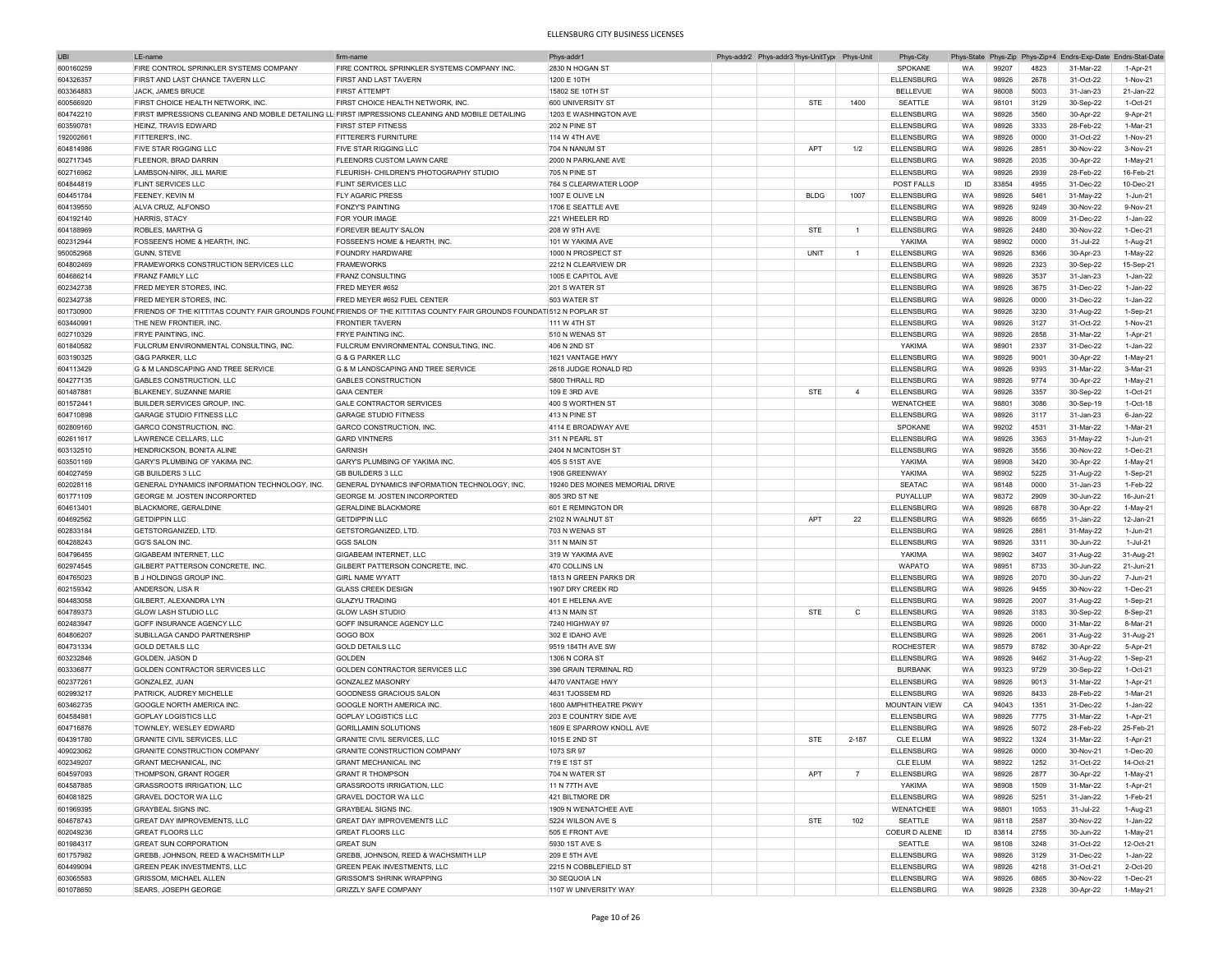| UBI       | LE-nam                                                                                             | firm-nam                                                                                                              | Phys-addr                       | Phys-addr2 Phys-addr3 <sup>&gt;</sup> hys-UnitType |             | Phys-Uni       | Phys-City            | Phys-State |       | Phys-Zip Phys-Zip+4 |           | Endrs-Exp-Date Endrs-Stat-Date |
|-----------|----------------------------------------------------------------------------------------------------|-----------------------------------------------------------------------------------------------------------------------|---------------------------------|----------------------------------------------------|-------------|----------------|----------------------|------------|-------|---------------------|-----------|--------------------------------|
| 600160259 | <b>FIRE CONTROL SPRINKLER SYSTEMS COMPANY</b>                                                      | FIRE CONTROL SPRINKLER SYSTEMS COMPANY INC.                                                                           | 2830 N HOGAN ST                 |                                                    |             |                | SPOKANE              | WA         | 99207 | 4823                | 31-Mar-22 | 1-Apr-21                       |
| 604326357 | FIRST AND LAST CHANCE TAVERN LLC                                                                   | FIRST AND LAST TAVERN                                                                                                 | 1200 F 10TH                     |                                                    |             |                | <b>ELLENSBURG</b>    | WA         | 98926 | 2678                | 31-Oct-22 | 1-Nov-21                       |
| 603364883 | JACK, JAMES BRUCE                                                                                  | <b>FIRST ATTEMPT</b>                                                                                                  | 15802 SE 10TH ST                |                                                    |             |                | <b>BELLEVUE</b>      | WA         | 98008 | 5003                | 31-Jan-23 | 21-Jan-22                      |
|           |                                                                                                    |                                                                                                                       |                                 |                                                    |             |                |                      |            |       |                     |           |                                |
| 600566920 | FIRST CHOICE HEALTH NETWORK. INC.                                                                  | FIRST CHOICE HEALTH NETWORK, INC.                                                                                     | 600 UNIVERSITY ST               |                                                    | <b>STE</b>  | 1400           | SEATTLE              | WA         | 98101 | 3129                | 30-Sep-22 | $1-Ort-21$                     |
| 604742210 | FIRST IMPRESSIONS CLEANING AND MOBILE DETAILING LL FIRST IMPRESSIONS CLEANING AND MOBILE DETAILING |                                                                                                                       | 1203 E WASHINGTON AVE           |                                                    |             |                | <b>ELLENSBURG</b>    | WA         | 98926 | 3560                | 30-Apr-22 | 9-Apr-21                       |
| 603590781 | HEINZ, TRAVIS EDWARD                                                                               | <b>FIRST STEP FITNESS</b>                                                                                             | <b>202 N PINE ST</b>            |                                                    |             |                | <b>ELLENSBURG</b>    | WA         | 98926 | 3333                | 28-Feb-22 | 1-Mar-21                       |
| 192002661 | FITTERER'S, INC.                                                                                   | <b>FITTERER'S FURNITURE</b>                                                                                           | 114 W 4TH AVE                   |                                                    |             |                | <b>ELLENSBURG</b>    | WA         | 98926 | 0000                | 31-Oct-22 | 1-Nov-21                       |
| 604814986 | <b>FIVE STAR RIGGING LLC</b>                                                                       | <b>FIVE STAR RIGGING LLC</b>                                                                                          | 704 N NANUM ST                  |                                                    | <b>APT</b>  | 1/2            | <b>ELLENSBURG</b>    | WA         | 98926 | 2851                | 30-Nov-22 | 3-Nov-21                       |
| 602717345 | <b>FLEENOR, BRAD DARRIN</b>                                                                        | FLEENORS CUSTOM LAWN CARE                                                                                             | 2000 N PARKLANE AVE             |                                                    |             |                | <b>ELLENSBURG</b>    | WA         | 98926 | 2035                | 30-Apr-22 | $1-May-21$                     |
|           |                                                                                                    |                                                                                                                       |                                 |                                                    |             |                |                      |            |       |                     |           |                                |
| 602716962 | LAMBSON-NIRK, JILL MARIE                                                                           | FLEURISH- CHILDREN'S PHOTOGRAPHY STUDIO                                                                               | 705 N PINE ST                   |                                                    |             |                | <b>ELLENSBURG</b>    | WA         | 98926 | 2939                | 28-Feb-22 | 16-Feb-21                      |
| 604844819 | <b>FLINT SERVICES LLC</b>                                                                          | <b>FLINT SERVICES LLC</b>                                                                                             | 764 S CLEARWATER LOOP           |                                                    |             |                | POST FALLS           | ID         | 83854 | 4955                | 31-Dec-22 | 10-Dec-21                      |
| 604451784 | FEENEY, KEVIN M                                                                                    | <b>FLY AGARIC PRESS</b>                                                                                               | 1007 E OLIVE LN                 |                                                    | <b>BLDG</b> | 1007           | <b>ELLENSBURG</b>    | WA         | 98926 | 5461                | 31-May-22 | 1-Jun-21                       |
| 604139550 | ALVA CRUZ, ALFONSO                                                                                 | <b>FONZY'S PAINTING</b>                                                                                               | 1706 E SEATTLE AVE              |                                                    |             |                | <b>ELLENSBURG</b>    | WA         | 98926 | 9249                | 30-Nov-22 | 9-Nov-21                       |
| 604192140 | HARRIS, STACY                                                                                      | FOR YOUR IMAGE                                                                                                        | 221 WHEELER RD                  |                                                    |             |                | <b>ELLENSBURG</b>    | <b>WA</b>  | 98926 | 8009                | 31-Dec-22 | 1-Jan-22                       |
| 604188969 | ROBLES, MARTHA G                                                                                   | FOREVER BEAUTY SALON                                                                                                  | 208 W 9TH AVE                   |                                                    | <b>STE</b>  | $\mathbf{1}$   | <b>ELLENSBURG</b>    | WA         | 98926 | 2480                | 30-Nov-22 | 1-Dec-21                       |
|           |                                                                                                    |                                                                                                                       |                                 |                                                    |             |                |                      |            |       |                     |           |                                |
| 602312944 | FOSSEEN'S HOME & HEARTH, INC                                                                       | FOSSEEN'S HOME & HEARTH, INC                                                                                          | 101 W YAKIMA AVE                |                                                    |             |                | YAKIMA               | WA         | 98902 | 0000                | 31-Jul-22 | 1-Aug-21                       |
| 950052968 | <b>GUNN, STEVE</b>                                                                                 | <b>FOUNDRY HARDWARE</b>                                                                                               | 1000 N PROSPECT ST              |                                                    | UNIT        | $\overline{1}$ | <b>ELLENSBURG</b>    | <b>WA</b>  | 98926 | 8366                | 30-Apr-23 | 1-May-22                       |
| 604802469 | FRAMEWORKS CONSTRUCTION SERVICES LLC                                                               | <b>FRAMEWORKS</b>                                                                                                     | 2212 N CLEARVIEW DR             |                                                    |             |                | <b>ELLENSBURG</b>    | <b>WA</b>  | 98926 | 2323                | 30-Sep-22 | 15-Sep-21                      |
| 604686214 | <b>FRANZ FAMILY LLC</b>                                                                            | <b>FRANZ CONSULTING</b>                                                                                               | 1005 E CAPITOL AVE              |                                                    |             |                | <b>ELLENSBURG</b>    | <b>WA</b>  | 98926 | 3537                | 31-Jan-23 | 1-Jan-22                       |
| 602342738 | FRED MEYER STORES, INC                                                                             | FRED MEYER #652                                                                                                       | 201 S WATER ST                  |                                                    |             |                | <b>ELLENSBURG</b>    | WA         | 98926 | 3675                | 31-Dec-22 | 1-Jan-22                       |
|           | <b>FRED MEYER STORES. INC</b>                                                                      | FRED MEYER #652 FUEL CENTER                                                                                           | 503 WATER ST                    |                                                    |             |                |                      |            |       | 0000                |           | 1-Jan-22                       |
| 602342738 |                                                                                                    |                                                                                                                       |                                 |                                                    |             |                | <b>ELLENSBURG</b>    | WA         | 98926 |                     | 31-Dec-22 |                                |
| 601730900 |                                                                                                    | FRIENDS OF THE KITTITAS COUNTY FAIR GROUNDS FOUND FRIENDS OF THE KITTITAS COUNTY FAIR GROUNDS FOUNDAT 512 N POPLAR ST |                                 |                                                    |             |                | <b>ELLENSBURG</b>    | WA         | 98926 | 3230                | 31-Aug-22 | 1-Sep-21                       |
| 603440991 | THE NEW FRONTIER. INC                                                                              | <b>FRONTIER TAVERN</b>                                                                                                | 111 W 4TH ST                    |                                                    |             |                | <b>ELLENSBURG</b>    | WA         | 98926 | 3127                | 31-Oct-22 | 1-Nov-21                       |
| 602710329 | <b>FRYE PAINTING, INC.</b>                                                                         | <b>FRYE PAINTING INC</b>                                                                                              | 510 N WENAS ST                  |                                                    |             |                | <b>ELLENSBURG</b>    | WA         | 98926 | 2858                | 31-Mar-22 | 1-Apr-21                       |
| 601840582 | FULCRUM ENVIRONMENTAL CONSULTING, INC.                                                             | FULCRUM ENVIRONMENTAL CONSULTING, INC                                                                                 | 406 N 2ND ST                    |                                                    |             |                | YAKIMA               | WA         | 98901 | 2337                | 31-Dec-22 | 1-Jan-22                       |
| 603190325 | <b>G&amp;G PARKER, LLC</b>                                                                         | G & G PARKER LLC                                                                                                      | 1621 VANTAGE HWY                |                                                    |             |                | <b>ELLENSBURG</b>    | WA         | 98926 | 9001                | 30-Apr-22 | $1-May-21$                     |
| 604113429 | G & M LANDSCAPING AND TREE SERVICE                                                                 | G & M LANDSCAPING AND TREE SERVICE                                                                                    | 2618 JUDGE RONALD RD            |                                                    |             |                | <b>ELLENSBURG</b>    | WA         | 98926 | 9393                | 31-Mar-22 | 3-Mar-21                       |
|           |                                                                                                    |                                                                                                                       |                                 |                                                    |             |                |                      |            |       |                     |           |                                |
| 604277135 | <b>GABLES CONSTRUCTION, LLC</b>                                                                    | <b>GABLES CONSTRUCTION</b>                                                                                            | 5800 THRALL RD                  |                                                    |             |                | <b>ELLENSBURG</b>    | WA         | 98926 | 9774                | 30-Apr-22 | 1-May-21                       |
| 601487881 | BLAKENEY, SUZANNE MARIE                                                                            | <b>GAIA CENTER</b>                                                                                                    | 109 E 3RD AVE                   |                                                    | <b>STE</b>  | $\overline{4}$ | <b>ELLENSBURG</b>    | WA         | 98926 | 3357                | 30-Sep-22 | $1-Oct-21$                     |
| 601572441 | <b>BUILDER SERVICES GROUP, INC.</b>                                                                | <b>GALE CONTRACTOR SERVICES</b>                                                                                       | 400 S WORTHEN ST                |                                                    |             |                | WENATCHEE            | WA         | 98801 | 3086                | 30-Sep-19 | 1-Oct-18                       |
| 604710898 | GARAGE STUDIO FITNESS LLC                                                                          | <b>GARAGE STUDIO FITNESS</b>                                                                                          | <b>413 N PINF ST</b>            |                                                    |             |                | <b>ELLENSBURG</b>    | WA         | 98926 | 3117                | 31-Jan-23 | 6-Jan-22                       |
| 602809160 | <b>GARCO CONSTRUCTION. INC</b>                                                                     | GARCO CONSTRUCTION, INC                                                                                               | 4114 E BROADWAY AVE             |                                                    |             |                | SPOKANE              | WA         | 99202 | 4531                | 31-Mar-22 | 1-Mar-21                       |
| 602611617 | LAWRENCE CELLARS, LLC                                                                              | <b>GARD VINTNERS</b>                                                                                                  | 311 N PEARL ST                  |                                                    |             |                | <b>ELLENSBURG</b>    | WA         | 98926 | 3363                |           | 1-Jun-21                       |
|           |                                                                                                    |                                                                                                                       |                                 |                                                    |             |                |                      |            |       |                     | 31-May-22 |                                |
| 603132510 | HENDRICKSON, BONITA ALINE                                                                          | <b>GARNISH</b>                                                                                                        | 2404 N MCINTOSH ST              |                                                    |             |                | <b>ELLENSBURG</b>    | WA         | 98926 | 3556                | 30-Nov-22 | 1-Dec-21                       |
| 603501169 | GARY'S PLUMBING OF YAKIMA INC.                                                                     | GARY'S PLUMBING OF YAKIMA INC.                                                                                        | 405 S 51ST AVE                  |                                                    |             |                | YAKIMA               | WA         | 98908 | 3420                | 30-Apr-22 | $1-May-21$                     |
| 604027459 | <b>GB BUILDERS 3 LLC</b>                                                                           | GB BUILDERS 311 C                                                                                                     | 1908 GREENWAY                   |                                                    |             |                | YAKIMA               | WA         | 98902 | 5225                | 31-Aug-22 | $1-Sep-21$                     |
| 602028116 | GENERAL DYNAMICS INFORMATION TECHNOLOGY, INC.                                                      | GENERAL DYNAMICS INFORMATION TECHNOLOGY, INC.                                                                         | 19240 DES MOINES MEMORIAL DRIVE |                                                    |             |                | <b>SEATAC</b>        | WA         | 98148 | 0000                | 31-Jan-23 | 1-Feb-22                       |
| 601771109 | GEORGE M. JOSTEN INCORPORTED                                                                       | <b>GEORGE M. JOSTEN INCORPORTED</b>                                                                                   | 805 3RD ST NE                   |                                                    |             |                | PUYALLUP             | WA         | 98372 | 2909                | 30-Jun-22 | 16-Jun-21                      |
|           |                                                                                                    |                                                                                                                       |                                 |                                                    |             |                |                      |            |       |                     |           |                                |
| 604613401 | <b>BLACKMORE, GERALDINE</b>                                                                        | <b>GERALDINE BLACKMORE</b>                                                                                            | 601 E REMINGTON DR              |                                                    |             |                | <b>ELLENSBURG</b>    | <b>WA</b>  | 98926 | 6878                | 30-Apr-22 | 1-May-21                       |
| 604692562 | <b>GETDIPPIN LLC</b>                                                                               | <b>GETDIPPIN LLC</b>                                                                                                  | 2102 N WALNUT ST                |                                                    | APT         | 22             | <b>ELLENSBURG</b>    | WA         | 98926 | 6655                | 31-Jan-22 | 12-Jan-21                      |
| 602833184 | GETSTORGANIZED, LTD.                                                                               | GETSTORGANIZED, LTD.                                                                                                  | 703 N WENAS ST                  |                                                    |             |                | <b>ELLENSBURG</b>    | WA         | 98926 | 2861                | 31-May-22 | 1-Jun-21                       |
| 604288243 | <b>GG'S SALON INC</b>                                                                              | <b>GGS SALON</b>                                                                                                      | 311 N MAIN ST                   |                                                    |             |                | <b>ELLENSBURG</b>    | <b>WA</b>  | 98926 | 3311                | 30-Jun-22 | 1-Jul-21                       |
| 604796455 | <b>GIGABEAM INTERNET, LLC</b>                                                                      | GIGABEAM INTERNET, LLC                                                                                                | 319 W YAKIMA AVE                |                                                    |             |                | YAKIMA               | <b>WA</b>  | 98902 | 3407                | 31-Aug-22 | 31-Aug-21                      |
| 602974545 | GILBERT PATTERSON CONCRETE, INC.                                                                   | GILBERT PATTERSON CONCRETE, INC                                                                                       | 470 COLLINS LN                  |                                                    |             |                | <b>WAPATO</b>        | WA         | 98951 | 8733                | 30-Jun-22 | 21-Jun-21                      |
|           |                                                                                                    | <b>GIRL NAME WYATT</b>                                                                                                |                                 |                                                    |             |                |                      |            |       |                     |           |                                |
| 604765023 | <b>B J HOLDINGS GROUP INC.</b>                                                                     |                                                                                                                       | 1813 N GREEN PARKS DR           |                                                    |             |                | <b>ELLENSBURG</b>    | WA         | 98926 | 2070                | 30-Jun-22 | 7-Jun-21                       |
| 602159342 | ANDERSON, LISA R                                                                                   | <b>GLASS CREEK DESIGN</b>                                                                                             | 1907 DRY CREEK RD               |                                                    |             |                | <b>ELLENSBURG</b>    | WA         | 98926 | 9455                | 30-Nov-22 | 1-Dec-21                       |
| 604483058 | GILBERT, ALEXANDRA LYN                                                                             | <b>GLAZYU TRADING</b>                                                                                                 | 401 E HELENA AVE                |                                                    |             |                | ELLENSBURG           | WA         | 98926 | 2007                | 31-Aug-22 | 1-Sep-21                       |
| 604789373 | <b>GLOW LASH STUDIO LLC</b>                                                                        | <b>GLOW LASH STUDIO</b>                                                                                               | 413 N MAIN ST                   |                                                    | <b>STE</b>  | $\mathsf{C}$   | <b>ELLENSBURG</b>    | WA         | 98926 | 3183                | 30-Sep-22 | 8-Sep-21                       |
| 602483947 | GOFF INSURANCE AGENCY LLC                                                                          | GOFF INSURANCE AGENCY LLC                                                                                             | 7240 HIGHWAY 97                 |                                                    |             |                | <b>ELLENSBURG</b>    | WA         | 98926 | 0000                | 31-Mar-22 | 8-Mar-21                       |
|           |                                                                                                    | <b>GOGO BOX</b>                                                                                                       | 302 E IDAHO AVE                 |                                                    |             |                |                      |            |       | 2061                |           |                                |
| 604806207 | SUBILLAGA CANDO PARTNERSHIP                                                                        |                                                                                                                       |                                 |                                                    |             |                | <b>ELLENSBURG</b>    | WA         | 98926 |                     | 31-Aug-22 | 31-Aug-21                      |
| 604731334 | <b>GOLD DETAILS LLC</b>                                                                            | <b>GOLD DETAILS LLC</b>                                                                                               | 9519 184TH AVE SW               |                                                    |             |                | <b>ROCHESTER</b>     | WA         | 98579 | 8782                | 30-Apr-22 | 5-Apr-21                       |
| 603232846 | GOLDEN JASON D                                                                                     | <b>GOLDEN</b>                                                                                                         | 1306 N CORA ST                  |                                                    |             |                | ELLENSBURG           | WA         | 98926 | 9462                | 31-Aug-22 | 1-Sep-21                       |
| 603336877 | GOLDEN CONTRACTOR SERVICES LLC                                                                     | GOLDEN CONTRACTOR SERVICES LLC                                                                                        | 396 GRAIN TERMINAL RD           |                                                    |             |                | <b>BURBANK</b>       | WA         | 99323 | 9729                | 30-Sep-22 | $1-Oct-21$                     |
| 602377261 | <b>GONZALEZ, JUAN</b>                                                                              | <b>GONZALEZ MASONRY</b>                                                                                               | 4470 VANTAGE HWY                |                                                    |             |                | <b>ELLENSBURG</b>    | WA         | 98926 | 9013                | 31-Mar-22 | 1-Apr-21                       |
| 602993217 | PATRICK, AUDREY MICHELLE                                                                           | <b>GOODNESS GRACIOUS SALON</b>                                                                                        | 4631 TJOSSEM RD                 |                                                    |             |                | <b>ELLENSBURG</b>    | WA         | 98926 | 8433                | 28-Feb-22 | 1-Mar-21                       |
| 603462735 | GOOGLE NORTH AMERICA INC.                                                                          | GOOGLE NORTH AMERICA INC.                                                                                             | 1600 AMPHITHEATRE PKWY          |                                                    |             |                | <b>MOUNTAIN VIEW</b> | CA         | 94043 | 1351                | 31-Dec-22 | 1-Jan-22                       |
| 604584981 | GOPLAY LOGISTICS LLC                                                                               | <b>GOPLAY LOGISTICS LLC</b>                                                                                           | 203 E COUNTRY SIDE AVE          |                                                    |             |                | <b>ELLENSBURG</b>    | WA         | 98926 | 7775                | 31-Mar-22 | 1-Apr-21                       |
|           |                                                                                                    |                                                                                                                       |                                 |                                                    |             |                |                      |            |       |                     |           |                                |
| 604716876 | TOWNLEY, WESLEY EDWARD                                                                             | <b>GORILLAMIN SOLUTIONS</b>                                                                                           | 1609 E SPARROW KNOLL AVE        |                                                    |             |                | <b>ELLENSBURG</b>    | WA         | 98926 | 5072                | 28-Feb-22 | 25-Feb-21                      |
| 604391780 | <b>GRANITE CIVIL SERVICES, LLC</b>                                                                 | <b>GRANITE CIVIL SERVICES, LLC</b>                                                                                    | 1015 E 2ND ST                   |                                                    | <b>STE</b>  | $2 - 187$      | <b>CLE ELUM</b>      | WA         | 98922 | 1324                | 31-Mar-22 | 1-Apr-21                       |
| 409023062 | <b>GRANITE CONSTRUCTION COMPANY</b>                                                                | GRANITE CONSTRUCTION COMPANY                                                                                          | 1073 SR 97                      |                                                    |             |                | ELLENSBURG           | <b>WA</b>  | 98926 | <b>OOOO</b>         | 30-Nov-21 | 1-Dec-20                       |
| 602349207 | <b>GRANT MECHANICAL, INC</b>                                                                       | <b>GRANT MECHANICAL INC</b>                                                                                           | 719 E 1ST ST                    |                                                    |             |                | <b>CLE ELUM</b>      | WA         | 98922 | 1252                | 31-Oct-22 | 14-Oct-21                      |
| 604597093 | THOMPSON, GRANT ROGER                                                                              | <b>GRANT R THOMPSON</b>                                                                                               | 704 N WATER ST                  |                                                    | APT         | $\overline{7}$ | <b>ELLENSBURG</b>    | WA         | 98926 | 2877                | 30-Apr-22 | 1-May-21                       |
|           |                                                                                                    |                                                                                                                       | 11 N 77TH AVE                   |                                                    |             |                |                      |            |       |                     |           |                                |
| 604587885 | <b>GRASSROOTS IRRIGATION, LLC</b>                                                                  | <b>GRASSROOTS IRRIGATION, LLC</b>                                                                                     |                                 |                                                    |             |                | YAKIMA               | WA         | 98908 | 1509                | 31-Mar-22 | 1-Apr-21                       |
| 604081825 | <b>GRAVEL DOCTOR WA LLC</b>                                                                        | GRAVEL DOCTOR WA LLC                                                                                                  | 421 BILTMORE DR                 |                                                    |             |                | <b>ELLENSBURG</b>    | WA         | 98926 | 5251                | 31-Jan-22 | 1-Feb-21                       |
| 601969395 | <b>GRAYBEAL SIGNS INC.</b>                                                                         | <b>GRAYBEAL SIGNS INC.</b>                                                                                            | 1909 N WENATCHEE AVE            |                                                    |             |                | WENATCHEE            | WA         | 98801 | 1053                | 31-Jul-22 | 1-Aug-21                       |
| 604678743 | <b>GREAT DAY IMPROVEMENTS, LLC</b>                                                                 | GREAT DAY IMPROVEMENTS LLC                                                                                            | 5224 WILSON AVE S               |                                                    | <b>STE</b>  | 102            | SEATTLE              | WA         | 98118 | 2587                | 30-Nov-22 | $1-Jan-22$                     |
| 602049236 | <b>GREAT FLOORS LLC</b>                                                                            | <b>GREAT FLOORS LLC</b>                                                                                               | 505 E FRONT AVE                 |                                                    |             |                | COEUR D ALENE        | ID         | 83814 | 2755                | 30-Jun-22 | 1-May-21                       |
| 601984317 | <b>GREAT SUN CORPORATION</b>                                                                       | <b>GREAT SUN</b>                                                                                                      | 5930 1ST AVE S                  |                                                    |             |                | SEATTLE              | WA         | 98108 | 3248                | 31-Oct-22 | 12-Oct-21                      |
|           |                                                                                                    |                                                                                                                       |                                 |                                                    |             |                |                      |            |       |                     |           |                                |
| 601757982 | GREBB, JOHNSON, REED & WACHSMITH LLP                                                               | GREBB, JOHNSON, REED & WACHSMITH LLP                                                                                  | 209 E 5TH AVE                   |                                                    |             |                | <b>ELLENSBURG</b>    | WA         | 98926 | 3129                | 31-Dec-22 | 1-Jan-22                       |
| 604499094 | <b>GREEN PEAK INVESTMENTS, LLC</b>                                                                 | <b>GREEN PEAK INVESTMENTS, LLC</b>                                                                                    | 2215 N COBBLEFIELD ST           |                                                    |             |                | ELLENSBURG           | WA         | 98926 | 4218                | 31-Oct-21 | 2-Oct-20                       |
| 603065583 | <b>GRISSOM, MICHAEL ALLEN</b>                                                                      | <b>GRISSOM'S SHRINK WRAPPING</b>                                                                                      | 30 SEQUOIA LN                   |                                                    |             |                | <b>ELLENSBURG</b>    | WA         | 98926 | 6865                | 30-Nov-22 | 1-Dec-21                       |
| 601078650 | SEARS, JOSEPH GEORGE                                                                               | <b>GRIZZLY SAFE COMPANY</b>                                                                                           | 1107 W UNIVERSITY WAY           |                                                    |             |                | <b>ELLENSBURG</b>    | WA         | 98926 | 2328                | 30-Apr-22 | 1-May-21                       |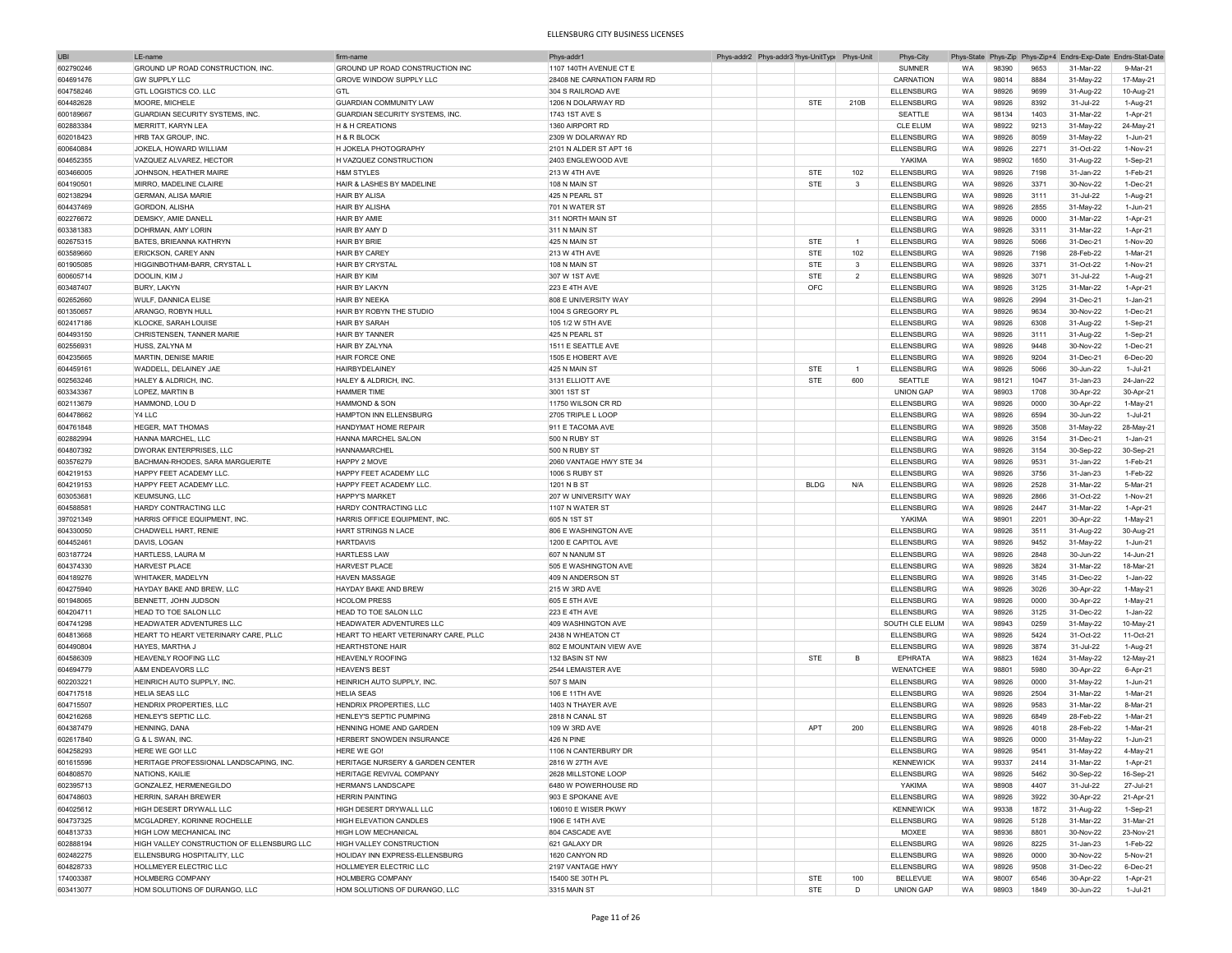| <b>UBI</b> | I F-name                                   | firm-name                            | Phys-addr1                 |  | Phys-addr2 Phys-addr3 <sup>&gt;</sup> hys-UnitType Phys-Unit |                | Phys-City         |           |       |      | Phys-State Phys-Zip Phys-Zip+4 Endrs-Exp-Date Endrs-Stat-Date |            |
|------------|--------------------------------------------|--------------------------------------|----------------------------|--|--------------------------------------------------------------|----------------|-------------------|-----------|-------|------|---------------------------------------------------------------|------------|
| 602790246  | GROUND UP ROAD CONSTRUCTION, INC           | GROUND UP ROAD CONSTRUCTION INC      | 1107 140TH AVENUE CT E     |  |                                                              |                | <b>SUMNER</b>     | WA        | 98390 | 9653 | 31-Mar-22                                                     | 9-Mar-21   |
| 604691476  | <b>GW SUPPLY LLC</b>                       | <b>GROVE WINDOW SUPPLY LLC</b>       | 28408 NE CARNATION FARM RD |  |                                                              |                | CARNATION         | WA        | 98014 | 8884 | 31-May-22                                                     | 17-May-21  |
| 604758246  | GTL LOGISTICS CO. LLC                      | <b>GTL</b>                           | 304 S RAILROAD AVE         |  |                                                              |                | <b>ELLENSBURG</b> | WA        | 98926 | 9699 | 31-Aug-22                                                     | 10-Aug-21  |
|            |                                            |                                      |                            |  |                                                              |                |                   |           |       |      |                                                               |            |
| 604482628  | MOORE, MICHELE                             | <b>GUARDIAN COMMUNITY LAW</b>        | 1206 N DOLARWAY RD         |  | <b>STE</b>                                                   | 210B           | ELLENSBURG        | WA        | 98926 | 8392 | 31-Jul-22                                                     | 1-Aug-21   |
| 600189667  | GUARDIAN SECURITY SYSTEMS, INC             | GUARDIAN SECURITY SYSTEMS, INC       | 1743 1ST AVE S             |  |                                                              |                | SEATTLE           | WA        | 98134 | 1403 | 31-Mar-22                                                     | 1-Apr-21   |
| 602883384  | MERRITT, KARYN LEA                         | H & H CREATIONS                      | 1360 AIRPORT RD            |  |                                                              |                | <b>CLE ELUM</b>   | WA        | 98922 | 9213 | 31-May-22                                                     | 24-May-21  |
| 602018423  | HRB TAX GROUP, INC                         | H & R BLOCK                          | 2309 W DOLARWAY RD         |  |                                                              |                | <b>ELLENSBURG</b> | WA        | 98926 | 8059 | 31-May-22                                                     | 1-Jun-21   |
| 600640884  | JOKELA, HOWARD WILLIAM                     | H JOKELA PHOTOGRAPHY                 | 2101 N ALDER ST APT 16     |  |                                                              |                | <b>ELLENSBURG</b> | WA        | 98926 | 2271 | 31-Oct-22                                                     | 1-Nov-21   |
| 604652355  | VAZQUEZ ALVAREZ, HECTOR                    | H VAZQUEZ CONSTRUCTION               | 2403 ENGLEWOOD AVE         |  |                                                              |                | YAKIMA            | WA        | 98902 | 1650 | 31-Aug-22                                                     | 1-Sep-21   |
| 603466005  | JOHNSON, HEATHER MAIRE                     | <b>H&amp;M STYLES</b>                | <b>213 W 4TH AVE</b>       |  | <b>STE</b>                                                   | 102            | <b>ELLENSBURG</b> | WA        | 98926 | 7198 | 31-Jan-22                                                     | 1-Feb-21   |
| 604190501  | MIRRO, MADELINE CLAIRE                     | HAIR & LASHES BY MADELINE            | 108 N MAIN ST              |  | <b>STE</b>                                                   | 3              | <b>ELLENSBURG</b> | WA        | 98926 | 3371 | 30-Nov-22                                                     | 1-Dec-21   |
| 602138294  | <b>GERMAN, ALISA MARIE</b>                 | <b>HAIR BY ALISA</b>                 | 425 N PEARL ST             |  |                                                              |                | <b>ELLENSBURG</b> | <b>WA</b> | 98926 | 3111 | 31-Jul-22                                                     | 1-Aug-21   |
| 604437469  | GORDON, ALISHA                             | HAIR BY ALISHA                       | 701 N WATER ST             |  |                                                              |                | <b>ELLENSBURG</b> | WA        | 98926 | 2855 | 31-May-22                                                     | 1-Jun-21   |
|            | DEMSKY, AMIE DANEL                         | HAIR BY AMIE                         | 311 NORTH MAIN ST          |  |                                                              |                |                   | WA        | 98926 | 0000 | 31-Mar-22                                                     | 1-Apr-21   |
| 602276672  |                                            |                                      |                            |  |                                                              |                | <b>ELLENSBURG</b> |           |       |      |                                                               |            |
| 603381383  | <b>DOHRMAN, AMY LORIN</b>                  | HAIR BY AMY D                        | 311 N MAIN ST              |  |                                                              |                | <b>ELLENSBURG</b> | WA        | 98926 | 3311 | 31-Mar-22                                                     | 1-Apr-21   |
| 602675315  | BATES, BRIEANNA KATHRYN                    | <b>HAIR BY BRIE</b>                  | 425 N MAIN ST              |  | <b>STE</b>                                                   | $\overline{1}$ | <b>ELLENSBURG</b> | WA        | 98926 | 5066 | 31-Dec-21                                                     | 1-Nov-20   |
| 603589660  | <b>ERICKSON, CAREY ANN</b>                 | HAIR BY CAREY                        | 213 W 4TH AVE              |  | <b>STE</b>                                                   | 102            | <b>ELLENSBURG</b> | WA        | 98926 | 7198 | 28-Feb-22                                                     | 1-Mar-21   |
| 601905085  | HIGGINBOTHAM-BARR, CRYSTAL L               | HAIR BY CRYSTAL                      | 108 N MAIN ST              |  | <b>STE</b>                                                   | 3              | <b>ELLENSBURG</b> | WA        | 98926 | 3371 | 31-Oct-22                                                     | 1-Nov-21   |
| 600605714  | DOOLIN, KIM J                              | <b>HAIR BY KIM</b>                   | 307 W 1ST AVE              |  | <b>STE</b>                                                   | $\mathcal{P}$  | <b>ELLENSBURG</b> | WA        | 98926 | 3071 | 31-Jul-22                                                     | 1-Aug-21   |
| 603487407  | <b>BURY, LAKYN</b>                         | HAIR BY LAKYN                        | 223 E 4TH AVE              |  | OFC                                                          |                | <b>ELLENSBURG</b> | WA        | 98926 | 3125 | 31-Mar-22                                                     | 1-Apr-21   |
| 602652660  | <b>WULF, DANNICA ELISE</b>                 | HAIR BY NEEKA                        | 808 E UNIVERSITY WAY       |  |                                                              |                | <b>ELLENSBURG</b> | WA        | 98926 | 2994 | 31-Dec-21                                                     | $1-Jan-21$ |
| 601350657  | ARANGO, ROBYN HULL                         | HAIR BY ROBYN THE STUDIO             | 1004 S GREGORY PL          |  |                                                              |                | <b>ELLENSBURG</b> | WA        | 98926 | 9634 | 30-Nov-22                                                     | 1-Dec-21   |
| 602417186  | KLOCKE, SARAH LOUISE                       | <b>HAIR BY SARAH</b>                 | 105 1/2 W 5TH AVE          |  |                                                              |                | <b>ELLENSBURG</b> | WA        | 98926 | 6308 | 31-Aug-22                                                     | 1-Sep-21   |
| 604493150  | CHRISTENSEN, TANNER MARIE                  | <b>HAIR BY TANNER</b>                | 425 N PEARL ST             |  |                                                              |                | <b>ELLENSBURG</b> | WA        | 98926 | 3111 |                                                               | 1-Sep-21   |
|            |                                            |                                      |                            |  |                                                              |                |                   |           |       |      | 31-Aug-22                                                     |            |
| 602556931  | HUSS, ZALYNA M                             | HAIR BY ZALYNA                       | 1511 E SEATTLE AVE         |  |                                                              |                | <b>ELLENSBURG</b> | WA        | 98926 | 9448 | 30-Nov-22                                                     | 1-Dec-21   |
| 604235665  | MARTIN, DENISE MARIE                       | HAIR FORCE ONE                       | 1505 E HOBERT AVE          |  |                                                              |                | <b>ELLENSBURG</b> | WA        | 98926 | 9204 | 31-Dec-21                                                     | 6-Dec-20   |
| 604459161  | WADDELL, DELAINEY JAE                      | <b>HAIRBYDELAINEY</b>                | 425 N MAIN ST              |  | <b>STE</b>                                                   |                | ELLENSBURG        | WA        | 98926 | 5066 | 30-Jun-22                                                     | 1-Jul-21   |
| 602563246  | HALEY & ALDRICH, INC                       | HALEY & ALDRICH, INC                 | 3131 ELLIOTT AVE           |  | <b>STE</b>                                                   | 600            | SEATTLE           | WA        | 98121 | 1047 | 31-Jan-23                                                     | 24-Jan-22  |
| 603343367  | LOPEZ, MARTIN B                            | <b>HAMMER TIME</b>                   | 3001 1ST ST                |  |                                                              |                | <b>UNION GAP</b>  | <b>WA</b> | 98903 | 1708 | 30-Apr-22                                                     | 30-Apr-21  |
| 602113679  | HAMMOND, LOU D                             | HAMMOND & SON                        | 11750 WILSON CR RD         |  |                                                              |                | <b>ELLENSBURG</b> | WA        | 98926 | 0000 | 30-Apr-22                                                     | 1-May-21   |
| 604478662  | Y4 LLC                                     | HAMPTON INN ELLENSBURG               | 2705 TRIPLE L LOOP         |  |                                                              |                | <b>ELLENSBURG</b> | WA        | 98926 | 6594 | 30-Jun-22                                                     | 1-Jul-21   |
| 604761848  | <b>HEGER, MAT THOMAS</b>                   | HANDYMAT HOME REPAIR                 | 911 E TACOMA AVE           |  |                                                              |                | <b>ELLENSBURG</b> | WA        | 98926 | 3508 | 31-May-22                                                     | 28-May-21  |
| 602882994  | HANNA MARCHEL, LLC                         | HANNA MARCHEL SALON                  | 500 N RUBY ST              |  |                                                              |                | <b>ELLENSBURG</b> | <b>WA</b> | 98926 | 3154 | 31-Dec-21                                                     | 1-Jan-21   |
| 604807392  | <b>DWORAK ENTERPRISES, LLC</b>             | HANNAMARCHEL                         | 500 N RUBY ST              |  |                                                              |                | <b>ELLENSBURG</b> | WA        | 98926 | 3154 | 30-Sep-22                                                     | 30-Sep-21  |
|            | BACHMAN-RHODES, SARA MARGUERITE            | <b>HAPPY 2 MOVE</b>                  | 2060 VANTAGE HWY STE 34    |  |                                                              |                |                   |           |       | 9531 |                                                               | 1-Feb-21   |
| 603576279  |                                            |                                      |                            |  |                                                              |                | <b>ELLENSBURG</b> | WA        | 98926 |      | 31-Jan-22                                                     |            |
| 604219153  | HAPPY FEET ACADEMY LLC                     | HAPPY FEET ACADEMY LLC               | 1006 S RUBY ST             |  |                                                              |                | <b>ELLENSBURG</b> | WA        | 98926 | 3756 | 31-Jan-23                                                     | 1-Feb-22   |
| 604219153  | HAPPY FEET ACADEMY LLC                     | <b>HAPPY FEET ACADEMY LLC</b>        | 1201 N B ST                |  | <b>BLDG</b>                                                  | N/A            | <b>ELLENSBURG</b> | WA        | 98926 | 2528 | 31-Mar-22                                                     | 5-Mar-21   |
| 603053681  | <b>KEUMSUNG, LLC</b>                       | <b>HAPPY'S MARKET</b>                | 207 W UNIVERSITY WAY       |  |                                                              |                | <b>ELLENSBURG</b> | WA        | 98926 | 2866 | 31-Oct-22                                                     | 1-Nov-21   |
| 604588581  | HARDY CONTRACTING LLC                      | HARDY CONTRACTING LLC                | <b>1107 N WATER ST</b>     |  |                                                              |                | <b>ELLENSBURG</b> | WA        | 98926 | 2447 | 31-Mar-22                                                     | 1-Apr-21   |
| 397021349  | HARRIS OFFICE EQUIPMENT, INC.              | HARRIS OFFICE EQUIPMENT, INC.        | 605 N 1ST ST               |  |                                                              |                | YAKIMA            | WA        | 98901 | 2201 | 30-Apr-22                                                     | 1-May-21   |
| 604330050  | CHADWELL HART, RENIE                       | HART STRINGS N LACE                  | 806 E WASHINGTON AVE       |  |                                                              |                | <b>ELLENSBURG</b> | WA        | 98926 | 3511 | 31-Aug-22                                                     | 30-Aug-21  |
| 604452461  | DAVIS, LOGAN                               | <b>HARTDAVIS</b>                     | 1200 E CAPITOL AVE         |  |                                                              |                | ELLENSBURG        | WA        | 98926 | 9452 | 31-May-22                                                     | 1-Jun-21   |
| 603187724  | HARTLESS, LAURA M                          | <b>HARTLESS LAW</b>                  | 607 N NANUM ST             |  |                                                              |                | <b>ELLENSBURG</b> | WA        | 98926 | 2848 | 30-Jun-22                                                     | 14-Jun-21  |
| 604374330  | <b>HARVEST PLACE</b>                       | <b>HARVEST PLACE</b>                 | 505 E WASHINGTON AVE       |  |                                                              |                | ELLENSBURG        | WA        | 98926 | 3824 | 31-Mar-22                                                     | 18-Mar-21  |
| 604189276  | WHITAKER, MADELYN                          | HAVEN MASSAGE                        | 409 N ANDERSON ST          |  |                                                              |                | <b>ELLENSBURG</b> | WA        | 98926 | 3145 | 31-Dec-22                                                     | 1-Jan-22   |
| 604275940  | HAYDAY BAKE AND BREW, LLC                  | HAYDAY BAKE AND BREW                 | 215 W 3RD AVE              |  |                                                              |                | <b>ELLENSBURG</b> | WA        | 98926 | 3026 | 30-Apr-22                                                     | 1-May-21   |
| 601948065  | BENNETT, JOHN JUDSON                       | <b>HCOLOM PRESS</b>                  | 605 E 5TH AVE              |  |                                                              |                | <b>ELLENSBURG</b> | WA        | 98926 | 0000 | 30-Apr-22                                                     | $1-May-21$ |
|            |                                            |                                      |                            |  |                                                              |                |                   |           |       |      |                                                               |            |
| 604204711  | HEAD TO TOE SALON LLC                      | HEAD TO TOE SALON LLC                | <b>223 E 4TH AVE</b>       |  |                                                              |                | <b>ELLENSBURG</b> | WA        | 98926 | 3125 | 31-Dec-22                                                     | 1-Jan-22   |
| 604741298  | HEADWATER ADVENTURES LLC                   | HEADWATER ADVENTURES LLC             | 409 WASHINGTON AVE         |  |                                                              |                | SOUTH CLE ELUM    | WA        | 98943 | 0259 | 31-May-22                                                     | 10-May-21  |
| 604813668  | HEART TO HEART VETERINARY CARE, PLLC       | HEART TO HEART VETERINARY CARE, PLLC | 2438 N WHEATON CT          |  |                                                              |                | <b>ELLENSBURG</b> | WA        | 98926 | 5424 | 31-Oct-22                                                     | 11-Oct-21  |
| 604490804  | HAYES, MARTHA J                            | <b>HEARTHSTONE HAIR</b>              | 802 E MOUNTAIN VIEW AVE    |  |                                                              |                | <b>ELLENSBURG</b> | WA        | 98926 | 3874 | 31-Jul-22                                                     | 1-Aug-21   |
| 604586309  | HEAVENLY ROOFING LLC                       | <b>HEAVENLY ROOFING</b>              | 132 BASIN ST NW            |  | <b>STE</b>                                                   | B              | <b>EPHRATA</b>    | WA        | 98823 | 1624 | 31-May-22                                                     | 12-May-21  |
| 604694779  | A&M ENDEAVORS LLC                          | <b>HEAVEN'S BEST</b>                 | 2544 LEMAISTER AVE         |  |                                                              |                | WENATCHEE         | WA        | 98801 | 5980 | 30-Apr-22                                                     | 6-Apr-21   |
| 602203221  | HEINRICH AUTO SUPPLY, INC                  | HEINRICH AUTO SUPPLY, INC.           | <b>507 S MAIN</b>          |  |                                                              |                | <b>ELLENSBURG</b> | WA        | 98926 | 0000 | 31-May-22                                                     | 1-Jun-21   |
| 604717518  | HFI IA SFAS I I C                          | <b>HELIA SEAS</b>                    | 106 E 11TH AVE             |  |                                                              |                | <b>ELLENSBURG</b> | WA        | 98926 | 2504 | 31-Mar-22                                                     | 1-Mar-21   |
| 604715507  | HENDRIX PROPERTIES, LLC                    | HENDRIX PROPERTIES, LLC              | 1403 N THAYER AVE          |  |                                                              |                | <b>ELLENSBURG</b> | WA        | 98926 | 9583 | 31-Mar-22                                                     | 8-Mar-21   |
| 604216268  | HENLEY'S SEPTIC LLC.                       | HENLEY'S SEPTIC PUMPING              | 2818 N CANAL ST            |  |                                                              |                | <b>ELLENSBURG</b> | WA        | 98926 | 6849 | 28-Feb-22                                                     | 1-Mar-21   |
| 604387479  | <b>HENNING, DANA</b>                       | HENNING HOME AND GARDEN              | 109 W 3RD AVE              |  | <b>APT</b>                                                   | 200            | <b>ELLENSBURG</b> | WA        | 98926 | 4018 | 28-Feb-22                                                     | 1-Mar-21   |
| 602617840  | G & L SWAN, INC                            | HERBERT SNOWDEN INSURANCE            | <b>426 N PINE</b>          |  |                                                              |                | ELLENSBURG        | WA        | 98926 | 0000 | 31-May-22                                                     | 1-Jun-21   |
|            |                                            |                                      |                            |  |                                                              |                |                   |           |       |      |                                                               |            |
| 604258293  | HERE WE GO! LLC                            | HERE WE GO!                          | 1106 N CANTERBURY DR       |  |                                                              |                | <b>ELLENSBURG</b> | WA        | 98926 | 9541 | 31-May-22                                                     | 4-May-21   |
| 601615596  | HERITAGE PROFESSIONAL LANDSCAPING, INC     | HERITAGE NURSERY & GARDEN CENTER     | 2816 W 27TH AVE            |  |                                                              |                | <b>KENNEWICK</b>  | WA        | 99337 | 2414 | 31-Mar-22                                                     | 1-Apr-21   |
| 604808570  | NATIONS, KAILIE                            | HERITAGE REVIVAL COMPANY             | 2628 MILLSTONE LOOP        |  |                                                              |                | <b>ELLENSBURG</b> | WA        | 98926 | 5462 | 30-Sep-22                                                     | 16-Sep-21  |
| 602395713  | GONZALEZ, HERMENEGILDO                     | HERMAN'S LANDSCAPE                   | 6480 W POWERHOUSE RD       |  |                                                              |                | YAKIMA            | WA        | 98908 | 4407 | 31-Jul-22                                                     | 27-Jul-21  |
| 604748603  | HERRIN, SARAH BREWER                       | <b>HERRIN PAINTING</b>               | 903 E SPOKANE AVE          |  |                                                              |                | <b>ELLENSBURG</b> | WA        | 98926 | 3922 | 30-Apr-22                                                     | 21-Apr-21  |
| 604025612  | HIGH DESERT DRYWALL LLC                    | HIGH DESERT DRYWALL LLC              | 106010 E WISER PKWY        |  |                                                              |                | <b>KENNEWICK</b>  | WA        | 99338 | 1872 | 31-Aug-22                                                     | 1-Sep-21   |
| 604737325  | MCGLADREY, KORINNE ROCHELLE                | HIGH ELEVATION CANDLES               | 1906 E 14TH AVE            |  |                                                              |                | <b>ELLENSBURG</b> | WA        | 98926 | 5128 | 31-Mar-22                                                     | 31-Mar-21  |
| 604813733  | HIGH LOW MECHANICAL INC                    | HIGH LOW MECHANICAL                  | 804 CASCADE AVE            |  |                                                              |                | MOXEE             | WA        | 98936 | 8801 | 30-Nov-22                                                     | 23-Nov-21  |
| 602888194  | HIGH VALLEY CONSTRUCTION OF ELLENSBURG LLC | HIGH VALLEY CONSTRUCTION             | 621 GALAXY DR              |  |                                                              |                | <b>ELLENSBURG</b> | WA        | 98926 | 8225 | 31-Jan-23                                                     | 1-Feb-22   |
| 602482275  | ELLENSBURG HOSPITALITY, LLC                | HOLIDAY INN EXPRESS-ELLENSBURG       | 1620 CANYON RD             |  |                                                              |                | ELLENSBURG        | WA        | 98926 | 0000 | 30-Nov-22                                                     | 5-Nov-21   |
| 604828733  | HOLLMEYER ELECTRIC LLC                     | HOLLMEYER ELECTRIC LLC               | 2197 VANTAGE HWY           |  |                                                              |                | ELLENSBURG        | WA        | 98926 | 9508 | 31-Dec-22                                                     | 6-Dec-21   |
| 174003387  | <b>HOLMBERG COMPANY</b>                    | <b>HOLMBERG COMPANY</b>              | 15400 SE 30TH PL           |  | <b>STE</b>                                                   | 100            | <b>BELLEVUE</b>   | WA        | 98007 | 6546 | 30-Apr-22                                                     | 1-Apr-21   |
| 603413077  | HOM SOLUTIONS OF DURANGO, LLC              | HOM SOLUTIONS OF DURANGO, LLC        | 3315 MAIN ST               |  | <b>STE</b>                                                   | D              | <b>UNION GAP</b>  | <b>WA</b> | 98903 | 1849 | 30-Jun-22                                                     | 1-Jul-21   |
|            |                                            |                                      |                            |  |                                                              |                |                   |           |       |      |                                                               |            |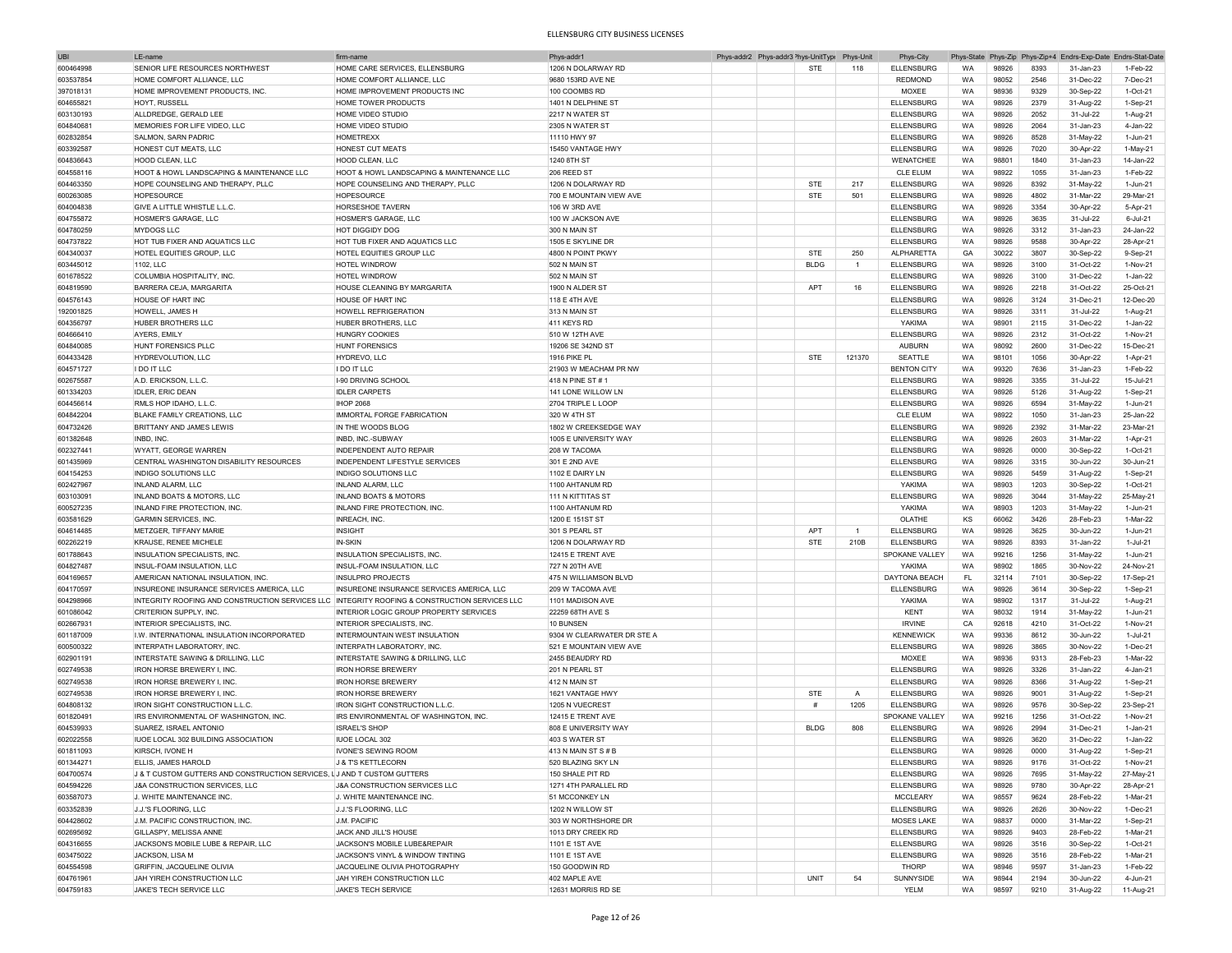| <b>UBI</b> | LE-name                                                                                       | firm-name                                 | Phys-addr1                 | Phys-addr2 Phys-addr3 <sup>&gt;</sup> hys-UnitType |             | Phys-Unit      | Phys-City          |           |       | Phys-State Phys-Zip Phys-Zip+4 |           | Endrs-Exp-Date Endrs-Stat-Date |
|------------|-----------------------------------------------------------------------------------------------|-------------------------------------------|----------------------------|----------------------------------------------------|-------------|----------------|--------------------|-----------|-------|--------------------------------|-----------|--------------------------------|
| 600464998  | SENIOR LIFE RESOURCES NORTHWEST                                                               | HOME CARE SERVICES, ELLENSBURG            | 1206 N DOLARWAY RD         |                                                    | <b>STE</b>  | 118            | <b>ELLENSBURG</b>  | <b>WA</b> | 98926 | 8393                           | 31-Jan-23 | 1-Feb-22                       |
| 603537854  | HOME COMFORT ALLIANCE. LLC                                                                    | HOME COMFORT ALLIANCE. LLC                | 9680 153RD AVE NE          |                                                    |             |                | <b>REDMOND</b>     | WA        | 98052 | 2546                           | 31-Dec-22 | 7-Dec-21                       |
| 397018131  | HOME IMPROVEMENT PRODUCTS. INC.                                                               | HOME IMPROVEMENT PRODUCTS INC             | 100 COOMBS RD              |                                                    |             |                | MOXEE              | WA        | 98936 | 9329                           | 30-Sep-22 | 1-Oct-21                       |
|            | <b>HOYT, RUSSELL</b>                                                                          | HOME TOWER PRODUCTS                       | 1401 N DELPHINE ST         |                                                    |             |                |                    |           |       | 2379                           |           |                                |
| 604655821  |                                                                                               |                                           |                            |                                                    |             |                | <b>ELLENSBURG</b>  | WA        | 98926 |                                | 31-Aug-22 | 1-Sep-21                       |
| 603130193  | ALLDREDGE, GERALD LEE                                                                         | <b>HOME VIDEO STUDIO</b>                  | 2217 N WATER ST            |                                                    |             |                | ELLENSBURG         | WA        | 98926 | 2052                           | 31-Jul-22 | 1-Aug-21                       |
| 604840681  | MEMORIES FOR LIFE VIDEO, LLC                                                                  | <b>HOME VIDEO STUDIO</b>                  | <b>2305 N WATER ST</b>     |                                                    |             |                | <b>ELLENSBURG</b>  | WA        | 98926 | 2064                           | 31-Jan-23 | 4-Jan-22                       |
| 602832854  | <b>SALMON, SARN PADRIC</b>                                                                    | <b>HOMETREXX</b>                          | 11110 HWY 97               |                                                    |             |                | <b>ELLENSBURG</b>  | WA        | 98926 | 8528                           | 31-May-22 | 1-Jun-21                       |
| 603392587  | HONEST CUT MEATS, LLC                                                                         | HONEST CUT MEATS                          | 15450 VANTAGE HWY          |                                                    |             |                | <b>ELLENSBURG</b>  | WA        | 98926 | 7020                           | 30-Apr-22 | 1-May-21                       |
| 604836643  | HOOD CLEAN, LLC                                                                               | HOOD CLEAN, LLC                           | 1240 8TH ST                |                                                    |             |                | WENATCHEE          | WA        | 98801 | 1840                           | 31-Jan-23 | 14-Jan-22                      |
| 604558116  | HOOT & HOWL LANDSCAPING & MAINTENANCE LLC                                                     | HOOT & HOWL LANDSCAPING & MAINTENANCE LLC | 206 REED ST                |                                                    |             |                | <b>CLE ELUM</b>    | WA        | 98922 | 1055                           | 31-Jan-23 | 1-Feb-22                       |
| 604463350  | HOPE COUNSELING AND THERAPY, PLLC                                                             | HOPE COUNSELING AND THERAPY, PLLC         | 1206 N DOLARWAY RD         |                                                    | <b>STE</b>  | 217            | <b>ELLENSBURG</b>  | WA        | 98926 | 8392                           | 31-May-22 | 1-Jun-21                       |
| 600263085  | <b>HOPESOURCE</b>                                                                             | <b>HOPFSOURCE</b>                         | 700 E MOUNTAIN VIEW AVE    |                                                    | <b>STE</b>  | 501            | <b>ELLENSBURG</b>  | WA        | 98926 | 4802                           | 31-Mar-22 | 29-Mar-21                      |
| 604004838  | GIVE A LITTLE WHISTLE L.L.C                                                                   | HORSESHOE TAVERN                          | 106 W 3RD AVE              |                                                    |             |                | <b>ELLENSBURG</b>  | WA        | 98926 | 3354                           | 30-Apr-22 | 5-Apr-21                       |
|            |                                                                                               |                                           | 100 W JACKSON AVE          |                                                    |             |                |                    |           |       |                                |           | $6 -$ Jul-21                   |
| 604755872  | HOSMER'S GARAGE, LLC                                                                          | HOSMER'S GARAGE, LLC                      |                            |                                                    |             |                | <b>ELLENSBURG</b>  | WA        | 98926 | 3635                           | 31-Jul-22 |                                |
| 604780259  | <b>MYDOGS LLC</b>                                                                             | <b>HOT DIGGIDY DOG</b>                    | 300 N MAIN ST              |                                                    |             |                | <b>ELLENSBURG</b>  | WA        | 98926 | 3312                           | 31-Jan-23 | 24-Jan-22                      |
| 604737822  | HOT TUB FIXER AND AQUATICS LLC                                                                | HOT TUB FIXER AND AQUATICS LLC            | 1505 E SKYLINE DR          |                                                    |             |                | <b>ELLENSBURG</b>  | WA        | 98926 | 9588                           | 30-Apr-22 | 28-Apr-21                      |
| 604340037  | HOTEL EQUITIES GROUP, LLC                                                                     | HOTEL EQUITIES GROUP LLC                  | 4800 N POINT PKWY          |                                                    | <b>STE</b>  | 250            | ALPHARETTA         | GA        | 30022 | 3807                           | 30-Sep-22 | 9-Sep-21                       |
| 603445012  | 1102, LLC                                                                                     | <b>HOTEL WINDROW</b>                      | 502 N MAIN ST              |                                                    | <b>BLDG</b> | $\mathbf{1}$   | <b>ELLENSBURG</b>  | WA        | 98926 | 3100                           | 31-Oct-22 | 1-Nov-21                       |
| 601678522  | COLUMBIA HOSPITALITY, INC                                                                     | HOTEL WINDROW                             | 502 N MAIN ST              |                                                    |             |                | <b>ELLENSBURG</b>  | WA        | 98926 | 3100                           | 31-Dec-22 | 1-Jan-22                       |
| 604819590  | BARRERA CEJA, MARGARITA                                                                       | HOUSE CLEANING BY MARGARITA               | 1900 N ALDER ST            |                                                    | APT         | 16             | <b>ELLENSBURG</b>  | WA        | 98926 | 2218                           | 31-Oct-22 | 25-Oct-21                      |
| 604576143  | HOUSE OF HART INC                                                                             | HOUSE OF HART INC                         | 118 E 4TH AVE              |                                                    |             |                | <b>ELLENSBURG</b>  | <b>WA</b> | 98926 | 3124                           | 31-Dec-21 | 12-Dec-20                      |
|            | HOWELL, JAMES H                                                                               | <b>HOWELL REFRIGERATION</b>               |                            |                                                    |             |                |                    | WA        | 98926 | 3311                           | 31-Jul-22 |                                |
| 192001825  |                                                                                               |                                           | 313 N MAIN ST              |                                                    |             |                | <b>ELLENSBURG</b>  |           |       |                                |           | 1-Aug-21                       |
| 604356797  | HUBER BROTHERS LLC                                                                            | HUBER BROTHERS, LLC                       | 411 KEYS RD                |                                                    |             |                | YAKIMA             | WA        | 98901 | 2115                           | 31-Dec-22 | 1-Jan-22                       |
| 604666410  | AYERS, EMILY                                                                                  | <b>HUNGRY COOKIES</b>                     | 510 W 12TH AVE             |                                                    |             |                | <b>ELLENSBURG</b>  | WA        | 98926 | 2312                           | 31-Oct-22 | 1-Nov-21                       |
| 604840085  | HUNT FORENSICS PLLC                                                                           | <b>HUNT FORENSICS</b>                     | 19206 SE 342ND ST          |                                                    |             |                | <b>AUBURN</b>      | WA        | 98092 | 2600                           | 31-Dec-22 | 15-Dec-21                      |
| 604433428  | HYDREVOLUTION, LLC                                                                            | HYDREVO, LLC                              | 1916 PIKE PL               |                                                    | <b>STE</b>  | 121370         | SEATTLE            | WA        | 98101 | 1056                           | 30-Apr-22 | 1-Apr-21                       |
| 604571727  | <b>I DO IT LLC</b>                                                                            | I DO IT LLC                               | 21903 W MEACHAM PR NW      |                                                    |             |                | <b>BENTON CITY</b> | WA        | 99320 | 7636                           | 31-Jan-23 | 1-Feb-22                       |
| 602675587  | A.D. ERICKSON, L.L.C.                                                                         | I-90 DRIVING SCHOOL                       | 418 N PINE ST #1           |                                                    |             |                | <b>ELLENSBURG</b>  | WA        | 98926 | 3355                           | 31-Jul-22 | 15-Jul-21                      |
| 601334203  | <b>IDLER, ERIC DEAN</b>                                                                       | <b>IDLER CARPETS</b>                      | 141 LONE WILLOW LN         |                                                    |             |                | <b>ELLENSBURG</b>  | WA        | 98926 | 5126                           | 31-Aug-22 | 1-Sep-21                       |
| 604456614  |                                                                                               | <b>IHOP 2068</b>                          | 2704 TRIPLE L LOOP         |                                                    |             |                | <b>ELLENSBURG</b>  |           |       |                                |           | 1-Jun-21                       |
|            | RMLS HOP IDAHO, L.L.C.                                                                        |                                           |                            |                                                    |             |                |                    | WA        | 98926 | 6594                           | 31-May-22 |                                |
| 604842204  | BLAKE FAMILY CREATIONS, LLC                                                                   | IMMORTAL FORGE FABRICATION                | 320 W 4TH ST               |                                                    |             |                | <b>CLE ELUM</b>    | WA        | 98922 | 1050                           | 31-Jan-23 | 25-Jan-22                      |
| 604732426  | BRITTANY AND JAMES LEWIS                                                                      | IN THE WOODS BLOG                         | 1802 W CREEKSEDGE WAY      |                                                    |             |                | <b>ELLENSBURG</b>  | WA        | 98926 | 2392                           | 31-Mar-22 | 23-Mar-21                      |
| 601382648  | INBD, INC.                                                                                    | INBD, INC.-SUBWAY                         | 1005 E UNIVERSITY WAY      |                                                    |             |                | <b>ELLENSBURG</b>  | WA        | 98926 | 2603                           | 31-Mar-22 | 1-Apr-21                       |
| 602327441  | WYATT, GEORGE WARREN                                                                          | <b>INDEPENDENT AUTO REPAIR</b>            | 208 W TACOMA               |                                                    |             |                | <b>ELLENSBURG</b>  | WA        | 98926 | 0000                           | 30-Sep-22 | $1-Ort-21$                     |
| 601435969  | CENTRAL WASHINGTON DISABILITY RESOURCES                                                       | INDEPENDENT LIFESTYLE SERVICES            | 301 E 2ND AVE              |                                                    |             |                | <b>ELLENSBURG</b>  | WA        | 98926 | 3315                           | 30-Jun-22 | 30-Jun-21                      |
| 604154253  | INDIGO SOLUTIONS LLC                                                                          | INDIGO SOLUTIONS LLC                      | 1102 E DAIRY LN            |                                                    |             |                | <b>ELLENSBURG</b>  | WA        | 98926 | 5459                           | 31-Aug-22 | 1-Sep-21                       |
| 602427967  | INLAND ALARM. LLC                                                                             | <b>INLAND ALARM, LLC</b>                  | 1100 AHTANUM RD            |                                                    |             |                | YAKIMA             | WA        | 98903 | 1203                           | 30-Sep-22 | 1-Oct-21                       |
| 603103091  | INLAND BOATS & MOTORS, LLC                                                                    | <b>INLAND BOATS &amp; MOTORS</b>          | 111 N KITTITAS ST          |                                                    |             |                | <b>ELLENSBURG</b>  | WA        | 98926 | 3044                           | 31-May-22 | 25-May-21                      |
| 600527235  | INLAND FIRE PROTECTION, INC                                                                   | INLAND FIRE PROTECTION, INC               | 1100 AHTANUM RD            |                                                    |             |                | YAKIMA             | WA        | 98903 | 1203                           | 31-May-22 | 1-Jun-21                       |
|            |                                                                                               |                                           |                            |                                                    |             |                |                    |           |       |                                |           |                                |
| 603581629  | <b>GARMIN SERVICES, INC.</b>                                                                  | INREACH, INC.                             | 1200 E 151ST ST            |                                                    |             |                | OLATHE             | KS        | 66062 | 3426                           | 28-Feb-23 | 1-Mar-22                       |
| 604614485  | METZGER, TIFFANY MARIE                                                                        | <b>INSIGHT</b>                            | 301 S PEARL ST             |                                                    | <b>APT</b>  | $\overline{1}$ | <b>ELLENSBURG</b>  | WA        | 98926 | 3625                           | 30-Jun-22 | 1-Jun-21                       |
| 602262219  | KRAUSE, RENEE MICHELE                                                                         | IN-SKIN                                   | 1206 N DOLARWAY RD         |                                                    | <b>STE</b>  | 210B           | <b>ELLENSBURG</b>  | WA        | 98926 | 8393                           | 31-Jan-22 | $1 -$ Jul-21                   |
| 601788643  | INSULATION SPECIALISTS, INC.                                                                  | INSULATION SPECIALISTS, INC               | 12415 E TRENT AVE          |                                                    |             |                | SPOKANE VALLEY     | WA        | 99216 | 1256                           | 31-May-22 | 1-Jun-21                       |
| 604827487  | INSUL-FOAM INSULATION, LLC                                                                    | INSUL-FOAM INSULATION, LLC                | 727 N 20TH AVE             |                                                    |             |                | YAKIMA             | WA        | 98902 | 1865                           | 30-Nov-22 | 24-Nov-21                      |
| 604169657  | AMERICAN NATIONAL INSULATION, INC                                                             | <b>INSULPRO PROJECTS</b>                  | 475 N WILLIAMSON BLVD      |                                                    |             |                | DAYTONA BEACH      | FL        | 32114 | 7101                           | 30-Sep-22 | 17-Sep-21                      |
| 604170597  | INSUREONE INSURANCE SERVICES AMERICA, LLC                                                     | INSUREONE INSURANCE SERVICES AMERICA, LLC | 209 W TACOMA AVE           |                                                    |             |                | <b>ELLENSBURG</b>  | <b>WA</b> | 98926 | 3614                           | 30-Sep-22 | 1-Sep-21                       |
| 604298966  | INTEGRITY ROOFING AND CONSTRUCTION SERVICES LLC INTEGRITY ROOFING & CONSTRUCTION SERVICES LLC |                                           | 1101 MADISON AVE           |                                                    |             |                | YAKIMA             | WA        | 98902 | 1317                           | 31-Jul-22 | 1-Aug-21                       |
|            | CRITERION SUPPLY, INC.                                                                        | INTERIOR LOGIC GROUP PROPERTY SERVICES    | 22259 68TH AVE S           |                                                    |             |                | <b>KENT</b>        | WA        | 98032 | 1914                           |           | 1-Jun-21                       |
| 601086042  |                                                                                               |                                           |                            |                                                    |             |                |                    |           |       |                                | 31-May-22 |                                |
| 602667931  | INTERIOR SPECIALISTS, INC.                                                                    | INTERIOR SPECIALISTS, INC.                | 10 BUNSEN                  |                                                    |             |                | <b>IRVINE</b>      | CA        | 92618 | 4210                           | 31-Oct-22 | 1-Nov-21                       |
| 601187009  | I.W. INTERNATIONAL INSULATION INCORPORATED                                                    | INTERMOUNTAIN WEST INSULATION             | 9304 W CLEARWATER DR STE A |                                                    |             |                | <b>KENNEWICK</b>   | WA        | 99336 | 8612                           | 30-Jun-22 | 1-Jul-21                       |
| 600500322  | <b>INTERPATH LABORATORY, INC.</b>                                                             | INTERPATH LABORATORY, INC.                | 521 E MOUNTAIN VIEW AVE    |                                                    |             |                | <b>ELLENSBURG</b>  | WA        | 98926 | 3865                           | 30-Nov-22 | 1-Dec-21                       |
| 602901191  | INTERSTATE SAWING & DRILLING, LLC                                                             | INTERSTATE SAWING & DRILLING. LLC         | 2455 BEAUDRY RD            |                                                    |             |                | <b>MOXEE</b>       | WA        | 98936 | 9313                           | 28-Feb-23 | 1-Mar-22                       |
| 602749538  | IRON HORSE BREWERY I, INC.                                                                    | <b>IRON HORSE BREWERY</b>                 | 201 N PEARL ST             |                                                    |             |                | <b>ELLENSBURG</b>  | WA        | 98926 | 3326                           | 31-Jan-22 | 4-Jan-21                       |
| 602749538  | <b>IRON HORSE BREWERY I. INC</b>                                                              | <b>IRON HORSE BREWERY</b>                 | 412 N MAIN ST              |                                                    |             |                | <b>FII FNSBURG</b> | WA        | 98926 | 8366                           | 31-Aug-22 | 1-Sep-21                       |
| 602749538  | IRON HORSE BREWERY I, INC.                                                                    | <b>IRON HORSE BREWERY</b>                 | 1621 VANTAGE HWY           |                                                    | <b>STE</b>  | A              | <b>ELLENSBURG</b>  | WA        | 98926 | 9001                           | 31-Aug-22 | 1-Sep-21                       |
| 604808132  | <b>IRON SIGHT CONSTRUCTION L.L.C</b>                                                          | <b>IRON SIGHT CONSTRUCTION L.L.C.</b>     | 1205 N VUECREST            |                                                    | #           | 1205           | <b>FII FNSBURG</b> | WA        | 98926 | 9576                           | 30-Sep-22 | 23-Sep-21                      |
| 601820491  | IRS ENVIRONMENTAL OF WASHINGTON. INC                                                          | IRS ENVIRONMENTAL OF WASHINGTON, INC.     | 12415 E TRENT AVE          |                                                    |             |                | SPOKANE VALLEY     | WA        | 99216 | 1256                           | 31-Oct-22 | 1-Nov-21                       |
| 604539933  | SUAREZ ISRAEL ANTONIO                                                                         | <b>ISRAEL'S SHOP</b>                      | 808 E UNIVERSITY WAY       |                                                    | <b>BLDG</b> | 808            | <b>ELLENSBURG</b>  | <b>WA</b> | 98926 | 2994                           | 31-Dec-21 | 1-Jan-21                       |
|            |                                                                                               |                                           |                            |                                                    |             |                |                    |           |       |                                |           |                                |
| 602022558  | IUOE LOCAL 302 BUILDING ASSOCIATION                                                           | <b>IUOE LOCAL 302</b>                     | 403 S WATER ST             |                                                    |             |                | <b>ELLENSBURG</b>  | WA        | 98926 | 3620                           | 31-Dec-22 | 1-Jan-22                       |
| 601811093  | KIRSCH, IVONE H                                                                               | <b>IVONE'S SEWING ROOM</b>                | 413 N MAIN ST S # B        |                                                    |             |                | <b>ELLENSBURG</b>  | WA.       | 98926 | 0000                           | 31-Aug-22 | 1-Sep-21                       |
| 601344271  | ELLIS, JAMES HAROLD                                                                           | <b>J &amp; T'S KETTLECORN</b>             | 520 BLAZING SKY LN         |                                                    |             |                | <b>ELLENSBURG</b>  | WA        | 98926 | 9176                           | 31-Oct-22 | 1-Nov-21                       |
| 604700574  | J & T CUSTOM GUTTERS AND CONSTRUCTION SERVICES, LJ AND T CUSTOM GUTTERS                       |                                           | 150 SHALE PIT RD           |                                                    |             |                | <b>ELLENSBURG</b>  | WA        | 98926 | 7695                           | 31-May-22 | 27-May-21                      |
| 604594226  | J&A CONSTRUCTION SERVICES, LLC                                                                | J&A CONSTRUCTION SERVICES LLC             | 1271 4TH PARALLEL RD       |                                                    |             |                | <b>ELLENSBURG</b>  | WA        | 98926 | 9780                           | 30-Apr-22 | 28-Apr-21                      |
| 603587073  | J. WHITE MAINTENANCE INC.                                                                     | J. WHITE MAINTENANCE INC.                 | 51 MCCONKEY LN             |                                                    |             |                | <b>MCCLEARY</b>    | WA        | 98557 | 9624                           | 28-Feb-22 | 1-Mar-21                       |
| 603352839  | J.J.'S FLOORING, LLC                                                                          | J.J.'S FLOORING, LLC                      | 1202 N WILLOW ST           |                                                    |             |                | <b>ELLENSBURG</b>  | WA        | 98926 | 2626                           | 30-Nov-22 | 1-Dec-21                       |
| 604428602  | J.M. PACIFIC CONSTRUCTION, INC.                                                               | J.M. PACIFIC                              | 303 W NORTHSHORE DR        |                                                    |             |                | MOSES LAKE         | WA        | 98837 | 0000                           | 31-Mar-22 | 1-Sep-21                       |
|            |                                                                                               | JACK AND JILL'S HOUSE                     |                            |                                                    |             |                |                    |           |       |                                |           |                                |
| 602695692  | GILLASPY, MELISSA ANNE                                                                        |                                           | 1013 DRY CREEK RD          |                                                    |             |                | <b>ELLENSBURG</b>  | WA        | 98926 | 9403                           | 28-Feb-22 | 1-Mar-21                       |
| 604316655  | JACKSON'S MOBILE LUBE & REPAIR, LLC                                                           | JACKSON'S MOBILE LUBE&REPAIR              | 1101 E 1ST AVE             |                                                    |             |                | <b>ELLENSBURG</b>  | WA        | 98926 | 3516                           | 30-Sep-22 | 1-Oct-21                       |
| 603475022  | JACKSON, LISA M                                                                               | JACKSON'S VINYL & WINDOW TINTING          | 1101 E 1ST AVE             |                                                    |             |                | <b>ELLENSBURG</b>  | WA        | 98926 | 3516                           | 28-Feb-22 | 1-Mar-21                       |
| 604554598  | GRIFFIN, JACQUELINE OLIVIA                                                                    | JACQUELINE OLIVIA PHOTOGRAPHY             | 150 GOODWIN RD             |                                                    |             |                | THORP              | WA        | 98946 | 9597                           | 31-Jan-23 | 1-Feb-22                       |
| 604761961  | JAH YIREH CONSTRUCTION LLC                                                                    | JAH YIREH CONSTRUCTION LLC                | 402 MAPLE AVE              |                                                    | UNIT        | 54             | SUNNYSIDE          | WA        | 98944 | 2194                           | 30-Jun-22 | 4-Jun-21                       |
| 604759183  | JAKE'S TECH SERVICE LLC                                                                       | <b>JAKE'S TECH SERVICE</b>                | 12631 MORRIS RD SE         |                                                    |             |                | YELM               | WA        | 98597 | 9210                           | 31-Aug-22 | 11-Aug-21                      |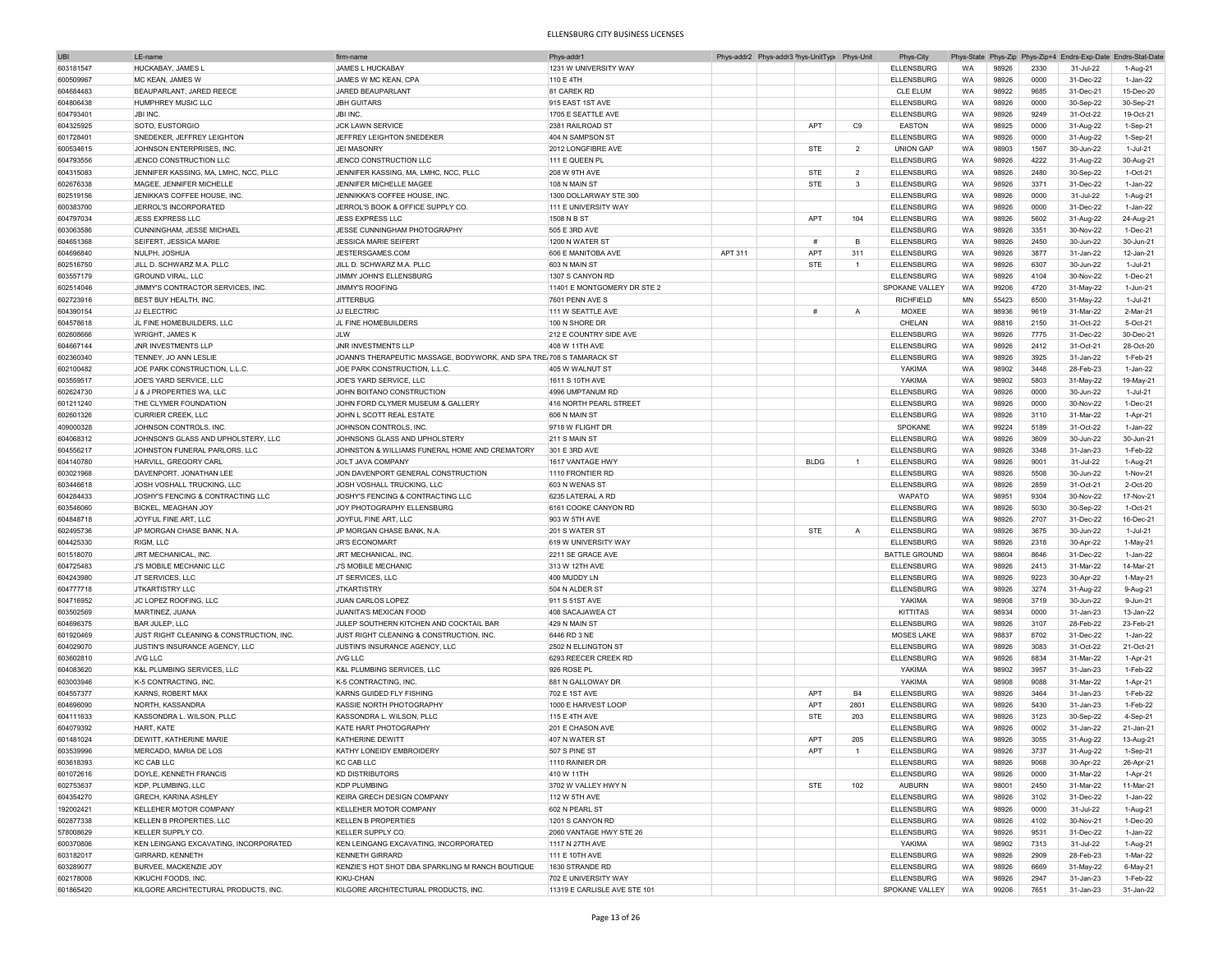| <b>UBI</b> | LE-nam                                  | firm-nam                                                             | Phys-addr1                   | Phys-addr2 Phys-addr3 <sup>&gt;</sup> hys-UnitTypi Phys-Unit |             |                | Phys-City            |           |       | Phys-State Phys-Zip Phys-Zip+4 | Endrs-Exp-Date Endrs-Stat-Dat |                |
|------------|-----------------------------------------|----------------------------------------------------------------------|------------------------------|--------------------------------------------------------------|-------------|----------------|----------------------|-----------|-------|--------------------------------|-------------------------------|----------------|
| 603181547  | HUCKABAY, JAMES L                       | <b>JAMES L HUCKABAY</b>                                              | 1231 W UNIVERSITY WAY        |                                                              |             |                | <b>ELLENSBURG</b>    | WA        | 98926 | 2330                           | 31-Jul-22                     | 1-Aug-21       |
| 600509967  | <b>IMC KEAN, JAMES W</b>                | JAMES W MC KEAN, CPA                                                 | 110 E 4TH                    |                                                              |             |                | <b>ELLENSBURG</b>    | WA        | 98926 | 0000                           | 31-Dec-22                     | 1-Jan-22       |
|            |                                         |                                                                      |                              |                                                              |             |                |                      |           |       |                                |                               |                |
| 604684483  | BEAUPARLANT, JARED REECE                | JARED BEAUPARLANT                                                    | 81 CAREK RD                  |                                                              |             |                | <b>CLE ELUM</b>      | WA        | 98922 | 9685                           | 31-Dec-21                     | 15-Dec-20      |
| 604806438  | HUMPHREY MUSIC LLC                      | <b>JBH GUITARS</b>                                                   | 915 EAST 1ST AVE             |                                                              |             |                | <b>ELLENSBURG</b>    | WA        | 98926 | 0000                           | 30-Sep-22                     | 30-Sep-21      |
| 604793401  | <b>JBI INC</b>                          | <b>JBI INC</b>                                                       | 1705 E SEATTLE AVE           |                                                              |             |                | <b>ELLENSBURG</b>    | WA        | 98926 | 9249                           | 31-Oct-22                     | 19-Oct-21      |
| 604325925  | SOTO, EUSTORGIO                         | <b>JCK LAWN SERVICE</b>                                              | 2381 RAILROAD ST             |                                                              | APT         | C <sub>9</sub> | EASTON               | WA        | 98925 | 0000                           | 31-Aug-22                     | 1-Sep-21       |
| 601728401  | SNEDEKER, JEFFREY LEIGHTON              | JEFFREY LEIGHTON SNEDEKER                                            | 404 N SAMPSON ST             |                                                              |             |                | <b>ELLENSBURG</b>    | WA        | 98926 | 0000                           | 31-Aug-22                     | 1-Sep-21       |
| 600534615  | JOHNSON ENTERPRISES, INC.               | <b>JEI MASONRY</b>                                                   | 2012 LONGFIBRE AVE           |                                                              | <b>STE</b>  | $\overline{2}$ | <b>UNION GAP</b>     | WA        | 98903 | 1567                           | 30-Jun-22                     | 1-Jul-21       |
|            |                                         |                                                                      |                              |                                                              |             |                |                      |           |       |                                |                               |                |
| 604793556  | JENCO CONSTRUCTION LLC                  | JENCO CONSTRUCTION LLC                                               | 111 E QUEEN PL               |                                                              |             |                | ELLENSBURG           | WA        | 98926 | 4222                           | 31-Aug-22                     | 30-Aug-21      |
| 604315083  | JENNIFER KASSING, MA, LMHC, NCC, PLLC   | JENNIFER KASSING, MA, LMHC, NCC, PLLC                                | <b>208 W 9TH AVE</b>         |                                                              | <b>STE</b>  | $\overline{2}$ | <b>ELLENSBURG</b>    | WA        | 98926 | 2480                           | 30-Sep-22                     | 1-Oct-21       |
| 602676338  | MAGEE, JENNIFER MICHELLE                | JENNIFER MICHELLE MAGEE                                              | 108 N MAIN ST                |                                                              | <b>STE</b>  | $\mathbf{3}$   | <b>ELLENSBURG</b>    | WA        | 98926 | 3371                           | 31-Dec-22                     | 1-Jan-22       |
| 602519156  | JENIKKA'S COFFEE HOUSE, INC.            | JENNIKKA'S COFFEE HOUSE, INC                                         | 1300 DOLLARWAY STE 300       |                                                              |             |                | <b>ELLENSBURG</b>    | WA        | 98926 | 0000                           | 31-Jul-22                     | 1-Aug-21       |
| 600383700  | JERROL'S INCORPORATED                   | JERROL'S BOOK & OFFICE SUPPLY CO.                                    | 111 E UNIVERSITY WAY         |                                                              |             |                | <b>ELLENSBURG</b>    | WA        | 98926 | 0000                           | 31-Dec-22                     | 1-Jan-22       |
|            |                                         |                                                                      |                              |                                                              |             |                |                      |           |       |                                |                               |                |
| 604797034  | <b>JESS EXPRESS LLC</b>                 | <b>JESS EXPRESS LLC</b>                                              | 1508 N B ST                  |                                                              | APT         | 104            | <b>ELLENSBURG</b>    | WA        | 98926 | 5602                           | 31-Aug-22                     | 24-Aug-21      |
| 603063586  | CUNNINGHAM, JESSE MICHAEL               | JESSE CUNNINGHAM PHOTOGRAPHY                                         | 505 E 3RD AVE                |                                                              |             |                | <b>ELLENSBURG</b>    | WA        | 98926 | 3351                           | 30-Nov-22                     | 1-Dec-21       |
| 604651368  | SEIFERT, JESSICA MARIE                  | <b>JESSICA MARIE SEIFERT</b>                                         | 1200 N WATER ST              |                                                              | #           | <b>B</b>       | <b>ELLENSBURG</b>    | WA        | 98926 | 2450                           | 30-Jun-22                     | 30-Jun-21      |
| 604696840  | NULPH, JOSHUA                           | JESTERSGAMES.COM                                                     | 606 E MANITOBA AVE           | APT 311                                                      | <b>APT</b>  | 311            | <b>ELLENSBURG</b>    | WA        | 98926 | 3877                           | 31-Jan-22                     | 12-Jan-21      |
| 602516750  | JILL D. SCHWARZ M.A. PLLC               | JILL D. SCHWARZ M.A. PLLC                                            | 603 N MAIN ST                |                                                              | <b>STE</b>  | $\overline{1}$ | <b>ELLENSBURG</b>    | WA        | 98926 | 6307                           | 30-Jun-22                     | $1 -$ Jul-21   |
|            |                                         |                                                                      |                              |                                                              |             |                |                      |           |       |                                |                               |                |
| 603557179  | <b>GROUND VIRAL, LLC</b>                | JIMMY JOHN'S ELLENSBURG                                              | 1307 S CANYON RD             |                                                              |             |                | <b>ELLENSBURG</b>    | WA        | 98926 | 4104                           | 30-Nov-22                     | 1-Dec-21       |
| 602514046  | JIMMY'S CONTRACTOR SERVICES, INC        | <b>JIMMY'S ROOFING</b>                                               | 11401 E MONTGOMERY DR STE 2  |                                                              |             |                | SPOKANE VALLEY       | WA        | 99206 | 4720                           | 31-May-22                     | 1-Jun-21       |
| 602723916  | BEST BUY HEALTH, INC                    | <b>JITTERBUG</b>                                                     | 7601 PENN AVE S              |                                                              |             |                | <b>RICHFIELD</b>     | MN        | 55423 | 8500                           | 31-May-22                     | 1-Jul-21       |
| 604390154  | <b>JJ ELECTRIC</b>                      | JJ ELECTRIC                                                          | 111 W SEATTLE AVE            |                                                              | #           | $\overline{A}$ | MOXEE                | WA        | 98936 | 9619                           | 31-Mar-22                     | 2-Mar-21       |
| 604578618  | JL FINE HOMEBUILDERS, LLC               | JL FINE HOMEBUILDERS                                                 | 100 N SHORE DR               |                                                              |             |                | CHELAN               | WA        | 98816 | 2150                           | 31-Oct-22                     | 5-Oct-21       |
|            |                                         |                                                                      |                              |                                                              |             |                |                      |           |       |                                |                               |                |
| 602608666  | WRIGHT, JAMES K                         | <b>JLW</b>                                                           | 212 E COUNTRY SIDE AVE       |                                                              |             |                | <b>ELLENSBURG</b>    | WA        | 98926 | 7775                           | 31-Dec-22                     | 30-Dec-21      |
| 604667144  | <b>JNR INVESTMENTS LLP</b>              | JNR INVESTMENTS LLP                                                  | 408 W 11TH AVE               |                                                              |             |                | <b>ELLENSBURG</b>    | <b>WA</b> | 98926 | 2412                           | 31-Oct-21                     | 28-Oct-20      |
| 602360340  | TENNEY, JO ANN LESLIE                   | JOANN'S THERAPEUTIC MASSAGE, BODYWORK, AND SPA TRE 708 S TAMARACK ST |                              |                                                              |             |                | <b>ELLENSBURG</b>    | WA        | 98926 | 3925                           | 31-Jan-22                     | 1-Feb-21       |
| 602100482  | <b>JOE PARK CONSTRUCTION, L.L.C</b>     | JOF PARK CONSTRUCTION I I.C                                          | 405 W WALNUT ST              |                                                              |             |                | YAKIMA               | WA        | 98902 | 3448                           | 28-Feb-23                     | 1-Jan-22       |
|            |                                         | JOE'S YARD SERVICE, LLC                                              |                              |                                                              |             |                |                      |           |       |                                |                               |                |
| 603559517  | JOE'S YARD SERVICE, LLC                 |                                                                      | 1611 S 10TH AVE              |                                                              |             |                | YAKIMA               | WA        | 98902 | 5803                           | 31-May-22                     | 19-May-21      |
| 602624730  | J & J PROPERTIES WA, LLC                | JOHN BOITANO CONSTRUCTION                                            | 4996 UMPTANUM RD             |                                                              |             |                | <b>ELLENSBURG</b>    | WA        | 98926 | 0000                           | 30-Jun-22                     | 1-Jul-21       |
| 601211240  | THE CLYMER FOUNDATION                   | JOHN FORD CLYMER MUSEUM & GALLERY                                    | 416 NORTH PEARL STREET       |                                                              |             |                | <b>ELLENSBURG</b>    | WA        | 98926 | 0000                           | 30-Nov-22                     | 1-Dec-21       |
| 602601326  | <b>CURRIER CREEK, LLC</b>               | JOHN L SCOTT REAL ESTATE                                             | 606 N MAIN ST                |                                                              |             |                | <b>ELLENSBURG</b>    | WA        | 98926 | 3110                           | 31-Mar-22                     | 1-Apr-21       |
| 409000328  | JOHNSON CONTROLS, INC                   | JOHNSON CONTROLS, INC                                                | 9718 W FLIGHT DR             |                                                              |             |                | SPOKANE              | WA        | 99224 | 5189                           | 31-Oct-22                     | 1-Jan-22       |
|            |                                         |                                                                      |                              |                                                              |             |                |                      |           |       | 3609                           |                               |                |
| 604068312  | JOHNSON'S GLASS AND UPHOLSTERY, LLC     | JOHNSONS GLASS AND UPHOLSTERY                                        | 211 S MAIN ST                |                                                              |             |                | <b>ELLENSBURG</b>    | WA        | 98926 |                                | 30-Jun-22                     | 30-Jun-21      |
| 604556217  | JOHNSTON FUNERAL PARLORS, LLC           | JOHNSTON & WILLIAMS FUNERAL HOME AND CREMATORY                       | 301 E 3RD AVE                |                                                              |             |                | <b>ELLENSBURG</b>    | WA        | 98926 | 3348                           | 31-Jan-23                     | 1-Feb-22       |
| 604140780  | HARVILL, GREGORY CARL                   | JOLT JAVA COMPANY                                                    | 1617 VANTAGE HWY             |                                                              | <b>BLDG</b> | $\overline{1}$ | ELLENSBURG           | WA        | 98926 | 9001                           | 31-Jul-22                     | 1-Aug-21       |
| 603021968  | DAVENPORT, JONATHAN LEE                 | JON DAVENPORT GENERAL CONSTRUCTION                                   | 1110 FRONTIER RD             |                                                              |             |                | <b>ELLENSBURG</b>    | WA        | 98926 | 5508                           | 30-Jun-22                     | 1-Nov-21       |
| 603446618  | JOSH VOSHALL TRUCKING, LLC              | JOSH VOSHALL TRUCKING, LLC                                           | 603 N WENAS ST               |                                                              |             |                | <b>ELLENSBURG</b>    | WA        | 98926 | 2859                           | 31-Oct-21                     | 2-Oct-20       |
|            |                                         | JOSHY'S FENCING & CONTRACTING LLC                                    |                              |                                                              |             |                |                      |           |       |                                |                               | 17-Nov-21      |
| 604284433  | JOSHY'S FENCING & CONTRACTING LLC       |                                                                      | 6235 LATERAL A RD            |                                                              |             |                | <b>WAPATO</b>        | WA        | 98951 | 9304                           | 30-Nov-22                     |                |
| 603546060  | <b>BICKEL, MEAGHAN JOY</b>              | JOY PHOTOGRAPHY ELLENSBURG                                           | 6161 COOKE CANYON RD         |                                                              |             |                | <b>ELLENSBURG</b>    | WA        | 98926 | 5030                           | 30-Sep-22                     | 1-Oct-21       |
| 604848718  | JOYFUL FINE ART, LLC                    | JOYFUL FINE ART, LLC                                                 | 903 W 5TH AVE                |                                                              |             |                | <b>ELLENSBURG</b>    | WA        | 98926 | 2707                           | 31-Dec-22                     | 16-Dec-21      |
| 602495736  | JP MORGAN CHASE BANK, N.A.              | JP MORGAN CHASE BANK, N.A.                                           | 201 S WATER ST               |                                                              | <b>STE</b>  | $\overline{A}$ | <b>ELLENSBURG</b>    | WA        | 98926 | 3675                           | 30-Jun-22                     | 1-Jul-21       |
| 604425330  | RIGM, LLC                               | <b>JR'S ECONOMART</b>                                                | 619 W UNIVERSITY WAY         |                                                              |             |                | <b>ELLENSBURG</b>    | WA        | 98926 | 2318                           | 30-Apr-22                     | $1-May-21$     |
|            |                                         |                                                                      |                              |                                                              |             |                |                      |           |       |                                |                               |                |
| 601518070  | JRT MECHANICAL, INC                     | JRT MECHANICAL, INC                                                  | 2211 SE GRACE AVE            |                                                              |             |                | <b>BATTLE GROUND</b> | WA        | 98604 | 8646                           | 31-Dec-22                     | 1-Jan-22       |
| 604725483  | J'S MOBILE MECHANIC LLC                 | <b>J'S MOBILE MECHANIC</b>                                           | 313 W 12TH AVE               |                                                              |             |                | <b>ELLENSBURG</b>    | WA        | 98926 | 2413                           | 31-Mar-22                     | 14-Mar-21      |
| 604243980  | JT SERVICES, LLC                        | JT SERVICES, LLC                                                     | 400 MUDDY LN                 |                                                              |             |                | <b>ELLENSBURG</b>    | WA        | 98926 | 9223                           | 30-Apr-22                     | 1-May-21       |
| 604777718  | <b>JTKARTISTRY LLC</b>                  | <b>JTKARTISTRY</b>                                                   | 504 N ALDER ST               |                                                              |             |                | <b>ELLENSBURG</b>    | WA        | 98926 | 3274                           | 31-Aug-22                     | 9-Aug-21       |
| 604716952  | JC LOPEZ ROOFING, LLC                   | JUAN CARLOS LOPEZ                                                    | 911 S 51ST AVE               |                                                              |             |                | YAKIMA               | WA        | 98908 | 3719                           | 30-Jun-22                     | 9-Jun-21       |
|            |                                         | JUANITA'S MEXICAN FOOD                                               |                              |                                                              |             |                | KITTITAS             | WA        | 98934 | 0000                           | 31-Jan-23                     | 13-Jan-22      |
| 603502569  | MARTINEZ, JUANA                         |                                                                      | 408 SACAJAWEA CT             |                                                              |             |                |                      |           |       |                                |                               |                |
| 604696375  | <b>BAR JULEP, LLC</b>                   | JULEP SOUTHERN KITCHEN AND COCKTAIL BAR                              | 429 N MAIN ST                |                                                              |             |                | <b>ELLENSBURG</b>    | WA        | 98926 | 3107                           | 28-Feb-22                     | 23-Feb-21      |
| 601920469  | JUST RIGHT CLEANING & CONSTRUCTION, INC | JUST RIGHT CLEANING & CONSTRUCTION, INC                              | 6446 RD 3 NE                 |                                                              |             |                | MOSES LAKE           | <b>WA</b> | 98837 | 8702                           | 31-Dec-22                     | 1-Jan-22       |
| 604029070  | JUSTIN'S INSURANCE AGENCY, LLC          | JUSTIN'S INSURANCE AGENCY, LLC                                       | 2502 N ELLINGTON ST          |                                                              |             |                | <b>ELLENSBURG</b>    | WA        | 98926 | 3083                           | 31-Oct-22                     | 21-Oct-21      |
| 603602810  | JVG LLC                                 | JVG LLC                                                              | 6293 REECER CREEK RD         |                                                              |             |                | <b>ELLENSBURG</b>    | WA        | 98926 | 8834                           | 31-Mar-22                     | 1-Apr-21       |
| 604083620  | K&L PLUMBING SERVICES, LLC              | K&L PLUMBING SERVICES, LLC                                           | 926 ROSE PL                  |                                                              |             |                | YAKIMA               | WA        | 98902 | 3957                           | 31-Jan-23                     | 1-Feb-22       |
|            |                                         |                                                                      |                              |                                                              |             |                |                      |           |       |                                |                               |                |
| 603003946  | K-5 CONTRACTING. INC                    | K-5 CONTRACTING. INC.                                                | 881 N GALLOWAY DR            |                                                              |             |                | YAKIMA               | WA        | 98908 | 9088                           | 31-Mar-22                     | 1-Apr-21       |
| 604557377  | KARNS, ROBERT MAX                       | KARNS GUIDED FLY FISHING                                             | 702 E 1ST AVE                |                                                              | <b>APT</b>  | B <sub>4</sub> | <b>ELLENSBURG</b>    | WA        | 98926 | 3464                           | 31-Jan-23                     | 1-Feb-22       |
| 604696090  | NORTH, KASSANDRA                        | KASSIE NORTH PHOTOGRAPHY                                             | 1000 E HARVEST LOOP          |                                                              | <b>APT</b>  | 2801           | <b>ELLENSBURG</b>    | WA        | 98926 | 5430                           | 31-Jan-23                     | 1-Feb-22       |
| 604111633  | KASSONDRA L. WILSON, PLLC               | KASSONDRA L. WILSON, PLLC                                            | 115 E 4TH AVE                |                                                              | <b>STE</b>  | 203            | <b>ELLENSBURG</b>    | WA        | 98926 | 3123                           | 30-Sep-22                     | 4-Sep-21       |
| 604079392  | HART, KATE                              | KATE HART PHOTOGRAPHY                                                | 201 E CHASON AVE             |                                                              |             |                | ELLENSBURG           | <b>WA</b> | 98926 | 0002                           | 31-Jan-22                     | 21-Jan-21      |
|            | DEWITT, KATHERINE MARIE                 | KATHERINE DEWITT                                                     | 407 N WATER ST               |                                                              | <b>APT</b>  | 205            | <b>ELLENSBURG</b>    | WA        |       |                                |                               |                |
| 601481024  |                                         |                                                                      |                              |                                                              |             |                |                      |           | 98926 | 3055                           | 31-Aug-22                     | 13-Aug-21      |
| 603539996  | MERCADO, MARIA DE LOS                   | KATHY LONEIDY EMBROIDERY                                             | 507 S PINE ST                |                                                              | APT         |                | <b>ELLENSBURG</b>    | WA.       | 98926 | 3737                           | 31-Aug-22                     | 1-Sep-21       |
| 603618393  | KC CAB LLC                              | KC CAB LLC                                                           | 1110 RAINIER DR              |                                                              |             |                | <b>ELLENSBURG</b>    | WA        | 98926 | 9068                           | 30-Apr-22                     | 26-Apr-21      |
| 601072616  | DOYLE, KENNETH FRANCIS                  | <b>KD DISTRIBUTORS</b>                                               | 410 W 11TH                   |                                                              |             |                | <b>ELLENSBURG</b>    | WA        | 98926 | 0000                           | 31-Mar-22                     | 1-Apr-21       |
| 602753637  | KDP, PLUMBING, LLC                      | <b>KDP PLUMBING</b>                                                  | 3702 W VALLEY HWY N          |                                                              | <b>STE</b>  | 102            | AUBURN               | WA        | 98001 | 2450                           | 31-Mar-22                     | 11-Mar-21      |
|            |                                         |                                                                      |                              |                                                              |             |                |                      |           |       |                                |                               |                |
| 604354270  | <b>GRECH, KARINA ASHLEY</b>             | KEIRA GRECH DESIGN COMPANY                                           | 112 W 5TH AVE                |                                                              |             |                | <b>ELLENSBURG</b>    | WA        | 98926 | 3102                           | 31-Dec-22                     | $1$ -Jan- $22$ |
| 192002421  | KELLEHER MOTOR COMPANY                  | KELLEHER MOTOR COMPANY                                               | 602 N PEARL ST               |                                                              |             |                | <b>ELLENSBURG</b>    | WA        | 98926 | 0000                           | 31-Jul-22                     | 1-Aug-21       |
| 602877338  | KELLEN B PROPERTIES, LLC                | <b>KELLEN B PROPERTIES</b>                                           | 1201 S CANYON RD             |                                                              |             |                | <b>ELLENSBURG</b>    | WA        | 98926 | 4102                           | 30-Nov-21                     | 1-Dec-20       |
| 578008629  | KELLER SUPPLY CO.                       | KELLER SUPPLY CO.                                                    | 2060 VANTAGE HWY STE 26      |                                                              |             |                | <b>ELLENSBURG</b>    | WA        | 98926 | 9531                           | 31-Dec-22                     | 1-Jan-22       |
| 600370806  | KEN LEINGANG EXCAVATING, INCORPORATED   | KEN LEINGANG EXCAVATING, INCORPORATED                                | 1117 N 27TH AVE              |                                                              |             |                | YAKIMA               | WA        | 98902 | 7313                           | 31-Jul-22                     | 1-Aug-21       |
|            |                                         |                                                                      |                              |                                                              |             |                | <b>ELLENSBURG</b>    |           |       |                                |                               |                |
| 603182017  | <b>GIRRARD, KENNETH</b>                 | <b>KENNETH GIRRARD</b>                                               | 111 E 10TH AVE               |                                                              |             |                |                      | WA        | 98926 | 2909                           | 28-Feb-23                     | 1-Mar-22       |
| 603289077  | BURVEE, MACKENZIE JOY                   | KENZIE'S HOT SHOT DBA SPARKLING M RANCH BOUTIQUE                     | 1630 STRANDE RD              |                                                              |             |                | <b>ELLENSBURG</b>    | WA        | 98926 | 6669                           | 31-May-22                     | 6-May-21       |
| 602178008  | KIKUCHI FOODS, INC.                     | KIKU-CHAN                                                            | 702 E UNIVERSITY WAY         |                                                              |             |                | <b>ELLENSBURG</b>    | WA        | 98926 | 2947                           | 31-Jan-23                     | 1-Feb-22       |
| 601865420  | KILGORE ARCHITECTURAL PRODUCTS, INC.    | KILGORE ARCHITECTURAL PRODUCTS, INC.                                 | 11319 E CARLISLE AVE STE 101 |                                                              |             |                | SPOKANE VALLEY       | WA        | 99206 | 7651                           | 31-Jan-23                     | 31-Jan-22      |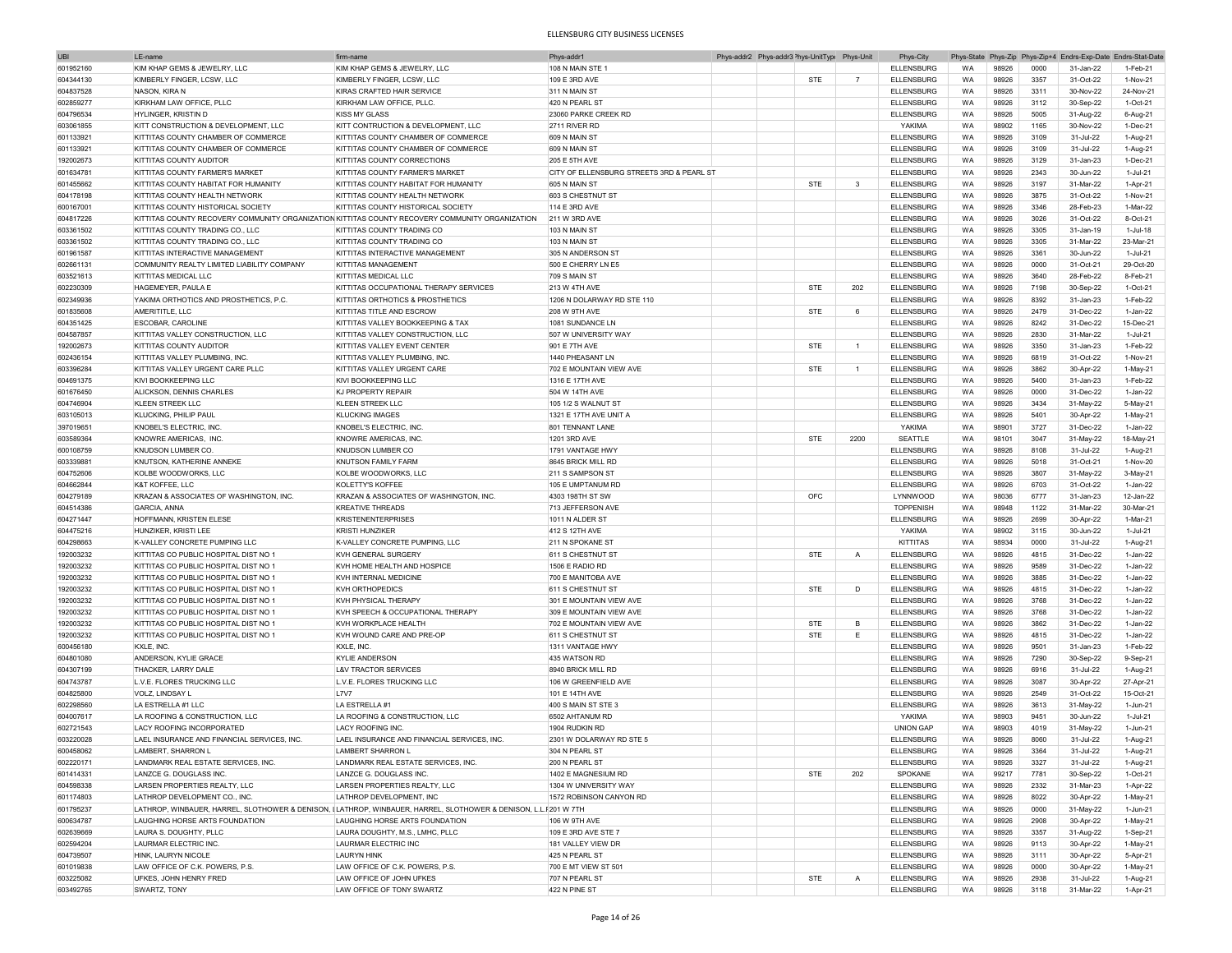| <b>UBI</b> | LE-name                                     | firm-name                                                                                                       | Phys-addr1                                 |  | Phys-addr2 Phys-addr3 Phys-UnitType Phys-Unit |                | Phys-City         |           |       |      | Phys-State Phys-Zip Phys-Zip+4 Endrs-Exp-Date Endrs-Stat-Date |            |
|------------|---------------------------------------------|-----------------------------------------------------------------------------------------------------------------|--------------------------------------------|--|-----------------------------------------------|----------------|-------------------|-----------|-------|------|---------------------------------------------------------------|------------|
| 601952160  | KIM KHAP GEMS & JEWELRY, LLC                | KIM KHAP GEMS & JEWELRY, LLC                                                                                    | 108 N MAIN STE 1                           |  |                                               |                | <b>ELLENSBURG</b> | WA        | 98926 | 0000 | 31-Jan-22                                                     | 1-Feb-21   |
| 604344130  | KIMBERLY FINGER, LCSW, LLC                  | KIMBERLY FINGER, LCSW, LLC                                                                                      | 109 E 3RD AVE                              |  | STE                                           | $\overline{7}$ | <b>ELLENSBURG</b> | WA        | 98926 | 3357 | 31-Oct-22                                                     | 1-Nov-21   |
| 604837528  | NASON, KIRA N                               | KIRAS CRAFTED HAIR SERVICE                                                                                      | 311 N MAIN ST                              |  |                                               |                | <b>ELLENSBURG</b> | WA        | 98926 | 3311 | 30-Nov-22                                                     | 24-Nov-21  |
|            | KIRKHAM LAW OFFICE, PLLC                    |                                                                                                                 |                                            |  |                                               |                |                   |           |       |      |                                                               |            |
| 602859277  |                                             | KIRKHAM LAW OFFICE, PLLC.                                                                                       | 420 N PEARL ST                             |  |                                               |                | <b>ELLENSBURG</b> | WA        | 98926 | 3112 | 30-Sep-22                                                     | 1-Oct-21   |
| 604796534  | HYLINGER, KRISTIN D                         | <b>KISS MY GLASS</b>                                                                                            | 23060 PARKE CREEK RD                       |  |                                               |                | <b>ELLENSBURG</b> | WA        | 98926 | 5005 | 31-Aug-22                                                     | 6-Aug-21   |
| 603061855  | KITT CONSTRUCTION & DEVELOPMENT, LLC        | KITT CONTRUCTION & DEVELOPMENT, LLC                                                                             | 2711 RIVER RD                              |  |                                               |                | YAKIMA            | WA        | 98902 | 1165 | 30-Nov-22                                                     | 1-Dec-21   |
| 601133921  | KITTITAS COUNTY CHAMBER OF COMMERCE         | KITTITAS COUNTY CHAMBER OF COMMERCE                                                                             | 609 N MAIN ST                              |  |                                               |                | ELLENSBURG        | WA        | 98926 | 3109 | 31-Jul-22                                                     | 1-Aug-21   |
| 601133921  | KITTITAS COUNTY CHAMBER OF COMMERCE         | KITTITAS COUNTY CHAMBER OF COMMERCE                                                                             | 609 N MAIN ST                              |  |                                               |                | <b>ELLENSBURG</b> | <b>WA</b> | 98926 | 3109 | 31-Jul-22                                                     | 1-Aug-21   |
| 192002673  | KITTITAS COUNTY AUDITOR                     | KITTITAS COUNTY CORRECTIONS                                                                                     | 205 E 5TH AVE                              |  |                                               |                | <b>ELLENSBURG</b> | WA        | 98926 | 3129 | 31-Jan-23                                                     | 1-Dec-21   |
| 601634781  | KITTITAS COUNTY FARMER'S MARKET             | KITTITAS COUNTY FARMER'S MARKET                                                                                 | CITY OF ELLENSBURG STREETS 3RD & PEARL ST  |  |                                               |                | <b>ELLENSBURG</b> | WA        | 98926 | 2343 | 30-Jun-22                                                     | 1-Jul-21   |
| 601455662  | KITTITAS COUNTY HABITAT FOR HUMANITY        | KITTITAS COUNTY HABITAT FOR HUMANITY                                                                            | 605 N MAIN ST                              |  | <b>STE</b>                                    | $\mathbf{3}$   | <b>ELLENSBURG</b> | WA        | 98926 | 3197 | 31-Mar-22                                                     | 1-Apr-21   |
| 604178198  | KITTITAS COUNTY HEALTH NETWORK              | KITTITAS COUNTY HEALTH NETWORK                                                                                  | 603 S CHESTNUT ST                          |  |                                               |                | <b>ELLENSBURG</b> | <b>WA</b> | 98926 | 3875 | 31-Oct-22                                                     | 1-Nov-21   |
|            |                                             | KITTITAS COUNTY HISTORICAL SOCIETY                                                                              |                                            |  |                                               |                |                   | WA        | 98926 | 3346 | 28-Feb-23                                                     | 1-Mar-22   |
| 600167001  | KITTITAS COUNTY HISTORICAL SOCIETY          |                                                                                                                 | 114 E 3RD AVE                              |  |                                               |                | <b>ELLENSBURG</b> |           |       |      |                                                               |            |
| 604817226  |                                             | KITTITAS COUNTY RECOVERY COMMUNITY ORGANIZATION KITTITAS COUNTY RECOVERY COMMUNITY ORGANIZATION                 | 211 W 3RD AVE                              |  |                                               |                | <b>ELLENSBURG</b> | WA        | 98926 | 3026 | 31-Oct-22                                                     | 8-Oct-21   |
| 603361502  | KITTITAS COUNTY TRADING CO., LLC            | KITTITAS COUNTY TRADING CO                                                                                      | 103 N MAIN ST                              |  |                                               |                | <b>ELLENSBURG</b> | WA        | 98926 | 3305 | 31-Jan-19                                                     | 1-Jul-18   |
| 603361502  | KITTITAS COUNTY TRADING CO., LLC            | KITTITAS COUNTY TRADING CO                                                                                      | 103 N MAIN ST                              |  |                                               |                | <b>ELLENSBURG</b> | WA        | 98926 | 3305 | 31-Mar-22                                                     | 23-Mar-21  |
| 601961587  | KITTITAS INTERACTIVE MANAGEMENT             | KITTITAS INTERACTIVE MANAGEMENT                                                                                 | 305 N ANDERSON ST                          |  |                                               |                | <b>ELLENSBURG</b> | WA        | 98926 | 3361 | 30-Jun-22                                                     | 1-Jul-21   |
| 602661131  | COMMUNITY REALTY LIMITED LIABILITY COMPANY  | KITTITAS MANAGEMENT                                                                                             | 500 E CHERRY LN E5                         |  |                                               |                | <b>ELLENSBURG</b> | WA        | 98926 | 0000 | 31-Oct-21                                                     | 29-Oct-20  |
| 603521613  | KITTITAS MEDICAL LLC                        | KITTITAS MEDICAL LLC                                                                                            | 709 S MAIN ST                              |  |                                               |                | <b>ELLENSBURG</b> | WA        | 98926 | 3640 | 28-Feb-22                                                     | 8-Feb-21   |
| 602230309  | HAGEMEYER, PAULA E                          | KITTITAS OCCUPATIONAL THERAPY SERVICES                                                                          | 213 W 4TH AVE                              |  | STE                                           | 202            | <b>ELLENSBURG</b> | WA        | 98926 | 7198 | 30-Sep-22                                                     | $1-Oct-21$ |
| 602349936  | YAKIMA ORTHOTICS AND PROSTHETICS, P.C.      | KITTITAS ORTHOTICS & PROSTHETICS                                                                                | 1206 N DOLARWAY RD STE 110                 |  |                                               |                | <b>ELLENSBURG</b> | <b>WA</b> | 98926 | 8392 | 31-Jan-23                                                     | 1-Feb-22   |
|            |                                             |                                                                                                                 |                                            |  |                                               |                |                   |           |       |      |                                                               |            |
| 601835608  | AMERITITLE, LLC                             | KITTITAS TITLE AND ESCROW                                                                                       | 208 W 9TH AVE                              |  | STE                                           | 6              | <b>ELLENSBURG</b> | <b>WA</b> | 98926 | 2479 | 31-Dec-22                                                     | 1-Jan-22   |
| 604351425  | <b>ESCOBAR, CAROLINE</b>                    | KITTITAS VALLEY BOOKKEEPING & TAX                                                                               | 1081 SUNDANCE LN                           |  |                                               |                | <b>ELLENSBURG</b> | WA        | 98926 | 8242 | 31-Dec-22                                                     | 15-Dec-21  |
| 604587857  | KITTITAS VALLEY CONSTRUCTION, LLC           | KITTITAS VALLEY CONSTRUCTION, LLC                                                                               | 507 W UNIVERSITY WAY                       |  |                                               |                | <b>ELLENSBURG</b> | WA        | 98926 | 2830 | 31-Mar-22                                                     | 1-Jul-21   |
| 192002673  | <b>KITTITAS COUNTY AUDITOR</b>              | KITTITAS VALLEY EVENT CENTER                                                                                    | 901 E 7TH AVE                              |  | STE                                           | $\overline{1}$ | <b>ELLENSBURG</b> | <b>WA</b> | 98926 | 3350 | 31-Jan-23                                                     | 1-Feb-22   |
| 602436154  | KITTITAS VALLEY PLUMBING, INC.              | KITTITAS VALLEY PLUMBING, INC                                                                                   | 1440 PHEASANT LN                           |  |                                               |                | <b>ELLENSBURG</b> | WA        | 98926 | 6819 | 31-Oct-22                                                     | 1-Nov-21   |
| 603396284  | KITTITAS VALLEY URGENT CARE PLLC            | KITTITAS VALLEY URGENT CARE                                                                                     | 702 E MOUNTAIN VIEW AVE                    |  | STE                                           | $\overline{1}$ | <b>ELLENSBURG</b> | WA        | 98926 | 3862 | 30-Apr-22                                                     | 1-May-21   |
| 604691375  | KIVI BOOKKEEPING LLC                        | KIVI BOOKKEEPING LLC                                                                                            | 1316 E 17TH AVE                            |  |                                               |                | <b>ELLENSBURG</b> | WA        | 98926 | 5400 | 31-Jan-23                                                     | 1-Feb-22   |
| 601676450  | ALICKSON, DENNIS CHARLES                    | KJ PROPERTY REPAIR                                                                                              | 504 W 14TH AVE                             |  |                                               |                | <b>ELLENSBURG</b> | WA        | 98926 | 0000 | 31-Dec-22                                                     | 1-Jan-22   |
|            |                                             |                                                                                                                 |                                            |  |                                               |                |                   |           |       |      |                                                               |            |
| 604746904  | <b>KLEEN STREEK LLC</b>                     | KLEEN STREEK LLC                                                                                                | 105 1/2 S WALNUT ST                        |  |                                               |                | <b>ELLENSBURG</b> | WA        | 98926 | 3434 | 31-May-22                                                     | 5-May-21   |
| 603105013  | <b>KLUCKING, PHILIP PAUL</b>                | <b>KLUCKING IMAGES</b>                                                                                          | 1321 E 17TH AVE UNIT A                     |  |                                               |                | <b>ELLENSBURG</b> | WA        | 98926 | 5401 | 30-Apr-22                                                     | 1-May-21   |
| 397019651  | KNOBEL'S ELECTRIC, INC                      | KNOBEL'S ELECTRIC, INC                                                                                          | 801 TENNANT LANE                           |  |                                               |                | YAKIMA            | WA        | 98901 | 3727 | 31-Dec-22                                                     | 1-Jan-22   |
| 603589364  | KNOWRE AMERICAS, INC                        | KNOWRE AMERICAS, INC.                                                                                           | 1201 3RD AVE                               |  | STE                                           | 2200           | SEATTLE           | <b>WA</b> | 98101 | 3047 | 31-May-22                                                     | 18-May-21  |
| 600108759  | KNUDSON LUMBER CO.                          | KNUDSON LUMBER CO                                                                                               | 1791 VANTAGE HWY                           |  |                                               |                | ELLENSBURG        | <b>WA</b> | 98926 | 8108 | 31-Jul-22                                                     | 1-Aug-21   |
| 603339881  | KNUTSON, KATHERINE ANNEKE                   | KNUTSON FAMILY FARM                                                                                             | 8645 BRICK MILL RD                         |  |                                               |                | <b>ELLENSBURG</b> | <b>WA</b> | 98926 | 5018 | 31-Oct-21                                                     | 1-Nov-20   |
| 604752606  | KOLBE WOODWORKS, LLC                        | KOLBE WOODWORKS, LLC                                                                                            | 211 S SAMPSON ST                           |  |                                               |                | <b>ELLENSBURG</b> | WA        | 98926 | 3807 | 31-May-22                                                     | 3-May-21   |
| 604662844  | K&T KOFFEE, LLC                             | KOLETTY'S KOFFEE                                                                                                | 105 E UMPTANUM RD                          |  |                                               |                | <b>ELLENSBURG</b> | <b>WA</b> | 98926 | 6703 | 31-Oct-22                                                     | 1-Jan-22   |
| 604279189  | KRAZAN & ASSOCIATES OF WASHINGTON, INC      | KRAZAN & ASSOCIATES OF WASHINGTON, INC.                                                                         | 4303 198TH ST SW                           |  | OFC                                           |                | LYNNWOOD          | <b>WA</b> | 98036 | 6777 | 31-Jan-23                                                     | 12-Jan-22  |
| 604514386  | <b>GARCIA, ANNA</b>                         | <b>KREATIVE THREADS</b>                                                                                         | 713 JEFFERSON AVE                          |  |                                               |                | <b>TOPPENISH</b>  | WA        | 98948 | 1122 | 31-Mar-22                                                     | 30-Mar-21  |
|            |                                             |                                                                                                                 |                                            |  |                                               |                |                   |           |       |      |                                                               |            |
| 604271447  | HOFFMANN, KRISTEN ELESE                     | <b>KRISTENENTERPRISES</b>                                                                                       | 1011 N ALDER ST                            |  |                                               |                | ELLENSBURG        | WA        | 98926 | 2699 | 30-Apr-22                                                     | 1-Mar-21   |
| 604475216  | HUNZIKER, KRISTI LEE                        | KRISTI HUNZIKER                                                                                                 | 412 S 12TH AVE                             |  |                                               |                | YAKIMA            | WA        | 98902 | 3115 | 30-Jun-22                                                     | 1-Jul-21   |
| 604298663  | K-VALLEY CONCRETE PUMPING LLC               | K-VALLEY CONCRETE PUMPING, LLC                                                                                  | 211 N SPOKANE ST                           |  |                                               |                | KITTITAS          | WA        | 98934 | 0000 | 31-Jul-22                                                     | 1-Aug-21   |
| 192003232  | KITTITAS CO PUBLIC HOSPITAL DIST NO 1       | KVH GENERAL SURGERY                                                                                             | 611 S CHESTNUT ST                          |  | <b>STE</b>                                    | $\overline{A}$ | <b>ELLENSBURG</b> | WA        | 98926 | 4815 | 31-Dec-22                                                     | 1-Jan-22   |
| 192003232  | KITTITAS CO PUBLIC HOSPITAL DIST NO 1       | KVH HOME HEALTH AND HOSPICE                                                                                     | 1506 E RADIO RD                            |  |                                               |                | <b>ELLENSBURG</b> | WA        | 98926 | 9589 | 31-Dec-22                                                     | 1-Jan-22   |
| 192003232  | KITTITAS CO PUBLIC HOSPITAL DIST NO 1       | KVH INTERNAL MEDICINE                                                                                           | 700 E MANITOBA AVE                         |  |                                               |                | <b>ELLENSBURG</b> | WA        | 98926 | 3885 | 31-Dec-22                                                     | 1-Jan-22   |
| 192003232  | KITTITAS CO PUBLIC HOSPITAL DIST NO 1       | KVH ORTHOPEDICS                                                                                                 | 611 S CHESTNUT ST                          |  | STE                                           | D              | <b>ELLENSBURG</b> | <b>WA</b> | 98926 | 4815 | 31-Dec-22                                                     | 1-Jan-22   |
| 192003232  | KITTITAS CO PUBLIC HOSPITAL DIST NO 1       | KVH PHYSICAL THERAPY                                                                                            | 301 E MOUNTAIN VIEW AVE                    |  |                                               |                | <b>ELLENSBURG</b> | <b>WA</b> | 98926 | 3768 | 31-Dec-22                                                     | 1-Jan-22   |
| 192003232  | KITTITAS CO PUBLIC HOSPITAL DIST NO 1       | KVH SPEECH & OCCUPATIONAL THERAPY                                                                               | 309 E MOUNTAIN VIEW AVE                    |  |                                               |                | <b>ELLENSBURG</b> | <b>WA</b> | 98926 | 3768 | 31-Dec-22                                                     | 1-Jan-22   |
| 192003232  | KITTITAS CO PUBLIC HOSPITAL DIST NO 1       | KVH WORKPLACE HEALTH                                                                                            | 702 E MOUNTAIN VIEW AVE                    |  | <b>STE</b>                                    | в              | <b>ELLENSBURG</b> | WA        | 98926 | 3862 | 31-Dec-22                                                     | 1-Jan-22   |
|            |                                             |                                                                                                                 |                                            |  |                                               |                |                   |           |       |      |                                                               |            |
| 192003232  | KITTITAS CO PUBLIC HOSPITAL DIST NO 1       | KVH WOUND CARE AND PRE-OF                                                                                       | 611 S CHESTNUT ST                          |  | <b>STE</b>                                    | Ε              | <b>ELLENSBURG</b> | <b>WA</b> | 98926 | 4815 | 31-Dec-22                                                     | 1-Jan-22   |
| 600456180  | KXLE, INC.                                  | KXLE, INC.                                                                                                      | 1311 VANTAGE HWY                           |  |                                               |                | <b>ELLENSBURG</b> | WA        | 98926 | 9501 | 31-Jan-23                                                     | 1-Feb-22   |
| 604801080  | ANDERSON, KYLIE GRACE                       | KYLIF ANDERSON                                                                                                  | 435 WATSON RD                              |  |                                               |                | <b>ELLENSBURG</b> | WA        | 98926 | 7290 | 30-Sep-22                                                     | 9-Sep-21   |
| 604307199  | THACKER, LARRY DALE                         | <b>L&amp;V TRACTOR SERVICES</b>                                                                                 | 8940 BRICK MILL RD                         |  |                                               |                | <b>ELLENSBURG</b> | WA        | 98926 | 6916 | 31-Jul-22                                                     | 1-Aug-21   |
| 604743787  | L.V.E. FLORES TRUCKING LLC                  | L.V.E. FLORES TRUCKING LLC                                                                                      | 106 W GREENFIELD AVE                       |  |                                               |                | <b>ELLENSBURG</b> | WA        | 98926 | 3087 | 30-Apr-22                                                     | 27-Apr-21  |
| 604825800  | VOLZ, LINDSAY L                             | <b>L7V7</b>                                                                                                     | 101 E 14TH AVE                             |  |                                               |                | <b>ELLENSBURG</b> | WA        | 98926 | 2549 | 31-Oct-22                                                     | 15-Oct-21  |
| 602298560  | LA ESTRELLA #1 LLC                          | LA ESTRELLA #1                                                                                                  | 400 S MAIN ST STE 3                        |  |                                               |                | <b>ELLENSBURG</b> | WA        | 98926 | 3613 | 31-May-22                                                     | 1-Jun-21   |
| 604007617  | LA ROOFING & CONSTRUCTION, LLC              | LA ROOFING & CONSTRUCTION, LLC                                                                                  | 6502 AHTANUM RD                            |  |                                               |                | YAKIMA            | WA        | 98903 | 9451 | 30-Jun-22                                                     | 1-Jul-21   |
| 602721543  | LACY ROOFING INCORPORATED                   | <b>LACY ROOFING INC.</b>                                                                                        |                                            |  |                                               |                | <b>UNION GAP</b>  | <b>WA</b> | 98903 | 4019 | 31-May-22                                                     | 1-Jun-21   |
|            | LAEL INSURANCE AND FINANCIAL SERVICES, INC. |                                                                                                                 | 1904 RUDKIN RD<br>2301 W DOLARWAY RD STE 5 |  |                                               |                | <b>ELLENSBURG</b> | <b>WA</b> | 98926 | 8060 | 31-Jul-22                                                     |            |
| 603220028  |                                             | LAEL INSURANCE AND FINANCIAL SERVICES, INC.                                                                     |                                            |  |                                               |                |                   |           |       |      |                                                               | 1-Aug-21   |
| 600458062  | LAMBERT, SHARRON L                          | LAMBERT SHARRON L                                                                                               | 304 N PEARL ST                             |  |                                               |                | <b>ELLENSBURG</b> | <b>WA</b> | 98926 | 3364 | 31-Jul-22                                                     | 1-Aug-21   |
| 602220171  | LANDMARK REAL ESTATE SERVICES, INC.         | LANDMARK REAL ESTATE SERVICES, INC.                                                                             | 200 N PEARL ST                             |  |                                               |                | ELLENSBURG        | WA        | 98926 | 3327 | 31-Jul-22                                                     | 1-Aug-21   |
| 601414331  | LANZCE G. DOUGLASS INC.                     | LANZCE G. DOUGLASS INC.                                                                                         | 1402 E MAGNESIUM RD                        |  | <b>STE</b>                                    | 202            | SPOKANE           | WA        | 99217 | 7781 | 30-Sep-22                                                     | 1-Oct-21   |
| 604598338  | LARSEN PROPERTIES REALTY, LLC               | LARSEN PROPERTIES REALTY, LLC                                                                                   | 1304 W UNIVERSITY WAY                      |  |                                               |                | ELLENSBURG        | WA        | 98926 | 2332 | 31-Mar-23                                                     | 1-Apr-22   |
| 601174803  | LATHROP DEVELOPMENT CO., INC.               | LATHROP DEVELOPMENT, INC                                                                                        | 1572 ROBINSON CANYON RD                    |  |                                               |                | <b>ELLENSBURG</b> | WA        | 98926 | 8022 | 30-Apr-22                                                     | 1-May-21   |
| 601795237  |                                             | LATHROP, WINBAUER, HARREL, SLOTHOWER & DENISON, ILATHROP, WINBAUER, HARREL, SLOTHOWER & DENISON, L.L.1201 W 7TH |                                            |  |                                               |                | <b>ELLENSBURG</b> | WA        | 98926 | 0000 | 31-May-22                                                     | 1-Jun-21   |
| 600634787  | LAUGHING HORSE ARTS FOUNDATION              | LAUGHING HORSE ARTS FOUNDATION                                                                                  | 106 W 9TH AVE                              |  |                                               |                | ELLENSBURG        | WA        | 98926 | 2908 | 30-Apr-22                                                     | 1-May-21   |
| 602639669  | LAURA S. DOUGHTY, PLLC                      | LAURA DOUGHTY, M.S., LMHC, PLLC                                                                                 | 109 E 3RD AVE STE 7                        |  |                                               |                | <b>ELLENSBURG</b> | WA        | 98926 | 3357 |                                                               | 1-Sep-21   |
|            |                                             | <b>LAURMAR ELECTRIC INC</b>                                                                                     |                                            |  |                                               |                |                   |           |       |      | 31-Aug-22                                                     |            |
| 602594204  | LAURMAR ELECTRIC INC.                       |                                                                                                                 | 181 VALLEY VIEW DR                         |  |                                               |                | ELLENSBURG        | WA        | 98926 | 9113 | 30-Apr-22                                                     | 1-May-21   |
| 604739507  | HINK, LAURYN NICOLE                         | <b>LAURYN HINK</b>                                                                                              | 425 N PEARL ST                             |  |                                               |                | <b>ELLENSBURG</b> | WA        | 98926 | 3111 | 30-Apr-22                                                     | 5-Apr-21   |
| 601019838  | LAW OFFICE OF C.K. POWERS, P.S.             | LAW OFFICE OF C.K. POWERS, P.S.                                                                                 | 700 E MT VIEW ST 501                       |  |                                               |                | ELLENSBURG        | WA        | 98926 | 0000 | 30-Apr-22                                                     | 1-May-21   |
| 603225082  | UFKES, JOHN HENRY FRED                      | LAW OFFICE OF JOHN UFKES                                                                                        | 707 N PEARL ST                             |  | STE                                           | $\overline{A}$ | <b>ELLENSBURG</b> | WA        | 98926 | 2938 | 31-Jul-22                                                     | 1-Aug-21   |
| 603492765  | SWARTZ, TONY                                | LAW OFFICE OF TONY SWARTZ                                                                                       | 422 N PINE ST                              |  |                                               |                | <b>ELLENSBURG</b> | WA        | 98926 | 3118 | 31-Mar-22                                                     | 1-Apr-21   |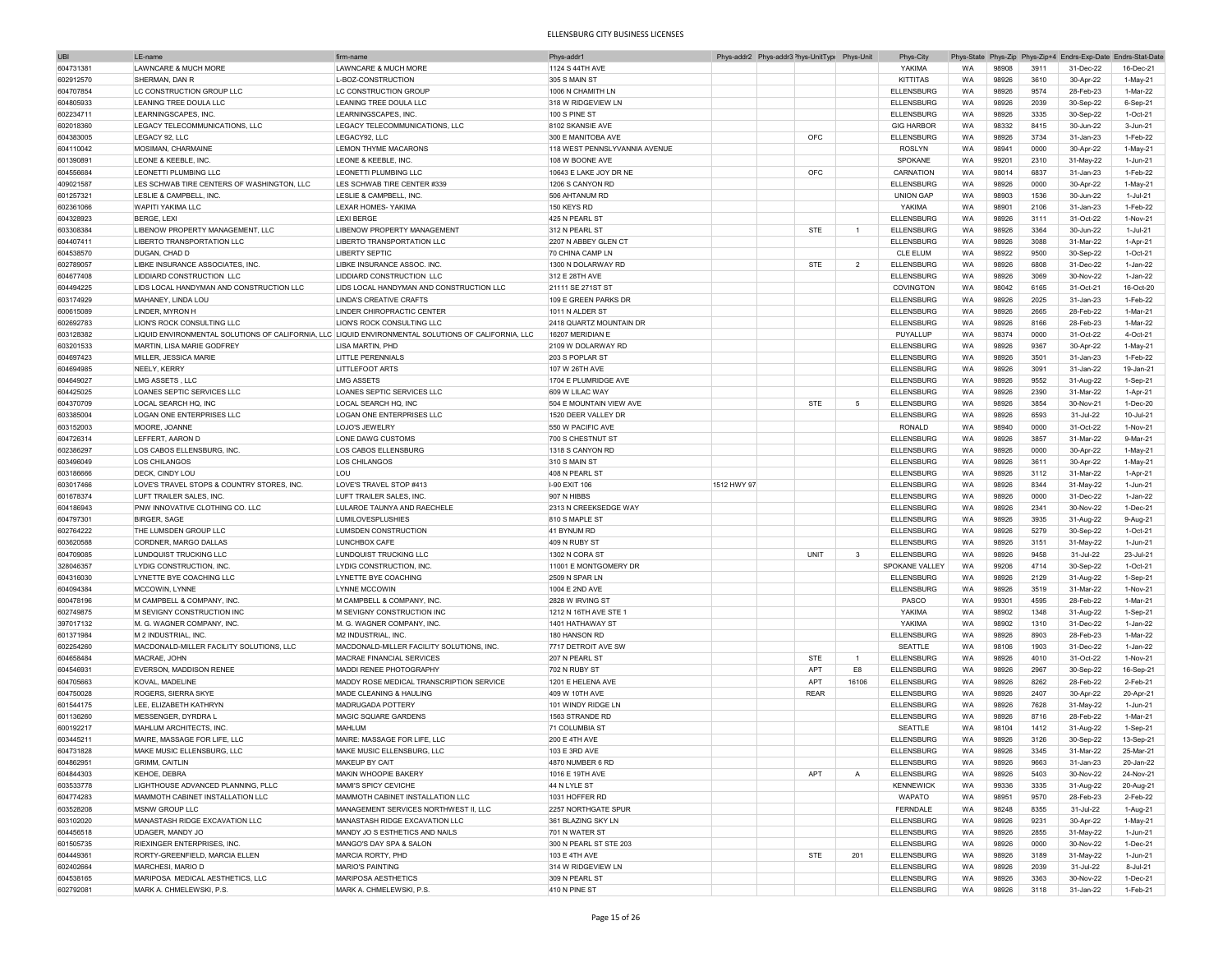| <b>UBI</b> | LE-name                                    | firm-nam                                                                                            | Phys-addr1                    | Phys-addr2 Phys-addr3 <sup>&gt;</sup> hys-UnitTyp( Phys-Unit |             |                         | Phys-City                              |           |       |      |           | Phys-State Phys-Zip Phys-Zip+4 Endrs-Exp-Date Endrs-Stat-Date |
|------------|--------------------------------------------|-----------------------------------------------------------------------------------------------------|-------------------------------|--------------------------------------------------------------|-------------|-------------------------|----------------------------------------|-----------|-------|------|-----------|---------------------------------------------------------------|
| 604731381  | LAWNCARE & MUCH MORE                       | LAWNCARE & MUCH MORE                                                                                | 1124 S 44TH AVE               |                                                              |             |                         | YAKIMA                                 | WA        | 98908 | 3911 | 31-Dec-22 | 16-Dec-21                                                     |
| 602912570  | SHERMAN, DAN R                             | L-BOZ-CONSTRUCTION                                                                                  | 305 S MAIN ST                 |                                                              |             |                         | KITTITAS                               | WA        | 98926 | 3610 | 30-Apr-22 | 1-May-21                                                      |
| 604707854  | LC CONSTRUCTION GROUP LLC                  | LC CONSTRUCTION GROUP                                                                               | 1006 N CHAMITH LN             |                                                              |             |                         | <b>ELLENSBURG</b>                      | WA        | 98926 | 9574 | 28-Feb-23 | 1-Mar-22                                                      |
|            |                                            |                                                                                                     |                               |                                                              |             |                         |                                        |           |       |      |           |                                                               |
| 604805933  | LEANING TREE DOULA LLC                     | LEANING TREE DOULA LLC                                                                              | 318 W RIDGEVIEW LN            |                                                              |             |                         | <b>ELLENSBURG</b>                      | WA        | 98926 | 2039 | 30-Sep-22 | 6-Sep-21                                                      |
| 602234711  | LEARNINGSCAPES, INC                        | LEARNINGSCAPES, INC                                                                                 | 100 S PINE ST                 |                                                              |             |                         | <b>ELLENSBURG</b>                      | WA        | 98926 | 3335 | 30-Sep-22 | 1-Oct-21                                                      |
| 602018360  | LEGACY TELECOMMUNICATIONS, LLC             | LEGACY TELECOMMUNICATIONS, LLC                                                                      | 8102 SKANSIE AVE              |                                                              |             |                         | <b>GIG HARBOR</b>                      | WA        | 98332 | 8415 | 30-Jun-22 | 3-Jun-21                                                      |
| 604383005  | LEGACY 92, LLC                             | LEGACY92, LLC                                                                                       | 300 E MANITOBA AVE            |                                                              | OFC         |                         | <b>ELLENSBURG</b>                      | WA        | 98926 | 3734 | 31-Jan-23 | 1-Feb-22                                                      |
| 604110042  | MOSIMAN, CHARMAINE                         | <b>LEMON THYME MACARONS</b>                                                                         | 118 WEST PENNSLYVANNIA AVENUE |                                                              |             |                         | ROSLYN                                 | WA        | 98941 | 0000 | 30-Apr-22 | 1-May-21                                                      |
| 601390891  | LEONE & KEEBLE, INC.                       | LEONE & KEEBLE, INC.                                                                                | 108 W BOONE AVE               |                                                              |             |                         | SPOKANE                                | WA        | 99201 | 2310 | 31-May-22 | 1-Jun-21                                                      |
| 604556684  | LEONETTI PLUMBING LLC                      | LEONETTI PLUMBING LLC                                                                               | 10643 E LAKE JOY DR NE        |                                                              | OFC         |                         | CARNATION                              | WA        | 98014 | 6837 | 31-Jan-23 | 1-Feb-22                                                      |
| 409021587  | LES SCHWAB TIRE CENTERS OF WASHINGTON, LLC | LES SCHWAB TIRE CENTER #339                                                                         | 1206 S CANYON RD              |                                                              |             |                         | <b>ELLENSBURG</b>                      | WA        | 98926 | 0000 | 30-Apr-22 | 1-May-21                                                      |
|            |                                            |                                                                                                     |                               |                                                              |             |                         |                                        | WA        |       |      |           |                                                               |
| 601257321  | LESLIE & CAMPBELL, INC.                    | LESLIE & CAMPBELL, INC.                                                                             | 506 AHTANUM RD                |                                                              |             |                         | <b>UNION GAP</b>                       |           | 98903 | 1536 | 30-Jun-22 | 1-Jul-21                                                      |
| 602361066  | <b>WAPITI YAKIMA LLC</b>                   | <b>LEXAR HOMES- YAKIMA</b>                                                                          | 150 KEYS RD                   |                                                              |             |                         | YAKIMA                                 | WA        | 98901 | 2106 | 31-Jan-23 | 1-Feb-22                                                      |
| 604328923  | BERGE, LEXI                                | <b>LEXI BERGE</b>                                                                                   | 425 N PEARL ST                |                                                              |             |                         | <b>ELLENSBURG</b>                      | WA        | 98926 | 3111 | 31-Oct-22 | 1-Nov-21                                                      |
| 603308384  | LIBENOW PROPERTY MANAGEMENT, LLC           | LIBENOW PROPERTY MANAGEMENT                                                                         | 312 N PEARL ST                |                                                              | <b>STE</b>  | $\mathbf{1}$            | <b>ELLENSBURG</b>                      | WA        | 98926 | 3364 | 30-Jun-22 | $1-Jul-21$                                                    |
| 604407411  | LIBERTO TRANSPORTATION LLC                 | LIBERTO TRANSPORTATION LLC                                                                          | 2207 N ABBEY GLEN CT          |                                                              |             |                         | <b>ELLENSBURG</b>                      | WA        | 98926 | 3088 | 31-Mar-22 | 1-Apr-21                                                      |
| 604538570  | DUGAN, CHAD D                              | <b>LIBERTY SEPTIC</b>                                                                               | 70 CHINA CAMP LN              |                                                              |             |                         | <b>CLE ELUM</b>                        | WA        | 98922 | 9500 | 30-Sep-22 | 1-Oct-21                                                      |
| 602789057  | LIBKE INSURANCE ASSOCIATES, INC.           | LIBKE INSURANCE ASSOC. INC.                                                                         | 1300 N DOLARWAY RD            |                                                              | <b>STE</b>  | $\overline{2}$          | <b>ELLENSBURG</b>                      | WA        | 98926 | 6808 | 31-Dec-22 | $1-Jan-22$                                                    |
| 604677408  | LIDDIARD CONSTRUCTION LLC                  | LIDDIARD CONSTRUCTION LLC                                                                           | 312 E 28TH AVE                |                                                              |             |                         | <b>ELLENSBURG</b>                      | WA        | 98926 | 3069 | 30-Nov-22 | 1-Jan-22                                                      |
|            |                                            |                                                                                                     |                               |                                                              |             |                         |                                        |           |       |      |           |                                                               |
| 604494225  | LIDS LOCAL HANDYMAN AND CONSTRUCTION LLC   | LIDS LOCAL HANDYMAN AND CONSTRUCTION LLC                                                            | 21111 SE 271ST ST             |                                                              |             |                         | COVINGTON                              | WA        | 98042 | 6165 | 31-Oct-21 | 16-Oct-20                                                     |
| 603174929  | MAHANEY, LINDA LOU                         | LINDA'S CREATIVE CRAFTS                                                                             | 109 E GREEN PARKS DR          |                                                              |             |                         | <b>ELLENSBURG</b>                      | <b>WA</b> | 98926 | 2025 | 31-Jan-23 | 1-Feb-22                                                      |
| 600615089  | LINDER, MYRON H                            | LINDER CHIROPRACTIC CENTER                                                                          | 1011 N ALDER ST               |                                                              |             |                         | <b>ELLENSBURG</b>                      | WA        | 98926 | 2665 | 28-Feb-22 | 1-Mar-21                                                      |
| 602692783  | LION'S ROCK CONSULTING LLC                 | LION'S ROCK CONSULTING LLC                                                                          | 2418 QUARTZ MOUNTAIN DR       |                                                              |             |                         | <b>ELLENSBURG</b>                      | <b>WA</b> | 98926 | 8166 | 28-Feb-23 | 1-Mar-22                                                      |
| 603128382  |                                            | LIQUID ENVIRONMENTAL SOLUTIONS OF CALIFORNIA, LLC LIQUID ENVIRONMENTAL SOLUTIONS OF CALIFORNIA, LLC | 16207 MERIDIAN E              |                                                              |             |                         | PUYALLUP                               | WA        | 98374 | 0000 | 31-Oct-22 | 4-Oct-21                                                      |
| 603201533  | MARTIN, LISA MARIE GODFREY                 | LISA MARTIN, PHD                                                                                    | 2109 W DOLARWAY RD            |                                                              |             |                         | <b>ELLENSBURG</b>                      | <b>WA</b> | 98926 | 9367 | 30-Apr-22 | 1-May-21                                                      |
| 604697423  | MILLER, JESSICA MARIE                      | <b>LITTLE PERENNIALS</b>                                                                            | 203 S POPLAR ST               |                                                              |             |                         | <b>ELLENSBURG</b>                      | WA        | 98926 | 3501 | 31-Jan-23 | 1-Feb-22                                                      |
| 604694985  | NEELY, KERRY                               | <b>LITTLEFOOT ARTS</b>                                                                              | 107 W 26TH AVE                |                                                              |             |                         | <b>ELLENSBURG</b>                      | WA        | 98926 | 3091 | 31-Jan-22 | 19-Jan-21                                                     |
|            |                                            |                                                                                                     |                               |                                                              |             |                         |                                        |           |       |      |           |                                                               |
| 604649027  | LMG ASSETS, LLC                            | <b>LMG ASSETS</b>                                                                                   | 1704 E PLUMRIDGE AVE          |                                                              |             |                         | <b>ELLENSBURG</b>                      | WA        | 98926 | 9552 | 31-Aug-22 | 1-Sep-21                                                      |
| 604425025  | LOANES SEPTIC SERVICES LLC                 | LOANES SEPTIC SERVICES LLC                                                                          | 609 W LILAC WAY               |                                                              |             |                         | <b>ELLENSBURG</b>                      | WA        | 98926 | 2390 | 31-Mar-22 | 1-Apr-21                                                      |
| 604370709  | LOCAL SEARCH HQ, INC                       | LOCAL SEARCH HQ, INC                                                                                | 504 E MOUNTAIN VIEW AVE       |                                                              | <b>STE</b>  | 5                       | <b>ELLENSBURG</b>                      | WA        | 98926 | 3854 | 30-Nov-21 | 1-Dec-20                                                      |
| 603385004  | LOGAN ONE ENTERPRISES LLC                  | LOGAN ONE ENTERPRISES LLC                                                                           | 1520 DEER VALLEY DR           |                                                              |             |                         | <b>ELLENSBURG</b>                      | WA        | 98926 | 6593 | 31-Jul-22 | 10-Jul-21                                                     |
| 603152003  | MOORE, JOANNE                              | LOJO'S JEWELRY                                                                                      | 550 W PACIFIC AVE             |                                                              |             |                         | RONALD                                 | WA        | 98940 | 0000 | 31-Oct-22 | 1-Nov-21                                                      |
| 604726314  | LEFFERT, AARON D                           | LONE DAWG CUSTOMS                                                                                   | 700 S CHESTNUT ST             |                                                              |             |                         | <b>ELLENSBURG</b>                      | WA        | 98926 | 3857 | 31-Mar-22 | 9-Mar-21                                                      |
| 602386297  | LOS CABOS ELLENSBURG, INC.                 | LOS CABOS ELLENSBURG                                                                                | 1318 S CANYON RD              |                                                              |             |                         | <b>ELLENSBURG</b>                      | WA        | 98926 | 0000 | 30-Apr-22 | 1-May-21                                                      |
| 603496049  | <b>LOS CHILANGOS</b>                       | LOS CHILANGOS                                                                                       | 310 S MAIN ST                 |                                                              |             |                         | <b>ELLENSBURG</b>                      | WA        | 98926 | 3611 | 30-Apr-22 | 1-May-21                                                      |
|            |                                            | <b>LOU</b>                                                                                          |                               |                                                              |             |                         |                                        |           |       |      |           |                                                               |
| 603186666  | <b>DECK, CINDY LOU</b>                     |                                                                                                     | 408 N PEARL ST                |                                                              |             |                         | <b>ELLENSBURG</b>                      | WA        | 98926 | 3112 | 31-Mar-22 | 1-Apr-21                                                      |
| 603017466  | LOVE'S TRAVEL STOPS & COUNTRY STORES, INC. | LOVE'S TRAVEL STOP #413                                                                             | I-90 EXIT 106                 | 1512 HWY 97                                                  |             |                         | ELLENSBURG                             | WA        | 98926 | 8344 | 31-May-22 | 1-Jun-21                                                      |
| 601678374  | LUFT TRAILER SALES, INC.                   | LUFT TRAILER SALES, INC.                                                                            | 907 N HIBBS                   |                                                              |             |                         | <b>ELLENSBURG</b>                      | WA        | 98926 | 0000 | 31-Dec-22 | 1-Jan-22                                                      |
| 604186943  | PNW INNOVATIVE CLOTHING CO. LLC            | LULAROE TAUNYA AND RAECHELE                                                                         | 2313 N CREEKSEDGE WAY         |                                                              |             |                         | <b>ELLENSBURG</b>                      | WA        | 98926 | 2341 | 30-Nov-22 | 1-Dec-21                                                      |
| 604797301  | <b>BIRGER, SAGE</b>                        | <b>LUMILOVESPLUSHIES</b>                                                                            | 810 S MAPLE ST                |                                                              |             |                         | <b>ELLENSBURG</b>                      | WA        | 98926 | 3935 | 31-Aug-22 | 9-Aug-21                                                      |
| 602764222  | THE LUMSDEN GROUP LLC                      | LUMSDEN CONSTRUCTION                                                                                | 41 BYNUM RD                   |                                                              |             |                         | <b>ELLENSBURG</b>                      | WA        | 98926 | 5279 | 30-Sep-22 | $1-Oct-21$                                                    |
| 603620588  | CORDNER, MARGO DALLAS                      | LUNCHBOX CAFE                                                                                       | 409 N RUBY ST                 |                                                              |             |                         | <b>ELLENSBURG</b>                      | WA        | 98926 | 3151 | 31-May-22 | 1-Jun-21                                                      |
| 604709085  | LUNDQUIST TRUCKING LLC                     | LUNDQUIST TRUCKING LLC                                                                              | 1302 N CORA ST                |                                                              | UNIT        | $\overline{\mathbf{3}}$ | <b>ELLENSBURG</b>                      | WA        | 98926 | 9458 | 31-Jul-22 | 23-Jul-21                                                     |
|            |                                            |                                                                                                     |                               |                                                              |             |                         |                                        |           |       |      |           |                                                               |
| 328046357  | LYDIG CONSTRUCTION, INC                    | LYDIG CONSTRUCTION, INC.                                                                            | 11001 E MONTGOMERY DR         |                                                              |             |                         | SPOKANE VALLEY                         | WA        | 99206 | 4714 | 30-Sep-22 | 1-Oct-21                                                      |
| 604316030  | LYNETTE BYE COACHING LLC                   | LYNETTE BYE COACHING                                                                                | <b>2509 N SPAR LN</b>         |                                                              |             |                         | <b>ELLENSBURG</b>                      | WA        | 98926 | 2129 | 31-Aug-22 | 1-Sep-21                                                      |
| 604094384  | MCCOWIN, LYNNE                             | <b>LYNNE MCCOWIN</b>                                                                                | 1004 E 2ND AVE                |                                                              |             |                         | <b>ELLENSBURG</b>                      | <b>WA</b> | 98926 | 3519 | 31-Mar-22 | 1-Nov-21                                                      |
| 600478196  | M CAMPBELL & COMPANY, INC.                 | M CAMPBELL & COMPANY, INC                                                                           | 2828 W IRVING ST              |                                                              |             |                         | PASCO                                  | <b>WA</b> | 99301 | 4595 | 28-Feb-22 | 1-Mar-21                                                      |
| 602749875  | M SEVIGNY CONSTRUCTION INC                 | M SEVIGNY CONSTRUCTION INC                                                                          | 1212 N 16TH AVE STE 1         |                                                              |             |                         | YAKIMA                                 | <b>WA</b> | 98902 | 1348 | 31-Aug-22 | 1-Sep-21                                                      |
| 397017132  | M. G. WAGNER COMPANY, INC.                 | M. G. WAGNER COMPANY, INC.                                                                          | 1401 HATHAWAY ST              |                                                              |             |                         | YAKIMA                                 | WA        | 98902 | 1310 | 31-Dec-22 | 1-Jan-22                                                      |
| 601371984  | M 2 INDUSTRIAL, INC.                       | M2 INDUSTRIAL, INC                                                                                  | 180 HANSON RD                 |                                                              |             |                         | <b>ELLENSBURG</b>                      | <b>WA</b> | 98926 | 8903 | 28-Feb-23 | 1-Mar-22                                                      |
| 602254260  | MACDONALD-MILLER FACILITY SOLUTIONS, LLC   | MACDONALD-MILLER FACILITY SOLUTIONS, INC.                                                           | 7717 DETROIT AVE SW           |                                                              |             |                         | SEATTLE                                | WA        | 98106 | 1903 | 31-Dec-22 | 1-Jan-22                                                      |
| 604658484  | MACRAE, JOHN                               | MACRAF FINANCIAL SERVICES                                                                           | 207 N PFARL ST                |                                                              | <b>STE</b>  | -1                      | <b>ELLENSBURG</b>                      | WA        | 98926 | 4010 | 31-Oct-22 | 1-Nov-21                                                      |
|            |                                            |                                                                                                     |                               |                                                              |             |                         |                                        |           |       |      |           |                                                               |
| 604546931  | <b>EVERSON, MADDISON RENEE</b>             | MADDI RENEE PHOTOGRAPHY                                                                             | 702 N RUBY ST                 |                                                              | <b>APT</b>  | E8                      | <b>ELLENSBURG</b>                      | WA        | 98926 | 2967 | 30-Sep-22 | 16-Sep-21                                                     |
| 604705663  | KOVAL, MADELINE                            | MADDY ROSE MEDICAL TRANSCRIPTION SERVICE                                                            | 1201 E HELENA AVE             |                                                              | <b>APT</b>  | 16106                   | <b>ELLENSBURG</b>                      | WA        | 98926 | 8262 | 28-Feb-22 | 2-Feb-21                                                      |
| 604750028  | ROGERS, SIERRA SKYE                        | MADE CLEANING & HAULING                                                                             | 409 W 10TH AVE                |                                                              | <b>REAR</b> |                         | <b>ELLENSBURG</b>                      | WA        | 98926 | 2407 | 30-Apr-22 | 20-Apr-21                                                     |
| 601544175  | I FF. FI IZABETH KATHRYN                   | <b>MADRUGADA POTTERY</b>                                                                            | 101 WINDY RIDGE LN            |                                                              |             |                         | <b>ELLENSBURG</b>                      | WA        | 98926 | 7628 | 31-May-22 | 1-Jun-21                                                      |
| 601136260  | MESSENGER, DYRDRA L                        | MAGIC SQUARE GARDENS                                                                                | 1563 STRANDE RD               |                                                              |             |                         | <b>ELLENSBURG</b>                      | WA        | 98926 | 8716 | 28-Feb-22 | 1-Mar-21                                                      |
| 600192217  | MAHLUM ARCHITECTS, INC.                    | MAHLUM                                                                                              | 71 COLUMBIA ST                |                                                              |             |                         | SEATTLE                                | WA        | 98104 | 1412 | 31-Aug-22 | 1-Sep-21                                                      |
| 603445211  | MAIRE, MASSAGE FOR LIFE, LLC               | MAIRE: MASSAGE FOR LIFE, LLC                                                                        | <b>200 E 4TH AVE</b>          |                                                              |             |                         | <b>ELLENSBURG</b>                      | WA        | 98926 | 3126 | 30-Sep-22 | 13-Sep-21                                                     |
| 604731828  | MAKE MUSIC ELLENSBURG. LLC                 | MAKE MUSIC ELLENSBURG, LLC                                                                          | 103 E 3RD AVE                 |                                                              |             |                         |                                        | WA        | 98926 | 3345 | 31-Mar-22 | 25-Mar-21                                                     |
|            | <b>GRIMM, CAITLIN</b>                      |                                                                                                     |                               |                                                              |             |                         | <b>ELLENSBURG</b><br><b>ELLENSBURG</b> |           |       |      |           |                                                               |
| 604862951  |                                            | MAKEUP BY CAIT                                                                                      | 4870 NUMBER 6 RD              |                                                              |             |                         |                                        | WA        | 98926 | 9663 | 31-Jan-23 | 20-Jan-22                                                     |
| 604844303  | KEHOE, DEBRA                               | MAKIN WHOOPIE BAKERY                                                                                | 1016 E 19TH AVE               |                                                              | APT         | $\mathsf{A}$            | <b>ELLENSBURG</b>                      | WA        | 98926 | 5403 | 30-Nov-22 | 24-Nov-21                                                     |
| 603533778  | LIGHTHOUSE ADVANCED PLANNING, PLLC         | MAMI'S SPICY CEVICHE                                                                                | 44 N LYLE ST                  |                                                              |             |                         | <b>KENNEWICK</b>                       | WA        | 99336 | 3335 | 31-Aug-22 | 20-Aug-21                                                     |
| 604774283  | MAMMOTH CABINET INSTALLATION LLC           | MAMMOTH CABINET INSTALLATION LLC                                                                    | 1031 HOFFER RD                |                                                              |             |                         | WAPATO                                 | WA        | 98951 | 9570 | 28-Feb-23 | 2-Feb-22                                                      |
| 603528208  | MSNW GROUP LLC                             | MANAGEMENT SERVICES NORTHWEST II. LLC                                                               | 2257 NORTHGATE SPUR           |                                                              |             |                         | FERNDALE                               | WA        | 98248 | 8355 | 31-Jul-22 | 1-Aug-21                                                      |
| 603102020  | MANASTASH RIDGE EXCAVATION LLC             | MANASTASH RIDGE EXCAVATION LLC                                                                      | 361 BLAZING SKY LN            |                                                              |             |                         | <b>ELLENSBURG</b>                      | WA        | 98926 | 9231 | 30-Apr-22 | 1-May-21                                                      |
| 604456518  | UDAGER, MANDY JO                           | MANDY JO S ESTHETICS AND NAILS                                                                      | 701 N WATER ST                |                                                              |             |                         | <b>ELLENSBURG</b>                      | WA        | 98926 | 2855 | 31-May-22 | 1-Jun-21                                                      |
| 601505735  | RIEXINGER ENTERPRISES, INC.                | MANGO'S DAY SPA & SALON                                                                             | 300 N PEARL ST STE 203        |                                                              |             |                         | <b>ELLENSBURG</b>                      | WA        | 98926 | 0000 | 30-Nov-22 | 1-Dec-21                                                      |
|            |                                            | <b>MARCIA RORTY, PHD</b>                                                                            | 103 E 4TH AVE                 |                                                              |             |                         |                                        |           |       |      |           |                                                               |
| 604449361  | RORTY-GREENFIELD, MARCIA ELLEN             |                                                                                                     |                               |                                                              | <b>STE</b>  | 201                     | <b>ELLENSBURG</b>                      | WA        | 98926 | 3189 | 31-May-22 | 1-Jun-21                                                      |
| 602402664  | MARCHESI, MARIO D                          | <b>MARIO'S PAINTING</b>                                                                             | 314 W RIDGEVIEW LN            |                                                              |             |                         | <b>ELLENSBURG</b>                      | WA        | 98926 | 2039 | 31-Jul-22 | 8-Jul-21                                                      |
| 604538165  | MARIPOSA MEDICAL AESTHETICS, LLC           | MARIPOSA AESTHETICS                                                                                 | 309 N PEARL ST                |                                                              |             |                         | <b>ELLENSBURG</b>                      | WA        | 98926 | 3363 | 30-Nov-22 | 1-Dec-21                                                      |
| 602792081  | MARK A. CHMELEWSKI, P.S.                   | MARK A. CHMELEWSKI, P.S.                                                                            | 410 N PINE ST                 |                                                              |             |                         | <b>ELLENSBURG</b>                      | WA        | 98926 | 3118 | 31-Jan-22 | 1-Feb-21                                                      |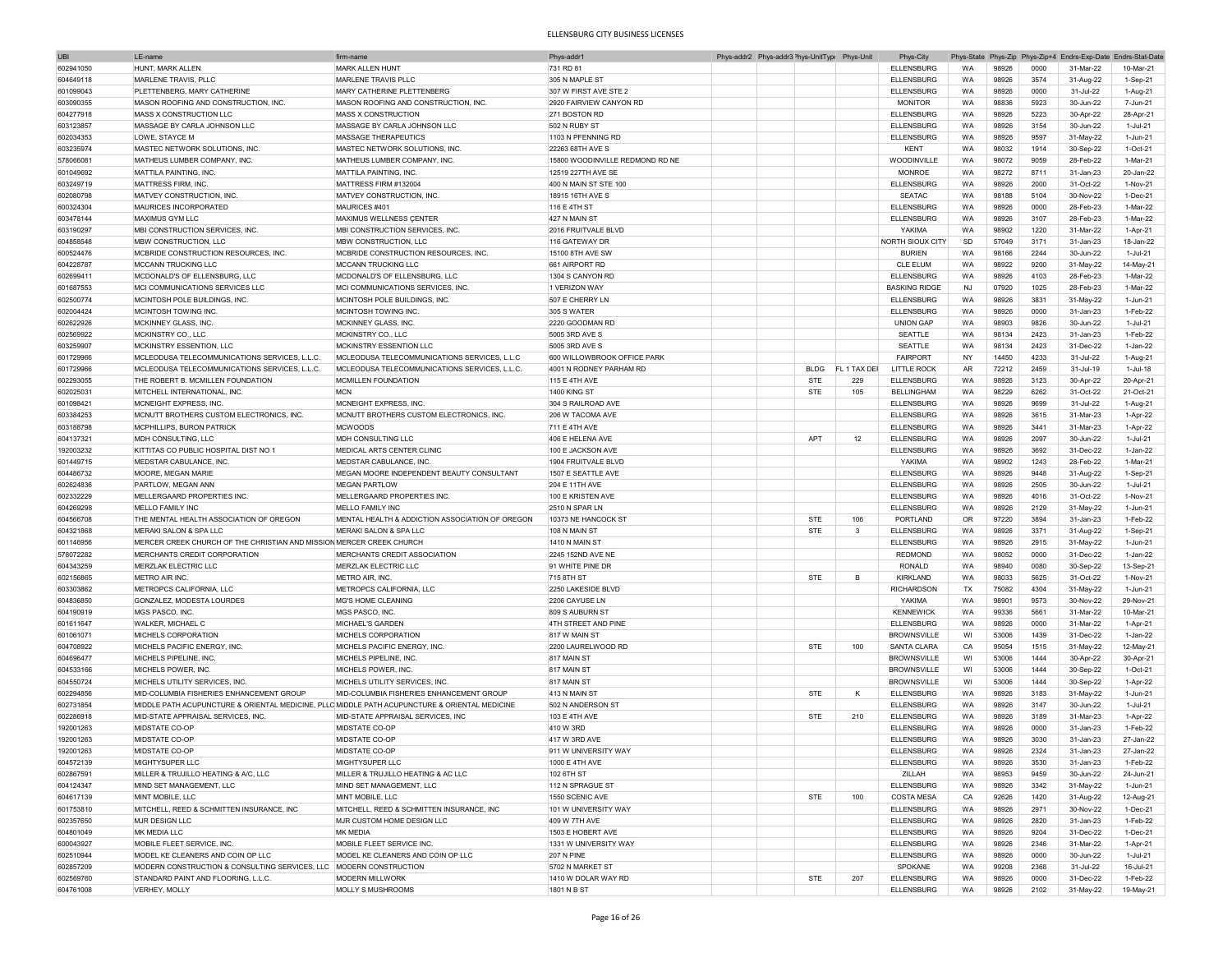| <b>UBI</b> | LE-nam                                                                                        | firm-nam                                        | Phys-addr <sup>*</sup>          | Phys-addr2 Phys-addr3 <sup>&gt;</sup> hys-UnitTypi Phys-Unit |             |              | Phys-City            |           |       |      | Phys-State Phys-Zip Phys-Zip+4 Endrs-Exp-Date Endrs-Stat-Date |           |
|------------|-----------------------------------------------------------------------------------------------|-------------------------------------------------|---------------------------------|--------------------------------------------------------------|-------------|--------------|----------------------|-----------|-------|------|---------------------------------------------------------------|-----------|
| 602941050  | HUNT, MARK ALLEN                                                                              | MARK ALLEN HUNT                                 | 731 RD 81                       |                                                              |             |              | <b>ELLENSBURG</b>    | <b>WA</b> | 98926 | 0000 | 31-Mar-22                                                     | 10-Mar-21 |
| 604649118  | MARLENE TRAVIS, PLLC                                                                          | MARI FNF TRAVIS PLLC                            | 305 N MAPLE ST                  |                                                              |             |              | <b>ELLENSBURG</b>    | WA        | 98926 | 3574 | 31-Aug-22                                                     | 1-Sep-21  |
|            |                                                                                               |                                                 |                                 |                                                              |             |              |                      |           |       |      |                                                               |           |
| 601099043  | PLETTENBERG, MARY CATHERINE                                                                   | MARY CATHERINE PLETTENBERG                      | 307 W FIRST AVE STE 2           |                                                              |             |              | <b>ELLENSBURG</b>    | WA        | 98926 | 0000 | 31-Jul-22                                                     | 1-Aug-21  |
| 603090355  | MASON ROOFING AND CONSTRUCTION, INC.                                                          | MASON ROOFING AND CONSTRUCTION, INC.            | 2920 FAIRVIEW CANYON RD         |                                                              |             |              | <b>MONITOR</b>       | WA        | 98836 | 5923 | 30-Jun-22                                                     | 7-Jun-21  |
| 604277918  | MASS X CONSTRUCTION LLC                                                                       | <b>MASS X CONSTRUCTION</b>                      | 271 BOSTON RD                   |                                                              |             |              | <b>ELLENSBURG</b>    | WA        | 98926 | 5223 | 30-Apr-22                                                     | 28-Apr-21 |
| 603123857  | MASSAGE BY CARLA JOHNSON LLC                                                                  | MASSAGE BY CARLA JOHNSON LLC                    | 502 N RUBY ST                   |                                                              |             |              | <b>ELLENSBURG</b>    | WA        | 98926 | 3154 | 30-Jun-22                                                     | 1-Jul-21  |
| 602034353  | LOWE, STAYCE M                                                                                | MASSAGE THERAPEUTICS                            | 1103 N PFENNING RD              |                                                              |             |              | <b>ELLENSBURG</b>    | WA        | 98926 | 9597 | 31-May-22                                                     | 1-Jun-21  |
| 603235974  | MASTEC NETWORK SOLUTIONS, INC                                                                 | MASTEC NETWORK SOLUTIONS, INC.                  | 22263 68TH AVE S                |                                                              |             |              | <b>KENT</b>          | WA        | 98032 | 1914 | 30-Sep-22                                                     | 1-Oct-21  |
|            |                                                                                               |                                                 |                                 |                                                              |             |              |                      |           |       |      |                                                               | 1-Mar-21  |
| 578066081  | MATHEUS LUMBER COMPANY, INC                                                                   | MATHEUS LUMBER COMPANY, INC.                    | 15800 WOODINVILLE REDMOND RD NE |                                                              |             |              | WOODINVILLE          | WA        | 98072 | 9059 | 28-Feb-22                                                     |           |
| 601049692  | MATTILA PAINTING, INC.                                                                        | MATTILA PAINTING, INC.                          | 12519 227TH AVE SE              |                                                              |             |              | <b>MONROE</b>        | WA        | 98272 | 8711 | 31-Jan-23                                                     | 20-Jan-22 |
| 603249719  | MATTRESS FIRM, INC.                                                                           | MATTRESS FIRM #132004                           | 400 N MAIN ST STE 100           |                                                              |             |              | <b>ELLENSBURG</b>    | WA        | 98926 | 2000 | 31-Oct-22                                                     | 1-Nov-21  |
| 602080798  | MATVEY CONSTRUCTION, INC.                                                                     | MATVEY CONSTRUCTION, INC.                       | 18915 16TH AVE S                |                                                              |             |              | <b>SEATAC</b>        | WA        | 98188 | 5104 | 30-Nov-22                                                     | 1-Dec-21  |
| 600324304  | MAURICES INCORPORATED                                                                         | MAURICES #401                                   | 116 E 4TH ST                    |                                                              |             |              | <b>ELLENSBURG</b>    | WA        | 98926 | 0000 | 28-Feb-23                                                     | 1-Mar-22  |
| 603478144  | MAXIMUS GYM LLC                                                                               | MAXIMUS WELLNESS ÇENTER                         | 427 N MAIN ST                   |                                                              |             |              | <b>ELLENSBURG</b>    | WA        | 98926 | 3107 | 28-Feb-23                                                     | 1-Mar-22  |
|            | MBI CONSTRUCTION SERVICES. INC.                                                               |                                                 |                                 |                                                              |             |              |                      |           |       |      |                                                               |           |
| 603190297  |                                                                                               | MBI CONSTRUCTION SERVICES, INC                  | 2016 FRUITVALE BLVD             |                                                              |             |              | YAKIMA               | WA        | 98902 | 1220 | 31-Mar-22                                                     | 1-Apr-21  |
| 604858548  | MBW CONSTRUCTION, LLC                                                                         | MBW CONSTRUCTION, LLC                           | 116 GATEWAY DR                  |                                                              |             |              | NORTH SIOUX CITY     | SD        | 57049 | 3171 | 31-Jan-23                                                     | 18-Jan-22 |
| 600524476  | MCBRIDE CONSTRUCTION RESOURCES, INC.                                                          | MCBRIDE CONSTRUCTION RESOURCES, INC.            | 15100 8TH AVE SW                |                                                              |             |              | <b>BURIEN</b>        | WA        | 98166 | 2244 | 30-Jun-22                                                     | 1-Jul-21  |
| 604228787  | MCCANN TRUCKING LLC                                                                           | MCCANN TRUCKING LLC                             | 661 AIRPORT RD                  |                                                              |             |              | <b>CLE ELUM</b>      | WA        | 98922 | 9200 | 31-May-22                                                     | 14-May-21 |
| 602699411  | MCDONALD'S OF ELLENSBURG. LLC                                                                 | MCDONALD'S OF ELLENSBURG, LLC                   | 1304 S CANYON RD                |                                                              |             |              | <b>ELLENSBURG</b>    | WA        | 98926 | 4103 | 28-Feb-23                                                     | 1-Mar-22  |
| 601687553  | MCI COMMUNICATIONS SERVICES LLC                                                               | MCI COMMUNICATIONS SERVICES, INC.               | 1 VERIZON WAY                   |                                                              |             |              | <b>BASKING RIDGE</b> | NJ        | 07920 | 1025 | 28-Feb-23                                                     | 1-Mar-22  |
|            |                                                                                               |                                                 |                                 |                                                              |             |              |                      |           |       |      |                                                               |           |
| 602500774  | MCINTOSH POLE BUILDINGS, INC                                                                  | MCINTOSH POLE BUILDINGS, INC                    | 507 E CHERRY LN                 |                                                              |             |              | <b>ELLENSBURG</b>    | WA        | 98926 | 3831 | 31-May-22                                                     | 1-Jun-21  |
| 602004424  | MCINTOSH TOWING INC.                                                                          | MCINTOSH TOWING INC                             | 305 S WATER                     |                                                              |             |              | <b>ELLENSBURG</b>    | WA        | 98926 | 0000 | 31-Jan-23                                                     | 1-Feb-22  |
| 602622926  | MCKINNEY GLASS, INC                                                                           | MCKINNEY GLASS, INC.                            | 2220 GOODMAN RD                 |                                                              |             |              | <b>UNION GAP</b>     | WA        | 98903 | 9826 | 30-Jun-22                                                     | 1-Jul-21  |
| 602569922  | MCKINSTRY CO., LLC                                                                            | MCKINSTRY CO., LLC                              | 5005 3RD AVE S                  |                                                              |             |              | SEATTLE              | WA        | 98134 | 2423 | 31-Jan-23                                                     | 1-Feb-22  |
| 603259907  | MCKINSTRY ESSENTION, LLC                                                                      | MCKINSTRY ESSENTION LLC                         | 5005 3RD AVE S                  |                                                              |             |              | <b>SEATTLE</b>       | WA        | 98134 | 2423 | 31-Dec-22                                                     | 1-Jan-22  |
| 601729966  | MCLEODUSA TELECOMMUNICATIONS SERVICES, L.L.C.                                                 | MCLEODUSA TELECOMMUNICATIONS SERVICES, L.L.C    | 600 WILLOWBROOK OFFICE PARK     |                                                              |             |              | <b>FAIRPORT</b>      | NY        | 14450 | 4233 | 31-Jul-22                                                     | 1-Aug-21  |
|            |                                                                                               |                                                 |                                 |                                                              |             |              |                      |           |       |      |                                                               |           |
| 601729966  | MCLEODUSA TELECOMMUNICATIONS SERVICES, L.L.C.                                                 | MCLEODUSA TELECOMMUNICATIONS SERVICES, L.L.C.   | 4001 N RODNEY PARHAM RD         |                                                              | <b>BLDG</b> | FL 1 TAX DEI | LITTLE ROCK          | AR        | 72212 | 2459 | 31-Jul-19                                                     | 1-Jul-18  |
| 602293055  | THE ROBERT B. MCMILLEN FOUNDATION                                                             | MCMILLEN FOUNDATION                             | 115 E 4TH AVE                   |                                                              | <b>STE</b>  | 229          | <b>ELLENSBURG</b>    | WA        | 98926 | 3123 | 30-Apr-22                                                     | 20-Apr-21 |
| 602025031  | MITCHELL INTERNATIONAL, INC.                                                                  | <b>MCN</b>                                      | <b>1400 KING ST</b>             |                                                              | STE         | 105          | <b>BELLINGHAM</b>    | WA        | 98229 | 6262 | 31-Oct-22                                                     | 21-Oct-21 |
| 601098421  | MCNEIGHT EXPRESS, INC.                                                                        | MCNEIGHT EXPRESS. INC                           | 304 S RAILROAD AVE              |                                                              |             |              | <b>ELLENSBURG</b>    | WA        | 98926 | 9699 | 31-Jul-22                                                     | 1-Aug-21  |
| 603384253  | MCNUTT BROTHERS CUSTOM ELECTRONICS, INC.                                                      | MCNUTT BROTHERS CUSTOM ELECTRONICS, INC         | 206 W TACOMA AVE                |                                                              |             |              | <b>ELLENSBURG</b>    | WA        | 98926 | 3615 | 31-Mar-23                                                     | 1-Apr-22  |
| 603188798  | MCPHILLIPS, BURON PATRICK                                                                     | <b>MCWOODS</b>                                  | 711 E 4TH AVE                   |                                                              |             |              | <b>ELLENSBURG</b>    | WA        | 98926 | 3441 | 31-Mar-23                                                     | 1-Apr-22  |
|            |                                                                                               |                                                 |                                 |                                                              |             |              |                      |           |       |      |                                                               |           |
| 604137321  | MDH CONSULTING, LLC                                                                           | MDH CONSULTING LLC                              | 406 E HELENA AVE                |                                                              | <b>APT</b>  | 12           | <b>ELLENSBURG</b>    | WA        | 98926 | 2097 | 30-Jun-22                                                     | 1-Jul-21  |
| 192003232  | KITTITAS CO PUBLIC HOSPITAL DIST NO 1                                                         | MEDICAL ARTS CENTER CLINIC                      | 100 E JACKSON AVE               |                                                              |             |              | <b>ELLENSBURG</b>    | <b>WA</b> | 98926 | 3692 | 31-Dec-22                                                     | 1-Jan-22  |
| 601449715  | MEDSTAR CABULANCE, INC.                                                                       | MEDSTAR CABULANCE, INC.                         | 1904 FRUITVALE BLVD             |                                                              |             |              | YAKIMA               | WA        | 98902 | 1243 | 28-Feb-22                                                     | 1-Mar-21  |
| 604486732  | MOORE, MEGAN MARIE                                                                            | MEGAN MOORE INDEPENDENT BEAUTY CONSULTANT       | 1507 E SEATTLE AVE              |                                                              |             |              | <b>ELLENSBURG</b>    | WA        | 98926 | 9448 | 31-Aug-22                                                     | 1-Sep-21  |
| 602624836  | PARTLOW, MEGAN ANN                                                                            | <b>MEGAN PARTLOW</b>                            | 204 E 11TH AVE                  |                                                              |             |              | <b>ELLENSBURG</b>    | WA        | 98926 | 2505 | 30-Jun-22                                                     | 1-Jul-21  |
|            |                                                                                               | MELLERGAARD PROPERTIES INC.                     | 100 E KRISTEN AVE               |                                                              |             |              |                      |           |       |      |                                                               | 1-Nov-21  |
| 602332229  | MELLERGAARD PROPERTIES INC.                                                                   |                                                 |                                 |                                                              |             |              | <b>ELLENSBURG</b>    | WA        | 98926 | 4016 | 31-Oct-22                                                     |           |
| 604269298  | MELLO FAMILY INC                                                                              | MELLO FAMILY INC                                | 2510 N SPAR LN                  |                                                              |             |              | <b>ELLENSBURG</b>    | WA        | 98926 | 2129 | 31-May-22                                                     | 1-Jun-21  |
| 604566708  | THE MENTAL HEALTH ASSOCIATION OF OREGON                                                       | MENTAL HEALTH & ADDICTION ASSOCIATION OF OREGON | 10373 NE HANCOCK ST             |                                                              | <b>STE</b>  | 106          | PORTLAND             | OR        | 97220 | 3894 | 31-Jan-23                                                     | 1-Feb-22  |
| 604321868  | MERAKI SALON & SPA LLC                                                                        | MERAKI SALON & SPA LLC                          | 108 N MAIN ST                   |                                                              | <b>STE</b>  | 3            | <b>ELLENSBURG</b>    | WA        | 98926 | 3371 | 31-Aug-22                                                     | 1-Sep-21  |
| 601146956  | MERCER CREEK CHURCH OF THE CHRISTIAN AND MISSION MERCER CREEK CHURCH                          |                                                 | 1410 N MAIN ST                  |                                                              |             |              | <b>ELLENSBURG</b>    | WA        | 98926 | 2915 | 31-May-22                                                     | 1-Jun-21  |
| 578072282  | MERCHANTS CREDIT CORPORATION                                                                  | MERCHANTS CREDIT ASSOCIATION                    | 2245 152ND AVE NE               |                                                              |             |              | <b>REDMOND</b>       | WA        | 98052 | 0000 | 31-Dec-22                                                     | 1-Jan-22  |
|            |                                                                                               |                                                 |                                 |                                                              |             |              |                      |           |       |      |                                                               |           |
| 604343259  | MERZLAK ELECTRIC LLC                                                                          | MERZLAK ELECTRIC LLC                            | 91 WHITE PINE DR                |                                                              |             |              | <b>RONALD</b>        | WA        | 98940 | 0080 | 30-Sep-22                                                     | 13-Sep-21 |
| 602156865  | METRO AIR INC.                                                                                | METRO AIR, INC.                                 | 715 8TH ST                      |                                                              | <b>STE</b>  | B            | KIRKLAND             | <b>WA</b> | 98033 | 5625 | 31-Oct-22                                                     | 1-Nov-21  |
| 603303862  | METROPCS CALIFORNIA, LLC                                                                      | METROPCS CALIFORNIA, LLC                        | 2250 LAKESIDE BLVD              |                                                              |             |              | <b>RICHARDSON</b>    | TX        | 75082 | 4304 | 31-May-22                                                     | 1-Jun-21  |
| 604836850  | GONZALEZ, MODESTA LOURDES                                                                     | MG'S HOME CLEANING                              | 2206 CAYUSE LN                  |                                                              |             |              | YAKIMA               | WA        | 98901 | 9573 | 30-Nov-22                                                     | 29-Nov-21 |
| 604190919  | MGS PASCO, INC.                                                                               | MGS PASCO, INC.                                 | 809 S AUBURN ST                 |                                                              |             |              | <b>KENNEWICK</b>     | WA        | 99336 | 5661 | 31-Mar-22                                                     | 10-Mar-21 |
| 601611647  | WALKER, MICHAEL C                                                                             | MICHAEL'S GARDEN                                | 4TH STREET AND PINE             |                                                              |             |              | <b>ELLENSBURG</b>    | WA        | 98926 | 0000 | 31-Mar-22                                                     | 1-Apr-21  |
|            |                                                                                               |                                                 |                                 |                                                              |             |              |                      |           |       |      |                                                               |           |
| 601061071  | MICHELS CORPORATION                                                                           | MICHELS CORPORATION                             | 817 W MAIN ST                   |                                                              |             |              | <b>BROWNSVILLE</b>   | WI        | 53006 | 1439 | 31-Dec-22                                                     | 1-Jan-22  |
| 604708922  | MICHELS PACIFIC ENERGY, INC                                                                   | MICHELS PACIFIC ENERGY, INC                     | 2200 LAURELWOOD RD              |                                                              | <b>STE</b>  | 100          | SANTA CLARA          | CA        | 95054 | 1515 | 31-May-22                                                     | 12-May-21 |
| 604696477  | MICHELS PIPELINE, INC                                                                         | MICHELS PIPELINE, INC.                          | 817 MAIN ST                     |                                                              |             |              | <b>BROWNSVILLE</b>   | WI        | 53006 | 1444 | 30-Apr-22                                                     | 30-Apr-21 |
| 604533166  | MICHELS POWER, INC.                                                                           | MICHELS POWER, INC.                             | 817 MAIN ST                     |                                                              |             |              | <b>BROWNSVILLE</b>   | WI        | 53006 | 1444 | 30-Sep-22                                                     | 1-Oct-21  |
| 604550724  | MICHELS UTILITY SERVICES, INC.                                                                | MICHELS UTILITY SERVICES. INC.                  | <b>817 MAIN ST</b>              |                                                              |             |              | <b>BROWNSVILLE</b>   | WI        | 53006 | 1444 | 30-Sep-22                                                     | 1-Apr-22  |
| 602294856  | MID-COLUMBIA FISHERIES ENHANCEMENT GROUP                                                      | MID-COLUMBIA FISHERIES ENHANCEMENT GROUP        | 413 N MAIN ST                   |                                                              | <b>STE</b>  | К            | <b>ELLENSBURG</b>    | WA        | 98926 | 3183 | 31-May-22                                                     | 1-Jun-21  |
|            |                                                                                               |                                                 |                                 |                                                              |             |              |                      |           |       |      |                                                               |           |
| 602731854  | MIDDLE PATH ACUPUNCTURE & ORIENTAL MEDICINE, PLLC MIDDLE PATH ACUPUNCTURE & ORIENTAL MEDICINE |                                                 | 502 N ANDERSON ST               |                                                              |             |              | <b>ELLENSBURG</b>    | WA        | 98926 | 3147 | 30-Jun-22                                                     | 1-Jul-21  |
| 602286918  | MID-STATE APPRAISAL SERVICES, INC.                                                            | MID-STATE APPRAISAL SERVICES, INC               | 103 E 4TH AVE                   |                                                              | <b>STE</b>  | 210          | <b>ELLENSBURG</b>    | <b>WA</b> | 98926 | 3189 | 31-Mar-23                                                     | 1-Apr-22  |
| 192001263  | <b>MIDSTATE CO-OP</b>                                                                         | MIDSTATE CO-OP                                  | 410 W 3RD                       |                                                              |             |              | <b>ELLENSBURG</b>    | <b>WA</b> | 98926 | 0000 | 31-Jan-23                                                     | 1-Feb-22  |
| 192001263  | MIDSTATE CO-OP                                                                                | MIDSTATE CO-OP                                  | 417 W 3RD AVE                   |                                                              |             |              | <b>ELLENSBURG</b>    | WA        | 98926 | 3030 | 31-Jan-23                                                     | 27-Jan-22 |
| 192001263  | MIDSTATE CO-OP                                                                                | MIDSTATE CO-OP                                  | 911 W UNIVERSITY WAY            |                                                              |             |              | <b>ELLENSBURG</b>    | WA.       | 98926 | 2324 | 31-Jan-23                                                     | 27-Jan-22 |
|            | MIGHTYSUPER LLC                                                                               | MIGHTYSUPER LLC                                 | 1000 E 4TH AVE                  |                                                              |             |              |                      |           | 98926 | 3530 |                                                               | 1-Feb-22  |
| 604572139  |                                                                                               |                                                 |                                 |                                                              |             |              | <b>ELLENSBURG</b>    | WA        |       |      | 31-Jan-23                                                     |           |
| 602867591  | MILLER & TRUJILLO HEATING & A/C, LLC                                                          | MILLER & TRUJILLO HEATING & AC LLC              | 102 6TH ST                      |                                                              |             |              | ZILLAH               | WA        | 98953 | 9459 | 30-Jun-22                                                     | 24-Jun-21 |
| 604124347  | MIND SET MANAGEMENT, LLC                                                                      | MIND SET MANAGEMENT, LLC                        | 112 N SPRAGUE ST                |                                                              |             |              | ELLENSBURG           | WA        | 98926 | 3342 | 31-May-22                                                     | 1-Jun-21  |
| 604617139  | MINT MOBILE, LLC                                                                              | MINT MOBILE, LLC                                | 1550 SCENIC AVE                 |                                                              | STE         | 100          | <b>COSTA MESA</b>    | CA        | 92626 | 1420 | 31-Aug-22                                                     | 12-Aug-21 |
| 601753810  | MITCHELL, REED & SCHMITTEN INSURANCE, INC                                                     | MITCHELL, REED & SCHMITTEN INSURANCE, INC       | 101 W UNIVERSITY WAY            |                                                              |             |              | <b>ELLENSBURG</b>    | WA        | 98926 | 2971 | 30-Nov-22                                                     | 1-Dec-21  |
| 602357650  | MJR DESIGN LLC                                                                                | MJR CUSTOM HOME DESIGN LLC                      | 409 W 7TH AVE                   |                                                              |             |              | <b>ELLENSBURG</b>    | WA        | 98926 | 2820 | 31-Jan-23                                                     | 1-Feb-22  |
|            |                                                                                               |                                                 |                                 |                                                              |             |              |                      |           |       |      |                                                               |           |
| 604801049  | MK MEDIA LLC                                                                                  | MK MEDIA                                        | 1503 E HOBERT AVE               |                                                              |             |              | <b>ELLENSBURG</b>    | WA        | 98926 | 9204 | 31-Dec-22                                                     | 1-Dec-21  |
| 600043927  | MOBILE FLEET SERVICE, INC.                                                                    | MOBILE FLEET SERVICE INC.                       | 1331 W UNIVERSITY WAY           |                                                              |             |              | <b>ELLENSBURG</b>    | WA        | 98926 | 2346 | 31-Mar-22                                                     | 1-Apr-21  |
| 602510944  | MODEL KE CLEANERS AND COIN OP LLC                                                             | MODEL KE CLEANERS AND COIN OP LLC               | <b>207 N PINE</b>               |                                                              |             |              | <b>ELLENSBURG</b>    | WA        | 98926 | 0000 | 30-Jun-22                                                     | 1-Jul-21  |
| 602857209  | MODERN CONSTRUCTION & CONSULTING SERVICES, LLC   MODERN CONSTRUCTION                          |                                                 | 5702 N MARKET ST                |                                                              |             |              | SPOKANE              | WA        | 99208 | 2368 | 31-Jul-22                                                     | 16-Jul-21 |
| 602569760  | STANDARD PAINT AND FLOORING, L.L.C.                                                           | MODERN MILLWORK                                 | 1410 W DOLAR WAY RD             |                                                              | STE         | 207          | <b>ELLENSBURG</b>    | WA        | 98926 | 0000 | 31-Dec-22                                                     | 1-Feb-22  |
| 604761008  | VERHEY, MOLLY                                                                                 | MOLLY S MUSHROOMS                               | 1801 N B ST                     |                                                              |             |              | <b>ELLENSBURG</b>    | WA        | 98926 | 2102 | 31-May-22                                                     | 19-May-21 |
|            |                                                                                               |                                                 |                                 |                                                              |             |              |                      |           |       |      |                                                               |           |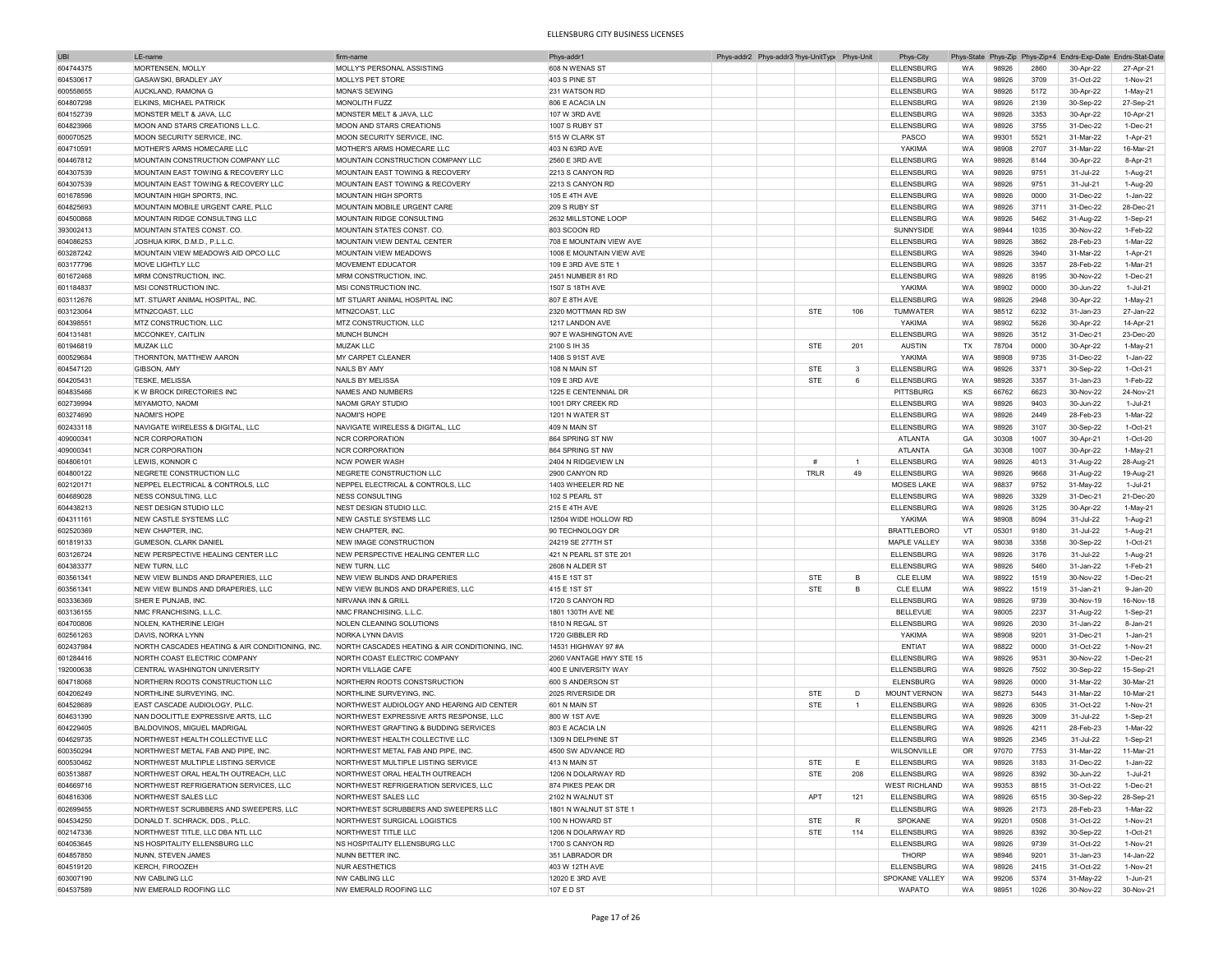| <b>UBI</b> | LE-name                                         | firm-name                                       | Phys-addr1               |  | Phys-addr2 Phys-addr3 Phys-UnitType Phys-Unit |                | Phys-City            |           |       |      | Phys-State Phys-Zip Phys-Zip+4 Endrs-Exp-Date Endrs-Stat-Date |           |
|------------|-------------------------------------------------|-------------------------------------------------|--------------------------|--|-----------------------------------------------|----------------|----------------------|-----------|-------|------|---------------------------------------------------------------|-----------|
| 604744375  | MORTENSEN, MOLLY                                | MOLLY'S PERSONAL ASSISTING                      | 608 N WENAS ST           |  |                                               |                | <b>ELLENSBURG</b>    | WA        | 98926 | 2860 | 30-Apr-22                                                     | 27-Apr-21 |
| 604530617  | GASAWSKI, BRADLEY JAY                           | MOLLYS PET STORE                                | 403 S PINE ST            |  |                                               |                | <b>ELLENSBURG</b>    | WA        | 98926 | 3709 | 31-Oct-22                                                     | 1-Nov-21  |
| 600558655  | AUCKLAND, RAMONA G                              | <b>MONA'S SEWING</b>                            | 231 WATSON RD            |  |                                               |                | <b>ELLENSBURG</b>    | WA        | 98926 | 5172 | 30-Apr-22                                                     | 1-May-21  |
|            | <b>ELKINS, MICHAEL PATRICK</b>                  | MONOLITH FUZZ                                   |                          |  |                                               |                |                      |           |       | 2139 |                                                               |           |
| 604807298  |                                                 |                                                 | 806 E ACACIA LN          |  |                                               |                | <b>ELLENSBURG</b>    | WA        | 98926 |      | 30-Sep-22                                                     | 27-Sep-21 |
| 604152739  | MONSTER MELT & JAVA, LLC                        | MONSTER MELT & JAVA, LLC                        | 107 W 3RD AVE            |  |                                               |                | <b>ELLENSBURG</b>    | WA        | 98926 | 3353 | 30-Apr-22                                                     | 10-Apr-21 |
| 604823966  | MOON AND STARS CREATIONS L.L.C.                 | <b>MOON AND STARS CREATIONS</b>                 | 1007 S RUBY ST           |  |                                               |                | <b>ELLENSBURG</b>    | WA        | 98926 | 3755 | 31-Dec-22                                                     | 1-Dec-21  |
| 600070525  | MOON SECURITY SERVICE, INC.                     | MOON SECURITY SERVICE, INC                      | 515 W CLARK ST           |  |                                               |                | PASCO                | WA        | 99301 | 5521 | 31-Mar-22                                                     | 1-Apr-21  |
| 604710591  | MOTHER'S ARMS HOMECARE LLC                      | MOTHER'S ARMS HOMECARE LLC                      | 403 N 63RD AVE           |  |                                               |                | YAKIMA               | <b>WA</b> | 98908 | 2707 | 31-Mar-22                                                     | 16-Mar-21 |
| 604467812  | MOUNTAIN CONSTRUCTION COMPANY LLC               | MOUNTAIN CONSTRUCTION COMPANY LLC               | 2560 E 3RD AVE           |  |                                               |                | <b>ELLENSBURG</b>    | WA        | 98926 | 8144 | 30-Apr-22                                                     | 8-Apr-21  |
| 604307539  | MOUNTAIN EAST TOWING & RECOVERY LLC             | MOUNTAIN EAST TOWING & RECOVERY                 | 2213 S CANYON RD         |  |                                               |                | <b>ELLENSBURG</b>    | <b>WA</b> | 98926 | 9751 | 31-Jul-22                                                     | 1-Aug-21  |
| 604307539  | MOUNTAIN EAST TOWING & RECOVERY LLC             | MOUNTAIN EAST TOWING & RECOVERY                 | 2213 S CANYON RD         |  |                                               |                | <b>ELLENSBURG</b>    | WA        | 98926 | 9751 | 31-Jul-21                                                     | 1-Aug-20  |
| 601678596  | MOUNTAIN HIGH SPORTS, INC                       | <b>MOUNTAIN HIGH SPORTS</b>                     | 105 E 4TH AVE            |  |                                               |                | <b>ELLENSBURG</b>    | <b>WA</b> | 98926 | 0000 | 31-Dec-22                                                     | 1-Jan-22  |
|            |                                                 | MOUNTAIN MOBILE URGENT CARE                     |                          |  |                                               |                |                      | WA        | 98926 | 3711 | 31-Dec-22                                                     | 28-Dec-21 |
| 604825693  | MOUNTAIN MOBILE URGENT CARE, PLLC               |                                                 | <b>209 S RUBY ST</b>     |  |                                               |                | <b>ELLENSBURG</b>    |           |       |      |                                                               |           |
| 604500868  | MOUNTAIN RIDGE CONSULTING LLC                   | MOUNTAIN RIDGE CONSULTING                       | 2632 MILLSTONE LOOP      |  |                                               |                | <b>ELLENSBURG</b>    | WA        | 98926 | 5462 | 31-Aug-22                                                     | 1-Sep-21  |
| 393002413  | MOUNTAIN STATES CONST. CO                       | MOUNTAIN STATES CONST. CO                       | 803 SCOON RD             |  |                                               |                | SUNNYSIDE            | WA        | 98944 | 1035 | 30-Nov-22                                                     | 1-Feb-22  |
| 604086253  | JOSHUA KIRK, D.M.D., P.L.L.C.                   | MOUNTAIN VIEW DENTAL CENTER                     | 708 E MOUNTAIN VIEW AVE  |  |                                               |                | <b>ELLENSBURG</b>    | WA        | 98926 | 3862 | 28-Feb-23                                                     | 1-Mar-22  |
| 603287242  | MOUNTAIN VIEW MEADOWS AID OPCO LLC              | MOUNTAIN VIEW MEADOWS                           | 1008 E MOUNTAIN VIEW AVE |  |                                               |                | <b>ELLENSBURG</b>    | WA        | 98926 | 3940 | 31-Mar-22                                                     | 1-Apr-21  |
| 603177796  | MOVE LIGHTLY LLC                                | MOVEMENT EDUCATOR                               | 109 E 3RD AVE STE 1      |  |                                               |                | <b>ELLENSBURG</b>    | WA        | 98926 | 3357 | 28-Feb-22                                                     | 1-Mar-21  |
| 601672468  | MRM CONSTRUCTION, INC.                          | MRM CONSTRUCTION, INC                           | 2451 NUMBER 81 RD        |  |                                               |                | ELLENSBURG           | WA        | 98926 | 8195 | 30-Nov-22                                                     | 1-Dec-21  |
| 601184837  | MSI CONSTRUCTION INC                            | MSI CONSTRUCTION INC                            | 1507 S 18TH AVE          |  |                                               |                | YAKIMA               | WA        | 98902 | 0000 | 30-Jun-22                                                     | 1-Jul-21  |
| 603112676  | MT. STUART ANIMAL HOSPITAL, INC                 | MT STUART ANIMAL HOSPITAL INC                   | 807 E 8TH AVE            |  |                                               |                | ELLENSBURG           | <b>WA</b> | 98926 | 2948 | 30-Apr-22                                                     | 1-May-21  |
|            | MTN2COAST, LLC                                  | MTN2COAST, LLC                                  |                          |  | <b>STE</b>                                    | 106            |                      |           |       | 6232 |                                                               | 27-Jan-22 |
| 603123064  |                                                 |                                                 | 2320 MOTTMAN RD SW       |  |                                               |                | TUMWATER             | WA        | 98512 |      | 31-Jan-23                                                     |           |
| 604398551  | MTZ CONSTRUCTION, LLC                           | MTZ CONSTRUCTION, LLC                           | 1217 LANDON AVE          |  |                                               |                | YAKIMA               | WA        | 98902 | 5626 | 30-Apr-22                                                     | 14-Apr-21 |
| 604131481  | MCCONKEY, CAITLIN                               | <b>MUNCH BUNCH</b>                              | 907 E WASHINGTON AVE     |  |                                               |                | <b>ELLENSBURG</b>    | WA        | 98926 | 3512 | 31-Dec-21                                                     | 23-Dec-20 |
| 601946819  | <b>MUZAK LLC</b>                                | MUZAK LLC                                       | 2100 S IH 35             |  | <b>STE</b>                                    | 201            | <b>AUSTIN</b>        | TX        | 78704 | 0000 | 30-Apr-22                                                     | 1-May-21  |
| 600529684  | THORNTON, MATTHEW AARON                         | MY CARPET CLEANER                               | 1408 S 91ST AVE          |  |                                               |                | YAKIMA               | WA        | 98908 | 9735 | 31-Dec-22                                                     | 1-Jan-22  |
| 604547120  | GIBSON, AMY                                     | NAILS BY AMY                                    | 108 N MAIN ST            |  | <b>STE</b>                                    | 3              | ELLENSBURG           | WA        | 98926 | 3371 | 30-Sep-22                                                     | 1-Oct-21  |
| 604205431  | <b>TESKE, MELISSA</b>                           | NAILS BY MELISSA                                | 109 E 3RD AVE            |  | STE                                           | 6              | <b>ELLENSBURG</b>    | WA        | 98926 | 3357 | 31-Jan-23                                                     | 1-Feb-22  |
| 604835466  | K W BROCK DIRECTORIES INC                       | NAMES AND NUMBERS                               | 1225 E CENTENNIAL DR     |  |                                               |                | PITTSBURG            | KS        | 66762 | 6623 | 30-Nov-22                                                     | 24-Nov-21 |
| 602739994  | MIYAMOTO, NAOMI                                 | <b>NAOMI GRAY STUDIO</b>                        | 1001 DRY CREEK RD        |  |                                               |                | <b>ELLENSBURG</b>    | WA        | 98926 | 9403 | 30-Jun-22                                                     | 1-Jul-21  |
|            |                                                 |                                                 |                          |  |                                               |                |                      |           |       |      |                                                               |           |
| 603274690  | <b>NAOMI'S HOPE</b>                             | <b>NAOMI'S HOPE</b>                             | 1201 N WATER ST          |  |                                               |                | <b>ELLENSBURG</b>    | WA        | 98926 | 2449 | 28-Feb-23                                                     | 1-Mar-22  |
| 602433118  | NAVIGATE WIRELESS & DIGITAL, LLC                | NAVIGATE WIRELESS & DIGITAL, LLC                | 409 N MAIN ST            |  |                                               |                | ELLENSBURG           | WA        | 98926 | 3107 | 30-Sep-22                                                     | 1-Oct-21  |
| 409000341  | <b>NCR CORPORATION</b>                          | <b>NCR CORPORATION</b>                          | 864 SPRING ST NW         |  |                                               |                | ATLANTA              | GA        | 30308 | 1007 | 30-Apr-21                                                     | 1-Oct-20  |
| 409000341  | <b>NCR CORPORATION</b>                          | <b>NCR CORPORATION</b>                          | 864 SPRING ST NW         |  |                                               |                | ATLANTA              | GA        | 30308 | 1007 | 30-Apr-22                                                     | 1-May-21  |
| 604806101  | LEWIS, KONNOR C                                 | <b>NCW POWER WASH</b>                           | 2404 N RIDGEVIEW I N     |  | #                                             |                | <b>ELLENSBURG</b>    | WA        | 98926 | 4013 | 31-Aug-22                                                     | 28-Aug-21 |
| 604800122  | NEGRETE CONSTRUCTION LLC                        | NEGRETE CONSTRUCTION LLC                        | 2900 CANYON RD           |  | <b>TRLR</b>                                   | 49             | <b>ELLENSBURG</b>    | WA        | 98926 | 9668 | 31-Aug-22                                                     | 19-Aug-21 |
| 602120171  | NEPPEL ELECTRICAL & CONTROLS. LLC               | NEPPEL ELECTRICAL & CONTROLS, LLC               | 1403 WHEELER RD NE       |  |                                               |                | MOSES LAKE           | <b>WA</b> | 98837 | 9752 | 31-May-22                                                     | 1-Jul-21  |
| 604689028  | NESS CONSULTING, LLC                            | <b>NESS CONSULTING</b>                          | 102 S PEARL ST           |  |                                               |                | <b>ELLENSBURG</b>    | WA        | 98926 | 3329 | 31-Dec-21                                                     | 21-Dec-20 |
| 604438213  | NEST DESIGN STUDIO LLC                          | NEST DESIGN STUDIO LLC.                         | 215 E 4TH AVE            |  |                                               |                | <b>ELLENSBURG</b>    | WA        | 98926 | 3125 | 30-Apr-22                                                     | 1-May-21  |
|            |                                                 |                                                 |                          |  |                                               |                |                      |           |       |      |                                                               |           |
| 604311161  | NEW CASTLE SYSTEMS LLC                          | NEW CASTLE SYSTEMS LLC                          | 12504 WIDE HOLLOW RD     |  |                                               |                | YAKIMA               | WA        | 98908 | 8094 | 31-Jul-22                                                     | 1-Aug-21  |
| 602520369  | NEW CHAPTER, INC.                               | NEW CHAPTER, INC.                               | 90 TECHNOLOGY DR         |  |                                               |                | <b>BRATTLEBORO</b>   | VT        | 05301 | 9180 | 31-Jul-22                                                     | 1-Aug-21  |
| 601819133  | <b>GUMESON, CLARK DANIEL</b>                    | NEW IMAGE CONSTRUCTION                          | 24219 SE 277TH ST        |  |                                               |                | MAPLE VALLEY         | WA        | 98038 | 3358 | 30-Sep-22                                                     | 1-Oct-21  |
| 603126724  | NEW PERSPECTIVE HEALING CENTER LLC              | NEW PERSPECTIVE HEALING CENTER LLC              | 421 N PEARL ST STE 201   |  |                                               |                | <b>ELLENSBURG</b>    | WA        | 98926 | 3176 | 31-Jul-22                                                     | 1-Aug-21  |
| 604383377  | <b>NEW TURN, LLC</b>                            | NEW TURN, LLC                                   | 2608 N ALDER ST          |  |                                               |                | <b>ELLENSBURG</b>    | WA        | 98926 | 5460 | 31-Jan-22                                                     | 1-Feb-21  |
| 603561341  | NEW VIEW BLINDS AND DRAPERIES, LLC              | NEW VIEW BLINDS AND DRAPERIES                   | 415 E 1ST ST             |  | <b>STE</b>                                    | B              | <b>CLE ELUM</b>      | WA        | 98922 | 1519 | 30-Nov-22                                                     | 1-Dec-21  |
| 603561341  | NEW VIEW BLINDS AND DRAPERIES, LLC              | NEW VIEW BLINDS AND DRAPERIES, LLC              | 415 E 1ST ST             |  | <b>STE</b>                                    | в              | <b>CLE ELUM</b>      | <b>WA</b> | 98922 | 1519 | 31-Jan-21                                                     | 9-Jan-20  |
| 603336369  | SHER E PUNJAB, INC                              | NIRVANA INN & GRILI                             | 1720 S CANYON RD         |  |                                               |                | <b>ELLENSBURG</b>    | <b>WA</b> | 98926 | 9739 | 30-Nov-19                                                     | 16-Nov-18 |
|            |                                                 | NMC FRANCHISING, L.L.C                          |                          |  |                                               |                |                      | WA        | 98005 | 2237 |                                                               |           |
| 603136155  | NMC FRANCHISING, L.L.C                          |                                                 | 1801 130TH AVE NE        |  |                                               |                | <b>BELLEVUE</b>      |           |       |      | 31-Aug-22                                                     | 1-Sep-21  |
| 604700806  | NOLEN, KATHERINE LEIGH                          | NOLEN CLEANING SOLUTIONS                        | 1810 N REGAL ST          |  |                                               |                | <b>ELLENSBURG</b>    | <b>WA</b> | 98926 | 2030 | 31-Jan-22                                                     | 8-Jan-21  |
| 602561263  | DAVIS, NORKA LYNN                               | NORKA LYNN DAVIS                                | 1720 GIBBLER RD          |  |                                               |                | YAKIMA               | <b>WA</b> | 98908 | 9201 | 31-Dec-21                                                     | 1-Jan-21  |
| 602437984  | NORTH CASCADES HEATING & AIR CONDITIONING, INC. | NORTH CASCADES HEATING & AIR CONDITIONING, INC. | 14531 HIGHWAY 97 #A      |  |                                               |                | <b>ENTIAT</b>        | WA        | 98822 | 0000 | 31-Oct-22                                                     | 1-Nov-21  |
| 601284416  | NORTH COAST ELECTRIC COMPANY                    | NORTH COAST ELECTRIC COMPANY                    | 2060 VANTAGE HWY STE 15  |  |                                               |                | <b>ELLENSBURG</b>    | WA        | 98926 | 9531 | 30-Nov-22                                                     | 1-Dec-21  |
| 192000638  | CENTRAL WASHINGTON UNIVERSITY                   | NORTH VILLAGE CAFE                              | 400 E UNIVERSITY WAY     |  |                                               |                | <b>ELLENSBURG</b>    | WA        | 98926 | 7502 | 30-Sep-22                                                     | 15-Sep-21 |
| 604718068  | NORTHERN ROOTS CONSTRUCTION LLC                 | NORTHERN ROOTS CONSTSRUCTION                    | 600 S ANDERSON ST        |  |                                               |                | <b>ELENSBURG</b>     | WA        | 98926 | 0000 | 31-Mar-22                                                     | 30-Mar-21 |
| 604206249  | NORTHLINE SURVEYING, INC                        | NORTHLINE SURVEYING, INC.                       | 2025 RIVERSIDE DR        |  | STE                                           | D              | <b>MOUNT VERNON</b>  | WA        | 98273 | 5443 | 31-Mar-22                                                     | 10-Mar-21 |
| 604528689  | EAST CASCADE AUDIOLOGY, PLLC                    | NORTHWEST AUDIOLOGY AND HEARING AID CENTER      | 601 N MAIN ST            |  | STE                                           | $\overline{1}$ | <b>ELLENSBURG</b>    | WA        | 98926 | 6305 | 31-Oct-22                                                     | 1-Nov-21  |
| 604631390  | NAN DOOLITTLE EXPRESSIVE ARTS, LLC              | NORTHWEST EXPRESSIVE ARTS RESPONSE, LLC         | 800 W 1ST AVE            |  |                                               |                | <b>ELLENSBURG</b>    | WA        | 98926 | 3009 | 31-Jul-22                                                     | 1-Sep-21  |
| 604229405  | BALDOVINOS, MIGUEL MADRIGAL                     | NORTHWEST GRAFTING & BUDDING SERVICES           | 803 E ACACIA LN          |  |                                               |                | <b>ELLENSBURG</b>    | <b>WA</b> | 98926 | 4211 | 28-Feb-23                                                     | 1-Mar-22  |
|            |                                                 |                                                 |                          |  |                                               |                |                      |           |       |      |                                                               |           |
| 604629735  | NORTHWEST HEALTH COLLECTIVE LLC                 | NORTHWEST HEALTH COLLECTIVE LLC                 | 1309 N DELPHINE ST       |  |                                               |                | ELLENSBURG           | WA        | 98926 | 2345 | 31-Jul-22                                                     | 1-Sep-21  |
| 600350294  | NORTHWEST METAL FAB AND PIPE, INC               | NORTHWEST METAL FAB AND PIPE, INC               | 4500 SW ADVANCE RD       |  |                                               |                | WILSONVILLE          | OR        | 97070 | 7753 | 31-Mar-22                                                     | 11-Mar-21 |
| 600530462  | NORTHWEST MULTIPLE LISTING SERVICE              | NORTHWEST MULTIPLE LISTING SERVICE              | 413 N MAIN ST            |  | STE                                           | E              | ELLENSBURG           | WA        | 98926 | 3183 | 31-Dec-22                                                     | 1-Jan-22  |
| 603513887  | NORTHWEST ORAL HEALTH OUTREACH, LLC             | NORTHWEST ORAL HEALTH OUTREACH                  | 1206 N DOLARWAY RD       |  | <b>STE</b>                                    | 208            | <b>ELLENSBURG</b>    | WA        | 98926 | 8392 | 30-Jun-22                                                     | 1-Jul-21  |
| 604669716  | NORTHWEST REFRIGERATION SERVICES, LLC           | NORTHWEST REFRIGERATION SERVICES, LLC           | 874 PIKES PEAK DR        |  |                                               |                | <b>WEST RICHLAND</b> | WA        | 99353 | 8815 | 31-Oct-22                                                     | 1-Dec-21  |
| 604816306  | NORTHWEST SALES LLC                             | NORTHWEST SALES LLC                             | 2102 N WALNUT ST         |  | APT                                           | 121            | <b>ELLENSBURG</b>    | WA        | 98926 | 6515 | 30-Sep-22                                                     | 28-Sep-21 |
| 602699455  | NORTHWEST SCRUBBERS AND SWEEPERS. LLC           | NORTHWEST SCRUBBERS AND SWEEPERS LLC            | 1801 N WALNUT ST STE 1   |  |                                               |                | <b>ELLENSBURG</b>    | WA        | 98926 | 2173 | 28-Feb-23                                                     | 1-Mar-22  |
| 604534250  | DONALD T. SCHRACK, DDS., PLLC.                  | NORTHWEST SURGICAL LOGISTICS                    | 100 N HOWARD ST          |  | <b>STE</b>                                    | R              | SPOKANE              | WA        | 99201 | 0508 | 31-Oct-22                                                     | 1-Nov-21  |
| 602147336  | NORTHWEST TITLE, LLC DBA NTL LLC                | NORTHWEST TITLE LLC                             | 1206 N DOLARWAY RD       |  | <b>STE</b>                                    | 114            | <b>ELLENSBURG</b>    | WA        | 98926 | 8392 | 30-Sep-22                                                     | 1-Oct-21  |
|            |                                                 |                                                 |                          |  |                                               |                |                      |           |       |      |                                                               |           |
| 604053645  | NS HOSPITALITY ELLENSBURG LLC                   | NS HOSPITALITY ELLENSBURG LLC                   | 1700 S CANYON RD         |  |                                               |                | <b>ELLENSBURG</b>    | WA        | 98926 | 9739 | 31-Oct-22                                                     | 1-Nov-21  |
| 604857850  | NUNN, STEVEN JAMES                              | NUNN BETTER INC.                                | 351 LABRADOR DR          |  |                                               |                | THORP                | WA        | 98946 | 9201 | 31-Jan-23                                                     | 14-Jan-22 |
| 604519120  | KERCH, FIROOZEH                                 | <b>NUR AESTHETICS</b>                           | 403 W 12TH AVE           |  |                                               |                | <b>ELLENSBURG</b>    | WA        | 98926 | 2415 | 31-Oct-22                                                     | 1-Nov-21  |
| 603007190  | <b>NW CABLING LLC</b>                           | NW CABLING LLC                                  | 12020 E 3RD AVE          |  |                                               |                | SPOKANE VALLEY       | WA        | 99206 | 5374 | 31-May-22                                                     | 1-Jun-21  |
| 604537589  | NW EMERALD ROOFING LLC                          | NW EMERALD ROOFING LLC                          | 107 E D ST               |  |                                               |                | <b>WAPATO</b>        | WA        | 98951 | 1026 | 30-Nov-22                                                     | 30-Nov-21 |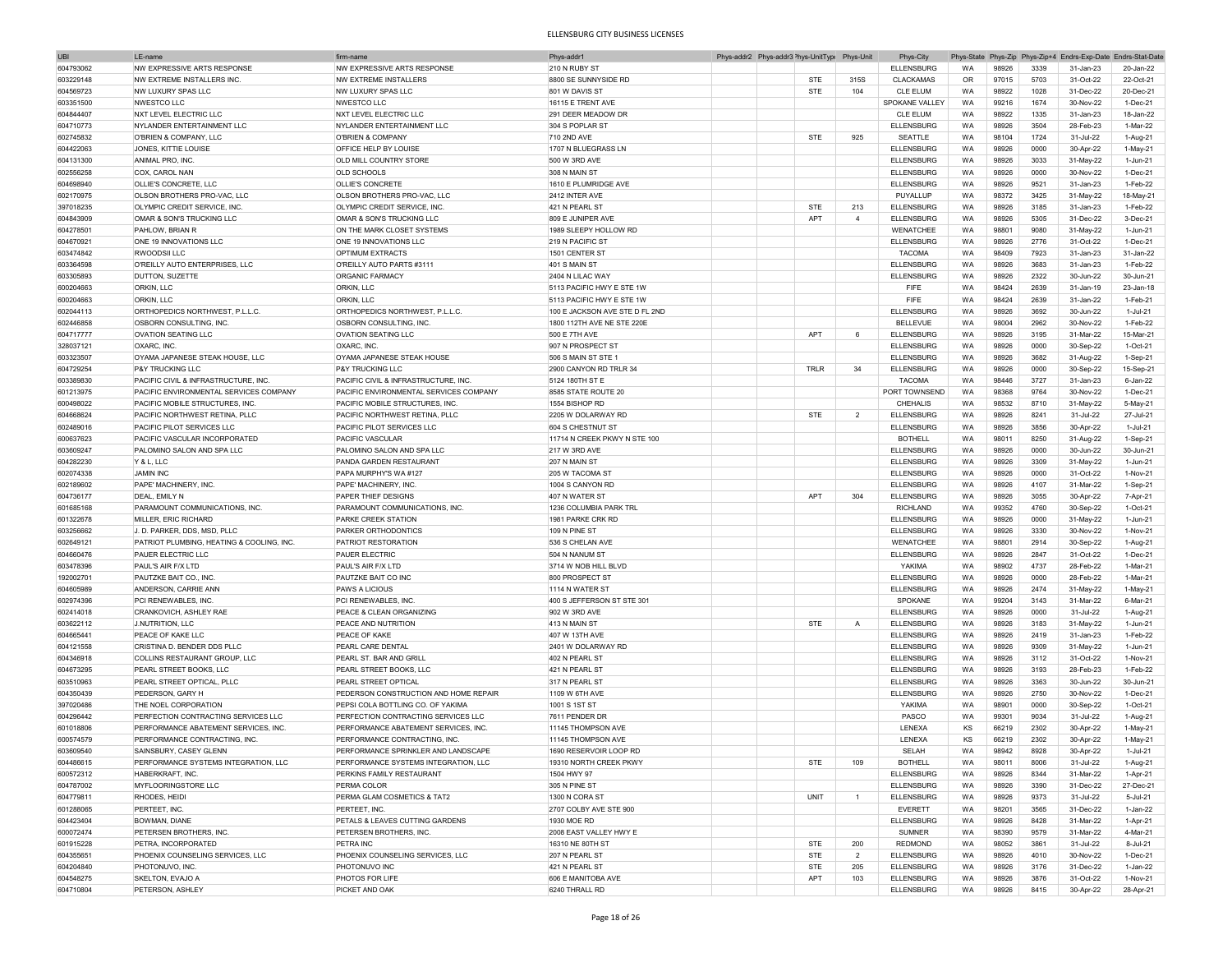| <b>UBI</b> | LE-nam                                    | firm-nam                               | Phys-addr1                     | Phys-addr2 Phys-addr3 <sup>&gt;</sup> hys-UnitType | Phys-Unit      | Phys-City         |           |       |      | Phys-State Phys-Zip Phys-Zip+4 Endrs-Exp-Date Endrs-Stat-Date |                |
|------------|-------------------------------------------|----------------------------------------|--------------------------------|----------------------------------------------------|----------------|-------------------|-----------|-------|------|---------------------------------------------------------------|----------------|
| 604793062  | NW EXPRESSIVE ARTS RESPONSE               | NW EXPRESSIVE ARTS RESPONSE            | 210 N RUBY ST                  |                                                    |                | <b>ELLENSBURG</b> | WA        | 98926 | 3339 | 31-Jan-23                                                     | 20-Jan-22      |
| 603229148  | NW EXTREME INSTALLERS INC.                | NW FXTRFMF INSTALLERS                  | 8800 SE SUNNYSIDE RD           | STE                                                | 315S           | <b>CLACKAMAS</b>  | OR        | 97015 | 5703 | 31-Oct-22                                                     | 22-Oct-21      |
| 604569723  | NW LUXURY SPAS LLC                        | NW LUXURY SPAS LLC                     | 801 W DAVIS ST                 | <b>STE</b>                                         | 104            | <b>CLE ELUM</b>   | WA        | 98922 | 1028 | 31-Dec-22                                                     | 20-Dec-21      |
|            |                                           | <b>NWESTCO LLC</b>                     |                                |                                                    |                |                   |           |       | 1674 |                                                               | 1-Dec-21       |
| 603351500  | NWESTCO LLC                               |                                        | 16115 E TRENT AVE              |                                                    |                | SPOKANE VALLEY    | WA        | 99216 |      | 30-Nov-22                                                     |                |
| 604844407  | <b>NXT LEVEL ELECTRIC LLC</b>             | <b>NXT LEVEL ELECTRIC LLC</b>          | 291 DEER MEADOW DR             |                                                    |                | CLE ELUM          | WA        | 98922 | 1335 | 31-Jan-23                                                     | 18-Jan-22      |
| 604710773  | NYLANDER ENTERTAINMENT LLC                | NYLANDER ENTERTAINMENT LLC             | 304 S POPLAR ST                |                                                    |                | <b>ELLENSBURG</b> | WA        | 98926 | 3504 | 28-Feb-23                                                     | 1-Mar-22       |
| 602745832  | O'BRIEN & COMPANY, LLC                    | O'BRIEN & COMPANY                      | 710 2ND AVE                    | <b>STE</b>                                         | 925            | SEATTLE           | WA        | 98104 | 1724 | 31-Jul-22                                                     | 1-Aug-21       |
| 604422063  | JONES, KITTIE LOUISE                      | OFFICE HELP BY LOUISE                  | 1707 N BLUEGRASS LN            |                                                    |                | <b>ELLENSBURG</b> | <b>WA</b> | 98926 | 0000 | 30-Apr-22                                                     | 1-May-21       |
| 604131300  | ANIMAL PRO, INC.                          | OLD MILL COUNTRY STORE                 | 500 W 3RD AVE                  |                                                    |                | <b>ELLENSBURG</b> | WA        | 98926 | 3033 | 31-May-22                                                     | 1-Jun-21       |
| 602556258  | COX, CAROL NAN                            | <b>OLD SCHOOLS</b>                     | 308 N MAIN ST                  |                                                    |                | <b>ELLENSBURG</b> | WA        | 98926 | 0000 | 30-Nov-22                                                     | 1-Dec-21       |
| 604698940  | OLLIE'S CONCRETE, LLC                     | OLLIE'S CONCRETE                       | 1610 E PLUMRIDGE AVE           |                                                    |                | <b>ELLENSBURG</b> | WA        | 98926 | 9521 | 31-Jan-23                                                     | 1-Feb-22       |
| 602170975  | OLSON BROTHERS PRO-VAC, LLC               | OLSON BROTHERS PRO-VAC, LLC            | 2412 INTER AVE                 |                                                    |                | PUYALLUP          | <b>WA</b> | 98372 | 3425 | 31-May-22                                                     | 18-May-21      |
|            |                                           |                                        |                                |                                                    | 213            |                   |           |       |      |                                                               |                |
| 397018235  | OLYMPIC CREDIT SERVICE, INC               | OLYMPIC CREDIT SERVICE, INC            | 421 N PEARL ST                 | STE                                                |                | <b>ELLENSBURG</b> | WA        | 98926 | 3185 | 31-Jan-23                                                     | 1-Feb-22       |
| 604843909  | OMAR & SON'S TRUCKING LLC                 | OMAR & SON'S TRUCKING LLC              | 809 E JUNIPER AVE              | APT                                                | $\overline{4}$ | <b>ELLENSBURG</b> | WA        | 98926 | 5305 | 31-Dec-22                                                     | 3-Dec-21       |
| 604278501  | PAHLOW, BRIAN R                           | ON THE MARK CLOSET SYSTEMS             | 1989 SLEEPY HOLLOW RD          |                                                    |                | WENATCHEE         | WA        | 98801 | 9080 | 31-May-22                                                     | 1-Jun-21       |
| 604670921  | ONE 19 INNOVATIONS LLC                    | ONE 19 INNOVATIONS LLC                 | 219 N PACIFIC ST               |                                                    |                | <b>ELLENSBURG</b> | WA        | 98926 | 2776 | 31-Oct-22                                                     | 1-Dec-21       |
| 603474842  | RWOODSII LLC                              | OPTIMUM EXTRACTS                       | 1501 CENTER ST                 |                                                    |                | <b>TACOMA</b>     | WA        | 98409 | 7923 | 31-Jan-23                                                     | 31-Jan-22      |
| 603364598  | O'REILLY AUTO ENTERPRISES. LLC            | O'REILLY AUTO PARTS #3111              | 401 S MAIN ST                  |                                                    |                | <b>ELLENSBURG</b> | WA        | 98926 | 3683 | 31-Jan-23                                                     | 1-Feb-22       |
| 603305893  | DUTTON, SUZETTE                           | ORGANIC FARMACY                        | 2404 N LILAC WAY               |                                                    |                | <b>ELLENSBURG</b> | WA        | 98926 | 2322 | 30-Jun-22                                                     | 30-Jun-21      |
| 600204663  | ORKIN, LLC                                | ORKIN, LLC                             | 5113 PACIFIC HWY E STE 1W      |                                                    |                | FIFE              | <b>WA</b> | 98424 | 2639 | 31-Jan-19                                                     | 23-Jan-18      |
| 600204663  | ORKIN, LLC                                | ORKIN, LLC                             | 5113 PACIFIC HWY E STE 1W      |                                                    |                | FIFE              | WA        | 98424 | 2639 | 31-Jan-22                                                     | 1-Feb-21       |
|            |                                           |                                        |                                |                                                    |                |                   |           |       |      |                                                               |                |
| 602044113  | ORTHOPEDICS NORTHWEST, P.L.L.C.           | ORTHOPEDICS NORTHWEST, P.L.L.C.        | 100 E JACKSON AVE STE D FL 2ND |                                                    |                | <b>ELLENSBURG</b> | <b>WA</b> | 98926 | 3692 | 30-Jun-22                                                     | 1-Jul-21       |
| 602446858  | OSBORN CONSULTING, INC                    | OSBORN CONSULTING, INC                 | 1800 112TH AVE NE STE 220E     |                                                    |                | <b>BELLEVUE</b>   | WA        | 98004 | 2962 | 30-Nov-22                                                     | 1-Feb-22       |
| 604717777  | <b>OVATION SEATING LLC</b>                | <b>OVATION SEATING LLC</b>             | 500 E 7TH AVE                  | APT                                                | 6              | <b>ELLENSBURG</b> | WA        | 98926 | 3195 | 31-Mar-22                                                     | 15-Mar-21      |
| 328037121  | OXARC, INC.                               | OXARC, INC.                            | 907 N PROSPECT ST              |                                                    |                | <b>ELLENSBURG</b> | WA        | 98926 | 0000 | 30-Sep-22                                                     | 1-Oct-21       |
| 603323507  | OYAMA JAPANESE STEAK HOUSE, LLC           | OYAMA JAPANESE STEAK HOUSE             | 506 S MAIN ST STE              |                                                    |                | <b>ELLENSBURG</b> | WA        | 98926 | 3682 | 31-Aug-22                                                     | 1-Sep-21       |
| 604729254  | <b>P&amp;Y TRUCKING LLC</b>               | P&Y TRUCKING LLC                       | 2900 CANYON RD TRLR 34         | TRLR                                               | 34             | <b>ELLENSBURG</b> | WA        | 98926 | 0000 | 30-Sep-22                                                     | 15-Sep-21      |
| 603389830  | PACIFIC CIVIL & INFRASTRUCTURE, INC.      | PACIFIC CIVIL & INFRASTRUCTURE, INC.   | 5124 180TH ST E                |                                                    |                | <b>TACOMA</b>     | WA        | 98446 | 3727 | 31-Jan-23                                                     | 6-Jan-22       |
| 601213975  | PACIFIC ENVIRONMENTAL SERVICES COMPANY    | PACIFIC ENVIRONMENTAL SERVICES COMPANY | 8585 STATE ROUTE 20            |                                                    |                | PORT TOWNSEND     | WA        | 98368 | 9764 | 30-Nov-22                                                     | 1-Dec-21       |
|            |                                           |                                        |                                |                                                    |                |                   |           |       |      |                                                               |                |
| 600498022  | PACIFIC MOBILE STRUCTURES, INC.           | PACIFIC MOBILE STRUCTURES. INC         | 1554 BISHOP RD                 |                                                    |                | CHEHALIS          | WA        | 98532 | 8710 | 31-May-22                                                     | 5-May-21       |
| 604668624  | PACIFIC NORTHWEST RETINA, PLLC            | PACIFIC NORTHWEST RETINA, PLLC         | 2205 W DOLARWAY RD             | STE                                                | $\overline{2}$ | <b>ELLENSBURG</b> | WA        | 98926 | 8241 | 31-Jul-22                                                     | 27-Jul-21      |
| 602489016  | PACIFIC PILOT SERVICES LLC                | PACIFIC PILOT SERVICES LLC             | 604 S CHESTNUT ST              |                                                    |                | <b>ELLENSBURG</b> | WA        | 98926 | 3856 | 30-Apr-22                                                     | 1-Jul-21       |
| 600637623  | PACIFIC VASCULAR INCORPORATED             | PACIFIC VASCULAR                       | 11714 N CREEK PKWY N STE 100   |                                                    |                | <b>BOTHELL</b>    | <b>WA</b> | 98011 | 8250 | 31-Aug-22                                                     | 1-Sep-21       |
| 603609247  | PALOMINO SALON AND SPA LLC                | PALOMINO SALON AND SPA LLC             | 217 W 3RD AVE                  |                                                    |                | <b>ELLENSBURG</b> | WA        | 98926 | 0000 | 30-Jun-22                                                     | 30-Jun-21      |
| 604282230  | Y&L.LLC                                   | PANDA GARDEN RESTAURANT                | 207 N MAIN ST                  |                                                    |                | <b>ELLENSBURG</b> | WA        | 98926 | 3309 | 31-May-22                                                     | 1-Jun-21       |
| 602074338  | <b>JAMIN INC</b>                          | PAPA MURPHY'S WA #127                  | 205 W TACOMA ST                |                                                    |                | <b>ELLENSBURG</b> | WA        | 98926 | 0000 | 31-Oct-22                                                     | 1-Nov-21       |
| 602189602  | PAPE' MACHINERY, INC.                     | PAPE' MACHINERY, INC                   | 1004 S CANYON RD               |                                                    |                | <b>ELLENSBURG</b> | <b>WA</b> | 98926 | 4107 | 31-Mar-22                                                     | 1-Sep-21       |
|            | DFAL FMILY N                              |                                        | 407 N WATER ST                 | <b>APT</b>                                         |                |                   |           |       |      |                                                               |                |
| 604736177  |                                           | PAPER THIEF DESIGNS                    |                                |                                                    | 304            | <b>ELLENSBURG</b> | <b>WA</b> | 98926 | 3055 | 30-Apr-22                                                     | 7-Apr-21       |
| 601685168  | PARAMOUNT COMMUNICATIONS, INC.            | PARAMOUNT COMMUNICATIONS, INC.         | 1236 COLUMBIA PARK TRL         |                                                    |                | <b>RICHLAND</b>   | WA        | 99352 | 4760 | 30-Sep-22                                                     | 1-Oct-21       |
| 601322678  | MILLER, ERIC RICHARD                      | PARKE CREEK STATION                    | 1981 PARKE CRK RD              |                                                    |                | <b>ELLENSBURG</b> | WA        | 98926 | 0000 | 31-May-22                                                     | 1-Jun-21       |
| 603256662  | J. D. PARKER, DDS, MSD, PLLC              | PARKER ORTHODONTICS                    | 109 N PINE ST                  |                                                    |                | <b>ELLENSBURG</b> | WA        | 98926 | 3330 | 30-Nov-22                                                     | 1-Nov-21       |
| 602649121  | PATRIOT PLUMBING, HEATING & COOLING, INC. | PATRIOT RESTORATION                    | 536 S CHELAN AVE               |                                                    |                | WENATCHEE         | WA        | 98801 | 2914 | 30-Sep-22                                                     | 1-Aug-21       |
| 604660476  | PAUER ELECTRIC LLC                        | PAUER ELECTRIC                         | 504 N NANUM ST                 |                                                    |                | <b>ELLENSBURG</b> | WA        | 98926 | 2847 | 31-Oct-22                                                     | 1-Dec-21       |
| 603478396  | PAUL'S AIR F/X LTD                        | PAUL'S AIR F/X LTD                     | 3714 W NOB HILL BLVD           |                                                    |                | YAKIMA            | WA        | 98902 | 4737 | 28-Feb-22                                                     | 1-Mar-21       |
| 192002701  | PAUTZKE BAIT CO., INC                     | PAUTZKE BAIT CO INC                    | 800 PROSPECT ST                |                                                    |                | <b>ELLENSBURG</b> | <b>WA</b> | 98926 | 0000 | 28-Feb-22                                                     | 1-Mar-21       |
| 604605989  | ANDERSON, CARRIE ANN                      | PAWS A LICIOUS                         | 1114 N WATER ST                |                                                    |                | <b>ELLENSBURG</b> | <b>WA</b> | 98926 | 2474 | 31-May-22                                                     | 1-May-21       |
|            |                                           |                                        |                                |                                                    |                |                   |           |       |      |                                                               |                |
| 602974396  | PCI RENEWABLES, INC                       | PCI RENEWABLES, INC                    | 400 S JEFFERSON ST STE 301     |                                                    |                | SPOKANE           | <b>WA</b> | 99204 | 3143 | 31-Mar-22                                                     | 6-Mar-21       |
| 602414018  | CRANKOVICH, ASHLEY RAE                    | PEACE & CLEAN ORGANIZING               | 902 W 3RD AVE                  |                                                    |                | <b>ELLENSBURG</b> | <b>WA</b> | 98926 | 0000 | 31-Jul-22                                                     | 1-Aug-21       |
| 603622112  | J.NUTRITION, LLC                          | PEACE AND NUTRITION                    | 413 N MAIN ST                  | <b>STE</b>                                         | $\overline{A}$ | <b>ELLENSBURG</b> | <b>WA</b> | 98926 | 3183 | 31-May-22                                                     | 1-Jun-21       |
| 604665441  | PEACE OF KAKE LLC                         | PEACE OF KAKE                          | 407 W 13TH AVE                 |                                                    |                | <b>ELLENSBURG</b> | <b>WA</b> | 98926 | 2419 | 31-Jan-23                                                     | 1-Feb-22       |
| 604121558  | CRISTINA D. BENDER DDS PLLC               | PEARL CARE DENTAL                      | 2401 W DOLARWAY RD             |                                                    |                | <b>ELLENSBURG</b> | WA        | 98926 | 9309 | 31-May-22                                                     | 1-Jun-21       |
| 604346918  | COLLINS RESTAURANT GROUP, LLC             | PEARL ST. BAR AND GRILL                | 402 N PEARL ST                 |                                                    |                | <b>ELLENSBURG</b> | WA        | 98926 | 3112 | 31-Oct-22                                                     | 1-Nov-21       |
| 604673295  | PEARL STREET BOOKS, LLC                   | PEARL STREET BOOKS, LLC                | 421 N PEARL ST                 |                                                    |                | <b>ELLENSBURG</b> | WA        | 98926 | 3193 | 28-Feb-23                                                     | 1-Feb-22       |
| 603510963  | PEARL STREET OPTICAL, PLLC                | PEARL STREET OPTICAL                   | 317 N PEARL ST                 |                                                    |                | <b>ELLENSBURG</b> | WA        | 98926 | 3363 | 30-Jun-22                                                     | 30-Jun-21      |
| 604350439  | PEDERSON, GARY H                          | PEDERSON CONSTRUCTION AND HOME REPAIR  | 1109 W 6TH AVE                 |                                                    |                | <b>ELLENSBURG</b> | WA        | 98926 | 2750 | 30-Nov-22                                                     | 1-Dec-21       |
|            |                                           |                                        |                                |                                                    |                |                   |           |       |      |                                                               |                |
| 397020486  | THE NOEL CORPORATION                      | PEPSI COLA BOTTLING CO. OF YAKIMA      | 1001 S 1ST ST                  |                                                    |                | YAKIMA            | WA        | 98901 | 0000 | 30-Sep-22                                                     | 1-Oct-21       |
| 604296442  | PERFECTION CONTRACTING SERVICES LLC       | PERFECTION CONTRACTING SERVICES LLC    | 7611 PENDER DR                 |                                                    |                | PASCO             | WA        | 99301 | 9034 | 31-Jul-22                                                     | 1-Aug-21       |
| 601018806  | PERFORMANCE ABATEMENT SERVICES, INC       | PERFORMANCE ABATEMENT SERVICES. INC.   | 11145 THOMPSON AVE             |                                                    |                | LENEXA            | KS        | 66219 | 2302 | 30-Apr-22                                                     | 1-May-21       |
| 600574579  | PERFORMANCE CONTRACTING, INC.             | PERFORMANCE CONTRACTING, INC.          | 11145 THOMPSON AVE             |                                                    |                | LENEXA            | KS        | 66219 | 2302 | 30-Apr-22                                                     | 1-May-21       |
| 603609540  | SAINSBURY, CASEY GLENN                    | PERFORMANCE SPRINKLER AND LANDSCAPE    | 1690 RESERVOIR LOOP RD         |                                                    |                | SELAH             | <b>WA</b> | 98942 | 8928 | 30-Apr-22                                                     | 1-Jul-21       |
| 604486615  | PERFORMANCE SYSTEMS INTEGRATION, LLC      | PERFORMANCE SYSTEMS INTEGRATION, LLC   | 19310 NORTH CREEK PKWY         | STE                                                | 109            | <b>BOTHELL</b>    | WA        | 98011 | 8006 | 31-Jul-22                                                     | 1-Aug-21       |
| 600572312  | HABERKRAFT, INC.                          | PERKINS FAMILY RESTAURANT              | 1504 HWY 97                    |                                                    |                | <b>ELLENSBURG</b> | <b>WA</b> | 98926 | 8344 | 31-Mar-22                                                     | 1-Apr-21       |
| 604787002  | MYFLOORINGSTORE LLC                       | PERMA COLOR                            | 305 N PINE ST                  |                                                    |                | <b>ELLENSBURG</b> | WA        | 98926 | 3390 | 31-Dec-22                                                     | 27-Dec-21      |
| 604779811  | RHODES, HEIDI                             | PERMA GLAM COSMETICS & TAT2            | 1300 N CORA ST                 | <b>UNIT</b>                                        | $\mathbf{1}$   | <b>ELLENSBURG</b> | WA        | 98926 | 9373 | 31-Jul-22                                                     | 5-Jul-21       |
|            |                                           |                                        |                                |                                                    |                |                   |           |       |      |                                                               |                |
| 601288065  | PERTEET, INC.                             | PERTEET, INC.                          | 2707 COLBY AVE STE 900         |                                                    |                | EVERETT           | WA        | 98201 | 3565 | 31-Dec-22                                                     | $1$ -Jan- $22$ |
| 604423404  | BOWMAN, DIANE                             | PETALS & LEAVES CUTTING GARDENS        | 1930 MOE RD                    |                                                    |                | <b>ELLENSBURG</b> | WA        | 98926 | 8428 | 31-Mar-22                                                     | 1-Apr-21       |
| 600072474  | PETERSEN BROTHERS, INC.                   | PETERSEN BROTHERS, INC.                | 2008 EAST VALLEY HWY E         |                                                    |                | <b>SUMNER</b>     | WA        | 98390 | 9579 | 31-Mar-22                                                     | 4-Mar-21       |
| 601915228  | PETRA, INCORPORATED                       | PETRA INC                              | 16310 NE 80TH ST               | <b>STE</b>                                         | 200            | <b>REDMOND</b>    | WA        | 98052 | 3861 | 31-Jul-22                                                     | 8-Jul-21       |
| 604355651  | PHOENIX COUNSELING SERVICES, LLC          | PHOENIX COUNSELING SERVICES. LLC       | 207 N PEARL ST                 | STE                                                | $\overline{2}$ | <b>ELLENSBURG</b> | WA        | 98926 | 4010 | 30-Nov-22                                                     | 1-Dec-21       |
| 604204840  | PHOTONUVO, INC.                           | PHOTONUVO INC                          | 421 N PEARL ST                 | STE                                                | 205            | <b>ELLENSBURG</b> | WA        | 98926 | 3176 | 31-Dec-22                                                     | 1-Jan-22       |
| 604548275  | SKELTON, EVAJO A                          | PHOTOS FOR LIFE                        | 606 E MANITOBA AVE             | APT                                                | 103            | <b>ELLENSBURG</b> | WA        | 98926 | 3876 | 31-Oct-22                                                     | 1-Nov-21       |
| 604710804  | PETERSON, ASHLEY                          | PICKET AND OAK                         | 6240 THRALL RD                 |                                                    |                | <b>ELLENSBURG</b> | WA        | 98926 | 8415 | 30-Apr-22                                                     | 28-Apr-21      |
|            |                                           |                                        |                                |                                                    |                |                   |           |       |      |                                                               |                |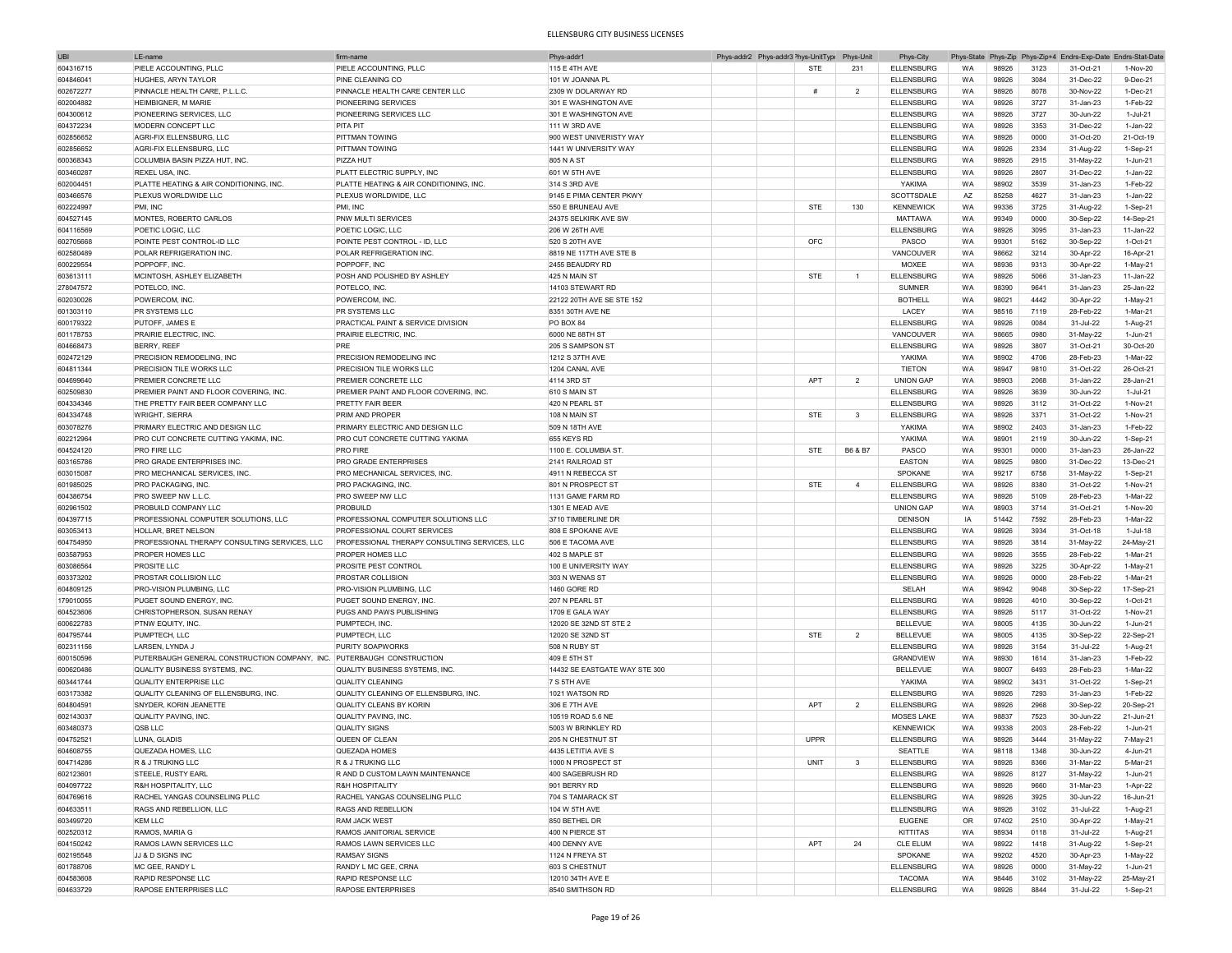| <b>UBI</b> | LE-name                                                               | firm-name                                     | Phys-addr1                    | Phys-addr2 Phys-addr3 <sup>2</sup> hys-UnitType |             | Phys-Unit      | Phys-City         |           |       |      | Phys-State Phys-Zip Phys-Zip+4 Endrs-Exp-Date Endrs-Stat-Date |              |
|------------|-----------------------------------------------------------------------|-----------------------------------------------|-------------------------------|-------------------------------------------------|-------------|----------------|-------------------|-----------|-------|------|---------------------------------------------------------------|--------------|
| 604316715  | PIELE ACCOUNTING, PLLC                                                | PIELE ACCOUNTING, PLLC                        | 115 E 4TH AVE                 |                                                 | <b>STE</b>  | 231            | <b>ELLENSBURG</b> | WA        | 98926 | 3123 | 31-Oct-21                                                     | 1-Nov-20     |
| 604846041  | HUGHES, ARYN TAYI OR                                                  | PINE CLEANING CO                              | 101 W JOANNA PL               |                                                 |             |                | ELLENSBURG        | WA        | 98926 | 3084 | 31-Dec-22                                                     | 9-Dec-21     |
| 602672277  | PINNACLE HEALTH CARE, P.L.L.C                                         | PINNACLE HEALTH CARE CENTER LLC               | 2309 W DOLARWAY RD            |                                                 | #           | $\overline{2}$ | <b>ELLENSBURG</b> | WA        | 98926 | 8078 | 30-Nov-22                                                     | 1-Dec-21     |
|            | HEIMBIGNER, M MARIE                                                   | PIONEERING SERVICES                           | 301 E WASHINGTON AVE          |                                                 |             |                | <b>ELLENSBURG</b> |           |       | 3727 |                                                               | 1-Feb-22     |
| 602004882  |                                                                       |                                               |                               |                                                 |             |                |                   | WA        | 98926 |      | 31-Jan-23                                                     |              |
| 604300612  | PIONEERING SERVICES, LLC                                              | PIONEERING SERVICES LLC                       | 301 E WASHINGTON AVE          |                                                 |             |                | <b>ELLENSBURG</b> | WA        | 98926 | 3727 | 30-Jun-22                                                     | 1-Jul-21     |
| 604372234  | MODERN CONCEPT LLC                                                    | <b>PITA PIT</b>                               | 111 W 3RD AVE                 |                                                 |             |                | <b>ELLENSBURG</b> | WA        | 98926 | 3353 | 31-Dec-22                                                     | 1-Jan-22     |
| 602856652  | AGRI-FIX ELLENSBURG, LLC                                              | PITTMAN TOWING                                | 900 WEST UNIVERISTY WAY       |                                                 |             |                | <b>ELLENSBURG</b> | WA        | 98926 | 0000 | 31-Oct-20                                                     | 21-Oct-19    |
| 602856652  | AGRI-FIX ELLENSBURG, LLC                                              | PITTMAN TOWING                                | 1441 W UNIVERSITY WAY         |                                                 |             |                | <b>ELLENSBURG</b> | <b>WA</b> | 98926 | 2334 | 31-Aug-22                                                     | $1-Sep-21$   |
| 600368343  | COLUMBIA BASIN PIZZA HUT, INC                                         | PIZZA HUT                                     | 805 N A ST                    |                                                 |             |                | <b>ELLENSBURG</b> | WA        | 98926 | 2915 | 31-May-22                                                     | 1-Jun-21     |
| 603460287  | REXEL USA, INC.                                                       | PLATT ELECTRIC SUPPLY, INC                    | 601 W 5TH AVE                 |                                                 |             |                | <b>ELLENSBURG</b> | WA        | 98926 | 2807 | 31-Dec-22                                                     | $1 -$ Jan-22 |
| 602004451  | PLATTE HEATING & AIR CONDITIONING, INC.                               | PLATTE HEATING & AIR CONDITIONING, INC.       | 314 S 3RD AVE                 |                                                 |             |                | YAKIMA            | WA        | 98902 | 3539 | 31-Jan-23                                                     | 1-Feb-22     |
| 603466576  | PLEXUS WORLDWIDE LLC                                                  | PLEXUS WORLDWIDE, LLC                         | 9145 E PIMA CENTER PKWY       |                                                 |             |                | SCOTTSDALE        | AZ        | 85258 | 4627 | 31-Jan-23                                                     | $1 -$ Jan-22 |
| 602224997  | PMI. INC                                                              | PMI, INC                                      | 550 E BRUNEAU AVE             |                                                 | <b>STE</b>  | 130            | <b>KENNEWICK</b>  | WA        | 99336 | 3725 | 31-Aug-22                                                     | 1-Sep-21     |
| 604527145  | MONTES, ROBERTO CARLOS                                                | PNW MULTI SERVICES                            | 24375 SELKIRK AVE SW          |                                                 |             |                | <b>MATTAWA</b>    | WA        | 99349 | 0000 | 30-Sep-22                                                     | 14-Sep-21    |
|            |                                                                       |                                               |                               |                                                 |             |                |                   |           |       |      |                                                               |              |
| 604116569  | POETIC LOGIC, LLC                                                     | POETIC LOGIC, LLC                             | 206 W 26TH AVE                |                                                 |             |                | <b>ELLENSBURG</b> | WA        | 98926 | 3095 | 31-Jan-23                                                     | 11-Jan-22    |
| 602705668  | POINTE PEST CONTROL-ID LLC                                            | POINTE PEST CONTROL - ID, LLC                 | 520 S 20TH AVE                |                                                 | OFC         |                | PASCO             | WA        | 99301 | 5162 | 30-Sep-22                                                     | 1-Oct-21     |
| 602580489  | POLAR REFRIGERATION INC.                                              | POLAR REFRIGERATION INC                       | 8819 NE 117TH AVE STE B       |                                                 |             |                | VANCOUVER         | WA        | 98662 | 3214 | 30-Apr-22                                                     | 16-Apr-21    |
| 600229554  | POPPOFF, INC.                                                         | POPPOFF, INC                                  | 2455 BEAUDRY RD               |                                                 |             |                | MOXEE             | WA        | 98936 | 9313 | 30-Apr-22                                                     | $1-May-21$   |
| 603613111  | MCINTOSH, ASHLEY ELIZABETH                                            | POSH AND POLISHED BY ASHLEY                   | 425 N MAIN ST                 |                                                 | <b>STE</b>  | $\overline{1}$ | <b>ELLENSBURG</b> | WA        | 98926 | 5066 | 31-Jan-23                                                     | 11-Jan-22    |
| 278047572  | POTELCO, INC                                                          | POTELCO, INC.                                 | 14103 STEWART RD              |                                                 |             |                | <b>SUMNER</b>     | WA        | 98390 | 9641 | 31-Jan-23                                                     | 25-Jan-22    |
| 602030026  | POWERCOM, INC                                                         | POWERCOM, INC.                                | 22122 20TH AVE SE STE 152     |                                                 |             |                | <b>BOTHELL</b>    | WA        | 98021 | 4442 | 30-Apr-22                                                     | 1-May-21     |
| 601303110  | PR SYSTEMS LLC                                                        | PR SYSTEMS LLC                                | 8351 30TH AVE NE              |                                                 |             |                | LACEY             | WA        | 98516 | 7119 | 28-Feb-22                                                     | 1-Mar-21     |
|            | PUTOFF, JAMES E                                                       | PRACTICAL PAINT & SERVICE DIVISION            | PO BOX 84                     |                                                 |             |                | <b>ELLENSBURG</b> | WA        | 98926 | 0084 | 31-Jul-22                                                     |              |
| 600179322  |                                                                       |                                               |                               |                                                 |             |                |                   |           |       |      |                                                               | 1-Aug-21     |
| 601178753  | PRAIRIE ELECTRIC, INC                                                 | PRAIRIE ELECTRIC, INC.                        | 6000 NE 88TH ST               |                                                 |             |                | VANCOUVER         | WA        | 98665 | 0980 | 31-May-22                                                     | 1-Jun-21     |
| 604668473  | <b>BERRY, REEF</b>                                                    | PRF                                           | 205 S SAMPSON ST              |                                                 |             |                | <b>ELLENSBURG</b> | WA        | 98926 | 3807 | 31-Oct-21                                                     | 30-Oct-20    |
| 602472129  | PRECISION REMODELING, INC                                             | PRECISION REMODELING INC                      | 1212 S 37TH AVE               |                                                 |             |                | YAKIMA            | WA        | 98902 | 4706 | 28-Feb-23                                                     | 1-Mar-22     |
| 604811344  | PRECISION TILE WORKS LLC                                              | <b>PRECISION TILE WORKS LLC</b>               | 1204 CANAL AVE                |                                                 |             |                | <b>TIETON</b>     | WA        | 98947 | 9810 | 31-Oct-22                                                     | 26-Oct-21    |
| 604699640  | PREMIER CONCRETE LLC                                                  | PREMIER CONCRETE LLC                          | 4114 3RD ST                   |                                                 | <b>APT</b>  | $\overline{2}$ | <b>UNION GAP</b>  | WA        | 98903 | 2068 | 31-Jan-22                                                     | 28-Jan-21    |
| 602509830  | PREMIER PAINT AND FLOOR COVERING, INC.                                | PREMIER PAINT AND FLOOR COVERING, INC.        | 610 S MAIN ST                 |                                                 |             |                | <b>ELLENSBURG</b> | WA        | 98926 | 3639 | 30-Jun-22                                                     | 1-Jul-21     |
| 604334346  | THE PRETTY FAIR BEER COMPANY LLC                                      | PRETTY FAIR BEER                              | 420 N PEARL ST                |                                                 |             |                | <b>ELLENSBURG</b> | WA        | 98926 | 3112 | 31-Oct-22                                                     | 1-Nov-21     |
| 604334748  | <b>WRIGHT, SIERRA</b>                                                 | <b>PRIM AND PROPER</b>                        | <b>108 N MAIN ST</b>          |                                                 | <b>STE</b>  | $\mathbf{3}$   | <b>ELLENSBURG</b> | WA        | 98926 | 3371 | 31-Oct-22                                                     | 1-Nov-21     |
| 603078276  | PRIMARY ELECTRIC AND DESIGN LLC                                       | PRIMARY ELECTRIC AND DESIGN LLC               | 509 N 18TH AVE                |                                                 |             |                | YAKIMA            | WA        | 98902 | 2403 | 31-Jan-23                                                     | 1-Feb-22     |
|            | PRO CUT CONCRETE CUTTING YAKIMA. INC.                                 | PRO CUT CONCRETE CUTTING YAKIMA               | 655 KEYS RD                   |                                                 |             |                | YAKIMA            | WA        | 98901 | 2119 | 30-Jun-22                                                     | $1-Sep-21$   |
| 602212964  |                                                                       |                                               |                               |                                                 |             |                |                   |           |       |      |                                                               |              |
| 604524120  | PRO FIRE LLC                                                          | PRO FIRE                                      | 1100 E. COLUMBIA ST           |                                                 | <b>STE</b>  | B6 & B7        | PASCO             | WA        | 99301 | 0000 | 31-Jan-23                                                     | 26-Jan-22    |
| 603165786  | PRO GRADE ENTERPRISES INC.                                            | PRO GRADE ENTERPRISES                         | 2141 RAILROAD ST              |                                                 |             |                | <b>EASTON</b>     | WA        | 98925 | 9800 | 31-Dec-22                                                     | 13-Dec-21    |
| 603015087  | PRO MECHANICAL SERVICES. INC.                                         | PRO MECHANICAL SERVICES, INC                  | 4911 N REBECCA ST             |                                                 |             |                | SPOKANE           | WA        | 99217 | 6758 | 31-May-22                                                     | 1-Sep-21     |
| 601985025  | PRO PACKAGING, INC.                                                   | PRO PACKAGING, INC.                           | 801 N PROSPECT ST             |                                                 | <b>STE</b>  | $\overline{4}$ | <b>ELLENSBURG</b> | <b>WA</b> | 98926 | 8380 | 31-Oct-22                                                     | 1-Nov-21     |
| 604386754  | PRO SWEEP NW L.L.C                                                    | PRO SWEEP NW LLC                              | 1131 GAME FARM RD             |                                                 |             |                | <b>ELLENSBURG</b> | WA        | 98926 | 5109 | 28-Feb-23                                                     | 1-Mar-22     |
| 602961502  | PROBUILD COMPANY LLC                                                  | <b>PROBUILD</b>                               | 1301 E MEAD AVE               |                                                 |             |                | <b>UNION GAP</b>  | WA        | 98903 | 3714 | 31-Oct-21                                                     | 1-Nov-20     |
| 604397715  | PROFESSIONAL COMPUTER SOLUTIONS, LLC                                  | PROFESSIONAL COMPUTER SOLUTIONS LLC           | 3710 TIMBERLINE DR            |                                                 |             |                | <b>DENISON</b>    | IA        | 51442 | 7592 | 28-Feb-23                                                     | 1-Mar-22     |
| 603053413  | HOLLAR, BRET NELSON                                                   | PROFESSIONAL COURT SERVICES                   | 808 E SPOKANE AVE             |                                                 |             |                | <b>ELLENSBURG</b> | WA        | 98926 | 3934 | 31-Oct-18                                                     | 1-Jul-18     |
| 604754950  | PROFESSIONAL THERAPY CONSULTING SERVICES, LLC                         | PROFESSIONAL THERAPY CONSULTING SERVICES, LLC | 506 E TACOMA AVE              |                                                 |             |                | <b>ELLENSBURG</b> | WA        | 98926 | 3814 | 31-May-22                                                     | 24-May-21    |
|            |                                                                       |                                               |                               |                                                 |             |                |                   |           |       |      |                                                               |              |
| 603587953  | PROPER HOMES LLC                                                      | PROPER HOMES LLC                              | 402 S MAPLE ST                |                                                 |             |                | <b>ELLENSBURG</b> | WA        | 98926 | 3555 | 28-Feb-22                                                     | 1-Mar-21     |
| 603086564  | PROSITE LLC                                                           | PROSITE PEST CONTROL                          | 100 E UNIVERSITY WAY          |                                                 |             |                | <b>ELLENSBURG</b> | WA        | 98926 | 3225 | 30-Apr-22                                                     | $1-May-21$   |
| 603373202  | PROSTAR COLLISION LLC                                                 | PROSTAR COLLISION                             | 303 N WENAS ST                |                                                 |             |                | <b>ELLENSBURG</b> | WA        | 98926 | 0000 | 28-Feb-22                                                     | 1-Mar-21     |
| 604809125  | PRO-VISION PLUMBING, LLC                                              | PRO-VISION PLUMBING, LLC                      | 1460 GORE RD                  |                                                 |             |                | SELAH             | WA        | 98942 | 9048 | 30-Sep-22                                                     | 17-Sep-21    |
| 179010055  | PUGET SOUND ENERGY, INC                                               | PUGET SOUND ENERGY, INC                       | 207 N PEARL ST                |                                                 |             |                | <b>ELLENSBURG</b> | WA        | 98926 | 4010 | 30-Sep-22                                                     | 1-Oct-21     |
| 604523606  | CHRISTOPHERSON, SUSAN RENAY                                           | PUGS AND PAWS PUBLISHING                      | 1709 E GALA WAY               |                                                 |             |                | <b>ELLENSBURG</b> | WA        | 98926 | 5117 | 31-Oct-22                                                     | 1-Nov-21     |
| 600622783  | PTNW EQUITY, INC                                                      | PUMPTECH, INC.                                | 12020 SE 32ND ST STE 2        |                                                 |             |                | <b>BELLEVUE</b>   | WA        | 98005 | 4135 | 30-Jun-22                                                     | 1-Jun-21     |
| 604795744  | PUMPTECH, LLC                                                         | PUMPTECH, LLC                                 | 12020 SE 32ND ST              |                                                 | <b>STE</b>  | $\overline{2}$ | <b>BELLEVUE</b>   | WA        | 98005 | 4135 | 30-Sep-22                                                     | 22-Sep-21    |
| 602311156  | LARSEN, LYNDA J                                                       | <b>PURITY SOAPWORKS</b>                       | 508 N RUBY ST                 |                                                 |             |                | <b>ELLENSBURG</b> | WA        | 98926 | 3154 | 31-Jul-22                                                     | 1-Aug-21     |
| 600150596  | PUTERBAUGH GENERAL CONSTRUCTION COMPANY, INC. PUTERBAUGH CONSTRUCTION |                                               | 409 E 5TH ST                  |                                                 |             |                | <b>GRANDVIEW</b>  | WA        | 98930 | 1614 | 31-Jan-23                                                     | 1-Feb-22     |
|            |                                                                       |                                               |                               |                                                 |             |                |                   |           |       |      |                                                               |              |
| 600620486  | QUALITY BUSINESS SYSTEMS, INC.                                        | QUALITY BUSINESS SYSTEMS, INC.                | 14432 SE EASTGATE WAY STE 300 |                                                 |             |                | <b>BELLEVUE</b>   | WA        | 98007 | 6493 | 28-Feb-23                                                     | 1-Mar-22     |
| 603441744  | <b>QUALITY ENTERPRISE LLC</b>                                         | QUALITY CLEANING                              | 7 S 5TH AVE                   |                                                 |             |                | YAKIMA            | WA        | 98902 | 3431 | 31-Oct-22                                                     | 1-Sep-21     |
| 603173382  | QUALITY CLEANING OF ELLENSBURG, INC.                                  | QUALITY CLEANING OF ELLENSBURG, INC           | 1021 WATSON RD                |                                                 |             |                | <b>ELLENSBURG</b> | WA        | 98926 | 7293 | 31-Jan-23                                                     | 1-Feb-22     |
| 604804591  | <b>SNYDER, KORIN JEANETTE</b>                                         | QUALITY CLEANS BY KORIN                       | 306 E 7TH AVE                 |                                                 | <b>APT</b>  | $\overline{2}$ | <b>ELLENSBURG</b> | WA        | 98926 | 2968 | 30-Sep-22                                                     | 20-Sep-21    |
| 602143037  | QUALITY PAVING, INC.                                                  | QUALITY PAVING, INC.                          | 10519 ROAD 5.6 NE             |                                                 |             |                | MOSES LAKE        | WA        | 98837 | 7523 | 30-Jun-22                                                     | 21-Jun-21    |
| 603480373  | QSB LLC                                                               | <b>QUALITY SIGNS</b>                          | 5003 W BRINKLEY RD            |                                                 |             |                | <b>KENNEWICK</b>  | WA        | 99338 | 2003 | 28-Feb-22                                                     | 1-Jun-21     |
| 604752521  | LUNA, GLADIS                                                          | QUEEN OF CLEAN                                | 205 N CHESTNUT ST             |                                                 | <b>UPPR</b> |                | <b>ELLENSBURG</b> | WA        | 98926 | 3444 | 31-May-22                                                     | 7-May-21     |
| 604608755  | QUEZADA HOMES. LLC                                                    | QUEZADA HOMES                                 | 4435 LETITIA AVE S            |                                                 |             |                | SEATTLE           | WA        | 98118 | 1348 | 30-Jun-22                                                     | 4-Jun-21     |
| 604714286  | R & J TRUKING LLC                                                     | R & J TRUKING LLC                             | 1000 N PROSPECT ST            |                                                 | UNIT        | 3              | <b>ELLENSBURG</b> | WA        | 98926 | 8366 | 31-Mar-22                                                     | 5-Mar-21     |
| 602123601  | STEELE, RUSTY EARL                                                    | R AND D CUSTOM LAWN MAINTENANCE               | 400 SAGEBRUSH RD              |                                                 |             |                | <b>ELLENSBURG</b> | WA        | 98926 | 8127 | 31-May-22                                                     | 1-Jun-21     |
| 604097722  | R&H HOSPITALITY, LLC                                                  | <b>R&amp;H HOSPITALITY</b>                    | 901 BERRY RD                  |                                                 |             |                | <b>ELLENSBURG</b> | WA        | 98926 | 9660 | 31-Mar-23                                                     | 1-Apr-22     |
| 604769616  | RACHEL YANGAS COUNSELING PLLC                                         | RACHEL YANGAS COUNSELING PLLC                 | 704 S TAMARACK ST             |                                                 |             |                | <b>ELLENSBURG</b> | WA        | 98926 | 3925 | 30-Jun-22                                                     | 16-Jun-21    |
|            |                                                                       |                                               |                               |                                                 |             |                |                   |           |       |      |                                                               |              |
| 604633511  | RAGS AND REBELLION. LLC                                               | RAGS AND REBELLION                            | 104 W 5TH AVE                 |                                                 |             |                | <b>ELLENSBURG</b> | WA        | 98926 | 3102 | 31-Jul-22                                                     | 1-Aug-21     |
| 603499720  | <b>KEM LLC</b>                                                        | <b>RAM JACK WEST</b>                          | 850 BETHEL DR                 |                                                 |             |                | <b>EUGENE</b>     | OR        | 97402 | 2510 | 30-Apr-22                                                     | 1-May-21     |
| 602520312  | RAMOS, MARIA G                                                        | RAMOS JANITORIAL SERVICE                      | 400 N PIERCE ST               |                                                 |             |                | KITTITAS          | WA        | 98934 | 0118 | 31-Jul-22                                                     | 1-Aug-21     |
| 604150242  | RAMOS LAWN SERVICES LLC                                               | RAMOS LAWN SERVICES LLC                       | 400 DENNY AVE                 |                                                 | APT         | 24             | <b>CLE ELUM</b>   | WA        | 98922 | 1418 | 31-Aug-22                                                     | 1-Sep-21     |
| 602195548  | JJ & D SIGNS INC                                                      | <b>RAMSAY SIGNS</b>                           | 1124 N FREYA ST               |                                                 |             |                | SPOKANE           | WA        | 99202 | 4520 | 30-Apr-23                                                     | 1-May-22     |
| 601788706  | MC GEE, RANDY L                                                       | RANDY L MC GEE, CRNA                          | 603 S CHESTNUT                |                                                 |             |                | <b>ELLENSBURG</b> | WA        | 98926 | 0000 | 31-May-22                                                     | 1-Jun-21     |
| 604583608  | RAPID RESPONSE LLC                                                    | RAPID RESPONSE LLC                            | 12010 34TH AVE E              |                                                 |             |                | <b>TACOMA</b>     | WA        | 98446 | 3102 | 31-May-22                                                     | 25-May-21    |
| 604633729  | RAPOSE ENTERPRISES LLC                                                | <b>RAPOSE ENTERPRISES</b>                     | 8540 SMITHSON RD              |                                                 |             |                | <b>ELLENSBURG</b> | WA        | 98926 | 8844 | 31-Jul-22                                                     | $1-Sep-21$   |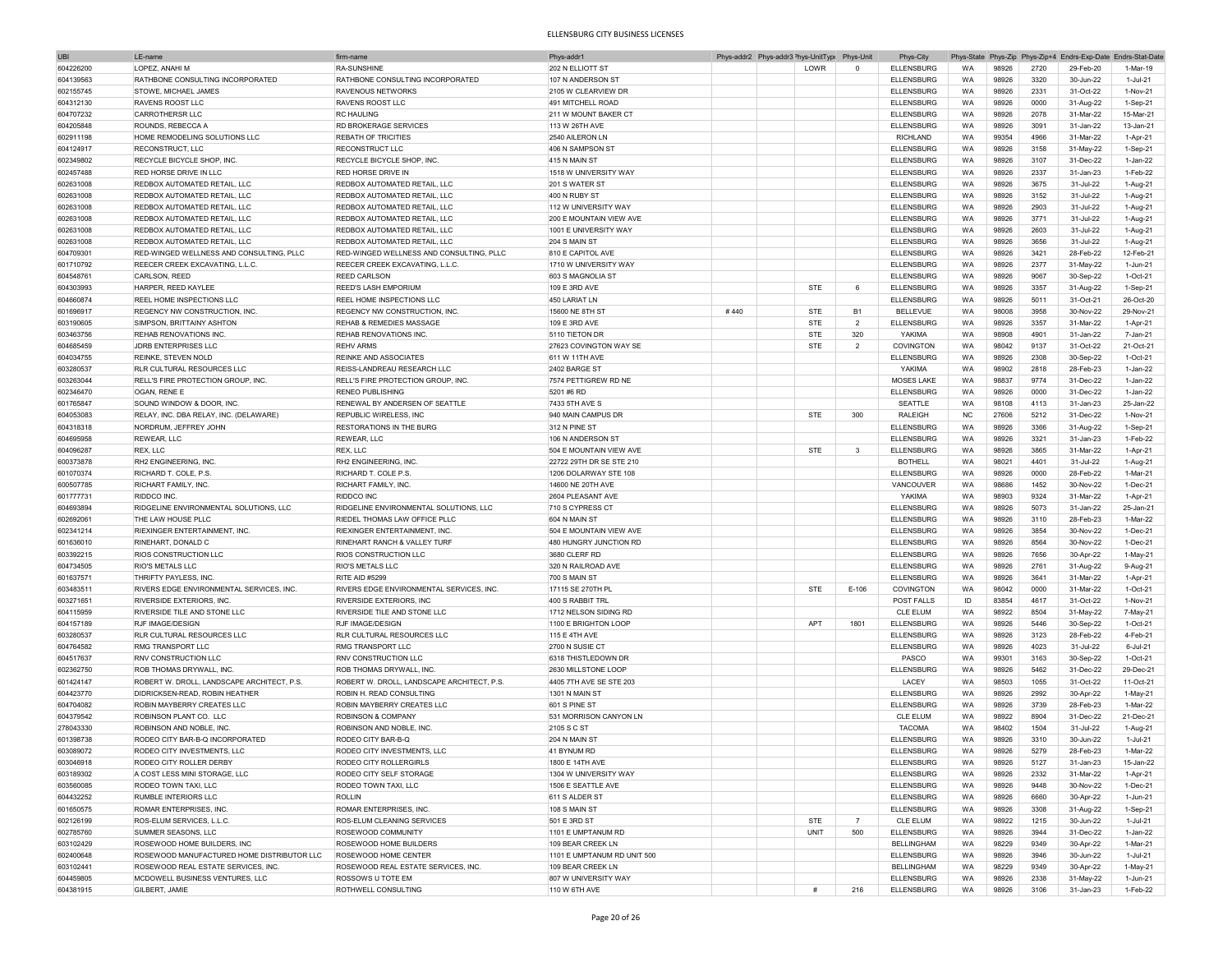| <b>UBI</b> | LE-name                                    | firm-name                                  | Phys-addr1                  |      | Phys-addr2 Phys-addr3 <sup>&gt;</sup> hys-UnitType | Phys-Unit      | Phys-City         |           |       |      | Phys-State Phys-Zip Phys-Zip+4 Endrs-Exp-Date Endrs-Stat-Date |            |
|------------|--------------------------------------------|--------------------------------------------|-----------------------------|------|----------------------------------------------------|----------------|-------------------|-----------|-------|------|---------------------------------------------------------------|------------|
| 604226200  | LOPEZ, ANAHI M                             | <b>RA-SUNSHINE</b>                         | 202 N ELLIOTT ST            |      | LOWR                                               | $^{\circ}$     | ELLENSBURG        | <b>WA</b> | 98926 | 2720 | 29-Feb-20                                                     | 1-Mar-19   |
| 604139563  | RATHBONE CONSULTING INCORPORATED           | RATHBONE CONSULTING INCORPORATED           | 107 N ANDERSON ST           |      |                                                    |                | <b>ELLENSBURG</b> | WA        | 98926 | 3320 | 30-Jun-22                                                     | 1-Jul-21   |
|            |                                            |                                            |                             |      |                                                    |                |                   |           |       |      |                                                               |            |
| 602155745  | <b>STOWE, MICHAEL JAMES</b>                | RAVENOUS NETWORKS                          | 2105 W CLEARVIEW DR         |      |                                                    |                | <b>ELLENSBURG</b> | WA        | 98926 | 2331 | 31-Oct-22                                                     | 1-Nov-21   |
| 604312130  | <b>RAVENS ROOST LLC</b>                    | RAVENS ROOST LLC                           | 491 MITCHELL ROAD           |      |                                                    |                | <b>ELLENSBURG</b> | WA        | 98926 | 0000 | 31-Aug-22                                                     | 1-Sep-21   |
| 604707232  | CARROTHERSR LLC                            | <b>RC HAULING</b>                          | 211 W MOUNT BAKER CT        |      |                                                    |                | <b>ELLENSBURG</b> | WA        | 98926 | 2078 | 31-Mar-22                                                     | 15-Mar-21  |
| 604205848  | ROUNDS, REBECCA A                          | <b>RD BROKERAGE SERVICES</b>               | 113 W 26TH AVE              |      |                                                    |                | <b>ELLENSBURG</b> | WA        | 98926 | 3091 | 31-Jan-22                                                     | 13-Jan-21  |
| 602911198  | HOME REMODELING SOLUTIONS LLC              | <b>REBATH OF TRICITIES</b>                 | 2540 AILERON LN             |      |                                                    |                | <b>RICHLAND</b>   | WA        | 99354 | 4966 | 31-Mar-22                                                     | 1-Apr-21   |
| 604124917  | <b>RECONSTRUCT, LLC</b>                    | RECONSTRUCT LLC                            | 406 N SAMPSON ST            |      |                                                    |                | <b>ELLENSBURG</b> | <b>WA</b> | 98926 | 3158 | 31-May-22                                                     | 1-Sep-21   |
|            |                                            |                                            |                             |      |                                                    |                |                   |           |       |      |                                                               |            |
| 602349802  | RECYCLE BICYCLE SHOP, INC.                 | RECYCLE BICYCLE SHOP, INC.                 | 415 N MAIN ST               |      |                                                    |                | <b>ELLENSBURG</b> | WA        | 98926 | 3107 | 31-Dec-22                                                     | 1-Jan-22   |
| 602457488  | <b>RED HORSE DRIVE IN LLC</b>              | RED HORSE DRIVE IN                         | 1518 W UNIVERSITY WAY       |      |                                                    |                | <b>ELLENSBURG</b> | WA        | 98926 | 2337 | 31-Jan-23                                                     | 1-Feb-22   |
| 602631008  | REDBOX AUTOMATED RETAIL, LLC               | REDBOX AUTOMATED RETAIL, LLC               | 201 S WATER ST              |      |                                                    |                | <b>ELLENSBURG</b> | WA        | 98926 | 3675 | 31-Jul-22                                                     | 1-Aug-21   |
| 602631008  | REDBOX AUTOMATED RETAIL, LLC               | REDBOX AUTOMATED RETAIL, LLC               | 400 N RUBY ST               |      |                                                    |                | <b>ELLENSBURG</b> | WA        | 98926 | 3152 | 31-Jul-22                                                     | 1-Aug-21   |
|            |                                            |                                            | 112 W UNIVERSITY WAY        |      |                                                    |                |                   |           | 98926 | 2903 |                                                               |            |
| 602631008  | REDBOX AUTOMATED RETAIL, LLC               | REDBOX AUTOMATED RETAIL, LLC               |                             |      |                                                    |                | <b>ELLENSBURG</b> | WA        |       |      | 31-Jul-22                                                     | 1-Aug-21   |
| 602631008  | REDBOX AUTOMATED RETAIL, LLC               | REDBOX AUTOMATED RETAIL, LLC               | 200 E MOUNTAIN VIEW AVE     |      |                                                    |                | <b>ELLENSBURG</b> | WA        | 98926 | 3771 | 31-Jul-22                                                     | 1-Aug-21   |
| 602631008  | REDBOX AUTOMATED RETAIL. LLC               | REDBOX AUTOMATED RETAIL, LLC               | 1001 E UNIVERSITY WAY       |      |                                                    |                | <b>ELLENSBURG</b> | WA        | 98926 | 2603 | 31-Jul-22                                                     | 1-Aug-21   |
| 602631008  | REDBOX AUTOMATED RETAIL, LLC               | REDBOX AUTOMATED RETAIL, LLC               | 204 S MAIN ST               |      |                                                    |                | <b>ELLENSBURG</b> | WA        | 98926 | 3656 | 31-Jul-22                                                     | 1-Aug-21   |
| 604709301  | RED-WINGED WELLNESS AND CONSULTING, PLLC   | RED-WINGED WELLNESS AND CONSULTING, PLLC   | 810 E CAPITOL AVE           |      |                                                    |                | <b>ELLENSBURG</b> | WA        | 98926 | 3421 | 28-Feb-22                                                     | 12-Feb-21  |
|            |                                            |                                            |                             |      |                                                    |                |                   |           |       |      |                                                               |            |
| 601710792  | REECER CREEK EXCAVATING, L.L.C.            | REECER CREEK EXCAVATING, L.L.C.            | 1710 W UNIVERSITY WAY       |      |                                                    |                | <b>ELLENSBURG</b> | WA        | 98926 | 2377 | 31-May-22                                                     | 1-Jun-21   |
| 604548761  | CARLSON, REED                              | <b>REED CARLSON</b>                        | 603 S MAGNOLIA ST           |      |                                                    |                | <b>ELLENSBURG</b> | WA        | 98926 | 9067 | 30-Sep-22                                                     | 1-Oct-21   |
| 604303993  | HARPER, REED KAYLEE                        | <b>REED'S LASH EMPORIUM</b>                | 109 E 3RD AVE               |      | <b>STE</b>                                         | 6              | <b>ELLENSBURG</b> | <b>WA</b> | 98926 | 3357 | 31-Aug-22                                                     | $1-Sep-21$ |
| 604660874  | REEL HOME INSPECTIONS LLC                  | REEL HOME INSPECTIONS LLC                  | 450 LARIAT LN               |      |                                                    |                | <b>ELLENSBURG</b> | WA        | 98926 | 5011 | 31-Oct-21                                                     | 26-Oct-20  |
| 601696917  | REGENCY NW CONSTRUCTION, INC.              | REGENCY NW CONSTRUCTION, INC               | 15600 NE 8TH ST             | #440 | <b>STE</b>                                         | <b>B1</b>      | <b>BELLEVUE</b>   | WA        | 98008 | 3958 | 30-Nov-22                                                     | 29-Nov-21  |
|            |                                            |                                            |                             |      |                                                    |                |                   |           |       |      |                                                               |            |
| 603190605  | SIMPSON, BRITTAINY ASHTON                  | REHAB & REMEDIES MASSAGE                   | 109 E 3RD AVE               |      | <b>STE</b>                                         | $\overline{2}$ | <b>ELLENSBURG</b> | WA        | 98926 | 3357 | 31-Mar-22                                                     | 1-Apr-21   |
| 603463756  | REHAB RENOVATIONS INC.                     | REHAB RENOVATIONS INC.                     | 5110 TIETON DR              |      | <b>STE</b>                                         | 320            | YAKIMA            | WA        | 98908 | 4901 | 31-Jan-22                                                     | 7-Jan-21   |
| 604685459  | JDRB ENTERPRISES LLC                       | <b>REHV ARMS</b>                           | 27623 COVINGTON WAY SE      |      | <b>STE</b>                                         | $\overline{2}$ | COVINGTON         | <b>WA</b> | 98042 | 9137 | 31-Oct-22                                                     | 21-Oct-21  |
| 604034755  | <b>REINKE, STEVEN NOLD</b>                 | REINKE AND ASSOCIATES                      | 611 W 11TH AVE              |      |                                                    |                | <b>ELLENSBURG</b> | WA        | 98926 | 2308 | 30-Sep-22                                                     | 1-Oct-21   |
| 603280537  | <b>RLR CULTURAL RESOURCES LLC</b>          | REISS-LANDREAU RESEARCH LLC                | 2402 BARGE ST               |      |                                                    |                | <b>YAKIMA</b>     | WA        | 98902 | 2818 | 28-Feb-23                                                     | 1-Jan-22   |
|            |                                            |                                            |                             |      |                                                    |                |                   |           |       |      |                                                               |            |
| 603263044  | <b>RELL'S FIRE PROTECTION GROUP, INC</b>   | RELL'S FIRE PROTECTION GROUP, INC          | 7574 PETTIGREW RD NE        |      |                                                    |                | <b>MOSES LAKE</b> | WA        | 98837 | 9774 | 31-Dec-22                                                     | 1-Jan-22   |
| 602346470  | OGAN, RENE E                               | <b>RENEO PUBLISHING</b>                    | 5201 #6 RD                  |      |                                                    |                | <b>ELLENSBURG</b> | WA        | 98926 | 0000 | 31-Dec-22                                                     | 1-Jan-22   |
| 601765847  | SOUND WINDOW & DOOR, INC.                  | RENEWAL BY ANDERSEN OF SEATTLE             | 7433 5TH AVE S              |      |                                                    |                | SEATTLE           | WA        | 98108 | 4113 | 31-Jan-23                                                     | 25-Jan-22  |
| 604053083  | RELAY, INC. DBA RELAY, INC. (DELAWARE)     | REPUBLIC WIRELESS, INC                     | 940 MAIN CAMPUS DR          |      | STE                                                | 300            | <b>RALEIGH</b>    | <b>NC</b> | 27606 | 5212 | 31-Dec-22                                                     | 1-Nov-21   |
|            |                                            | RESTORATIONS IN THE BURG                   | 312 N PINE ST               |      |                                                    |                |                   | WA        | 98926 | 3366 |                                                               | 1-Sep-21   |
| 604318318  | NORDRUM, JEFFREY JOHN                      |                                            |                             |      |                                                    |                | ELLENSBURG        |           |       |      | 31-Aug-22                                                     |            |
| 604695958  | <b>REWEAR, LLC</b>                         | REWEAR, LLC                                | 106 N ANDERSON ST           |      |                                                    |                | <b>ELLENSBURG</b> | WA        | 98926 | 3321 | 31-Jan-23                                                     | 1-Feb-22   |
| 604096287  | REX, LLC                                   | REX, LLC                                   | 504 E MOUNTAIN VIEW AVE     |      | <b>STE</b>                                         | $\mathbf{3}$   | <b>ELLENSBURG</b> | WA        | 98926 | 3865 | 31-Mar-22                                                     | 1-Apr-21   |
| 600373878  | RH2 FNGINFFRING, INC.                      | RH2 FNGINFFRING, INC.                      | 22722 29TH DR SE STE 210    |      |                                                    |                | <b>BOTHELL</b>    | WA        | 98021 | 4401 | 31-Jul-22                                                     | 1-Aug-21   |
| 601070374  | RICHARD T. COLE, P.S.                      | RICHARD T. COLE P.S.                       | 1206 DOLARWAY STE 108       |      |                                                    |                | <b>ELLENSBURG</b> | WA        | 98926 | 0000 | 28-Feb-22                                                     | 1-Mar-21   |
|            |                                            |                                            |                             |      |                                                    |                |                   |           |       |      |                                                               |            |
| 600507785  | RICHART FAMILY, INC.                       | RICHART FAMILY, INC.                       | 14600 NE 20TH AVE           |      |                                                    |                | VANCOUVER         | WA        | 98686 | 1452 | 30-Nov-22                                                     | 1-Dec-21   |
| 601777731  | RIDDCO INC                                 | RIDDCO INC                                 | 2604 PLEASANT AVE           |      |                                                    |                | <b>YAKIMA</b>     | WA        | 98903 | 9324 | 31-Mar-22                                                     | 1-Apr-21   |
| 604693894  | RIDGELINE ENVIRONMENTAL SOLUTIONS, LLC     | RIDGELINE ENVIRONMENTAL SOLUTIONS, LLC     | 710 S CYPRESS CT            |      |                                                    |                | <b>ELLENSBURG</b> | WA        | 98926 | 5073 | 31-Jan-22                                                     | 25-Jan-21  |
| 602692061  | THE LAW HOUSE PLLC                         | RIEDEL THOMAS LAW OFFICE PLLC              | 604 N MAIN ST               |      |                                                    |                | <b>ELLENSBURG</b> | WA        | 98926 | 3110 | 28-Feb-23                                                     | 1-Mar-22   |
| 602341214  | <b>RIEXINGER ENTERTAINMENT, INC</b>        | RIEXINGER ENTERTAINMENT, INC               | 504 E MOUNTAIN VIEW AVE     |      |                                                    |                | <b>ELLENSBURG</b> | WA        | 98926 | 3854 | 30-Nov-22                                                     | 1-Dec-21   |
|            |                                            |                                            |                             |      |                                                    |                |                   |           |       |      |                                                               |            |
| 601636010  | RINEHART, DONALD C                         | RINEHART RANCH & VALLEY TURF               | 480 HUNGRY JUNCTION RD      |      |                                                    |                | <b>ELLENSBURG</b> | WA        | 98926 | 8564 | 30-Nov-22                                                     | 1-Dec-21   |
| 603392215  | <b>RIOS CONSTRUCTION LLC</b>               | RIOS CONSTRUCTION LLC                      | 3680 CLERF RD               |      |                                                    |                | <b>ELLENSBURG</b> | WA        | 98926 | 7656 | 30-Apr-22                                                     | $1-May-21$ |
| 604734505  | <b>RIO'S METALS LLC</b>                    | RIO'S METALS LLC                           | 320 N RAILROAD AVE          |      |                                                    |                | <b>ELLENSBURG</b> | WA        | 98926 | 2761 | 31-Aug-22                                                     | 9-Aug-21   |
| 601637571  | THRIFTY PAYLESS, INC.                      | <b>RITE AID #5299</b>                      | <b>700 S MAIN ST</b>        |      |                                                    |                | <b>ELLENSBURG</b> | <b>WA</b> | 98926 | 3641 | 31-Mar-22                                                     | 1-Apr-21   |
| 603483511  | RIVERS EDGE ENVIRONMENTAL SERVICES, INC    | RIVERS EDGE ENVIRONMENTAL SERVICES, INC    | 17115 SE 270TH PL           |      | <b>STE</b>                                         | $E-106$        | COVINGTON         | WA        | 98042 | 0000 | 31-Mar-22                                                     | 1-Oct-21   |
|            |                                            |                                            |                             |      |                                                    |                |                   |           |       |      |                                                               |            |
| 603271651  | RIVERSIDE EXTERIORS, INC.                  | RIVERSIDE EXTERIORS, INC                   | 400 S RABBIT TRL            |      |                                                    |                | POST FALLS        | ID        | 83854 | 4617 | 31-Oct-22                                                     | 1-Nov-21   |
| 604115959  | RIVERSIDE TILE AND STONE LLC               | RIVERSIDE TILE AND STONE LLC               | 1712 NELSON SIDING RD       |      |                                                    |                | <b>CLE ELUM</b>   | WA        | 98922 | 8504 | 31-May-22                                                     | 7-May-21   |
| 604157189  | <b>RJF IMAGE/DESIGN</b>                    | RJF IMAGE/DESIGN                           | 1100 E BRIGHTON LOOP        |      | APT                                                | 1801           | <b>ELLENSBURG</b> | WA        | 98926 | 5446 | 30-Sep-22                                                     | 1-Oct-21   |
| 603280537  | <b>RLR CULTURAL RESOURCES LLC</b>          | RLR CULTURAL RESOURCES LLC                 | 115 E 4TH AVE               |      |                                                    |                | <b>ELLENSBURG</b> | WA        | 98926 | 3123 | 28-Feb-22                                                     | 4-Feb-21   |
| 604764582  | <b>RMG TRANSPORT LLC</b>                   | RMG TRANSPORT LLC                          | 2700 N SUSIE CT             |      |                                                    |                | <b>ELLENSBURG</b> | WA        | 98926 | 4023 | 31-Jul-22                                                     | 6-Jul-21   |
|            |                                            |                                            |                             |      |                                                    |                |                   |           |       |      |                                                               |            |
| 604517637  | <b>RNV CONSTRUCTION LLC</b>                | <b>RNV CONSTRUCTION LLC</b>                | 6318 THISTI FDOWN DR        |      |                                                    |                | PASCO             | WA        | 99301 | 3163 | 30-Sep-22                                                     | 1-Oct-21   |
| 602362750  | <b>ROB THOMAS DRYWALL, INC.</b>            | ROB THOMAS DRYWALL, INC                    | 2630 MILLSTONE LOOP         |      |                                                    |                | <b>ELLENSBURG</b> | WA        | 98926 | 5462 | 31-Dec-22                                                     | 29-Dec-21  |
| 601424147  | ROBERT W. DROLL, LANDSCAPE ARCHITECT, P.S. | ROBERT W. DROLL, LANDSCAPE ARCHITECT, P.S. | 4405 7TH AVE SE STE 203     |      |                                                    |                | LACEY             | <b>WA</b> | 98503 | 1055 | 31-Oct-22                                                     | 11-Oct-21  |
| 604423770  | DIDRICKSEN-READ, ROBIN HEATHER             | ROBIN H. READ CONSULTING                   | 1301 N MAIN ST              |      |                                                    |                | <b>ELLENSBURG</b> | WA        | 98926 | 2992 | 30-Apr-22                                                     | 1-May-21   |
|            | ROBIN MAYBERRY CREATES LLC                 | ROBIN MAYBERRY CREATES LLC                 | 601 S PINF ST               |      |                                                    |                |                   |           |       | 3739 | 28-Feb-23                                                     | 1-Mar-22   |
| 604704082  |                                            |                                            |                             |      |                                                    |                | <b>ELLENSBURG</b> | WA        | 98926 |      |                                                               |            |
| 604379542  | ROBINSON PLANT CO. LLC                     | ROBINSON & COMPANY                         | 531 MORRISON CANYON LN      |      |                                                    |                | <b>CLE ELUM</b>   | WA        | 98922 | 8904 | 31-Dec-22                                                     | 21-Dec-21  |
| 278043330  | ROBINSON AND NOBLE, INC.                   | ROBINSON AND NOBLE, INC.                   | 2105 S C ST                 |      |                                                    |                | <b>TACOMA</b>     | <b>WA</b> | 98402 | 1504 | 31-Jul-22                                                     | 1-Aug-21   |
| 601398738  | RODEO CITY BAR-B-Q INCORPORATED            | RODEO CITY BAR-B-Q                         | 204 N MAIN ST               |      |                                                    |                | <b>ELLENSBURG</b> | <b>WA</b> | 98926 | 3310 | 30-Jun-22                                                     | 1-Jul-21   |
| 603089072  | RODEO CITY INVESTMENTS, LLC                | RODEO CITY INVESTMENTS, LLC                | 41 BYNUM RD                 |      |                                                    |                | <b>ELLENSBURG</b> | <b>WA</b> | 98926 | 5279 | 28-Feb-23                                                     | 1-Mar-22   |
| 603046918  | RODEO CITY ROLLER DERBY                    | RODEO CITY ROLLERGIRLS                     | 1800 E 14TH AVE             |      |                                                    |                |                   |           | 98926 | 5127 |                                                               | 15-Jan-22  |
|            |                                            |                                            |                             |      |                                                    |                | ELLENSBURG        | WA        |       |      | 31-Jan-23                                                     |            |
| 603189302  | A COST LESS MINI STORAGE, LLC              | RODEO CITY SELF STORAGE                    | 1304 W UNIVERSITY WAY       |      |                                                    |                | <b>ELLENSBURG</b> | WA        | 98926 | 2332 | 31-Mar-22                                                     | 1-Apr-21   |
| 603560085  | RODEO TOWN TAXI, LLC                       | RODEO TOWN TAXI, LLC                       | 1506 E SEATTLE AVE          |      |                                                    |                | ELLENSBURG        | WA        | 98926 | 9448 | 30-Nov-22                                                     | 1-Dec-21   |
| 604432252  | RUMBLE INTERIORS LLC                       | <b>ROLLIN</b>                              | 611 S ALDER ST              |      |                                                    |                | <b>ELLENSBURG</b> | WA        | 98926 | 6660 | 30-Apr-22                                                     | 1-Jun-21   |
| 601650575  | ROMAR ENTERPRISES, INC.                    | ROMAR ENTERPRISES. INC.                    | 108 S MAIN ST               |      |                                                    |                | <b>ELLENSBURG</b> | WA        | 98926 | 3308 | 31-Aug-22                                                     | 1-Sep-21   |
|            | ROS-ELUM SERVICES, L.L.C.                  |                                            |                             |      |                                                    | $\overline{7}$ |                   |           |       |      |                                                               |            |
| 602126199  |                                            | ROS-ELUM CLEANING SERVICES                 | 501 E 3RD ST                |      | <b>STE</b>                                         |                | CLE ELUM          | WA        | 98922 | 1215 | 30-Jun-22                                                     | 1-Jul-21   |
| 602785760  | SUMMER SEASONS, LLC                        | ROSEWOOD COMMUNITY                         | 1101 E UMPTANUM RD          |      | UNIT                                               | 500            | <b>ELLENSBURG</b> | WA        | 98926 | 3944 | 31-Dec-22                                                     | 1-Jan-22   |
| 603102429  | ROSEWOOD HOME BUILDERS, INC                | ROSEWOOD HOME BUILDERS                     | 109 BEAR CREEK LN           |      |                                                    |                | <b>BELLINGHAM</b> | WA        | 98229 | 9349 | 30-Apr-22                                                     | 1-Mar-21   |
| 602400648  | ROSEWOOD MANUFACTURED HOME DISTRIBUTOR LLC | ROSEWOOD HOME CENTER                       | 1101 E UMPTANUM RD UNIT 500 |      |                                                    |                | <b>ELLENSBURG</b> | WA        | 98926 | 3946 | 30-Jun-22                                                     | 1-Jul-21   |
| 603102441  | ROSEWOOD REAL ESTATE SERVICES, INC.        | ROSEWOOD REAL ESTATE SERVICES, INC.        | 109 BEAR CREEK LN           |      |                                                    |                | <b>BELLINGHAM</b> | WA        | 98229 | 9349 | 30-Apr-22                                                     | 1-May-21   |
| 604459805  | MCDOWELL BUSINESS VENTURES, LLC            | ROSSOWS U TOTE EM                          | 807 W UNIVERSITY WAY        |      |                                                    |                | <b>ELLENSBURG</b> | WA        |       | 2338 | 31-May-22                                                     |            |
|            |                                            |                                            |                             |      |                                                    |                |                   |           | 98926 |      |                                                               | 1-Jun-21   |
| 604381915  | GILBERT, JAMIE                             | ROTHWELL CONSULTING                        | 110 W 6TH AVE               |      | #                                                  | 216            | <b>ELLENSBURG</b> | WA        | 98926 | 3106 | 31-Jan-23                                                     | 1-Feb-22   |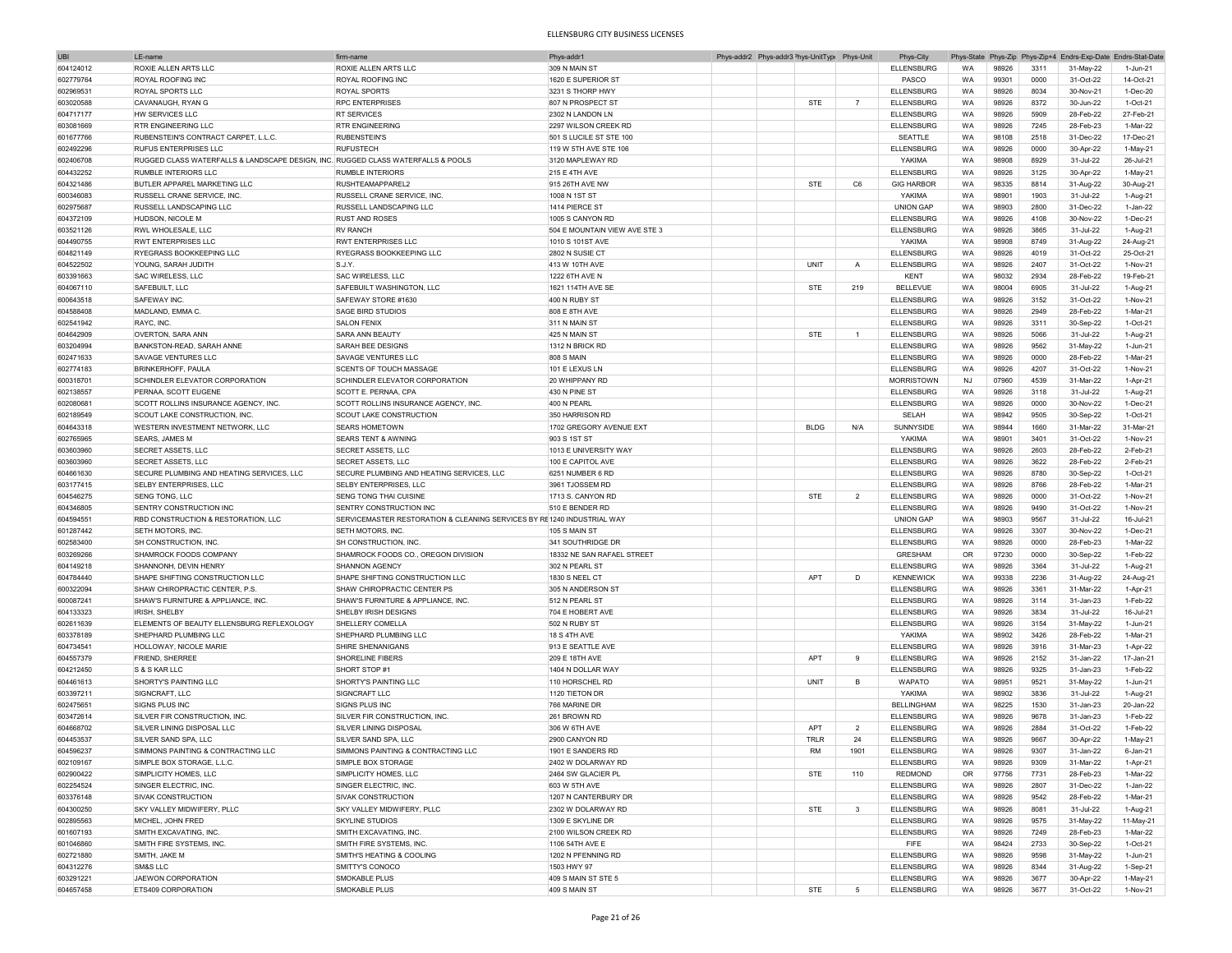| <b>UBI</b> | LE-name                                                                          | firm-name                                                               | Phys-addr1                    |  | Phys-addr2 Phys-addr3 <sup>&gt;</sup> hys-UnitType Phys-Unit |                          | Phys-City         |           |       |      | Phys-State Phys-Zip Phys-Zip+4 Endrs-Exp-Date Endrs-Stat-Date |           |
|------------|----------------------------------------------------------------------------------|-------------------------------------------------------------------------|-------------------------------|--|--------------------------------------------------------------|--------------------------|-------------------|-----------|-------|------|---------------------------------------------------------------|-----------|
| 604124012  | ROXIE ALLEN ARTS LLC                                                             | ROXIE ALLEN ARTS LLC                                                    | 309 N MAIN ST                 |  |                                                              |                          | <b>ELLENSBURG</b> | <b>WA</b> | 98926 | 3311 | 31-May-22                                                     | 1-Jun-21  |
| 602779764  | <b>ROYAL ROOFING INC</b>                                                         | <b>ROYAL ROOFING INC</b>                                                | 1620 E SUPERIOR ST            |  |                                                              |                          | PASCO             | WA        | 99301 | 0000 | 31-Oct-22                                                     | 14-Oct-21 |
|            |                                                                                  |                                                                         |                               |  |                                                              |                          |                   |           |       |      |                                                               |           |
| 602969531  | ROYAL SPORTS LLC                                                                 | ROYAL SPORTS                                                            | 3231 S THORP HWY              |  |                                                              |                          | ELLENSBURG        | WA        | 98926 | 8034 | 30-Nov-21                                                     | 1-Dec-20  |
| 603020588  | CAVANAUGH, RYAN G                                                                | <b>RPC ENTERPRISES</b>                                                  | 807 N PROSPECT ST             |  | <b>STE</b>                                                   | $\overline{7}$           | <b>ELLENSBURG</b> | WA        | 98926 | 8372 | 30-Jun-22                                                     | 1-Oct-21  |
| 604717177  | HW SERVICES LLC                                                                  | <b>RT SERVICES</b>                                                      | 2302 N LANDON LN              |  |                                                              |                          | <b>ELLENSBURG</b> | WA        | 98926 | 5909 | 28-Feb-22                                                     | 27-Feb-21 |
| 603081669  | <b>RTR ENGINEERING LLC</b>                                                       | <b>RTR ENGINEERING</b>                                                  | 2297 WILSON CREEK RD          |  |                                                              |                          | <b>ELLENSBURG</b> | WA        | 98926 | 7245 | 28-Feb-23                                                     | 1-Mar-22  |
| 601677766  | RUBENSTEIN'S CONTRACT CARPET, L.L.C.                                             | <b>RUBENSTEIN'S</b>                                                     | 501 S LUCILE ST STE 100       |  |                                                              |                          | SEATTLE           | WA        | 98108 | 2518 | 31-Dec-22                                                     | 17-Dec-21 |
|            | <b>RUFUS ENTERPRISES LLC</b>                                                     | <b>RUFUSTECH</b>                                                        | 119 W 5TH AVE STE 106         |  |                                                              |                          | <b>ELLENSBURG</b> | <b>WA</b> | 98926 | 0000 |                                                               | 1-May-21  |
| 602492296  |                                                                                  |                                                                         |                               |  |                                                              |                          |                   |           |       |      | 30-Apr-22                                                     |           |
| 602406708  | RUGGED CLASS WATERFALLS & LANDSCAPE DESIGN, INC. RUGGED CLASS WATERFALLS & POOLS |                                                                         | 3120 MAPLEWAY RD              |  |                                                              |                          | YAKIMA            | WA        | 98908 | 8929 | 31-Jul-22                                                     | 26-Jul-21 |
| 604432252  | RUMBLE INTERIORS LLC                                                             | <b>RUMBLE INTERIORS</b>                                                 | <b>215 E 4TH AVE</b>          |  |                                                              |                          | <b>ELLENSBURG</b> | <b>WA</b> | 98926 | 3125 | 30-Apr-22                                                     | 1-May-21  |
| 604321486  | BUTLER APPAREL MARKETING LLC                                                     | RUSHTEAMAPPAREL2                                                        | 915 26TH AVE NW               |  | <b>STE</b>                                                   | C6                       | <b>GIG HARBOR</b> | WA        | 98335 | 8814 | 31-Aug-22                                                     | 30-Aug-21 |
| 600346083  | RUSSELL CRANE SERVICE, INC.                                                      | RUSSELL CRANE SERVICE. INC                                              | 1008 N 1ST ST                 |  |                                                              |                          | YAKIMA            | WA        | 98901 | 1903 | 31-Jul-22                                                     | 1-Aug-21  |
|            |                                                                                  |                                                                         | 1414 PIERCE ST                |  |                                                              |                          | <b>UNION GAP</b>  |           | 98903 | 2800 |                                                               |           |
| 602975687  | RUSSELL LANDSCAPING LLC                                                          | RUSSELL LANDSCAPING LLC                                                 |                               |  |                                                              |                          |                   | WA        |       |      | 31-Dec-22                                                     | 1-Jan-22  |
| 604372109  | HUDSON, NICOLE M                                                                 | <b>RUST AND ROSES</b>                                                   | 1005 S CANYON RD              |  |                                                              |                          | <b>ELLENSBURG</b> | WA        | 98926 | 4108 | 30-Nov-22                                                     | 1-Dec-21  |
| 603521126  | RWL WHOLESALE, LLC                                                               | <b>RV RANCH</b>                                                         | 504 E MOUNTAIN VIEW AVE STE 3 |  |                                                              |                          | <b>ELLENSBURG</b> | WA        | 98926 | 3865 | 31-Jul-22                                                     | 1-Aug-21  |
| 604490755  | <b>RWT ENTERPRISES LLC</b>                                                       | <b>RWT ENTERPRISES LLC</b>                                              | 1010 S 101ST AVE              |  |                                                              |                          | YAKIMA            | WA        | 98908 | 8749 | 31-Aug-22                                                     | 24-Aug-21 |
| 604821149  | <b>RYEGRASS BOOKKEEPING LLC</b>                                                  | RYEGRASS BOOKKEEPING LLC                                                | 2802 N SUSIE CT               |  |                                                              |                          | <b>ELLENSBURG</b> | WA        | 98926 | 4019 | 31-Oct-22                                                     | 25-Oct-21 |
|            |                                                                                  |                                                                         |                               |  |                                                              |                          | <b>ELLENSBURG</b> |           |       |      |                                                               |           |
| 604522502  | YOUNG, SARAH JUDITH                                                              | S.J.Y.                                                                  | 413 W 10TH AVE                |  | <b>UNIT</b>                                                  | A                        |                   | WA        | 98926 | 2407 | 31-Oct-22                                                     | 1-Nov-21  |
| 603391663  | SAC WIRELESS, LLC                                                                | SAC WIRELESS, LLC                                                       | 1222 6TH AVE N                |  |                                                              |                          | KENT              | WA        | 98032 | 2934 | 28-Feb-22                                                     | 19-Feb-21 |
| 604067110  | SAFEBUILT, LLC                                                                   | SAFEBUILT WASHINGTON, LLC                                               | 1621 114TH AVE SE             |  | STE                                                          | 219                      | <b>BELLEVUE</b>   | WA        | 98004 | 6905 | 31-Jul-22                                                     | 1-Aug-21  |
| 600643518  | SAFEWAY INC                                                                      | SAFEWAY STORE #1630                                                     | 400 N RUBY S'                 |  |                                                              |                          | <b>ELLENSBURG</b> | <b>WA</b> | 98926 | 3152 | 31-Oct-22                                                     | 1-Nov-21  |
| 604588408  | MADLAND, EMMA C                                                                  | SAGE BIRD STUDIOS                                                       | 808 E 8TH AVE                 |  |                                                              |                          | <b>ELLENSBURG</b> | WA        | 98926 | 2949 | 28-Feb-22                                                     | 1-Mar-21  |
|            |                                                                                  |                                                                         |                               |  |                                                              |                          |                   |           |       |      |                                                               |           |
| 602541942  | RAYC, INC.                                                                       | <b>SALON FENIX</b>                                                      | 311 N MAIN ST                 |  |                                                              |                          | <b>ELLENSBURG</b> | WA        | 98926 | 3311 | 30-Sep-22                                                     | 1-Oct-21  |
| 604642909  | OVERTON, SARA ANN                                                                | SARA ANN BEAUTY                                                         | 425 N MAIN ST                 |  | <b>STE</b>                                                   | $\overline{1}$           | <b>ELLENSBURG</b> | WA        | 98926 | 5066 | 31-Jul-22                                                     | 1-Aug-21  |
| 603204994  | BANKSTON-READ, SARAH ANNE                                                        | SARAH BEE DESIGNS                                                       | 1312 N BRICK RD               |  |                                                              |                          | <b>ELLENSBURG</b> | WA        | 98926 | 9562 | 31-May-22                                                     | 1-Jun-21  |
| 602471633  | <b>SAVAGE VENTURES LLC</b>                                                       | <b>SAVAGE VENTURES LLC</b>                                              | <b>808 S MAIN</b>             |  |                                                              |                          | <b>ELLENSBURG</b> | WA        | 98926 | 0000 | 28-Feb-22                                                     | 1-Mar-21  |
| 602774183  | <b>BRINKERHOFF, PAULA</b>                                                        | <b>SCENTS OF TOUCH MASSAGE</b>                                          | 101 E LEXUS LN                |  |                                                              |                          | <b>ELLENSBURG</b> | WA        | 98926 | 4207 | 31-Oct-22                                                     | 1-Nov-21  |
|            |                                                                                  |                                                                         |                               |  |                                                              |                          |                   |           |       |      |                                                               |           |
| 600318701  | SCHINDLER ELEVATOR CORPORATION                                                   | SCHINDLER ELEVATOR CORPORATION                                          | 20 WHIPPANY RD                |  |                                                              |                          | <b>MORRISTOWN</b> | NJ        | 07960 | 4539 | 31-Mar-22                                                     | 1-Apr-21  |
| 602138557  | PERNAA, SCOTT EUGENE                                                             | SCOTT F. PERNAA, CPA                                                    | 430 N PINE ST                 |  |                                                              |                          | <b>ELLENSBURG</b> | WA        | 98926 | 3118 | 31-Jul-22                                                     | 1-Aug-21  |
| 602080681  | SCOTT ROLLINS INSURANCE AGENCY, INC                                              | SCOTT ROLLINS INSURANCE AGENCY, INC.                                    | 400 N PEARL                   |  |                                                              |                          | <b>ELLENSBURG</b> | WA        | 98926 | 0000 | 30-Nov-22                                                     | 1-Dec-21  |
| 602189549  | <b>SCOUT LAKE CONSTRUCTION. INC</b>                                              | SCOUT LAKE CONSTRUCTION                                                 | 350 HARRISON RD               |  |                                                              |                          | <b>SELAH</b>      | WA        | 98942 | 9505 | 30-Sep-22                                                     | 1-Oct-21  |
| 604643318  | WESTERN INVESTMENT NETWORK, LLC                                                  | <b>SEARS HOMETOWN</b>                                                   | 1702 GREGORY AVENUE EXT       |  | <b>BLDG</b>                                                  | N/A                      | SUNNYSIDE         | WA        | 98944 | 1660 | 31-Mar-22                                                     | 31-Mar-21 |
|            |                                                                                  |                                                                         |                               |  |                                                              |                          |                   |           |       |      |                                                               |           |
| 602765965  | <b>SEARS, JAMES M</b>                                                            | SEARS TENT & AWNING                                                     | 903 S 1ST ST                  |  |                                                              |                          | YAKIMA            | WA        | 98901 | 3401 | 31-Oct-22                                                     | 1-Nov-21  |
| 603603960  | <b>SECRET ASSETS, LLC</b>                                                        | SECRET ASSETS. LLC                                                      | 1013 E UNIVERSITY WAY         |  |                                                              |                          | <b>ELLENSBURG</b> | WA        | 98926 | 2603 | 28-Feb-22                                                     | 2-Feb-21  |
| 603603960  | SECRET ASSETS, LLC                                                               | SECRET ASSETS, LLC                                                      | 100 E CAPITOL AVE             |  |                                                              |                          | <b>ELLENSBURG</b> | WA        | 98926 | 3622 | 28-Feb-22                                                     | 2-Feb-21  |
| 604661630  | SECURE PLUMBING AND HEATING SERVICES, LLC                                        | SECURE PLUMBING AND HEATING SERVICES, LLC                               | 6251 NUMBER 6 RD              |  |                                                              |                          | <b>ELLENSBURG</b> | WA        | 98926 | 8780 | 30-Sep-22                                                     | 1-Oct-21  |
|            | SELBY ENTERPRISES, LLC                                                           | SELBY ENTERPRISES. LLC                                                  | 3961 TJOSSEM RD               |  |                                                              |                          |                   | WA        | 98926 | 8766 |                                                               | 1-Mar-21  |
| 603177415  |                                                                                  |                                                                         |                               |  |                                                              |                          | <b>ELLENSBURG</b> |           |       |      | 28-Feb-22                                                     |           |
| 604546275  | <b>SENG TONG, LLC</b>                                                            | SENG TONG THAI CUISINE                                                  | 1713 S. CANYON RD             |  | <b>STE</b>                                                   | $\overline{2}$           | <b>ELLENSBURG</b> | WA        | 98926 | 0000 | 31-Oct-22                                                     | 1-Nov-21  |
| 604346805  | SENTRY CONSTRUCTION INC                                                          | SENTRY CONSTRUCTION INC                                                 | 510 E BENDER RD               |  |                                                              |                          | <b>ELLENSBURG</b> | WA        | 98926 | 9490 | 31-Oct-22                                                     | 1-Nov-21  |
| 604594551  | RBD CONSTRUCTION & RESTORATION, LLC                                              | SERVICEMASTER RESTORATION & CLEANING SERVICES BY RE 1240 INDUSTRIAL WAY |                               |  |                                                              |                          | <b>UNION GAP</b>  | WA        | 98903 | 9567 | 31-Jul-22                                                     | 16-Jul-21 |
| 601287442  | SETH MOTORS, INC.                                                                | SETH MOTORS, INC.                                                       | 105 S MAIN ST                 |  |                                                              |                          | <b>ELLENSBURG</b> | WA        | 98926 | 3307 | 30-Nov-22                                                     | 1-Dec-21  |
|            |                                                                                  |                                                                         |                               |  |                                                              |                          |                   |           |       |      |                                                               |           |
| 602583400  | SH CONSTRUCTION, INC.                                                            | SH CONSTRUCTION, INC                                                    | 341 SOUTHRIDGE DR             |  |                                                              |                          | <b>ELLENSBURG</b> | WA        | 98926 | 0000 | 28-Feb-23                                                     | 1-Mar-22  |
| 603269266  | SHAMROCK FOODS COMPANY                                                           | SHAMROCK FOODS CO., OREGON DIVISION                                     | 18332 NE SAN RAFAEL STREET    |  |                                                              |                          | <b>GRESHAM</b>    | OR        | 97230 | 0000 | 30-Sep-22                                                     | 1-Feb-22  |
| 604149218  | SHANNONH, DEVIN HENRY                                                            | <b>SHANNON AGENCY</b>                                                   | 302 N PEARL ST                |  |                                                              |                          | <b>ELLENSBURG</b> | WA        | 98926 | 3364 | 31-Jul-22                                                     | 1-Aug-21  |
| 604784440  | SHAPE SHIFTING CONSTRUCTION LLC                                                  | SHAPE SHIFTING CONSTRUCTION LLC                                         | 1830 S NEEL CT                |  | APT                                                          | D                        | <b>KENNEWICK</b>  | WA        | 99338 | 2236 | 31-Aug-22                                                     | 24-Aug-21 |
| 600322094  | SHAW CHIROPRACTIC CENTER, P.S.                                                   | SHAW CHIROPRACTIC CENTER PS                                             | 305 N ANDERSON ST             |  |                                                              |                          | <b>ELLENSBURG</b> | <b>WA</b> | 98926 | 3361 | 31-Mar-22                                                     | 1-Apr-21  |
|            |                                                                                  |                                                                         |                               |  |                                                              |                          |                   |           |       |      |                                                               |           |
| 600087241  | SHAW'S FURNITURE & APPLIANCE, INC.                                               | SHAW'S FURNITURE & APPLIANCE, INC                                       | 512 N PEARL ST                |  |                                                              |                          | <b>ELLENSBURG</b> | WA        | 98926 | 3114 | 31-Jan-23                                                     | 1-Feb-22  |
| 604133323  | IRISH, SHELBY                                                                    | SHELBY IRISH DESIGNS                                                    | 704 E HOBERT AVE              |  |                                                              |                          | <b>ELLENSBURG</b> | WA        | 98926 | 3834 | 31-Jul-22                                                     | 16-Jul-21 |
| 602611639  | ELEMENTS OF BEAUTY ELLENSBURG REFLEXOLOGY                                        | SHELLERY COMELLA                                                        | 502 N RUBY ST                 |  |                                                              |                          | <b>ELLENSBURG</b> | WA        | 98926 | 3154 | 31-May-22                                                     | 1-Jun-21  |
| 603378189  | SHEPHARD PLUMBING LLC                                                            | SHEPHARD PLUMBING LLC                                                   | 18 S 4TH AVE                  |  |                                                              |                          | YAKIMA            | WA        | 98902 | 3426 | 28-Feb-22                                                     | 1-Mar-21  |
| 604734541  | HOLLOWAY, NICOLE MARIE                                                           | SHIRE SHENANIGANS                                                       | 913 E SEATTLE AVE             |  |                                                              |                          | <b>ELLENSBURG</b> | WA        | 98926 | 3916 | 31-Mar-23                                                     | 1-Apr-22  |
| 604557379  | FRIEND, SHERREE                                                                  | SHORFLINE FIBERS                                                        | 209 E 18TH AVE                |  | APT                                                          | 9                        | <b>ELLENSBURG</b> |           |       | 2152 |                                                               | 17-Jan-21 |
|            |                                                                                  |                                                                         |                               |  |                                                              |                          |                   | WA        | 98926 |      | 31-Jan-22                                                     |           |
| 604212450  | S & S KAR LLC                                                                    | SHORT STOP #1                                                           | 1404 N DOLLAR WAY             |  |                                                              |                          | <b>ELLENSBURG</b> | WA        | 98926 | 9325 | 31-Jan-23                                                     | 1-Feb-22  |
| 604461613  | SHORTY'S PAINTING LLC                                                            | SHORTY'S PAINTING LLC                                                   | 110 HORSCHEL RD               |  | UNIT                                                         | B                        | WAPATO            | WA        | 98951 | 9521 | 31-May-22                                                     | 1-Jun-21  |
| 603397211  | SIGNCRAFT, LLC                                                                   | SIGNCRAFT LLC                                                           | 1120 TIETON DR                |  |                                                              |                          | YAKIMA            | WA        | 98902 | 3836 | 31-Jul-22                                                     | 1-Aug-21  |
| 602475651  | <b>SIGNS PLUS INC</b>                                                            | <b>SIGNS PLUS INC</b>                                                   | 766 MARINE DR                 |  |                                                              |                          | <b>BELLINGHAM</b> | WA        | 98225 | 1530 | 31-Jan-23                                                     | 20-Jan-22 |
| 603472614  | SILVER FIR CONSTRUCTION, INC                                                     | SILVER FIR CONSTRUCTION, INC.                                           | 261 BROWN RD                  |  |                                                              |                          | <b>ELLENSBURG</b> | WA        | 98926 | 9678 | 31-Jan-23                                                     | 1-Feb-22  |
|            |                                                                                  |                                                                         |                               |  |                                                              |                          |                   |           |       |      |                                                               |           |
| 604668702  | SILVER LINING DISPOSAL LLC                                                       | SILVER LINING DISPOSAL                                                  | 306 W 6TH AVF                 |  | <b>APT</b>                                                   | $\overline{\phantom{a}}$ | <b>ELLENSBURG</b> | <b>WA</b> | 98926 | 2884 | 31-Oct-22                                                     | 1-Feb-22  |
| 604453537  | SILVER SAND SPA, LLC                                                             | SILVER SAND SPA, LLC                                                    | 2900 CANYON RD                |  | TRLR                                                         | 24                       | <b>ELLENSBURG</b> | <b>WA</b> | 98926 | 9667 | 30-Apr-22                                                     | 1-May-21  |
| 604596237  | SIMMONS PAINTING & CONTRACTING LLC                                               | SIMMONS PAINTING & CONTRACTING LLC                                      | 1901 E SANDERS RD             |  | RM                                                           | 1901                     | <b>ELLENSBURG</b> | <b>WA</b> | 98926 | 9307 | 31-Jan-22                                                     | 6-Jan-21  |
| 602109167  | SIMPLE BOX STORAGE, L.L.C.                                                       | SIMPLE BOX STORAGE                                                      | 2402 W DOLARWAY RD            |  |                                                              |                          | ELLENSBURG        | WA        | 98926 | 9309 | 31-Mar-22                                                     | 1-Apr-21  |
| 602900422  | SIMPLICITY HOMES, LLC                                                            | SIMPLICITY HOMES, LLC                                                   | 2464 SW GLACIER PL            |  | <b>STE</b>                                                   | 110                      | REDMOND           | OR        | 97756 | 7731 | 28-Feb-23                                                     | 1-Mar-22  |
|            |                                                                                  |                                                                         |                               |  |                                                              |                          |                   |           |       |      |                                                               |           |
| 602254524  | SINGER ELECTRIC, INC.                                                            | SINGER ELECTRIC, INC.                                                   | 603 W 5TH AVE                 |  |                                                              |                          | ELLENSBURG        | WA        | 98926 | 2807 | 31-Dec-22                                                     | 1-Jan-22  |
| 603376148  | SIVAK CONSTRUCTION                                                               | SIVAK CONSTRUCTION                                                      | 1207 N CANTERBURY DR          |  |                                                              |                          | <b>ELLENSBURG</b> | WA        | 98926 | 9542 | 28-Feb-22                                                     | 1-Mar-21  |
| 604300250  | SKY VALLEY MIDWIFERY, PLLC                                                       | SKY VALLEY MIDWIFERY, PLLC                                              | 2302 W DOLARWAY RD            |  | <b>STE</b>                                                   | 3                        | <b>ELLENSBURG</b> | WA        | 98926 | 8081 | 31-Jul-22                                                     | 1-Aug-21  |
| 602895563  | MICHEL, JOHN FRED                                                                | <b>SKYLINE STUDIOS</b>                                                  | 1309 E SKYLINE DR             |  |                                                              |                          | <b>ELLENSBURG</b> | WA        | 98926 | 9575 | 31-May-22                                                     | 11-May-21 |
| 601607193  | SMITH EXCAVATING, INC.                                                           | SMITH EXCAVATING, INC.                                                  | 2100 WILSON CREEK RD          |  |                                                              |                          | <b>ELLENSBURG</b> | WA        | 98926 | 7249 | 28-Feb-23                                                     | 1-Mar-22  |
|            |                                                                                  |                                                                         |                               |  |                                                              |                          |                   |           |       |      |                                                               |           |
| 601046860  | SMITH FIRE SYSTEMS, INC.                                                         | SMITH FIRE SYSTEMS, INC.                                                | 1106 54TH AVE E               |  |                                                              |                          | <b>FIFE</b>       | WA        | 98424 | 2733 | 30-Sep-22                                                     | 1-Oct-21  |
| 602721880  | SMITH, JAKE M                                                                    | SMITH'S HEATING & COOLING                                               | 1202 N PFENNING RD            |  |                                                              |                          | <b>ELLENSBURG</b> | WA        | 98926 | 9598 | 31-May-22                                                     | 1-Jun-21  |
| 604312276  | SM&S LLC                                                                         | SMITTY'S CONOCO                                                         | 1503 HWY 97                   |  |                                                              |                          | <b>ELLENSBURG</b> | WA        | 98926 | 8344 | 31-Aug-22                                                     | 1-Sep-21  |
| 603291221  | JAEWON CORPORATION                                                               | SMOKABLE PLUS                                                           | 409 S MAIN ST STE 5           |  |                                                              |                          | <b>ELLENSBURG</b> | WA        | 98926 | 3677 | 30-Apr-22                                                     | 1-May-21  |
| 604657458  | ETS409 CORPORATION                                                               | SMOKABLE PLUS                                                           | 409 S MAIN ST                 |  | <b>STE</b>                                                   | 5                        | <b>ELLENSBURG</b> | WA        | 98926 | 3677 | 31-Oct-22                                                     | 1-Nov-21  |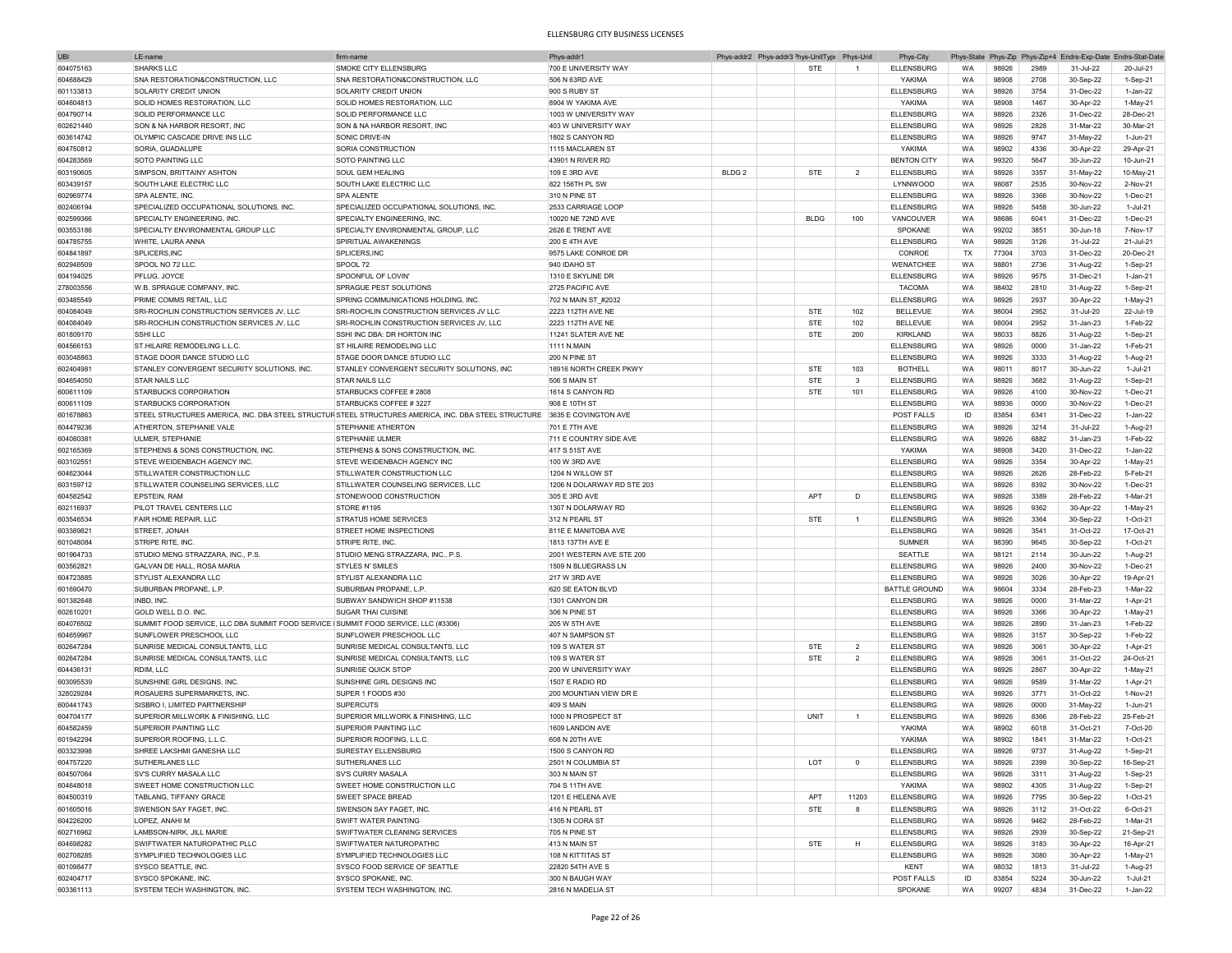| <b>UBI</b> | LE-name                                                                            | firm-name                                                                                                                | Phys-addr1                 |                   | Phys-addr2 Phys-addr3 <sup>&gt;</sup> hys-UnitType | Phys-Unit      | Phys-City            |           |       |      | Phys-State Phys-Zip Phys-Zip+4 Endrs-Exp-Date Endrs-Stat-Date |            |
|------------|------------------------------------------------------------------------------------|--------------------------------------------------------------------------------------------------------------------------|----------------------------|-------------------|----------------------------------------------------|----------------|----------------------|-----------|-------|------|---------------------------------------------------------------|------------|
| 604075163  | <b>SHARKS LLC</b>                                                                  | SMOKE CITY ELLENSBURG                                                                                                    | 700 E UNIVERSITY WAY       |                   | <b>STE</b>                                         | $\overline{1}$ | <b>ELLENSBURG</b>    | <b>WA</b> | 98926 | 2989 | 31-Jul-22                                                     | 20-Jul-21  |
| 604688429  | SNA RESTORATION&CONSTRUCTION, LLC                                                  | SNA RESTORATION&CONSTRUCTION, LLC                                                                                        | 506 N 63RD AVE             |                   |                                                    |                | YAKIMA               | <b>WA</b> | 98908 | 2708 | 30-Sep-22                                                     | $1-Sep-21$ |
| 601133813  | SOLARITY CREDIT UNION                                                              | SOLARITY CREDIT UNION                                                                                                    | 900 S RUBY ST              |                   |                                                    |                | <b>ELLENSBURG</b>    | WA        | 98926 | 3754 | 31-Dec-22                                                     | 1-Jan-22   |
|            | SOLID HOMES RESTORATION. LLC                                                       |                                                                                                                          |                            |                   |                                                    |                |                      |           |       |      |                                                               |            |
| 604604813  |                                                                                    | SOLID HOMES RESTORATION, LLC                                                                                             | 8904 W YAKIMA AVE          |                   |                                                    |                | YAKIMA               | WA        | 98908 | 1467 | 30-Apr-22                                                     | $1-May-21$ |
| 604790714  | SOLID PERFORMANCE LLC                                                              | SOLID PERFORMANCE LLC                                                                                                    | 1003 W UNIVERSITY WAY      |                   |                                                    |                | <b>ELLENSBURG</b>    | WA        | 98926 | 2326 | 31-Dec-22                                                     | 28-Dec-21  |
| 602621440  | SON & NA HARBOR RESORT, INC                                                        | SON & NA HARBOR RESORT, INC                                                                                              | 403 W UNIVERSITY WAY       |                   |                                                    |                | <b>ELLENSBURG</b>    | WA        | 98926 | 2828 | 31-Mar-22                                                     | 30-Mar-21  |
| 603614742  | OLYMPIC CASCADE DRIVE INS LLC                                                      | SONIC DRIVE-IN                                                                                                           | 1802 S CANYON RD           |                   |                                                    |                | ELLENSBURG           | WA        | 98926 | 9747 | 31-May-22                                                     | 1-Jun-21   |
| 604750812  | SORIA, GUADALUPE                                                                   | SORIA CONSTRUCTION                                                                                                       | 1115 MACLAREN ST           |                   |                                                    |                | YAKIMA               | WA        | 98902 | 4336 | 30-Apr-22                                                     | 29-Apr-21  |
| 604283569  | SOTO PAINTING LLC                                                                  | SOTO PAINTING LLC                                                                                                        | 43901 N RIVER RD           |                   |                                                    |                | <b>BENTON CITY</b>   | <b>WA</b> | 99320 | 5647 | 30-Jun-22                                                     | 10-Jun-21  |
| 603190605  | SIMPSON, BRITTAINY ASHTON                                                          | SOUL GEM HEALING                                                                                                         | 109 E 3RD AVE              | BLDG <sub>2</sub> | <b>STE</b>                                         | $\overline{2}$ | <b>ELLENSBURG</b>    | WA        | 98926 | 3357 | 31-May-22                                                     | 10-May-21  |
|            |                                                                                    |                                                                                                                          |                            |                   |                                                    |                |                      |           |       |      |                                                               |            |
| 603439157  | SOUTH LAKE ELECTRIC LLC                                                            | SOUTH LAKE ELECTRIC LLC                                                                                                  | 822 156TH PL SW            |                   |                                                    |                | LYNNWOOD             | <b>WA</b> | 98087 | 2535 | 30-Nov-22                                                     | 2-Nov-21   |
| 602969774  | SPA ALENTE, INC.                                                                   | SPA ALENTE                                                                                                               | 310 N PINE ST              |                   |                                                    |                | <b>ELLENSBURG</b>    | <b>WA</b> | 98926 | 3366 | 30-Nov-22                                                     | 1-Dec-21   |
| 602406194  | SPECIALIZED OCCUPATIONAL SOLUTIONS. INC                                            | SPECIALIZED OCCUPATIONAL SOLUTIONS. INC.                                                                                 | 2533 CARRIAGE LOOP         |                   |                                                    |                | ELLENSBURG           | WA        | 98926 | 5458 | 30-Jun-22                                                     | 1-Jul-21   |
| 602599366  | SPECIALTY ENGINEERING, INC.                                                        | SPECIALTY ENGINEERING, INC.                                                                                              | 10020 NE 72ND AVE          |                   | <b>BLDG</b>                                        | 100            | VANCOUVER            | WA        | 98686 | 6041 | 31-Dec-22                                                     | 1-Dec-21   |
| 603553186  | <b>ISPECIALTY ENVIRONMENTAL GROUP LLC</b>                                          | SPECIALTY ENVIRONMENTAL GROUP, LLC                                                                                       | 2626 E TRENT AVE           |                   |                                                    |                | SPOKANE              | WA        | 99202 | 3851 | 30-Jun-18                                                     | 7-Nov-17   |
| 604785755  | WHITE, LAURA ANNA                                                                  | SPIRITUAL AWAKENINGS                                                                                                     | 200 E 4TH AVE              |                   |                                                    |                | <b>ELLENSBURG</b>    | WA        | 98926 | 3126 | 31-Jul-22                                                     | 21-Jul-21  |
| 604841897  | SPI ICERS INC.                                                                     | SPLICERS.INC                                                                                                             | 9575 LAKE CONROE DR        |                   |                                                    |                | CONROE               | TX        | 77304 | 3703 | 31-Dec-22                                                     | 20-Dec-21  |
|            |                                                                                    |                                                                                                                          |                            |                   |                                                    |                |                      |           |       |      |                                                               |            |
| 602946509  | SPOOL NO 72 LLC                                                                    | SPOOL 72                                                                                                                 | 940 IDAHO ST               |                   |                                                    |                | WENATCHEE            | WA        | 98801 | 2736 | 31-Aug-22                                                     | 1-Sep-21   |
| 604194025  | PFLUG, JOYCE                                                                       | SPOONFUL OF LOVIN'                                                                                                       | 1310 E SKYLINE DR          |                   |                                                    |                | <b>ELLENSBURG</b>    | WA        | 98926 | 9575 | 31-Dec-21                                                     | 1-Jan-21   |
| 278003556  | W.B. SPRAGUE COMPANY, INC.                                                         | SPRAGUE PEST SOLUTIONS                                                                                                   | 2725 PACIFIC AVE           |                   |                                                    |                | <b>TACOMA</b>        | WA        | 98402 | 2810 | 31-Aug-22                                                     | 1-Sep-21   |
| 603485549  | PRIME COMMS RETAIL, LLC                                                            | SPRING COMMUNICATIONS HOLDING, INC.                                                                                      | 702 N MAIN ST_#2032        |                   |                                                    |                | <b>ELLENSBURG</b>    | <b>WA</b> | 98926 | 2937 | 30-Apr-22                                                     | 1-May-21   |
| 604084049  | SRI-ROCHLIN CONSTRUCTION SERVICES JV, LLC                                          | SRI-ROCHLIN CONSTRUCTION SERVICES JV LLC                                                                                 | 2223 112TH AVE NE          |                   | <b>STE</b>                                         | 102            | <b>BELLEVUE</b>      | <b>WA</b> | 98004 | 2952 | 31-Jul-20                                                     | 22-Jul-19  |
| 604084049  | SRI-ROCHLIN CONSTRUCTION SERVICES JV, LLC                                          | SRI-ROCHLIN CONSTRUCTION SERVICES JV, LLC                                                                                | 2223 112TH AVE NE          |                   | <b>STE</b>                                         | 102            | <b>BELLEVUE</b>      | WA        | 98004 | 2952 | 31-Jan-23                                                     | 1-Feb-22   |
|            | SSHIIIC                                                                            | SSHI INC DBA: DR HORTON INC                                                                                              |                            |                   |                                                    | 200            |                      | WA        | 98033 | 8826 |                                                               |            |
| 601809170  |                                                                                    |                                                                                                                          | 11241 SLATER AVE NE        |                   | STE                                                |                | KIRKLAND             |           |       |      | 31-Aug-22                                                     | 1-Sep-21   |
| 604566153  | ST.HII AIRE REMODELING L.L.C.                                                      | ST HILAIRE REMODELING LLC                                                                                                | <b>1111 N.MAIN</b>         |                   |                                                    |                | <b>ELLENSBURG</b>    | <b>WA</b> | 98926 | 0000 | 31-Jan-22                                                     | 1-Feb-21   |
| 603048863  | STAGE DOOR DANCE STUDIO LLC                                                        | STAGE DOOR DANCE STUDIO LLC                                                                                              | 200 N PINE ST              |                   |                                                    |                | <b>ELLENSBURG</b>    | WA        | 98926 | 3333 | 31-Aug-22                                                     | 1-Aug-21   |
| 602404981  | STANLEY CONVERGENT SECURITY SOLUTIONS, INC                                         | STANLEY CONVERGENT SECURITY SOLUTIONS, INC                                                                               | 18916 NORTH CREEK PKWY     |                   | <b>STE</b>                                         | 103            | <b>BOTHELL</b>       | WA        | 98011 | 8017 | 30-Jun-22                                                     | 1-Jul-21   |
| 604654050  | <b>STAR NAILS LLC</b>                                                              | <b>STAR NAILS LLC</b>                                                                                                    | 506 S MAIN ST              |                   | <b>STE</b>                                         | $\mathbf{3}$   | <b>ELLENSBURG</b>    | WA        | 98926 | 3682 | 31-Aug-22                                                     | 1-Sep-21   |
| 600611109  | <b>STARBUCKS CORPORATION</b>                                                       | STARBUCKS COFFEE # 2808                                                                                                  | 1614 S CANYON RD           |                   | <b>STE</b>                                         | 101            | <b>ELLENSBURG</b>    | WA        | 98926 | 4100 | 30-Nov-22                                                     | 1-Dec-21   |
| 600611109  | <b>STARBUCKS CORPORATION</b>                                                       | STARBUCKS COFFEE #3227                                                                                                   | 908 E 10TH ST              |                   |                                                    |                | <b>ELLENSBURG</b>    | WA        | 98936 | 0000 | 30-Nov-22                                                     | 1-Dec-21   |
| 601678863  |                                                                                    | STEEL STRUCTURES AMERICA. INC. DBA STEEL STRUCTURSTEEL STRUCTURES AMERICA. INC. DBA STEEL STRUCTURE 3635 E COVINGTON AVE |                            |                   |                                                    |                | POST FALLS           | ID        | 83854 | 6341 | 31-Dec-22                                                     | 1-Jan-22   |
|            |                                                                                    |                                                                                                                          |                            |                   |                                                    |                |                      |           |       |      |                                                               |            |
| 604479236  | ATHERTON, STEPHANIE VALE                                                           | <b>STEPHANIE ATHERTON</b>                                                                                                | 701 E 7TH AVE              |                   |                                                    |                | ELLENSBURG           | WA        | 98926 | 3214 | 31-Jul-22                                                     | 1-Aug-21   |
| 604080381  | <b>ULMER, STEPHANIE</b>                                                            | <b>STEPHANIE ULMER</b>                                                                                                   | 711 E COUNTRY SIDE AVE     |                   |                                                    |                | <b>ELLENSBURG</b>    | <b>WA</b> | 98926 | 6882 | 31-Jan-23                                                     | 1-Feb-22   |
| 602165369  | STEPHENS & SONS CONSTRUCTION, INC.                                                 | STEPHENS & SONS CONSTRUCTION, INC.                                                                                       | 417 S 51ST AVE             |                   |                                                    |                | YAKIMA               | <b>WA</b> | 98908 | 3420 | 31-Dec-22                                                     | 1-Jan-22   |
| 603102551  | STEVE WEIDENBACH AGENCY INC                                                        | STEVE WEIDENBACH AGENCY INC                                                                                              | 100 W 3RD AVE              |                   |                                                    |                | <b>ELLENSBURG</b>    | <b>WA</b> | 98926 | 3354 | 30-Apr-22                                                     | 1-May-21   |
| 604623044  | STILLWATER CONSTRUCTION LLC                                                        | STILLWATER CONSTRUCTION LLC                                                                                              | 1204 N WILLOW ST           |                   |                                                    |                | <b>ELLENSBURG</b>    | WA        | 98926 | 2626 | 28-Feb-22                                                     | 5-Feb-21   |
| 603159712  | STILLWATER COUNSELING SERVICES, LLC                                                | STILLWATER COUNSELING SERVICES, LLC                                                                                      | 1206 N DOLARWAY RD STE 203 |                   |                                                    |                | <b>ELLENSBURG</b>    | <b>WA</b> | 98926 | 8392 | 30-Nov-22                                                     | 1-Dec-21   |
|            |                                                                                    | STONEWOOD CONSTRUCTION                                                                                                   |                            |                   |                                                    |                |                      |           |       |      |                                                               |            |
| 604582542  | <b>EPSTEIN, RAM</b>                                                                |                                                                                                                          | 305 E 3RD AVE              |                   | APT                                                | D              | <b>ELLENSBURG</b>    | WA        | 98926 | 3389 | 28-Feb-22                                                     | 1-Mar-21   |
| 602116937  | PILOT TRAVEL CENTERS LLC                                                           | <b>STORE #1195</b>                                                                                                       | 1307 N DOLARWAY RD         |                   |                                                    |                | <b>ELLENSBURG</b>    | WA        | 98926 | 9362 | 30-Apr-22                                                     | 1-May-21   |
| 603546534  | FAIR HOME REPAIR, LLC                                                              | <b>STRATUS HOME SERVICES</b>                                                                                             | 312 N PEARL ST             |                   | <b>STE</b>                                         | $\overline{1}$ | <b>ELLENSBURG</b>    | WA        | 98926 | 3364 | 30-Sep-22                                                     | 1-Oct-21   |
| 603389821  | STREET, JONAH                                                                      | STREET HOME INSPECTIONS                                                                                                  | 811E E MANITOBA AVE        |                   |                                                    |                | <b>ELLENSBURG</b>    | WA        | 98926 | 3541 | 31-Oct-22                                                     | 17-Oct-21  |
| 601048084  | <b>STRIPE RITE, INC.</b>                                                           | <b>STRIPE RITE, INC.</b>                                                                                                 | 1813 137TH AVE E           |                   |                                                    |                | <b>SUMNER</b>        | WA        | 98390 | 9645 | 30-Sep-22                                                     | 1-Oct-21   |
| 601964733  | STUDIO MENG STRAZZARA, INC., P.S.                                                  | STUDIO MENG STRAZZARA, INC., P.S.                                                                                        | 2001 WESTERN AVE STE 200   |                   |                                                    |                | SEATTLE              | WA        | 98121 | 2114 | 30-Jun-22                                                     | 1-Aug-21   |
| 603562821  | GALVAN DE HALL, ROSA MARIA                                                         | <b>STYLES N' SMILES</b>                                                                                                  | 1509 N BLUEGRASS LN        |                   |                                                    |                | <b>ELLENSBURG</b>    | WA        | 98926 | 2400 | 30-Nov-22                                                     | 1-Dec-21   |
|            |                                                                                    |                                                                                                                          |                            |                   |                                                    |                |                      |           |       |      |                                                               |            |
| 604723885  | STYLIST ALEXANDRA LLC                                                              | STYLIST ALEXANDRA LLC                                                                                                    | 217 W 3RD AVE              |                   |                                                    |                | <b>ELLENSBURG</b>    | <b>WA</b> | 98926 | 3026 | 30-Apr-22                                                     | 19-Apr-21  |
| 601690470  | SUBURBAN PROPANE, L.P.                                                             | SUBURBAN PROPANE, L.P.                                                                                                   | 620 SE EATON BLVD          |                   |                                                    |                | <b>BATTLE GROUND</b> | <b>WA</b> | 98604 | 3334 | 28-Feb-23                                                     | 1-Mar-22   |
| 601382648  | INBD, INC                                                                          | SUBWAY SANDWICH SHOP #11538                                                                                              | 1301 CANYON DR             |                   |                                                    |                | <b>ELLENSBURG</b>    | WA        | 98926 | 0000 | 31-Mar-22                                                     | 1-Apr-21   |
| 602610201  | GOLD WELL D.O. INC.                                                                | SUGAR THAI CUISINE                                                                                                       | 306 N PINE ST              |                   |                                                    |                | <b>ELLENSBURG</b>    | WA        | 98926 | 3366 | 30-Apr-22                                                     | 1-May-21   |
| 604076502  | SUMMIT FOOD SERVICE, LLC DBA SUMMIT FOOD SERVICE (SUMMIT FOOD SERVICE, LLC (#3306) |                                                                                                                          | 205 W 5TH AVE              |                   |                                                    |                | <b>ELLENSBURG</b>    | WA        | 98926 | 2890 | 31-Jan-23                                                     | 1-Feb-22   |
| 604659967  | SUNFLOWER PRESCHOOL LLC                                                            | SUNFLOWER PRESCHOOL LLC                                                                                                  | 407 N SAMPSON ST           |                   |                                                    |                | <b>ELLENSBURG</b>    | <b>WA</b> | 98926 | 3157 | 30-Sep-22                                                     | 1-Feb-22   |
| 602647284  | SUNRISE MEDICAL CONSULTANTS, LLC                                                   | SUNRISE MEDICAL CONSULTANTS, LLC                                                                                         | 109 S WATER ST             |                   | <b>STE</b>                                         | $\overline{2}$ | <b>ELLENSBURG</b>    | WA        | 98926 | 3061 | 30-Apr-22                                                     | 1-Apr-21   |
|            | SUNRISE MEDICAL CONSULTANTS, LLC                                                   | SUNRISE MEDICAL CONSULTANTS. LLC                                                                                         |                            |                   |                                                    |                | <b>ELLENSBURG</b>    |           |       |      |                                                               |            |
| 602647284  |                                                                                    |                                                                                                                          | 109 S WATER ST             |                   | <b>STE</b>                                         | $\overline{2}$ |                      | WA        | 98926 | 3061 | 31-Oct-22                                                     | 24-Oct-21  |
| 604436131  | RDIM, LLC                                                                          | SUNRISE QUICK STOP                                                                                                       | 200 W UNIVERSITY WAY       |                   |                                                    |                | <b>ELLENSBURG</b>    | WA        | 98926 | 2867 | 30-Apr-22                                                     | 1-May-21   |
| 603095539  | SUNSHINE GIRL DESIGNS, INC.                                                        | SUNSHINE GIRL DESIGNS INC                                                                                                | 1507 E RADIO RD            |                   |                                                    |                | <b>ELLENSBURG</b>    | WA        | 98926 | 9589 | 31-Mar-22                                                     | 1-Apr-21   |
| 328029284  | ROSAUERS SUPERMARKETS. INC.                                                        | SUPER 1 FOODS #30                                                                                                        | 200 MOUNTIAN VIEW DR E     |                   |                                                    |                | <b>ELLENSBURG</b>    | WA        | 98926 | 3771 | 31-Oct-22                                                     | 1-Nov-21   |
| 600441743  | SISBRO I, LIMITED PARTNERSHIP                                                      | <b>SUPERCUTS</b>                                                                                                         | 409 S MAIN                 |                   |                                                    |                | <b>ELLENSBURG</b>    | WA        | 98926 | 0000 | 31-May-22                                                     | 1-Jun-21   |
| 604704177  | SUPERIOR MILLWORK & FINISHING, LLC                                                 | SUPERIOR MILLWORK & FINISHING, LLC                                                                                       | 1000 N PROSPECT ST         |                   | UNIT                                               |                | ELLENSBURG           | WA        | 98926 | 8366 | 28-Feb-22                                                     | 25-Feb-21  |
| 604582459  | SUPERIOR PAINTING LLC                                                              | SUPERIOR PAINTING LLC                                                                                                    | 1609 LANDON AVE            |                   |                                                    |                | YAKIMA               | WA        | 98902 | 6018 | 31-Oct-21                                                     | 7-Oct-20   |
| 601942294  | SUPERIOR ROOFING, L.L.C                                                            | SUPERIOR ROOFING, L.L.C                                                                                                  | 608 N 20TH AVE             |                   |                                                    |                | YAKIMA               | WA        | 98902 | 1841 | 31-Mar-22                                                     | 1-Oct-21   |
|            |                                                                                    |                                                                                                                          |                            |                   |                                                    |                |                      |           |       |      |                                                               |            |
| 603323998  | SHREE LAKSHMI GANESHA LLC                                                          | SURESTAY ELLENSBURG                                                                                                      | 1500 S CANYON RD           |                   |                                                    |                | <b>ELLENSBURG</b>    | <b>WA</b> | agazo | 9737 | 31-Aug-22                                                     | 1-Sep-21   |
| 604757220  | SUTHERLANES LLC                                                                    | SUTHERLANES LLC                                                                                                          | 2501 N COLUMBIA ST         |                   | LOT                                                | $\mathbf 0$    | <b>ELLENSBURG</b>    | WA        | 98926 | 2399 | 30-Sep-22                                                     | 16-Sep-21  |
| 604507064  | SV'S CURRY MASALA LLC                                                              | SV'S CURRY MASALA                                                                                                        | 303 N MAIN ST              |                   |                                                    |                | <b>ELLENSBURG</b>    | WA        | 98926 | 3311 | 31-Aug-22                                                     | 1-Sep-21   |
| 604648018  | SWEET HOME CONSTRUCTION LLC                                                        | SWEET HOME CONSTRUCTION LLC                                                                                              | 704 S 11TH AVE             |                   |                                                    |                | YAKIMA               | WA        | 98902 | 4305 | 31-Aug-22                                                     | 1-Sep-21   |
| 604500319  | <b>TABLANG, TIFFANY GRACE</b>                                                      | SWEET SPACE BREAD                                                                                                        | 1201 E HELENA AVE          |                   | APT                                                | 11203          | <b>ELLENSBURG</b>    | WA        | 98926 | 7795 | 30-Sep-22                                                     | 1-Oct-21   |
| 601605016  | SWENSON SAY FAGET, INC.                                                            | SWENSON SAY FAGET, INC.                                                                                                  | 416 N PEARL ST             |                   | STE                                                | 8              | <b>ELLENSBURG</b>    | WA        | 98926 | 3112 | 31-Oct-22                                                     | 6-Oct-21   |
|            |                                                                                    |                                                                                                                          |                            |                   |                                                    |                |                      |           |       |      |                                                               |            |
| 604226200  | LOPEZ, ANAHI M                                                                     | SWIFT WATER PAINTING                                                                                                     | 1305 N CORA ST             |                   |                                                    |                | <b>ELLENSBURG</b>    | WA        | 98926 | 9462 | 28-Feb-22                                                     | 1-Mar-21   |
| 602716962  | LAMBSON-NIRK, JILL MARIE                                                           | SWIFTWATER CLEANING SERVICES                                                                                             | 705 N PINE ST              |                   |                                                    |                | <b>ELLENSBURG</b>    | WA        | 98926 | 2939 | 30-Sep-22                                                     | 21-Sep-21  |
| 604698282  | SWIFTWATER NATUROPATHIC PLLC                                                       | SWIFTWATER NATUROPATHIC                                                                                                  | 413 N MAIN ST              |                   | STE                                                | H              | <b>ELLENSBURG</b>    | WA        | 98926 | 3183 | 30-Apr-22                                                     | 16-Apr-21  |
| 602708285  | SYMPLIFIED TECHNOLOGIES LLC                                                        | SYMPLIFIED TECHNOLOGIES LLC                                                                                              | 108 N KITTITAS ST          |                   |                                                    |                | <b>ELLENSBURG</b>    | WA        | 98926 | 3080 | 30-Apr-22                                                     | 1-May-21   |
| 601098477  | SYSCO SEATTLE, INC.                                                                | SYSCO FOOD SERVICE OF SEATTLE                                                                                            | 22820 54TH AVE S           |                   |                                                    |                | KENT                 | WA        | 98032 | 1813 | 31-Jul-22                                                     | 1-Aug-21   |
| 602404717  | SYSCO SPOKANE, INC.                                                                | SYSCO SPOKANE, INC.                                                                                                      | 300 N BAUGH WAY            |                   |                                                    |                | POST FALLS           | ID        | 83854 | 5224 | 30-Jun-22                                                     | 1-Jul-21   |
| 603361113  | SYSTEM TECH WASHINGTON, INC.                                                       | SYSTEM TECH WASHINGTON, INC.                                                                                             | 2816 N MADELIA ST          |                   |                                                    |                | SPOKANE              | WA        | 99207 | 4834 | 31-Dec-22                                                     | 1-Jan-22   |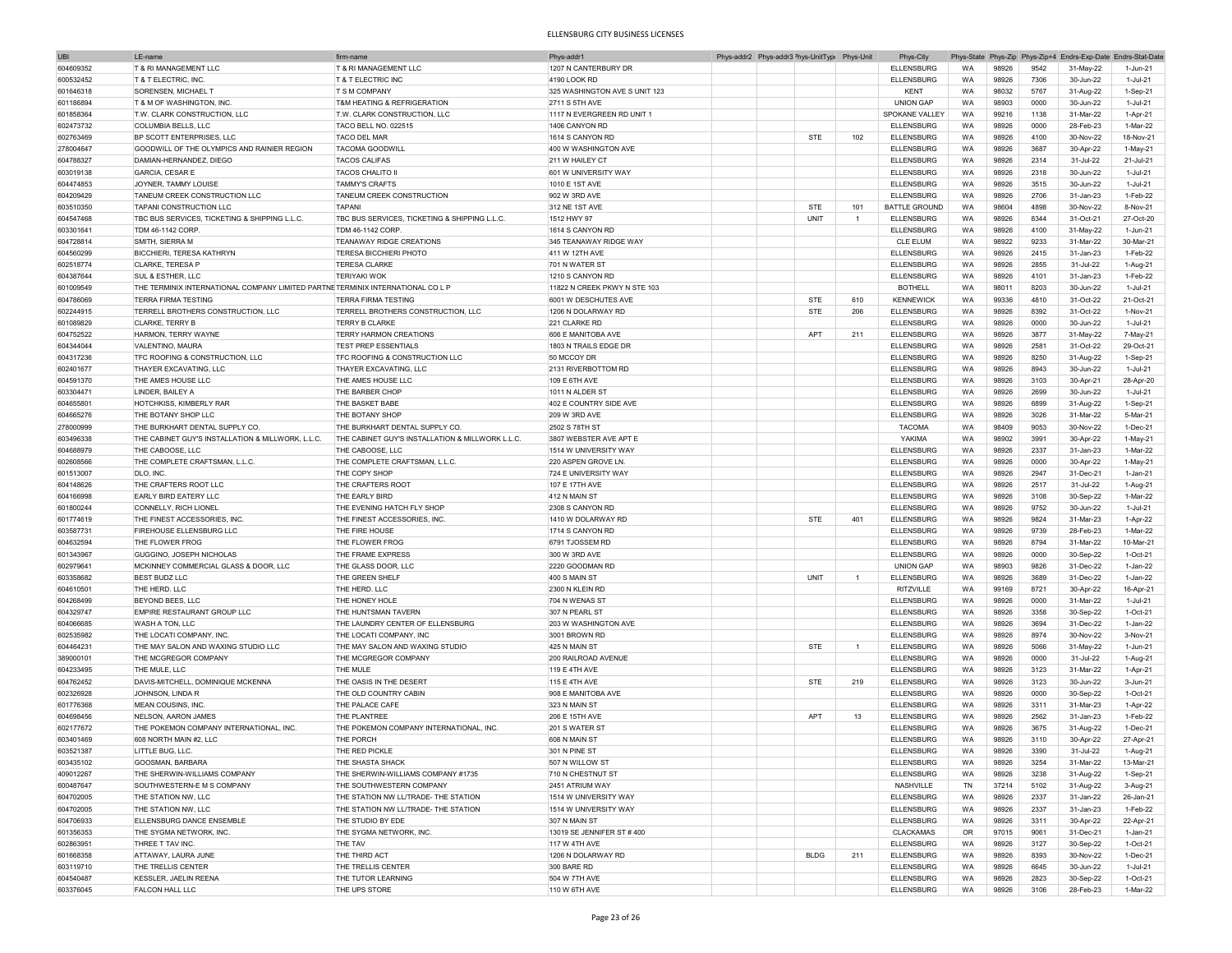| <b>UBI</b> | LE-nan                                                                          | firm-nam                                         | Phys-addr'                    |  | Phys-addr2 Phys-addr3 <sup>&gt;</sup> hys-UnitTyp( Phys-Unit |                | Phys-City            | Phys-State |       |      | Phys-Zip Phys-Zip+4 Endrs-Exp-Date Endrs-Stat-Date |            |
|------------|---------------------------------------------------------------------------------|--------------------------------------------------|-------------------------------|--|--------------------------------------------------------------|----------------|----------------------|------------|-------|------|----------------------------------------------------|------------|
| 604609352  | T & RI MANAGEMENT LLC                                                           | T & RI MANAGEMENT LLC                            | 1207 N CANTERBURY DR          |  |                                                              |                | <b>ELLENSBURG</b>    | <b>WA</b>  | 98926 | 9542 | 31-May-22                                          | 1-Jun-21   |
| 600532452  | T & T ELECTRIC, INC.                                                            | T & T ELECTRIC INC                               | 4190 LOOK RD                  |  |                                                              |                | <b>ELLENSBURG</b>    | WA         | 98926 | 7306 | 30-Jun-22                                          | 1-Jul-21   |
|            |                                                                                 |                                                  |                               |  |                                                              |                |                      |            |       |      |                                                    |            |
| 601646318  | <b>SORENSEN, MICHAEL T</b>                                                      | T S M COMPANY                                    | 325 WASHINGTON AVE S UNIT 123 |  |                                                              |                | KENT                 | WA         | 98032 | 5767 | 31-Aug-22                                          | 1-Sep-21   |
| 601186894  | T & M OF WASHINGTON, INC.                                                       | T&M HEATING & REFRIGERATION                      | 2711 S 5TH AVE                |  |                                                              |                | <b>UNION GAP</b>     | <b>WA</b>  | 98903 | 0000 | 30-Jun-22                                          | 1-Jul-21   |
| 601858364  | T.W. CLARK CONSTRUCTION, LLC                                                    | T.W. CLARK CONSTRUCTION, LLC                     | 1117 N EVERGREEN RD UNIT 1    |  |                                                              |                | SPOKANE VALLEY       | WA         | 99216 | 1138 | 31-Mar-22                                          | 1-Apr-21   |
| 602473732  | COLUMBIA BELLS, LLC                                                             | <b>TACO BELL NO. 022515</b>                      | 1406 CANYON RD                |  |                                                              |                | <b>ELLENSBURG</b>    | <b>WA</b>  | 98926 | 0000 | 28-Feb-23                                          | 1-Mar-22   |
| 602763469  | BP SCOTT ENTERPRISES, LLC                                                       | TACO DEL MAR                                     | 1614 S CANYON RD              |  | <b>STE</b>                                                   | 102            | <b>ELLENSBURG</b>    | WA         | 98926 | 4100 | 30-Nov-22                                          | 18-Nov-21  |
| 278004647  | GOODWILL OF THE OLYMPICS AND RAINIER REGION                                     | <b>TACOMA GOODWILL</b>                           | 400 W WASHINGTON AVE          |  |                                                              |                | <b>ELLENSBURG</b>    | WA         | 98926 | 3687 | 30-Apr-22                                          | 1-May-21   |
| 604788327  | DAMIAN-HERNANDEZ, DIEGO                                                         | <b>TACOS CALIFAS</b>                             | 211 W HAILEY CT               |  |                                                              |                | <b>ELLENSBURG</b>    | WA         | 98926 | 2314 | 31-Jul-22                                          | 21-Jul-21  |
|            |                                                                                 |                                                  |                               |  |                                                              |                |                      |            |       |      |                                                    |            |
| 603019138  | <b>GARCIA, CESAR E</b>                                                          | <b>TACOS CHALITO II</b>                          | 601 W UNIVERSITY WAY          |  |                                                              |                | <b>ELLENSBURG</b>    | WA         | 98926 | 2318 | 30-Jun-22                                          | 1-Jul-21   |
| 604474853  | JOYNER, TAMMY LOUISE                                                            | <b>TAMMY'S CRAFTS</b>                            | 1010 E 1ST AVE                |  |                                                              |                | <b>ELLENSBURG</b>    | WA         | 98926 | 3515 | 30-Jun-22                                          | 1-Jul-21   |
| 604209429  | TANEUM CREEK CONSTRUCTION LLC                                                   | TANEUM CREEK CONSTRUCTION                        | 902 W 3RD AVE                 |  |                                                              |                | <b>ELLENSBURG</b>    | WA         | 98926 | 2706 | 31-Jan-23                                          | 1-Feb-22   |
| 603510350  | TAPANI CONSTRUCTION LLC                                                         | <b>TAPAN</b>                                     | 312 NE 1ST AVE                |  | <b>STE</b>                                                   | 101            | <b>BATTLE GROUND</b> | WA         | 98604 | 4898 | 30-Nov-22                                          | 8-Nov-21   |
| 604547468  | TBC BUS SERVICES, TICKETING & SHIPPING L.L.C.                                   | TBC BUS SERVICES, TICKETING & SHIPPING L.L.C.    | 1512 HWY 97                   |  | UNIT                                                         |                | <b>ELLENSBURG</b>    | <b>WA</b>  | 98926 | 8344 | 31-Oct-21                                          | 27-Oct-20  |
| 603301641  | TDM 46-1142 CORP                                                                | TDM 46-1142 CORP                                 | 1614 S CANYON RD              |  |                                                              |                | <b>ELLENSBURG</b>    | WA         | 98926 | 4100 | 31-May-22                                          | 1-Jun-21   |
|            |                                                                                 |                                                  |                               |  |                                                              |                |                      |            |       |      |                                                    |            |
| 604728814  | SMITH, SIERRA M                                                                 | TEANAWAY RIDGE CREATIONS                         | 345 TEANAWAY RIDGE WAY        |  |                                                              |                | <b>CLE ELUM</b>      | WA         | 98922 | 9233 | 31-Mar-22                                          | 30-Mar-21  |
| 604560299  | <b>BICCHIERI, TERESA KATHRYN</b>                                                | <b>TERESA BICCHIERI PHOTO</b>                    | 411 W 12TH AVE                |  |                                                              |                | ELLENSBURG           | WA         | 98926 | 2415 | 31-Jan-23                                          | 1-Feb-22   |
| 602518774  | <b>CLARKE, TERESA P</b>                                                         | <b>TERESA CLARKE</b>                             | 701 N WATER ST                |  |                                                              |                | <b>ELLENSBURG</b>    | WA         | 98926 | 2855 | 31-Jul-22                                          | 1-Aug-21   |
| 604387644  | SUL & ESTHER, LLC                                                               | <b>TERIYAKI WOK</b>                              | 1210 S CANYON RD              |  |                                                              |                | ELLENSBURG           | WA         | 98926 | 4101 | 31-Jan-23                                          | 1-Feb-22   |
| 601009549  | THE TERMINIX INTERNATIONAL COMPANY LIMITED PARTNE TERMINIX INTERNATIONAL CO L P |                                                  | 11822 N CREEK PKWY N STE 103  |  |                                                              |                | <b>BOTHELL</b>       | WA         | 98011 | 8203 | 30-Jun-22                                          | 1-Jul-21   |
|            |                                                                                 |                                                  |                               |  |                                                              |                |                      |            |       |      |                                                    |            |
| 604786069  | <b>TERRA FIRMA TESTING</b>                                                      | <b>TERRA FIRMA TESTING</b>                       | 6001 W DESCHUTES AVE          |  | <b>STE</b>                                                   | 610            | <b>KENNEWICK</b>     | WA         | 99336 | 4810 | 31-Oct-22                                          | 21-Oct-21  |
| 602244915  | TERRELL BROTHERS CONSTRUCTION, LLC                                              | TERRELL BROTHERS CONSTRUCTION, LLC               | 1206 N DOLARWAY RD            |  | STE                                                          | 206            | <b>ELLENSBURG</b>    | WA         | 98926 | 8392 | 31-Oct-22                                          | 1-Nov-21   |
| 601089829  | <b>CLARKE, TERRY B</b>                                                          | <b>TERRY B CLARKE</b>                            | 221 CLARKE RD                 |  |                                                              |                | <b>ELLENSBURG</b>    | WA         | 98926 | 0000 | 30-Jun-22                                          | 1-Jul-21   |
| 604752522  | HARMON, TERRY WAYNE                                                             | TERRY HARMON CREATIONS                           | 606 E MANITOBA AVE            |  | <b>APT</b>                                                   | 211            | <b>ELLENSBURG</b>    | WA         | 98926 | 3877 | 31-May-22                                          | 7-May-21   |
| 604344044  | VALENTINO, MAURA                                                                | <b>TEST PREP ESSENTIALS</b>                      | 1803 N TRAILS EDGE DR         |  |                                                              |                | <b>ELLENSBURG</b>    | WA         | 98926 | 2581 | 31-Oct-22                                          | 29-Oct-21  |
| 604317236  | TFC ROOFING & CONSTRUCTION, LLC                                                 | TFC ROOFING & CONSTRUCTION LLC                   | 50 MCCOY DR                   |  |                                                              |                | ELLENSBURG           | WA         | 98926 | 8250 | 31-Aug-22                                          | 1-Sep-21   |
|            | THAYER EXCAVATING, LLC                                                          |                                                  |                               |  |                                                              |                |                      |            |       | 8943 |                                                    |            |
| 602401677  |                                                                                 | THAYER EXCAVATING, LLC                           | 2131 RIVERBOTTOM RD           |  |                                                              |                | <b>ELLENSBURG</b>    | WA         | 98926 |      | 30-Jun-22                                          | 1-Jul-21   |
| 604591370  | THE AMES HOUSE LLC                                                              | THE AMES HOUSE LLC                               | 109 E 6TH AVE                 |  |                                                              |                | ELLENSBURG           | WA         | 98926 | 3103 | 30-Apr-21                                          | 28-Apr-20  |
| 603304471  | LINDER, BAILEY A                                                                | THE BARBER CHOP                                  | 1011 N ALDER ST               |  |                                                              |                | <b>ELLENSBURG</b>    | WA         | 98926 | 2699 | 30-Jun-22                                          | 1-Jul-21   |
| 604655801  | HOTCHKISS, KIMBERLY RAR                                                         | THE BASKET BABE                                  | 402 E COUNTRY SIDE AVE        |  |                                                              |                | ELLENSBURG           | WA         | 98926 | 6899 | 31-Aug-22                                          | 1-Sep-21   |
| 604665276  | THE BOTANY SHOP LLC                                                             | THE BOTANY SHOP                                  | 209 W 3RD AVE                 |  |                                                              |                | ELLENSBURG           | WA         | 98926 | 3026 | 31-Mar-22                                          | 5-Mar-21   |
| 278000999  | THE BURKHART DENTAL SUPPLY CO.                                                  | THE BURKHART DENTAL SUPPLY CO                    | 2502 S 78TH ST                |  |                                                              |                | <b>TACOMA</b>        | WA         | 98409 | 9053 | 30-Nov-22                                          | 1-Dec-21   |
|            |                                                                                 |                                                  |                               |  |                                                              |                |                      |            |       |      |                                                    |            |
| 603496338  | THE CABINET GUY'S INSTALLATION & MILLWORK, L.L.C.                               | THE CABINET GUY'S INSTALLATION & MILLWORK L.L.C. | 3807 WEBSTER AVE APT E        |  |                                                              |                | YAKIMA               | WA         | 98902 | 3991 | 30-Apr-22                                          | $1-May-21$ |
| 604688979  | THE CABOOSE, LLC                                                                | THE CABOOSE, LLC                                 | 1514 W UNIVERSITY WAY         |  |                                                              |                | <b>ELLENSBURG</b>    | WA         | 98926 | 2337 | 31-Jan-23                                          | 1-Mar-22   |
| 602608566  | THE COMPLETE CRAFTSMAN, L.L.C.                                                  | THE COMPLETE CRAFTSMAN, L.L.C.                   | 220 ASPEN GROVE LN.           |  |                                                              |                | <b>ELLENSBURG</b>    | WA         | 98926 | 0000 | 30-Apr-22                                          | $1-May-21$ |
| 601513007  | DLO, INC.                                                                       | THE COPY SHOP                                    | 724 E UNIVERSITY WAY          |  |                                                              |                | <b>ELLENSBURG</b>    | WA         | 98926 | 2947 | 31-Dec-21                                          | 1-Jan-21   |
| 604148626  | THE CRAFTERS ROOT LLC                                                           | THE CRAFTERS ROOT                                | 107 E 17TH AVE                |  |                                                              |                | <b>ELLENSBURG</b>    | WA         | 98926 | 2517 | 31-Jul-22                                          | 1-Aug-21   |
| 604166998  | <b>EARLY BIRD EATERY LLC</b>                                                    | THE EARLY BIRD                                   | 412 N MAIN ST                 |  |                                                              |                | <b>ELLENSBURG</b>    | WA         | 98926 | 3108 | 30-Sep-22                                          | 1-Mar-22   |
|            |                                                                                 |                                                  |                               |  |                                                              |                |                      |            |       |      |                                                    |            |
| 601800244  | <b>CONNELLY, RICH LIONEL</b>                                                    | THE EVENING HATCH FLY SHOP                       | 2308 S CANYON RD              |  |                                                              |                | <b>ELLENSBURG</b>    | WA         | 98926 | 9752 | 30-Jun-22                                          | 1-Jul-21   |
| 601774619  | THE FINEST ACCESSORIES, INC                                                     | THE FINEST ACCESSORIES, INC                      | 1410 W DOLARWAY RD            |  | <b>STE</b>                                                   | 401            | ELLENSBURG           | WA         | 98926 | 9824 | 31-Mar-23                                          | 1-Apr-22   |
| 603587731  | <b>FIREHOUSE ELLENSBURG LLC</b>                                                 | THE FIRE HOUSE                                   | 1714 S CANYON RD              |  |                                                              |                | <b>ELLENSBURG</b>    | WA         | 98926 | 9739 | 28-Feb-23                                          | 1-Mar-22   |
| 604632594  | THE FLOWER FROG                                                                 | THE FLOWER FROG                                  | 6791 TJOSSEM RD               |  |                                                              |                | ELLENSBURG           | WA         | 98926 | 8794 | 31-Mar-22                                          | 10-Mar-21  |
| 601343967  | GUGGINO, JOSEPH NICHOLAS                                                        | THE FRAME EXPRESS                                | 300 W 3RD AVE                 |  |                                                              |                | <b>ELLENSBURG</b>    | WA         | 98926 | 0000 | 30-Sep-22                                          | 1-Oct-21   |
| 602979641  | MCKINNEY COMMERCIAL GLASS & DOOR, LLC                                           | THE GLASS DOOR, LLC                              | 2220 GOODMAN RD               |  |                                                              |                | <b>UNION GAP</b>     | WA         | 98903 | 9826 | 31-Dec-22                                          | $1-Jan-22$ |
|            |                                                                                 |                                                  |                               |  |                                                              |                |                      |            |       |      |                                                    |            |
| 603358682  | <b>BEST BUDZ LLC</b>                                                            | THE GREEN SHELF                                  | 400 S MAIN ST                 |  | UNIT                                                         |                | <b>ELLENSBURG</b>    | WA         | 98926 | 3689 | 31-Dec-22                                          | 1-Jan-22   |
| 604610501  | THE HERD, LLC                                                                   | THE HERD, LLC                                    | 2300 N KLEIN RD               |  |                                                              |                | RITZVILLE            | WA         | 99169 | 8721 | 30-Apr-22                                          | 16-Apr-21  |
| 604268499  | BEYOND BEES, LLC                                                                | THE HONEY HOLE                                   | 704 N WENAS ST                |  |                                                              |                | <b>ELLENSBURG</b>    | WA         | 98926 | 0000 | 31-Mar-22                                          | 1-Jul-21   |
| 604329747  | EMPIRE RESTAURANT GROUP LLC                                                     | THE HUNTSMAN TAVERN                              | 307 N PEARL ST                |  |                                                              |                | <b>ELLENSBURG</b>    | WA         | 98926 | 3358 | 30-Sep-22                                          | 1-Oct-21   |
| 604066685  | WASH A TON, LLC                                                                 | THE LAUNDRY CENTER OF ELLENSBURG                 | 203 W WASHINGTON AVE          |  |                                                              |                | <b>ELLENSBURG</b>    | WA         | 98926 | 3694 | 31-Dec-22                                          | 1-Jan-22   |
|            |                                                                                 |                                                  |                               |  |                                                              |                |                      |            |       |      |                                                    |            |
| 602535982  | THE LOCATI COMPANY. INC                                                         | THE LOCATI COMPANY. INC                          | 3001 BROWN RD                 |  |                                                              |                | <b>ELLENSBURG</b>    | WA         | 98926 | 8974 | 30-Nov-22                                          | 3-Nov-21   |
| 604464231  | THE MAY SALON AND WAXING STUDIO LLC                                             | THE MAY SALON AND WAXING STUDIO                  | 425 N MAIN ST                 |  | <b>STE</b>                                                   | $\overline{1}$ | ELLENSBURG           | WA         | 98926 | 5066 | 31-May-22                                          | 1-Jun-21   |
| 389000101  | THE MCGREGOR COMPANY                                                            | THE MCGREGOR COMPANY                             | 200 RAILROAD AVENUE           |  |                                                              |                | <b>ELLENSBURG</b>    | WA         | 98926 | 0000 | 31-Jul-22                                          | 1-Aug-21   |
| 604233495  | THE MULE, LLC                                                                   | THE MULE                                         | 119 E 4TH AVE                 |  |                                                              |                | <b>ELLENSBURG</b>    | WA         | 98926 | 3123 | 31-Mar-22                                          | 1-Apr-21   |
| 604762452  | DAVIS-MITCHELL, DOMINIQUE MCKENNA                                               | THE OASIS IN THE DESERT                          | 115 E 4TH AVE                 |  | STE                                                          | 219            | <b>ELLENSBURG</b>    | <b>WA</b>  | 98926 | 3123 | 30-Jun-22                                          | 3-Jun-21   |
| 602326928  | JOHNSON, LINDA R                                                                | THE OLD COUNTRY CABIN                            | 908 E MANITOBA AVE            |  |                                                              |                | ELLENSBURG           | WA         | 98926 | 0000 | 30-Sep-22                                          | 1-Oct-21   |
|            |                                                                                 |                                                  |                               |  |                                                              |                |                      |            |       |      |                                                    |            |
| 601776368  | <b>MEAN COUSINS, INC</b>                                                        | THE PALACE CAFE                                  | 323 N MAIN ST                 |  |                                                              |                | <b>ELLENSBURG</b>    | <b>WA</b>  | 98926 | 3311 | 31-Mar-23                                          | 1-Apr-22   |
| 604698456  | NELSON, AARON JAMES                                                             | THE PLANTREE                                     | 206 E 15TH AVE                |  | <b>APT</b>                                                   | 13             | ELLENSBURG           | WA         | 98926 | 2562 | 31-Jan-23                                          | 1-Feb-22   |
| 602177672  | THE POKEMON COMPANY INTERNATIONAL, INC                                          | THE POKEMON COMPANY INTERNATIONAL, INC.          | 201 S WATER ST                |  |                                                              |                | <b>ELLENSBURG</b>    | WA         | 98926 | 3675 | 31-Aug-22                                          | 1-Dec-21   |
| 603401469  | 608 NORTH MAIN #2, LLC                                                          | THE PORCH                                        | 608 N MAIN ST                 |  |                                                              |                | <b>ELLENSBURG</b>    | WA         | 98926 | 3110 | 30-Apr-22                                          | 27-Apr-21  |
| 603521387  | LITTLE BUG, LLC.                                                                | THE RED PICKLE                                   | 301 N PINE ST                 |  |                                                              |                | <b>ELLENSBURG</b>    | <b>WA</b>  | 98926 | 3390 | 31-Jul-22                                          | 1-Aug-21   |
| 603435102  | GOOSMAN, BARBARA                                                                | THE SHASTA SHACK                                 | 507 N WILLOW ST               |  |                                                              |                | <b>ELLENSBURG</b>    | WA         | 98926 | 3254 | 31-Mar-22                                          | 13-Mar-21  |
|            |                                                                                 |                                                  |                               |  |                                                              |                |                      |            |       |      |                                                    |            |
| 409012267  | THE SHERWIN-WILLIAMS COMPANY                                                    | THE SHERWIN-WILLIAMS COMPANY #1735               | 710 N CHESTNUT ST             |  |                                                              |                | <b>ELLENSBURG</b>    | WA         | 98926 | 3238 | 31-Aug-22                                          | $1-Sep-21$ |
| 600487647  | SOUTHWESTERN-E M S COMPANY                                                      | THE SOUTHWESTERN COMPANY                         | 2451 ATRIUM WAY               |  |                                                              |                | NASHVILLE            | TN         | 37214 | 5102 | 31-Aug-22                                          | 3-Aug-21   |
| 604702005  | THE STATION NW, LLC                                                             | THE STATION NW LL/TRADE- THE STATION             | 1514 W UNIVERSITY WAY         |  |                                                              |                | <b>ELLENSBURG</b>    | WA         | 98926 | 2337 | 31-Jan-22                                          | 26-Jan-21  |
| 604702005  | THE STATION NW, LLC                                                             | THE STATION NW LL/TRADE- THE STATION             | 1514 W UNIVERSITY WAY         |  |                                                              |                | <b>ELLENSBURG</b>    | WA         | 98926 | 2337 | 31-Jan-23                                          | 1-Feb-22   |
| 604706933  | ELLENSBURG DANCE ENSEMBLE                                                       | THE STUDIO BY EDE                                | 307 N MAIN ST                 |  |                                                              |                | <b>ELLENSBURG</b>    | WA         | 98926 | 3311 | 30-Apr-22                                          | 22-Apr-21  |
| 601356353  | THE SYGMA NETWORK, INC.                                                         | THE SYGMA NETWORK, INC.                          | 13019 SE JENNIFER ST #400     |  |                                                              |                | <b>CLACKAMAS</b>     | OR         | 97015 | 9061 | 31-Dec-21                                          | 1-Jan-21   |
|            |                                                                                 |                                                  |                               |  |                                                              |                |                      |            |       |      |                                                    |            |
| 602863951  | THREE T TAV INC.                                                                | THE TAV                                          | 117 W 4TH AVE                 |  |                                                              |                | <b>ELLENSBURG</b>    | WA         | 98926 | 3127 | 30-Sep-22                                          | 1-Oct-21   |
| 601668358  | ATTAWAY, LAURA JUNE                                                             | THE THIRD ACT                                    | 1206 N DOLARWAY RD            |  | <b>BLDG</b>                                                  | 211            | <b>ELLENSBURG</b>    | WA         | 98926 | 8393 | 30-Nov-22                                          | 1-Dec-21   |
| 603119710  | THE TRELLIS CENTER                                                              | THE TRELLIS CENTER                               | 300 BARE RD                   |  |                                                              |                | ELLENSBURG           | WA         | 98926 | 6645 | 30-Jun-22                                          | 1-Jul-21   |
| 604540487  | KESSLER, JAELIN REENA                                                           | THE TUTOR LEARNING                               | 504 W 7TH AVE                 |  |                                                              |                | <b>ELLENSBURG</b>    | WA         | 98926 | 2823 | 30-Sep-22                                          | 1-Oct-21   |
| 603376045  | <b>FALCON HALL LLC</b>                                                          | THE UPS STORE                                    | 110 W 6TH AVE                 |  |                                                              |                | <b>ELLENSBURG</b>    | WA         | 98926 | 3106 | 28-Feb-23                                          | 1-Mar-22   |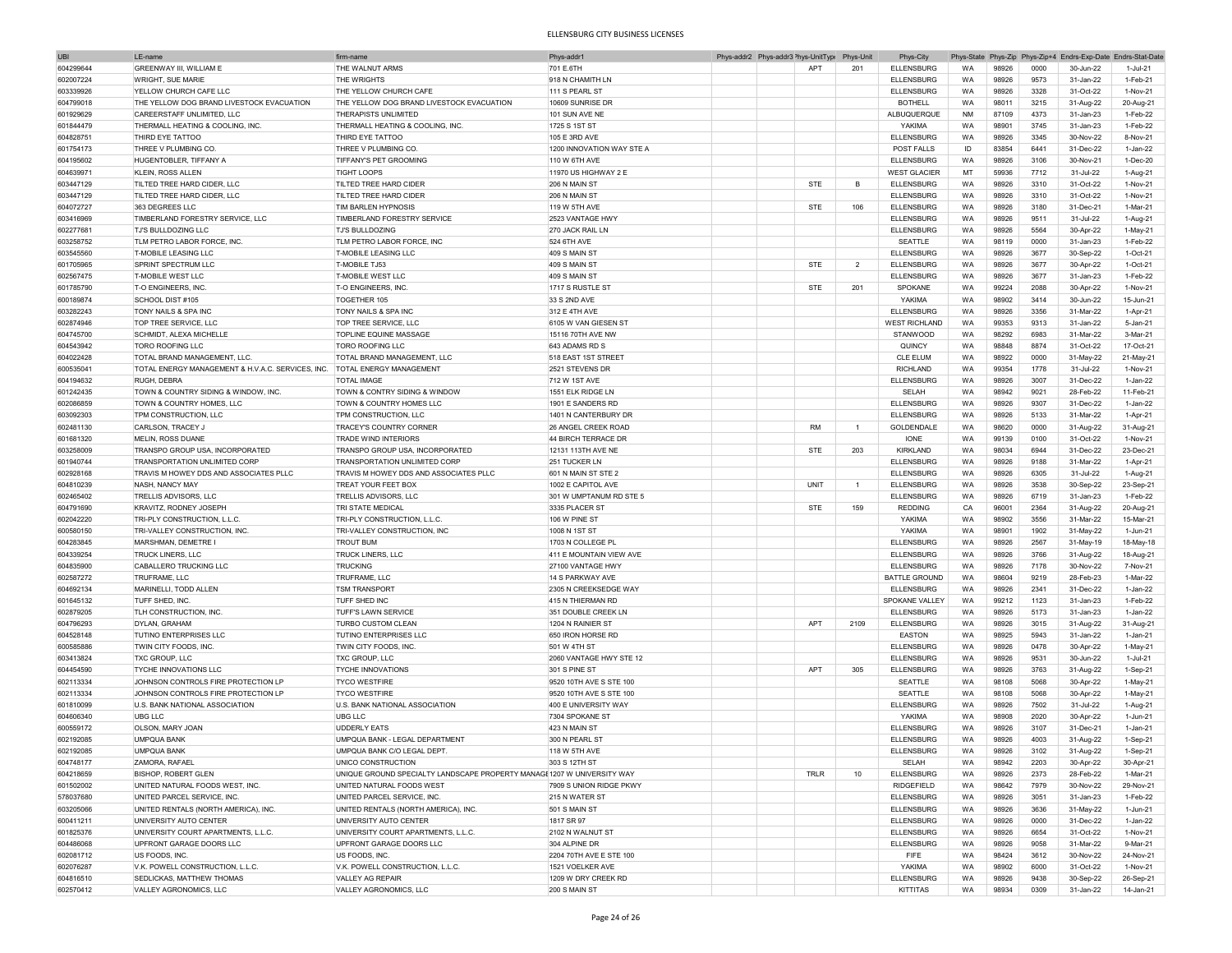| <b>UBI</b> | I F-name                                          | firm-name                                                               | Phys-addr'                | Phys-addr2 Phys-addr3 <sup>&gt;</sup> hys-UnitType Phys-Unit |            |                | Phys-City            |           |       |      | Phys-State Phys-Zip Phys-Zip+4 Endrs-Exp-Date Endrs-Stat-Date |                |
|------------|---------------------------------------------------|-------------------------------------------------------------------------|---------------------------|--------------------------------------------------------------|------------|----------------|----------------------|-----------|-------|------|---------------------------------------------------------------|----------------|
| 604299644  | GREENWAY III, WILLIAM E                           | THE WALNUT ARMS                                                         | 701 E.6TH                 |                                                              | <b>APT</b> | 201            | <b>ELLENSBURG</b>    | <b>WA</b> | 98926 | 0000 | 30-Jun-22                                                     | 1-Jul-21       |
| 602007224  | <b>WRIGHT, SUE MARIE</b>                          | THE WRIGHTS                                                             | 918 N CHAMITH LN          |                                                              |            |                | <b>ELLENSBURG</b>    | <b>WA</b> | 98926 | 9573 | 31-Jan-22                                                     | 1-Feb-21       |
|            |                                                   |                                                                         |                           |                                                              |            |                |                      |           |       | 3328 |                                                               | 1-Nov-21       |
| 603339926  | YELLOW CHURCH CAFE LLC                            | THE YELLOW CHURCH CAFE                                                  | 111 S PEARL ST            |                                                              |            |                | <b>ELLENSBURG</b>    | WA        | 98926 |      | 31-Oct-22                                                     |                |
| 604799018  | THE YELLOW DOG BRAND LIVESTOCK EVACUATION         | THE YELLOW DOG BRAND LIVESTOCK EVACUATION                               | 10609 SUNRISE DR          |                                                              |            |                | <b>BOTHELL</b>       | <b>WA</b> | 98011 | 3215 | 31-Aug-22                                                     | 20-Aug-21      |
| 601929629  | CAREERSTAFF UNLIMITED, LLC                        | THERAPISTS UNLIMITED                                                    | 101 SUN AVE NE            |                                                              |            |                | ALBUQUERQUE          | <b>NM</b> | 87109 | 4373 | 31-Jan-23                                                     | 1-Feb-22       |
| 601844479  | THERMALL HEATING & COOLING, INC.                  | THERMALL HEATING & COOLING, INC.                                        | 1725 S 1ST ST             |                                                              |            |                | YAKIMA               | <b>WA</b> | 98901 | 3745 | 31-Jan-23                                                     | 1-Feb-22       |
| 604828751  | THIRD EYE TATTOO                                  | THIRD EYE TATTOO                                                        | 105 E 3RD AVE             |                                                              |            |                | <b>ELLENSBURG</b>    | WA        | 98926 | 3345 | 30-Nov-22                                                     | 8-Nov-21       |
| 601754173  | THREE V PLUMBING CO.                              | THREE V PLUMBING CO.                                                    | 1200 INNOVATION WAY STE A |                                                              |            |                | POST FALLS           | ID        | 83854 | 6441 | 31-Dec-22                                                     | 1-Jan-22       |
| 604195602  | HUGENTOBLER, TIFFANY A                            | TIFFANY'S PET GROOMING                                                  | 110 W 6TH AVE             |                                                              |            |                | <b>ELLENSBURG</b>    | WA        | 98926 | 3106 | 30-Nov-21                                                     | 1-Dec-20       |
| 604639971  | <b>KLEIN, ROSS ALLEN</b>                          | <b>TIGHT LOOPS</b>                                                      | 11970 US HIGHWAY 2 E      |                                                              |            |                | <b>WEST GLACIER</b>  | MT        | 59936 | 7712 | 31-Jul-22                                                     | 1-Aug-21       |
| 603447129  | TILTED TREE HARD CIDER, LLC                       | TILTED TREE HARD CIDER                                                  | 206 N MAIN ST             |                                                              | <b>STE</b> | B              | <b>ELLENSBURG</b>    | WA        | 98926 | 3310 | 31-Oct-22                                                     | 1-Nov-21       |
|            |                                                   |                                                                         |                           |                                                              |            |                |                      |           |       |      |                                                               |                |
| 603447129  | TILTED TREE HARD CIDER, LLC                       | TILTED TREE HARD CIDER                                                  | 206 N MAIN ST             |                                                              |            |                | <b>ELLENSBURG</b>    | WA        | 98926 | 3310 | 31-Oct-22                                                     | 1-Nov-21       |
| 604072727  | 363 DEGREES LLC                                   | TIM BARLEN HYPNOSIS                                                     | 119 W 5TH AVE             |                                                              | STE        | 106            | <b>ELLENSBURG</b>    | WA        | 98926 | 3180 | 31-Dec-21                                                     | 1-Mar-21       |
| 603416969  | TIMBERLAND FORESTRY SERVICE, LLC                  | TIMBERLAND FORESTRY SERVICE                                             | 2523 VANTAGE HWY          |                                                              |            |                | <b>ELLENSBURG</b>    | <b>WA</b> | 98926 | 9511 | 31-Jul-22                                                     | 1-Aug-21       |
| 602277681  | <b>TJ'S BULLDOZING LLC</b>                        | <b>TJ'S BULLDOZING</b>                                                  | 270 JACK RAIL LN          |                                                              |            |                | <b>ELLENSBURG</b>    | WA        | 98926 | 5564 | 30-Apr-22                                                     | 1-May-21       |
| 603258752  | TLM PETRO LABOR FORCE, INC.                       | TLM PETRO LABOR FORCE, INC                                              | 524 6TH AVE               |                                                              |            |                | SEATTLE              | <b>WA</b> | 98119 | 0000 | 31-Jan-23                                                     | 1-Feb-22       |
| 603545560  | <b>T-MOBILE LEASING LLC</b>                       | <b>T-MOBILE LEASING LLC</b>                                             | 409 S MAIN ST             |                                                              |            |                | <b>ELLENSBURG</b>    | WA        | 98926 | 3677 | 30-Sep-22                                                     | 1-Oct-21       |
| 601705965  | SPRINT SPECTRUM LLC                               | <b>T-MOBILE TJ53</b>                                                    | 409 S MAIN ST             |                                                              | <b>STE</b> | $\overline{2}$ | <b>ELLENSBURG</b>    | <b>WA</b> | 98926 | 3677 | 30-Apr-22                                                     | 1-Oct-21       |
| 602567475  | <b>T-MOBILE WEST LLC</b>                          | <b>T-MOBILE WEST LLC</b>                                                |                           |                                                              |            |                | <b>ELLENSBURG</b>    | WA        | 98926 | 3677 | 31-Jan-23                                                     | 1-Feb-22       |
|            |                                                   |                                                                         | 409 S MAIN ST             |                                                              |            |                |                      |           |       |      |                                                               |                |
| 601785790  | T-O ENGINEERS, INC.                               | T-O ENGINEERS, INC                                                      | 1717 S RUSTLE ST          |                                                              | <b>STE</b> | 201            | SPOKANE              | WA        | 99224 | 2088 | 30-Apr-22                                                     | 1-Nov-21       |
| 600189874  | SCHOOL DIST #105                                  | TOGETHER 105                                                            | 33 S 2ND AVE              |                                                              |            |                | YAKIMA               | WA        | 98902 | 3414 | 30-Jun-22                                                     | 15-Jun-21      |
| 603282243  | TONY NAILS & SPA INC                              | TONY NAILS & SPA INC                                                    | 312 E 4TH AVE             |                                                              |            |                | <b>ELLENSBURG</b>    | WA        | 98926 | 3356 | 31-Mar-22                                                     | 1-Apr-21       |
| 602874946  | TOP TREE SERVICE, LLC                             | TOP TREE SERVICE, LLC                                                   | 6105 W VAN GIESEN ST      |                                                              |            |                | <b>WEST RICHLAND</b> | WA        | 99353 | 9313 | 31-Jan-22                                                     | 5-Jan-21       |
| 604745700  | SCHMIDT, ALEXA MICHELLE                           | TOPLINE EQUINE MASSAGE                                                  | 15116 70TH AVE NW         |                                                              |            |                | STANWOOD             | WA        | 98292 | 6983 | 31-Mar-22                                                     | 3-Mar-21       |
| 604543942  | <b>TORO ROOFING LLC</b>                           | <b>TORO ROOFING LLC</b>                                                 | 643 ADAMS RD S            |                                                              |            |                | QUINCY               | WA        | 98848 | 8874 | 31-Oct-22                                                     | 17-Oct-21      |
| 604022428  | TOTAL BRAND MANAGEMENT, LLC                       | TOTAL BRAND MANAGEMENT, LLC                                             | 518 EAST 1ST STREET       |                                                              |            |                | <b>CLE ELUM</b>      | WA        | 98922 | 0000 | 31-May-22                                                     | 21-May-21      |
| 600535041  | TOTAL ENERGY MANAGEMENT & H.V.A.C. SERVICES, INC. | <b>TOTAL ENERGY MANAGEMENT</b>                                          | 2521 STEVENS DR           |                                                              |            |                | <b>RICHLAND</b>      | <b>WA</b> | 99354 | 1778 | 31-Jul-22                                                     | 1-Nov-21       |
| 604194632  | RUGH, DEBRA                                       | <b>TOTAL IMAGE</b>                                                      |                           |                                                              |            |                | <b>ELLENSBURG</b>    |           |       | 3007 | 31-Dec-22                                                     | 1-Jan-22       |
|            |                                                   |                                                                         | 712 W 1ST AVE             |                                                              |            |                |                      | WA        | 98926 |      |                                                               |                |
| 601242435  | TOWN & COUNTRY SIDING & WINDOW, INC.              | TOWN & CONTRY SIDING & WINDOW                                           | 1551 ELK RIDGE LN         |                                                              |            |                | SELAH                | <b>WA</b> | 98942 | 9021 | 28-Feb-22                                                     | 11-Feb-21      |
| 602086859  | TOWN & COUNTRY HOMES, LLC                         | TOWN & COUNTRY HOMES LLC                                                | 1901 E SANDERS RD         |                                                              |            |                | <b>ELLENSBURG</b>    | WA        | 98926 | 9307 | 31-Dec-22                                                     | 1-Jan-22       |
| 603092303  | TPM CONSTRUCTION, LLC                             | TPM CONSTRUCTION, LLC                                                   | 1401 N CANTERBURY DR      |                                                              |            |                | <b>ELLENSBURG</b>    | WA        | 98926 | 5133 | 31-Mar-22                                                     | 1-Apr-21       |
| 602481130  | CARLSON, TRACEY J                                 | TRACEY'S COUNTRY CORNER                                                 | 26 ANGEL CREEK ROAD       |                                                              | <b>RM</b>  | $\overline{1}$ | GOLDENDALE           | WA        | 98620 | 0000 | 31-Aug-22                                                     | 31-Aug-21      |
| 601681320  | MELIN, ROSS DUANE                                 | <b>TRADE WIND INTERIORS</b>                                             | 44 BIRCH TERRACE DR       |                                                              |            |                | IONE                 | WA        | 99139 | 0100 | 31-Oct-22                                                     | 1-Nov-21       |
| 603258009  | TRANSPO GROUP USA, INCORPORATED                   | TRANSPO GROUP USA, INCORPORATED                                         | 12131 113TH AVE NE        |                                                              | STE        | 203            | KIRKLAND             | WA        | 98034 | 6944 | 31-Dec-22                                                     | 23-Dec-21      |
| 601940744  | TRANSPORTATION UNLIMITED CORP                     | TRANSPORTATION UNLIMITED CORP                                           | 251 TUCKER LN             |                                                              |            |                | <b>ELLENSBURG</b>    | WA        | 98926 | 9188 | 31-Mar-22                                                     | 1-Apr-21       |
|            |                                                   | TRAVIS M HOWEY DDS AND ASSOCIATES PLLC                                  |                           |                                                              |            |                |                      |           |       |      |                                                               |                |
| 602928168  | TRAVIS M HOWEY DDS AND ASSOCIATES PLLC            |                                                                         | 601 N MAIN ST STE 2       |                                                              |            |                | <b>ELLENSBURG</b>    | WA        | 98926 | 6305 | 31-Jul-22                                                     | 1-Aug-21       |
| 604810239  | NASH, NANCY MAY                                   | TREAT YOUR FEET BOX                                                     | 1002 E CAPITOL AVE        |                                                              | UNIT       | $\mathbf{1}$   | <b>ELLENSBURG</b>    | WA        | 98926 | 3538 | 30-Sep-22                                                     | 23-Sep-21      |
| 602465402  | TRELLIS ADVISORS, LLC                             | TRELLIS ADVISORS, LLC                                                   | 301 W UMPTANUM RD STE 5   |                                                              |            |                | <b>ELLENSBURG</b>    | WA        | 98926 | 6719 | 31-Jan-23                                                     | 1-Feb-22       |
| 604791690  | <b>KRAVITZ, RODNEY JOSEPH</b>                     | TRI STATE MEDICAL                                                       | 3335 PLACER ST            |                                                              | <b>STE</b> | 159            | REDDING              | CA        | 96001 | 2364 | 31-Aug-22                                                     | 20-Aug-21      |
| 602042220  | TRI-PLY CONSTRUCTION, L.L.C.                      | TRI-PLY CONSTRUCTION, L.L.C.                                            | 106 W PINE ST             |                                                              |            |                | YAKIMA               | WA        | 98902 | 3556 | 31-Mar-22                                                     | 15-Mar-21      |
| 600580150  | TRI-VALLEY CONSTRUCTION, INC                      | TRI-VALLEY CONSTRUCTION, INC                                            | 1008 N 1ST ST             |                                                              |            |                | YAKIMA               | <b>WA</b> | 98901 | 1902 | 31-May-22                                                     | 1-Jun-21       |
| 604283845  | MARSHMAN, DEMETRE                                 | <b>TROUT BUM</b>                                                        | 1703 N COLLEGE PL         |                                                              |            |                | <b>ELLENSBURG</b>    | WA        | 98926 | 2567 | 31-May-19                                                     | 18-May-18      |
| 604339254  | <b>TRUCK LINERS, LLC</b>                          | TRUCK LINERS, LLC                                                       | 411 E MOUNTAIN VIEW AVE   |                                                              |            |                | <b>ELLENSBURG</b>    | <b>WA</b> | 98926 | 3766 | 31-Aug-22                                                     | 18-Aug-21      |
| 604835900  | CABALLERO TRUCKING LLC                            | <b>TRUCKING</b>                                                         | 27100 VANTAGE HWY         |                                                              |            |                | <b>ELLENSBURG</b>    | WA        | 98926 | 7178 |                                                               |                |
|            |                                                   |                                                                         |                           |                                                              |            |                |                      |           |       |      | 30-Nov-22                                                     | 7-Nov-21       |
| 602587272  | TRUFRAME, LLC                                     | TRUFRAME, LLC                                                           | 14 S PARKWAY AVE          |                                                              |            |                | <b>BATTLE GROUND</b> | WA        | 98604 | 9219 | 28-Feb-23                                                     | 1-Mar-22       |
| 604692134  | MARINELLI, TODD ALLEN                             | <b>TSM TRANSPORT</b>                                                    | 2305 N CREEKSEDGE WAY     |                                                              |            |                | <b>ELLENSBURG</b>    | WA        | 98926 | 2341 | 31-Dec-22                                                     | 1-Jan-22       |
| 601645132  | TUFF SHED, INC.                                   | TUFF SHED INC                                                           | 415 N THIERMAN RD         |                                                              |            |                | SPOKANE VALLEY       | WA        | 99212 | 1123 | 31-Jan-23                                                     | 1-Feb-22       |
| 602879205  | TLH CONSTRUCTION, INC                             | TUFF'S LAWN SERVICE                                                     | 351 DOUBLE CREEK LN       |                                                              |            |                | <b>ELLENSBURG</b>    | WA        | 98926 | 5173 | 31-Jan-23                                                     | 1-Jan-22       |
| 604796293  | DYLAN, GRAHAM                                     | TURBO CUSTOM CLEAN                                                      | 1204 N RAINIER ST         |                                                              | APT        | 2109           | <b>ELLENSBURG</b>    | WA        | 98926 | 3015 | 31-Aug-22                                                     | 31-Aug-21      |
| 604528148  | <b>TUTINO ENTERPRISES LLC</b>                     | <b>TUTINO ENTERPRISES LLC</b>                                           | 650 IRON HORSE RD         |                                                              |            |                | <b>EASTON</b>        | WA        | 98925 | 5943 | 31-Jan-22                                                     | 1-Jan-21       |
| 600585886  | TWIN CITY FOODS, INC.                             | TWIN CITY FOODS, INC                                                    | 501 W 4TH ST              |                                                              |            |                | <b>ELLENSBURG</b>    | WA        | 98926 | 0478 | 30-Apr-22                                                     | 1-May-21       |
| 603413824  | TXC GROUP, LLC                                    | TXC GROUP, LLC                                                          | 2060 VANTAGE HWY STE 12   |                                                              |            |                | <b>ELLENSBURG</b>    | <b>WA</b> | 98926 | 9531 | 30-Jun-22                                                     | 1-Jul-21       |
|            |                                                   |                                                                         | 301 S PINE ST             |                                                              | APT        | 305            |                      |           |       | 3763 |                                                               |                |
| 604454590  | TYCHE INNOVATIONS LLC                             | <b>TYCHE INNOVATIONS</b>                                                |                           |                                                              |            |                | <b>ELLENSBURG</b>    | WA        | 98926 |      | 31-Aug-22                                                     | 1-Sep-21       |
| 602113334  | JOHNSON CONTROLS FIRE PROTECTION LP               | <b>TYCO WESTFIRE</b>                                                    | 9520 10TH AVE S STE 100   |                                                              |            |                | SEATTLE              | <b>WA</b> | 98108 | 5068 | 30-Apr-22                                                     | 1-May-21       |
| 602113334  | JOHNSON CONTROLS FIRE PROTECTION LP               | <b>TYCO WESTFIRE</b>                                                    | 9520 10TH AVE S STE 100   |                                                              |            |                | SEATTLE              | <b>WA</b> | 98108 | 5068 | 30-Apr-22                                                     | 1-May-21       |
| 601810099  | U.S. BANK NATIONAL ASSOCIATION                    | U.S. BANK NATIONAL ASSOCIATION                                          | 400 E UNIVERSITY WAY      |                                                              |            |                | <b>ELLENSBURG</b>    | WA        | 98926 | 7502 | 31-Jul-22                                                     | 1-Aug-21       |
| 604606340  | <b>UBG LLC</b>                                    | UBG LLC                                                                 | 7304 SPOKANE ST           |                                                              |            |                | YAKIMA               | WA        | 98908 | 2020 | 30-Apr-22                                                     | 1-Jun-21       |
| 600559172  | OLSON, MARY JOAN                                  | <b>UDDERLY EATS</b>                                                     | 423 N MAIN ST             |                                                              |            |                | <b>ELLENSBURG</b>    | WA        | 98926 | 3107 | 31-Dec-21                                                     | 1-Jan-21       |
| 602192085  | <b>UMPQUA BANK</b>                                | UMPQUA BANK - LEGAL DEPARTMENT                                          | 300 N PEARL ST            |                                                              |            |                | <b>ELLENSBURG</b>    | WA        | 98926 | 4003 | 31-Aug-22                                                     | 1-Sep-21       |
| 602192085  | <b>UMPQUA BANK</b>                                | UMPQUA BANK C/O LEGAL DEPT                                              | 118 W 5TH AVE             |                                                              |            |                | <b>ELLENSBURG</b>    | WA        | 98926 | 3102 | 31-Aug-22                                                     | 1-Sep-21       |
| 604748177  | ZAMORA, RAFAEL                                    | UNICO CONSTRUCTION                                                      | 303 S 12TH ST             |                                                              |            |                | SELAH                | WA        | 98942 | 2203 |                                                               | 30-Apr-21      |
|            |                                                   |                                                                         |                           |                                                              |            |                |                      |           |       |      | 30-Apr-22                                                     |                |
| 604218659  | <b>BISHOP, ROBERT GLEN</b>                        | UNIQUE GROUND SPECIALTY LANDSCAPE PROPERTY MANAGI 1207 W UNIVERSITY WAY |                           |                                                              | TRLR       | 10             | <b>ELLENSBURG</b>    | WA        | 98926 | 2373 | 28-Feb-22                                                     | 1-Mar-21       |
| 601502002  | UNITED NATURAL FOODS WEST, INC.                   | UNITED NATURAL FOODS WEST                                               | 7909 S UNION RIDGE PKWY   |                                                              |            |                | RIDGEFIELD           | WA        | 98642 | 7979 | 30-Nov-22                                                     | 29-Nov-21      |
| 578037680  | UNITED PARCEL SERVICE, INC.                       | UNITED PARCEL SERVICE, INC.                                             | 215 N WATER ST            |                                                              |            |                | <b>ELLENSBURG</b>    | WA        | 98926 | 3051 | 31-Jan-23                                                     | 1-Feb-22       |
| 603205066  | UNITED RENTALS (NORTH AMERICA), INC.              | UNITED RENTALS (NORTH AMERICA), INC.                                    | 501 S MAIN ST             |                                                              |            |                | <b>ELLENSBURG</b>    | WA        | 98926 | 3636 | 31-May-22                                                     | 1-Jun-21       |
| 600411211  | UNIVERSITY AUTO CENTER                            | UNIVERSITY AUTO CENTER                                                  | 1817 SR 97                |                                                              |            |                | <b>ELLENSBURG</b>    | WA        | 98926 | 0000 | 31-Dec-22                                                     | $1$ -Jan- $22$ |
| 601825376  | UNIVERSITY COURT APARTMENTS, L.L.C.               | UNIVERSITY COURT APARTMENTS, L.L.C.                                     | 2102 N WALNUT ST          |                                                              |            |                | ELLENSBURG           | WA        | 98926 | 6654 | 31-Oct-22                                                     | 1-Nov-21       |
| 604486068  | UPFRONT GARAGE DOORS LLC                          | UPFRONT GARAGE DOORS LLC                                                | 304 ALPINE DR             |                                                              |            |                | <b>ELLENSBURG</b>    | <b>WA</b> | 98926 | 9058 | 31-Mar-22                                                     | 9-Mar-21       |
|            | US FOODS, INC.                                    | US FOODS, INC.                                                          | 2204 70TH AVE E STE 100   |                                                              |            |                | <b>FIFE</b>          | WA        |       |      |                                                               | 24-Nov-21      |
| 602081712  | V.K. POWELL CONSTRUCTION, L.L.C.                  | V.K. POWELL CONSTRUCTION, L.L.C.                                        |                           |                                                              |            |                |                      |           | 98424 | 3612 | 30-Nov-22                                                     |                |
| 602076287  |                                                   |                                                                         | 1521 VOELKER AVE          |                                                              |            |                | YAKIMA               | WA        | 98902 | 6000 | 31-Oct-22                                                     | 1-Nov-21       |
| 604816510  | <b>SEDLICKAS, MATTHEW THOMAS</b>                  | VALLEY AG REPAIR                                                        | 1209 W DRY CREEK RD       |                                                              |            |                | <b>ELLENSBURG</b>    | WA        | 98926 | 9438 | 30-Sep-22                                                     | 26-Sep-21      |
| 602570412  | VALLEY AGRONOMICS, LLC                            | VALLEY AGRONOMICS, LLC                                                  | 200 S MAIN ST             |                                                              |            |                | KITTITAS             | WA        | 98934 | 0309 | 31-Jan-22                                                     | 14-Jan-21      |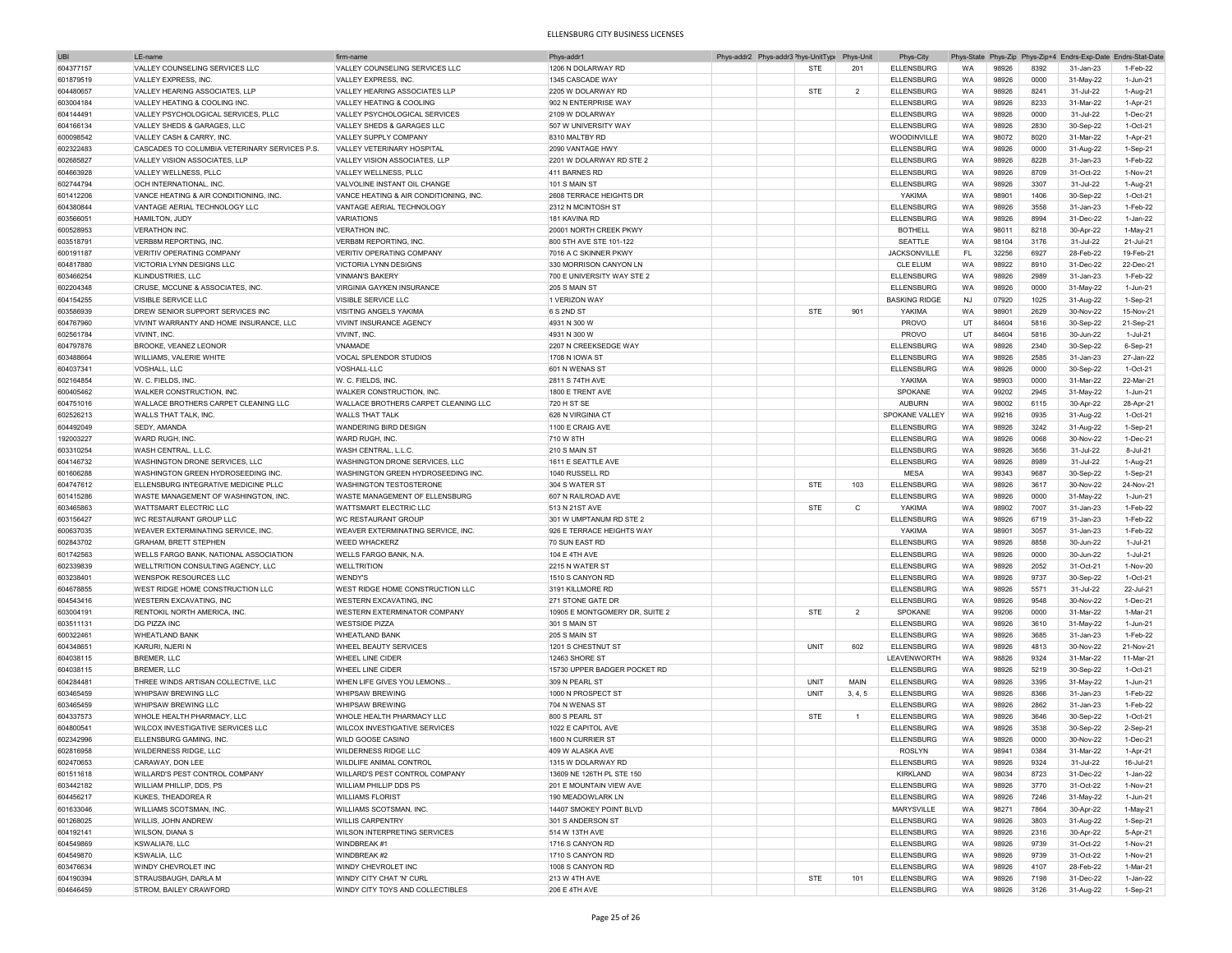| UBI       | I F-name                                      | firm-name                              | Phys-addr1                     | Phys-addr2 Phys-addr3 <sup>2</sup> hys-UnitType |            | Phys-Unit      | Phys-City            |           |       |      |           | Phys-State Phys-Zip Phys-Zip+4 Endrs-Exp-Date Endrs-Stat-Date |
|-----------|-----------------------------------------------|----------------------------------------|--------------------------------|-------------------------------------------------|------------|----------------|----------------------|-----------|-------|------|-----------|---------------------------------------------------------------|
| 604377157 | VALLEY COUNSELING SERVICES LLC                | VALLEY COUNSELING SERVICES LLC         | 1206 N DOLARWAY RD             |                                                 | <b>STE</b> | 201            | <b>ELLENSBURG</b>    | WA        | 98926 | 8392 | 31-Jan-23 | 1-Feb-22                                                      |
| 601879519 | VALLEY EXPRESS, INC                           | VALLEY EXPRESS, INC                    | 1345 CASCADE WAY               |                                                 |            |                | <b>ELLENSBURG</b>    | WA        | 98926 | 0000 | 31-May-22 | 1-Jun-21                                                      |
| 604480657 | VALLEY HEARING ASSOCIATES, LLP                | VALLEY HEARING ASSOCIATES LLP          | 2205 W DOLARWAY RD             |                                                 | <b>STE</b> | $\overline{2}$ | <b>ELLENSBURG</b>    | WA        | 98926 | 8241 | 31-Jul-22 | 1-Aug-21                                                      |
|           |                                               |                                        |                                |                                                 |            |                |                      |           |       |      |           |                                                               |
| 603004184 | VALLEY HEATING & COOLING INC.                 | VALLEY HEATING & COOLING               | 902 N ENTERPRISE WAY           |                                                 |            |                | <b>ELLENSBURG</b>    | WA        | 98926 | 8233 | 31-Mar-22 | 1-Apr-21                                                      |
| 604144491 | VALLEY PSYCHOLOGICAL SERVICES, PLLC           | VALLEY PSYCHOLOGICAL SERVICES          | 2109 W DOLARWAY                |                                                 |            |                | <b>ELLENSBURG</b>    | WA        | 98926 | 0000 | 31-Jul-22 | 1-Dec-21                                                      |
| 604166134 | VALLEY SHEDS & GARAGES, LLC                   | VALLEY SHEDS & GARAGES LLC             | 507 W UNIVERSITY WAY           |                                                 |            |                | <b>ELLENSBURG</b>    | WA        | 98926 | 2830 | 30-Sep-22 | 1-Oct-21                                                      |
| 600098542 | VALLEY CASH & CARRY, INC                      | VALLEY SUPPLY COMPANY                  | 8310 MALTBY RD                 |                                                 |            |                | WOODINVILLE          | WA        | 98072 | 8020 | 31-Mar-22 | 1-Apr-21                                                      |
| 602322483 | CASCADES TO COLUMBIA VETERINARY SERVICES P.S. | VALLEY VETERINARY HOSPITAL             | 2090 VANTAGE HWY               |                                                 |            |                | <b>ELLENSBURG</b>    | WA        | 98926 | 0000 | 31-Aug-22 | 1-Sep-21                                                      |
| 602685827 | VALLEY VISION ASSOCIATES. LLP                 | VALLEY VISION ASSOCIATES, LLP          | 2201 W DOLARWAY RD STE 2       |                                                 |            |                | <b>ELLENSBURG</b>    | WA        | 98926 | 8228 | 31-Jan-23 | 1-Feb-22                                                      |
| 604663928 | VALLEY WELLNESS, PLLC                         | VALLEY WELLNESS, PLLC                  | 411 BARNES RD                  |                                                 |            |                | <b>ELLENSBURG</b>    | WA        | 98926 | 8709 | 31-Oct-22 | 1-Nov-21                                                      |
| 602744794 | OCH INTERNATIONAL, INC                        | VALVOLINE INSTANT OIL CHANGE           | 101 S MAIN ST                  |                                                 |            |                | <b>ELLENSBURG</b>    | WA        | 98926 | 3307 | 31-Jul-22 | 1-Aug-21                                                      |
| 601412206 | VANCE HEATING & AIR CONDITIONING, INC.        | VANCE HEATING & AIR CONDITIONING, INC. | 2608 TERRACE HEIGHTS DR        |                                                 |            |                | YAKIMA               | WA        | 98901 | 1406 | 30-Sep-22 | $1-Oct-21$                                                    |
| 604380844 | VANTAGE AERIAL TECHNOLOGY LLC                 | VANTAGE AERIAL TECHNOLOGY              | 2312 N MCINTOSH ST             |                                                 |            |                | <b>ELLENSBURG</b>    | WA        | 98926 | 3558 | 31-Jan-23 | 1-Feb-22                                                      |
|           |                                               |                                        | 181 KAVINA RD                  |                                                 |            |                |                      |           |       |      |           |                                                               |
| 603566051 | HAMILTON, JUDY                                | <b>VARIATIONS</b>                      |                                |                                                 |            |                | <b>ELLENSBURG</b>    | WA        | 98926 | 8994 | 31-Dec-22 | 1-Jan-22                                                      |
| 600528953 | <b>VERATHON INC</b>                           | <b>VERATHON INC.</b>                   | 20001 NORTH CREEK PKWY         |                                                 |            |                | <b>BOTHELL</b>       | WA        | 98011 | 8218 | 30-Apr-22 | 1-May-21                                                      |
| 603518791 | <b>VERB8M REPORTING, INC.</b>                 | <b>VERB8M REPORTING, INC</b>           | 800 5TH AVE STE 101-122        |                                                 |            |                | SEATTLE              | WA        | 98104 | 3176 | 31-Jul-22 | 21-Jul-21                                                     |
| 600191187 | VERITIV OPERATING COMPANY                     | VERITIV OPERATING COMPANY              | 7016 A C SKINNER PKWY          |                                                 |            |                | JACKSONVILLE         | FL        | 32256 | 6927 | 28-Feb-22 | 19-Feb-21                                                     |
| 604817880 | VICTORIA LYNN DESIGNS LLC                     | <b>VICTORIA LYNN DESIGNS</b>           | 330 MORRISON CANYON LN         |                                                 |            |                | CLE ELUM             | WA        | 98922 | 8910 | 31-Dec-22 | 22-Dec-21                                                     |
| 603466254 | <b>KLINDUSTRIES, LLC</b>                      | <b>VINMAN'S BAKERY</b>                 | 700 E UNIVERSITY WAY STE 2     |                                                 |            |                | <b>ELLENSBURG</b>    | WA        | 98926 | 2989 | 31-Jan-23 | 1-Feb-22                                                      |
| 602204348 | CRUSE, MCCUNE & ASSOCIATES, INC.              | VIRGINIA GAYKEN INSURANCE              | 205 S MAIN ST                  |                                                 |            |                | <b>ELLENSBURG</b>    | WA        | 98926 | 0000 | 31-May-22 | 1-Jun-21                                                      |
| 604154255 | VISIBLE SERVICE LLC                           | VISIBLE SERVICE LLC                    | 1 VERIZON WAY                  |                                                 |            |                | <b>BASKING RIDGE</b> | <b>NJ</b> | 07920 | 1025 | 31-Aug-22 | 1-Sep-21                                                      |
| 603586939 | DREW SENIOR SUPPORT SERVICES INC              | VISITING ANGELS YAKIMA                 | 6 S 2ND ST                     |                                                 | <b>STE</b> | 901            | YAKIMA               | WA        | 98901 | 2629 | 30-Nov-22 | 15-Nov-21                                                     |
| 604767960 | VIVINT WARRANTY AND HOME INSURANCE, LLC       | VIVINT INSURANCE AGENCY                | 4931 N 300 W                   |                                                 |            |                | PROVO                | UT        | 84604 | 5816 | 30-Sep-22 | 21-Sep-21                                                     |
|           |                                               |                                        |                                |                                                 |            |                |                      |           |       |      |           |                                                               |
| 602561784 | VIVINT. INC.                                  | VIVINT, INC.                           | 4931 N 300 W                   |                                                 |            |                | PROVO                | UT        | 84604 | 5816 | 30-Jun-22 | 1-Jul-21                                                      |
| 604797876 | <b>BROOKE, VEANEZ LEONOR</b>                  | <b>VNAMADE</b>                         | 2207 N CREEKSEDGE WAY          |                                                 |            |                | <b>ELLENSBURG</b>    | WA        | 98926 | 2340 | 30-Sep-22 | 6-Sep-21                                                      |
| 603488664 | WILLIAMS, VALERIE WHITE                       | VOCAL SPLENDOR STUDIOS                 | 1708 N IOWA ST                 |                                                 |            |                | <b>ELLENSBURG</b>    | WA        | 98926 | 2585 | 31-Jan-23 | 27-Jan-22                                                     |
| 604037341 | VOSHALL, LLC                                  | VOSHALL-LLC                            | 601 N WENAS ST                 |                                                 |            |                | <b>ELLENSBURG</b>    | WA        | 98926 | 0000 | 30-Sep-22 | $1-Oct-21$                                                    |
| 602164854 | W. C. FIELDS, INC.                            | W. C. FIELDS. INC.                     | 2811 S 74TH AVE                |                                                 |            |                | YAKIMA               | WA        | 98903 | 0000 | 31-Mar-22 | 22-Mar-21                                                     |
| 600405462 | WALKER CONSTRUCTION, INC                      | WALKER CONSTRUCTION. INC.              | 1800 E TRENT AVE               |                                                 |            |                | SPOKANE              | WA        | 99202 | 2945 | 31-May-22 | 1-Jun-21                                                      |
| 604751016 | WALLACE BROTHERS CARPET CLEANING LLC          | WALLACE BROTHERS CARPET CLEANING LLC   | 720 H ST SE                    |                                                 |            |                | <b>AUBURN</b>        | WA        | 98002 | 6115 | 30-Apr-22 | 28-Apr-21                                                     |
| 602526213 | WALLS THAT TALK, INC.                         | <b>WALLS THAT TALK</b>                 | 626 N VIRGINIA CT              |                                                 |            |                | SPOKANE VALLEY       | WA        | 99216 | 0935 | 31-Aug-22 | 1-Oct-21                                                      |
| 604492049 | SEDY, AMANDA                                  | WANDERING BIRD DESIGN                  | 1100 E CRAIG AVE               |                                                 |            |                | <b>ELLENSBURG</b>    | WA        | 98926 | 3242 | 31-Aug-22 | 1-Sep-21                                                      |
|           |                                               |                                        |                                |                                                 |            |                |                      |           |       |      |           |                                                               |
| 192003227 | WARD RUGH, INC.                               | WARD RUGH, INC.                        | 710 W 8TH                      |                                                 |            |                | <b>ELLENSBURG</b>    | WA        | 98926 | 0068 | 30-Nov-22 | 1-Dec-21                                                      |
| 603310254 | WASH CENTRAL, L.L.C.                          | WASH CENTRAL, L.L.C                    | <b>210 S MAIN ST</b>           |                                                 |            |                | <b>ELLENSBURG</b>    | WA        | 98926 | 3656 | 31-Jul-22 | 8-Jul-21                                                      |
| 604146732 | WASHINGTON DRONE SERVICES, LLC                | WASHINGTON DRONE SERVICES, LLC         | 1611 E SEATTLE AVE             |                                                 |            |                | <b>ELLENSBURG</b>    | WA        | 98926 | 8989 | 31-Jul-22 | 1-Aug-21                                                      |
| 601606288 | WASHINGTON GREEN HYDROSEEDING INC.            | WASHINGTON GREEN HYDROSEEDING INC      | 1040 RUSSELL RD                |                                                 |            |                | MESA                 | WA        | 99343 | 9687 | 30-Sep-22 | 1-Sep-21                                                      |
| 604747612 | ELLENSBURG INTEGRATIVE MEDICINE PLLC          | <b>WASHINGTON TESTOSTERONE</b>         | 304 S WATER ST                 |                                                 | <b>STE</b> | 103            | <b>ELLENSBURG</b>    | WA        | 98926 | 3617 | 30-Nov-22 | 24-Nov-21                                                     |
| 601415286 | WASTE MANAGEMENT OF WASHINGTON, INC.          | WASTE MANAGEMENT OF ELLENSBURG         | 607 N RAILROAD AVE             |                                                 |            |                | <b>ELLENSBURG</b>    | WA        | 98926 | 0000 | 31-May-22 | $1-Jun-2'$                                                    |
| 603465863 | <b>WATTSMART ELECTRIC LLC</b>                 | <b>WATTSMART ELECTRIC LLC</b>          | 513 N 21ST AVE                 |                                                 | <b>STE</b> | C              | YAKIMA               | WA        | 98902 | 7007 | 31-Jan-23 | 1-Feb-22                                                      |
| 603156427 | WC RESTAURANT GROUP LLC                       | <b>WC RESTAURANT GROUP</b>             | 301 W UMPTANUM RD STE 2        |                                                 |            |                | <b>ELLENSBURG</b>    | WA        | 98926 | 6719 | 31-Jan-23 | 1-Feb-22                                                      |
| 600637035 | WEAVER EXTERMINATING SERVICE, INC.            | WEAVER EXTERMINATING SERVICE, INC.     | 926 E TERRACE HEIGHTS WAY      |                                                 |            |                | <b>YAKIMA</b>        | WA        | 98901 | 3057 | 31-Jan-23 | 1-Feb-22                                                      |
| 602843702 | <b>GRAHAM, BRETT STEPHEN</b>                  |                                        |                                |                                                 |            |                |                      |           |       | 8858 |           | 1-Jul-21                                                      |
|           |                                               | <b>WEED WHACKERZ</b>                   | 70 SUN EAST RD                 |                                                 |            |                | <b>ELLENSBURG</b>    | WA        | 98926 |      | 30-Jun-22 |                                                               |
| 601742563 | WELLS FARGO BANK, NATIONAL ASSOCIATION        | WELLS FARGO BANK, N.A.                 | 104 E 4TH AVE                  |                                                 |            |                | <b>ELLENSBURG</b>    | WA        | 98926 | 0000 | 30-Jun-22 | 1-Jul-21                                                      |
| 602339839 | WELLTRITION CONSULTING AGENCY, LLC            | <b>WELLTRITION</b>                     | <b>2215 N WATER ST</b>         |                                                 |            |                | <b>ELLENSBURG</b>    | WA        | 98926 | 2052 | 31-Oct-21 | 1-Nov-20                                                      |
| 603238401 | <b>WENSPOK RESOURCES LLC</b>                  | WENDY'S                                | 1510 S CANYON RD               |                                                 |            |                | <b>ELLENSBURG</b>    | WA        | 98926 | 9737 | 30-Sep-22 | $1-Oct-21$                                                    |
| 604678855 | WEST RIDGE HOME CONSTRUCTION LLC              | WEST RIDGE HOME CONSTRUCTION LLC       | 3191 KILLMORE RD               |                                                 |            |                | <b>ELLENSBURG</b>    | WA        | 98926 | 5571 | 31-Jul-22 | 22-Jul-21                                                     |
| 604543416 | WESTERN EXCAVATING, INC                       | <b>WESTERN EXCAVATING, INC</b>         | 271 STONE GATE DR              |                                                 |            |                | <b>ELLENSBURG</b>    | WA        | 98926 | 9548 | 30-Nov-22 | $1-Dec-21$                                                    |
| 603004191 | RENTOKIL NORTH AMERICA, INC.                  | <b>WESTERN EXTERMINATOR COMPANY</b>    | 10905 E MONTGOMERY DR, SUITE 2 |                                                 | <b>STE</b> | $\overline{2}$ | SPOKANE              | WA        | 99206 | 0000 | 31-Mar-22 | 1-Mar-21                                                      |
| 603511131 | DG PIZZA INC                                  | <b>WESTSIDE PIZZA</b>                  | 301 S MAIN ST                  |                                                 |            |                | <b>ELLENSBURG</b>    | WA        | 98926 | 3610 | 31-May-22 | 1-Jun-21                                                      |
| 600322461 | <b>WHEATLAND BANK</b>                         | <b>WHEATLAND BANK</b>                  | <b>205 S MAIN ST</b>           |                                                 |            |                | <b>ELLENSBURG</b>    | WA        | 98926 | 3685 | 31-Jan-23 | 1-Feb-22                                                      |
| 604348651 | KARURI, NJERI N                               | WHEEL BEAUTY SERVICES                  | 1201 S CHESTNUT ST             |                                                 | UNIT       | 602            | <b>ELLENSBURG</b>    | WA        | 98926 | 4813 | 30-Nov-22 | 21-Nov-21                                                     |
| 604038115 | <b>BREMER, LLC</b>                            | WHEEL LINE CIDER                       | 12463 SHORE ST                 |                                                 |            |                | LEAVENWORTH          | WA        | 98826 | 9324 | 31-Mar-22 | 11-Mar-21                                                     |
| 604038115 | BREMER, LLC                                   | WHEEL LINE CIDER                       | 15730 UPPER BADGER POCKET RD   |                                                 |            |                | <b>ELLENSBURG</b>    | WA        | 98926 | 5219 | 30-Sep-22 | $1-Oct-21$                                                    |
|           |                                               |                                        |                                |                                                 |            |                |                      |           |       |      |           |                                                               |
| 604284481 | THREE WINDS ARTISAN COLLECTIVE, LLC           | WHEN LIFE GIVES YOU LEMONS.            | 309 N PEARL ST                 |                                                 | UNIT       | MAIN           | <b>ELLENSBURG</b>    | WA        | 98926 | 3395 | 31-May-22 | 1-Jun-21                                                      |
| 603465459 | WHIPSAW BREWING LLC                           | <b>WHIPSAW BREWING</b>                 | 1000 N PROSPECT ST             |                                                 | UNIT       | 3, 4, 5        | <b>ELLENSBURG</b>    | WA        | 98926 | 8366 | 31-Jan-23 | 1-Feb-22                                                      |
| 603465459 | WHIPSAW BREWING LLC                           | <b>WHIPSAW BREWING</b>                 | 704 N WENAS ST                 |                                                 |            |                | <b>ELLENSBURG</b>    | WA        | 98926 | 2862 | 31-Jan-23 | 1-Feb-22                                                      |
| 604337573 | WHOLE HEALTH PHARMACY, LLC                    | WHOLE HEALTH PHARMACY LLC              | 800 S PEARL ST                 |                                                 | <b>STE</b> | $\overline{1}$ | <b>ELLENSBURG</b>    | WA        | 98926 | 3646 | 30-Sep-22 | 1-Oct-21                                                      |
| 604800541 | WILCOX INVESTIGATIVE SERVICES LLC             | WILCOX INVESTIGATIVE SERVICES          | 1022 E CAPITOL AVE             |                                                 |            |                | <b>ELLENSBURG</b>    | <b>WA</b> | 98926 | 3538 | 30-Sep-22 | 2-Sep-21                                                      |
| 602342996 | ELLENSBURG GAMING, INC                        | WILD GOOSE CASINO                      | 1600 N CURRIER ST              |                                                 |            |                | <b>ELLENSBURG</b>    | WA        | 98926 | 0000 | 30-Nov-22 | 1-Dec-21                                                      |
| 602816958 | WILDERNESS RIDGE, LLC                         | WILDERNESS RIDGE LLC                   | 409 W ALASKA AVE               |                                                 |            |                | ROSLYN               | <b>WA</b> | 98941 | 0384 | 31-Mar-22 | 1-Apr-21                                                      |
| 602470653 | CARAWAY, DON LEE                              | WILDLIFE ANIMAL CONTROL                | 1315 W DOLARWAY RD             |                                                 |            |                | <b>ELLENSBURG</b>    | WA        | 98926 | 9324 | 31-Jul-22 | 16-Jul-21                                                     |
| 601511618 | WILLARD'S PEST CONTROL COMPANY                | WILLARD'S PEST CONTROL COMPANY         | 13609 NE 126TH PL STE 150      |                                                 |            |                | KIRKLAND             | WA        | 98034 | 8723 | 31-Dec-22 | 1-Jan-22                                                      |
|           | WILLIAM PHILLIP, DDS, PS                      |                                        | 201 E MOUNTAIN VIEW AVE        |                                                 |            |                | <b>ELLENSBURG</b>    |           |       |      |           |                                                               |
| 603442182 |                                               | WILLIAM PHILLIP DDS PS                 |                                |                                                 |            |                |                      | WA        | 98926 | 3770 | 31-Oct-22 | 1-Nov-21                                                      |
| 604456217 | KUKES, THEADOREA R                            | <b>WILLIAMS FLORIST</b>                | 190 MEADOWLARK LN              |                                                 |            |                | <b>ELLENSBURG</b>    | WA        | 98926 | 7246 | 31-May-22 | 1-Jun-21                                                      |
| 601633046 | WILLIAMS SCOTSMAN, INC.                       | WILLIAMS SCOTSMAN, INC.                | 14407 SMOKEY POINT BLVD        |                                                 |            |                | <b>MARYSVILLE</b>    | WA        | 98271 | 7864 | 30-Apr-22 | 1-May-21                                                      |
| 601268025 | WILLIS, JOHN ANDREW                           | <b>WILLIS CARPENTRY</b>                | 301 S ANDERSON ST              |                                                 |            |                | <b>ELLENSBURG</b>    | WA        | 98926 | 3803 | 31-Aug-22 | 1-Sep-21                                                      |
| 604192141 | <b>WILSON, DIANA S</b>                        | WILSON INTERPRETING SERVICES           | 514 W 13TH AVE                 |                                                 |            |                | <b>ELLENSBURG</b>    | WA        | 98926 | 2316 | 30-Apr-22 | 5-Apr-21                                                      |
| 604549869 | KSWALIA76, LLC                                | WINDBREAK #1                           | 1716 S CANYON RD               |                                                 |            |                | <b>ELLENSBURG</b>    | WA        | 98926 | 9739 | 31-Oct-22 | 1-Nov-21                                                      |
| 604549870 | <b>KSWALIA, LLC</b>                           | WINDBREAK #2                           | 1710 S CANYON RD               |                                                 |            |                | <b>ELLENSBURG</b>    | WA        | 98926 | 9739 | 31-Oct-22 | 1-Nov-21                                                      |
| 603476634 | WINDY CHEVROLET INC                           | WINDY CHEVROLET INC                    | 1008 S CANYON RD               |                                                 |            |                | <b>ELLENSBURG</b>    | WA        | 98926 | 4107 | 28-Feb-22 | 1-Mar-21                                                      |
| 604190394 | STRAUSBAUGH, DARLA M                          | WINDY CITY CHAT 'N' CURL               | 213 W 4TH AVE                  |                                                 | <b>STE</b> | 101            | <b>ELLENSBURG</b>    | WA        | 98926 | 7198 | 31-Dec-22 | 1-Jan-22                                                      |
| 604646459 | STROM, BAILEY CRAWFORD                        | WINDY CITY TOYS AND COLLECTIBLES       | 206 E 4TH AVE                  |                                                 |            |                | <b>ELLENSBURG</b>    | WA        | 98926 | 3126 | 31-Aug-22 | 1-Sep-21                                                      |